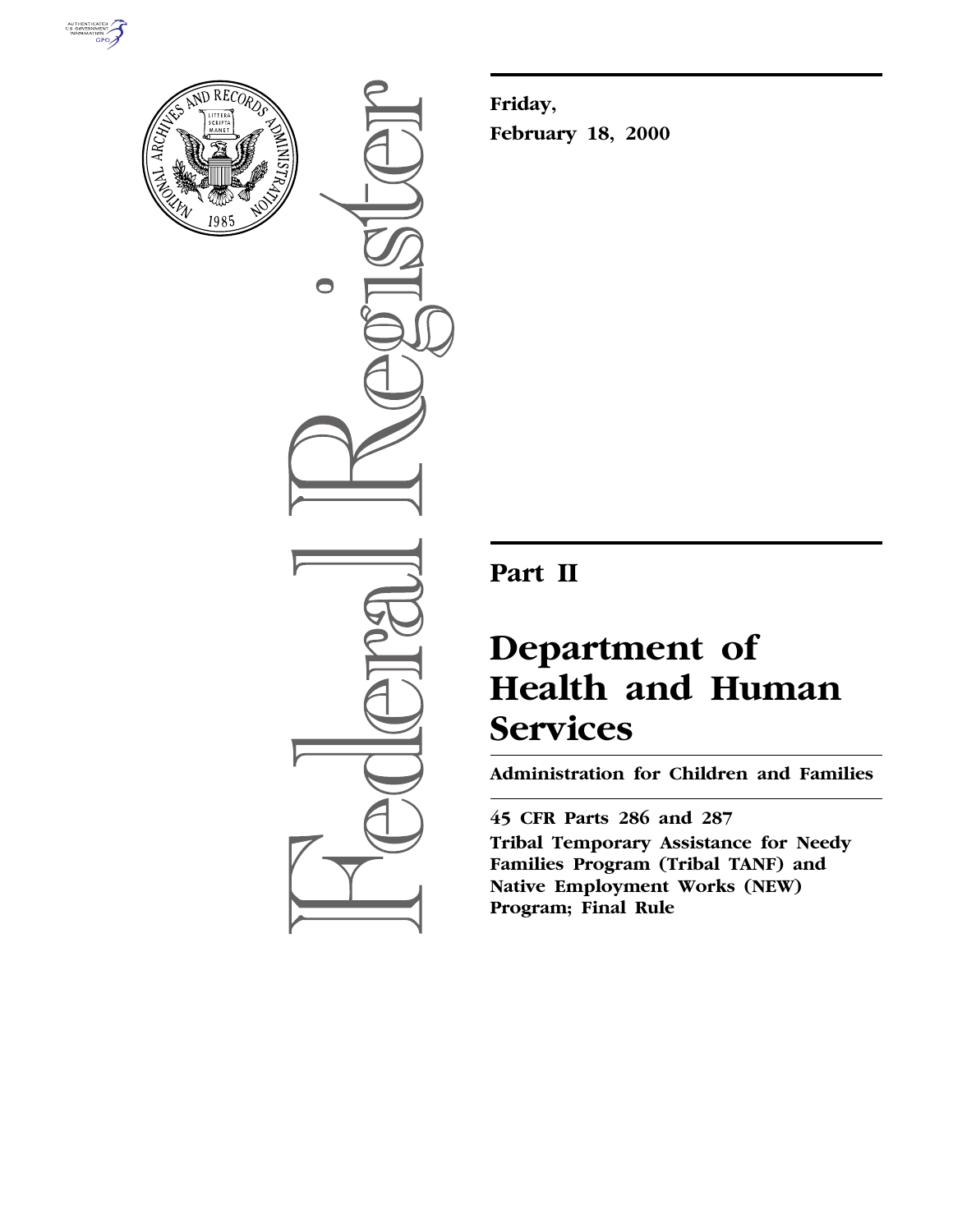



 $\bigcirc$ 

**Friday, February 18, 2000**

## **Part II**

# **Department of Health and Human Services**

**Administration for Children and Families**

**45 CFR Parts 286 and 287**

**Tribal Temporary Assistance for Needy Families Program (Tribal TANF) and Native Employment Works (NEW) Program; Final Rule**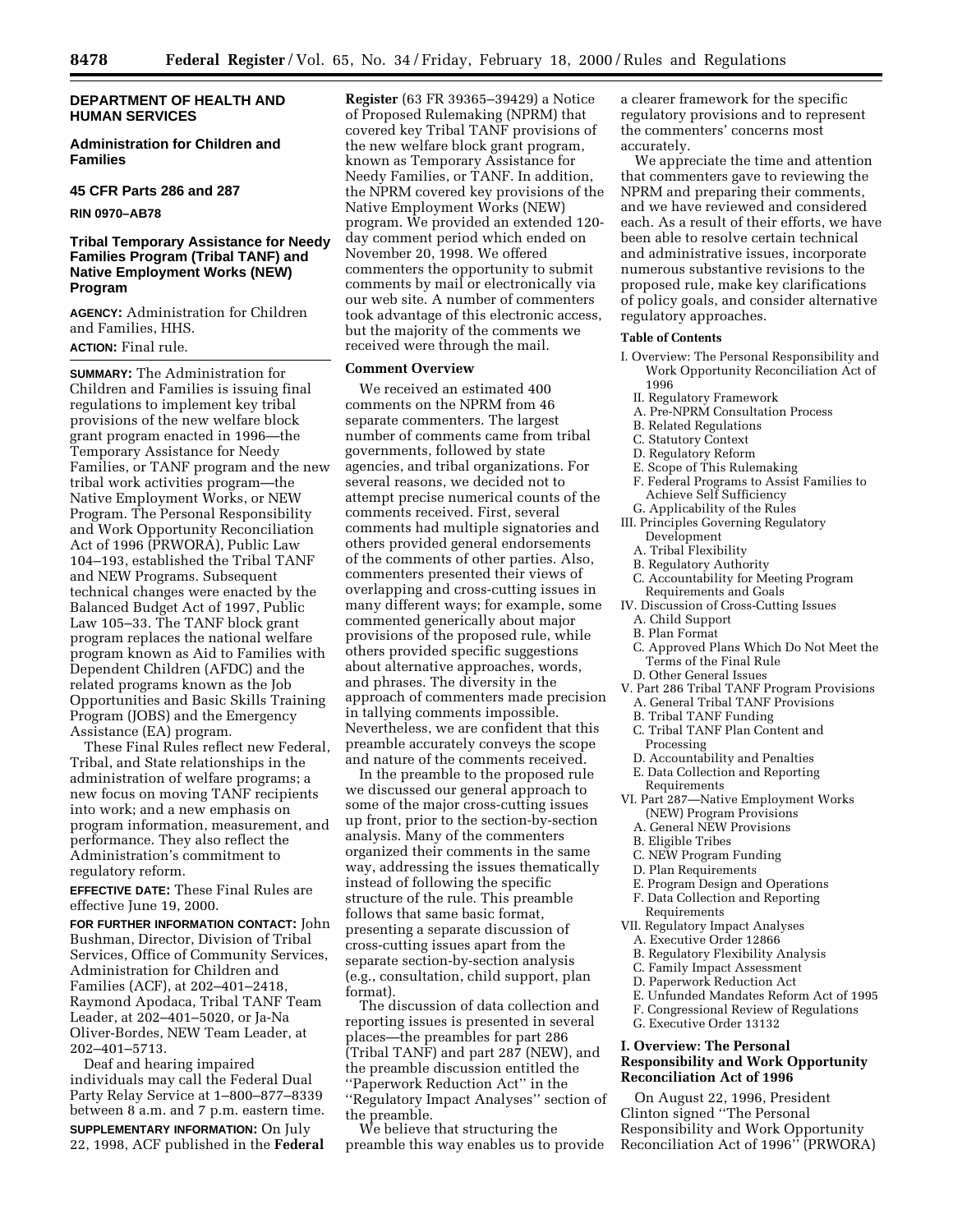**Administration for Children and Families**

#### **45 CFR Parts 286 and 287**

**RIN 0970–AB78**

## **Tribal Temporary Assistance for Needy Families Program (Tribal TANF) and Native Employment Works (NEW) Program**

**AGENCY:** Administration for Children and Families, HHS. **ACTION:** Final rule.

**SUMMARY:** The Administration for Children and Families is issuing final regulations to implement key tribal provisions of the new welfare block grant program enacted in 1996—the Temporary Assistance for Needy Families, or TANF program and the new tribal work activities program—the Native Employment Works, or NEW Program. The Personal Responsibility and Work Opportunity Reconciliation Act of 1996 (PRWORA), Public Law 104–193, established the Tribal TANF and NEW Programs. Subsequent technical changes were enacted by the Balanced Budget Act of 1997, Public Law 105–33. The TANF block grant program replaces the national welfare program known as Aid to Families with Dependent Children (AFDC) and the related programs known as the Job Opportunities and Basic Skills Training Program (JOBS) and the Emergency Assistance (EA) program.

These Final Rules reflect new Federal, Tribal, and State relationships in the administration of welfare programs; a new focus on moving TANF recipients into work; and a new emphasis on program information, measurement, and performance. They also reflect the Administration's commitment to regulatory reform.

**EFFECTIVE DATE:** These Final Rules are effective June 19, 2000.

**FOR FURTHER INFORMATION CONTACT:** John Bushman, Director, Division of Tribal Services, Office of Community Services, Administration for Children and Families (ACF), at 202–401–2418, Raymond Apodaca, Tribal TANF Team Leader, at 202–401–5020, or Ja-Na Oliver-Bordes, NEW Team Leader, at 202–401–5713.

Deaf and hearing impaired individuals may call the Federal Dual Party Relay Service at 1–800–877–8339 between 8 a.m. and 7 p.m. eastern time.

**SUPPLEMENTARY INFORMATION:** On July 22, 1998, ACF published in the **Federal**

**Register** (63 FR 39365–39429) a Notice of Proposed Rulemaking (NPRM) that covered key Tribal TANF provisions of the new welfare block grant program, known as Temporary Assistance for Needy Families, or TANF. In addition, the NPRM covered key provisions of the Native Employment Works (NEW) program. We provided an extended 120 day comment period which ended on November 20, 1998. We offered commenters the opportunity to submit comments by mail or electronically via our web site. A number of commenters took advantage of this electronic access, but the majority of the comments we received were through the mail.

## **Comment Overview**

We received an estimated 400 comments on the NPRM from 46 separate commenters. The largest number of comments came from tribal governments, followed by state agencies, and tribal organizations. For several reasons, we decided not to attempt precise numerical counts of the comments received. First, several comments had multiple signatories and others provided general endorsements of the comments of other parties. Also, commenters presented their views of overlapping and cross-cutting issues in many different ways; for example, some commented generically about major provisions of the proposed rule, while others provided specific suggestions about alternative approaches, words, and phrases. The diversity in the approach of commenters made precision in tallying comments impossible. Nevertheless, we are confident that this preamble accurately conveys the scope and nature of the comments received.

In the preamble to the proposed rule we discussed our general approach to some of the major cross-cutting issues up front, prior to the section-by-section analysis. Many of the commenters organized their comments in the same way, addressing the issues thematically instead of following the specific structure of the rule. This preamble follows that same basic format, presenting a separate discussion of cross-cutting issues apart from the separate section-by-section analysis (e.g., consultation, child support, plan format).

The discussion of data collection and reporting issues is presented in several places—the preambles for part 286 (Tribal TANF) and part 287 (NEW), and the preamble discussion entitled the ''Paperwork Reduction Act'' in the ''Regulatory Impact Analyses'' section of the preamble.

We believe that structuring the preamble this way enables us to provide

a clearer framework for the specific regulatory provisions and to represent the commenters' concerns most accurately.

We appreciate the time and attention that commenters gave to reviewing the NPRM and preparing their comments, and we have reviewed and considered each. As a result of their efforts, we have been able to resolve certain technical and administrative issues, incorporate numerous substantive revisions to the proposed rule, make key clarifications of policy goals, and consider alternative regulatory approaches.

#### **Table of Contents**

- I. Overview: The Personal Responsibility and Work Opportunity Reconciliation Act of 1996
	- II. Regulatory Framework
	- A. Pre-NPRM Consultation Process
	- B. Related Regulations
	- C. Statutory Context
	- D. Regulatory Reform
	- E. Scope of This Rulemaking
	- F. Federal Programs to Assist Families to Achieve Self Sufficiency
	- G. Applicability of the Rules
- III. Principles Governing Regulatory Development
	- A. Tribal Flexibility
	- B. Regulatory Authority
	- C. Accountability for Meeting Program Requirements and Goals
- IV. Discussion of Cross-Cutting Issues
	- A. Child Support
- B. Plan Format
- C. Approved Plans Which Do Not Meet the Terms of the Final Rule
- D. Other General Issues
- V. Part 286 Tribal TANF Program Provisions
- A. General Tribal TANF Provisions
- B. Tribal TANF Funding
- C. Tribal TANF Plan Content and
- Processing D. Accountability and Penalties
- E. Data Collection and Reporting Requirements
- VI. Part 287—Native Employment Works (NEW) Program Provisions
	- A. General NEW Provisions
- B. Eligible Tribes
- C. NEW Program Funding
- D. Plan Requirements
- E. Program Design and Operations
- F. Data Collection and Reporting
- Requirements
- VII. Regulatory Impact Analyses
- A. Executive Order 12866
- B. Regulatory Flexibility Analysis
- C. Family Impact Assessment
- D. Paperwork Reduction Act
- E. Unfunded Mandates Reform Act of 1995
- F. Congressional Review of Regulations
- G. Executive Order 13132

## **I. Overview: The Personal Responsibility and Work Opportunity Reconciliation Act of 1996**

On August 22, 1996, President Clinton signed ''The Personal Responsibility and Work Opportunity Reconciliation Act of 1996'' (PRWORA)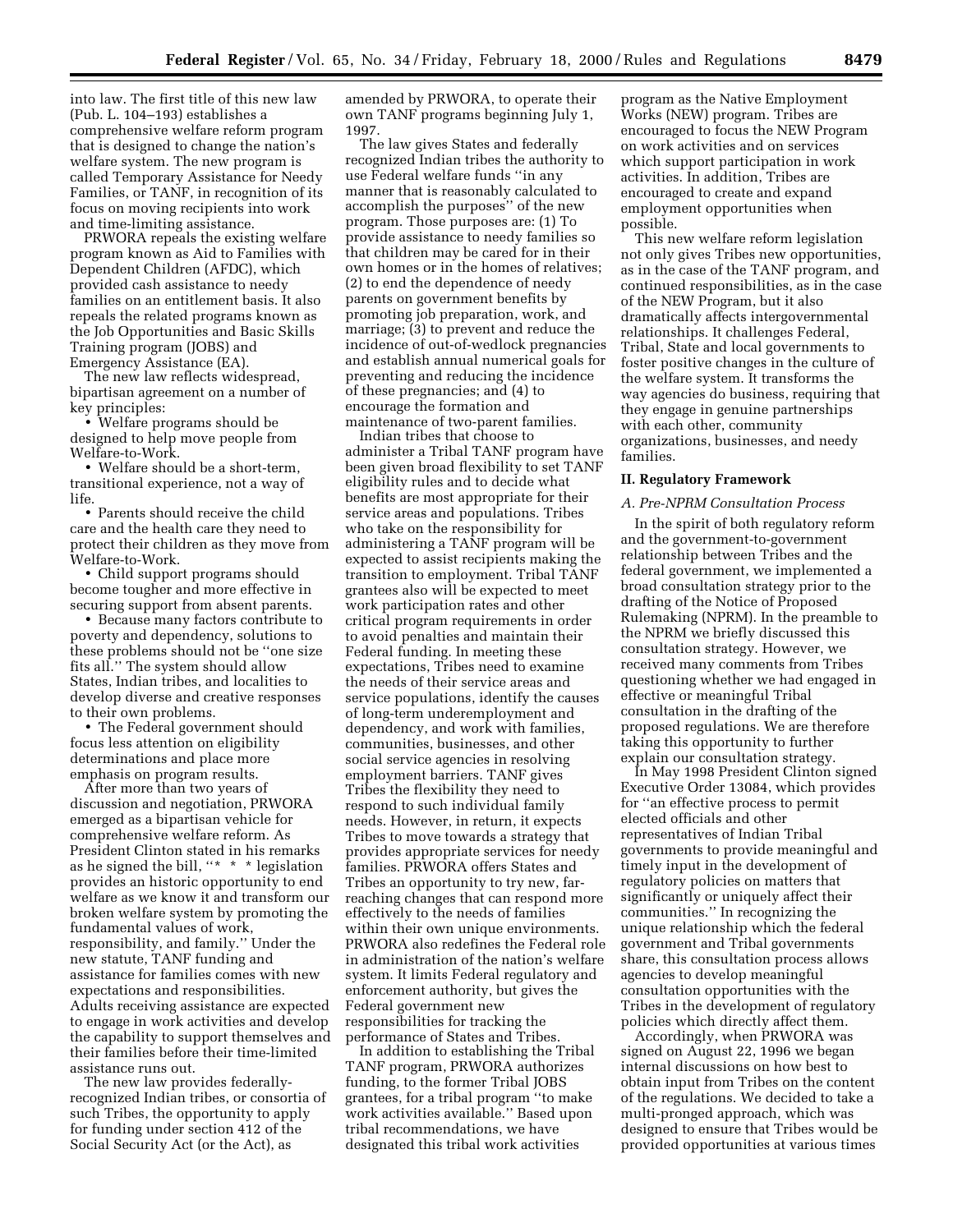into law. The first title of this new law (Pub. L. 104–193) establishes a comprehensive welfare reform program that is designed to change the nation's welfare system. The new program is called Temporary Assistance for Needy Families, or TANF, in recognition of its focus on moving recipients into work and time-limiting assistance.

PRWORA repeals the existing welfare program known as Aid to Families with Dependent Children (AFDC), which provided cash assistance to needy families on an entitlement basis. It also repeals the related programs known as the Job Opportunities and Basic Skills Training program (JOBS) and Emergency Assistance (EA).

The new law reflects widespread, bipartisan agreement on a number of key principles:

• Welfare programs should be designed to help move people from Welfare-to-Work.

• Welfare should be a short-term, transitional experience, not a way of life.

• Parents should receive the child care and the health care they need to protect their children as they move from Welfare-to-Work.

• Child support programs should become tougher and more effective in securing support from absent parents.

• Because many factors contribute to poverty and dependency, solutions to these problems should not be ''one size fits all.'' The system should allow States, Indian tribes, and localities to develop diverse and creative responses to their own problems.

• The Federal government should focus less attention on eligibility determinations and place more emphasis on program results.

After more than two years of discussion and negotiation, PRWORA emerged as a bipartisan vehicle for comprehensive welfare reform. As President Clinton stated in his remarks as he signed the bill, " $*$  \* \* legislation provides an historic opportunity to end welfare as we know it and transform our broken welfare system by promoting the fundamental values of work, responsibility, and family.'' Under the new statute, TANF funding and assistance for families comes with new expectations and responsibilities. Adults receiving assistance are expected to engage in work activities and develop the capability to support themselves and their families before their time-limited assistance runs out.

The new law provides federallyrecognized Indian tribes, or consortia of such Tribes, the opportunity to apply for funding under section 412 of the Social Security Act (or the Act), as

amended by PRWORA, to operate their own TANF programs beginning July 1, 1997.

The law gives States and federally recognized Indian tribes the authority to use Federal welfare funds ''in any manner that is reasonably calculated to accomplish the purposes'' of the new program. Those purposes are: (1) To provide assistance to needy families so that children may be cared for in their own homes or in the homes of relatives; (2) to end the dependence of needy parents on government benefits by promoting job preparation, work, and marriage; (3) to prevent and reduce the incidence of out-of-wedlock pregnancies and establish annual numerical goals for preventing and reducing the incidence of these pregnancies; and (4) to encourage the formation and maintenance of two-parent families.

Indian tribes that choose to administer a Tribal TANF program have been given broad flexibility to set TANF eligibility rules and to decide what benefits are most appropriate for their service areas and populations. Tribes who take on the responsibility for administering a TANF program will be expected to assist recipients making the transition to employment. Tribal TANF grantees also will be expected to meet work participation rates and other critical program requirements in order to avoid penalties and maintain their Federal funding. In meeting these expectations, Tribes need to examine the needs of their service areas and service populations, identify the causes of long-term underemployment and dependency, and work with families, communities, businesses, and other social service agencies in resolving employment barriers. TANF gives Tribes the flexibility they need to respond to such individual family needs. However, in return, it expects Tribes to move towards a strategy that provides appropriate services for needy families. PRWORA offers States and Tribes an opportunity to try new, farreaching changes that can respond more effectively to the needs of families within their own unique environments. PRWORA also redefines the Federal role in administration of the nation's welfare system. It limits Federal regulatory and enforcement authority, but gives the Federal government new responsibilities for tracking the performance of States and Tribes.

In addition to establishing the Tribal TANF program, PRWORA authorizes funding, to the former Tribal JOBS grantees, for a tribal program ''to make work activities available.'' Based upon tribal recommendations, we have designated this tribal work activities

program as the Native Employment Works (NEW) program. Tribes are encouraged to focus the NEW Program on work activities and on services which support participation in work activities. In addition, Tribes are encouraged to create and expand employment opportunities when possible.

This new welfare reform legislation not only gives Tribes new opportunities, as in the case of the TANF program, and continued responsibilities, as in the case of the NEW Program, but it also dramatically affects intergovernmental relationships. It challenges Federal, Tribal, State and local governments to foster positive changes in the culture of the welfare system. It transforms the way agencies do business, requiring that they engage in genuine partnerships with each other, community organizations, businesses, and needy families.

## **II. Regulatory Framework**

#### *A. Pre-NPRM Consultation Process*

In the spirit of both regulatory reform and the government-to-government relationship between Tribes and the federal government, we implemented a broad consultation strategy prior to the drafting of the Notice of Proposed Rulemaking (NPRM). In the preamble to the NPRM we briefly discussed this consultation strategy. However, we received many comments from Tribes questioning whether we had engaged in effective or meaningful Tribal consultation in the drafting of the proposed regulations. We are therefore taking this opportunity to further explain our consultation strategy.

In May 1998 President Clinton signed Executive Order 13084, which provides for ''an effective process to permit elected officials and other representatives of Indian Tribal governments to provide meaningful and timely input in the development of regulatory policies on matters that significantly or uniquely affect their communities.'' In recognizing the unique relationship which the federal government and Tribal governments share, this consultation process allows agencies to develop meaningful consultation opportunities with the Tribes in the development of regulatory policies which directly affect them.

Accordingly, when PRWORA was signed on August 22, 1996 we began internal discussions on how best to obtain input from Tribes on the content of the regulations. We decided to take a multi-pronged approach, which was designed to ensure that Tribes would be provided opportunities at various times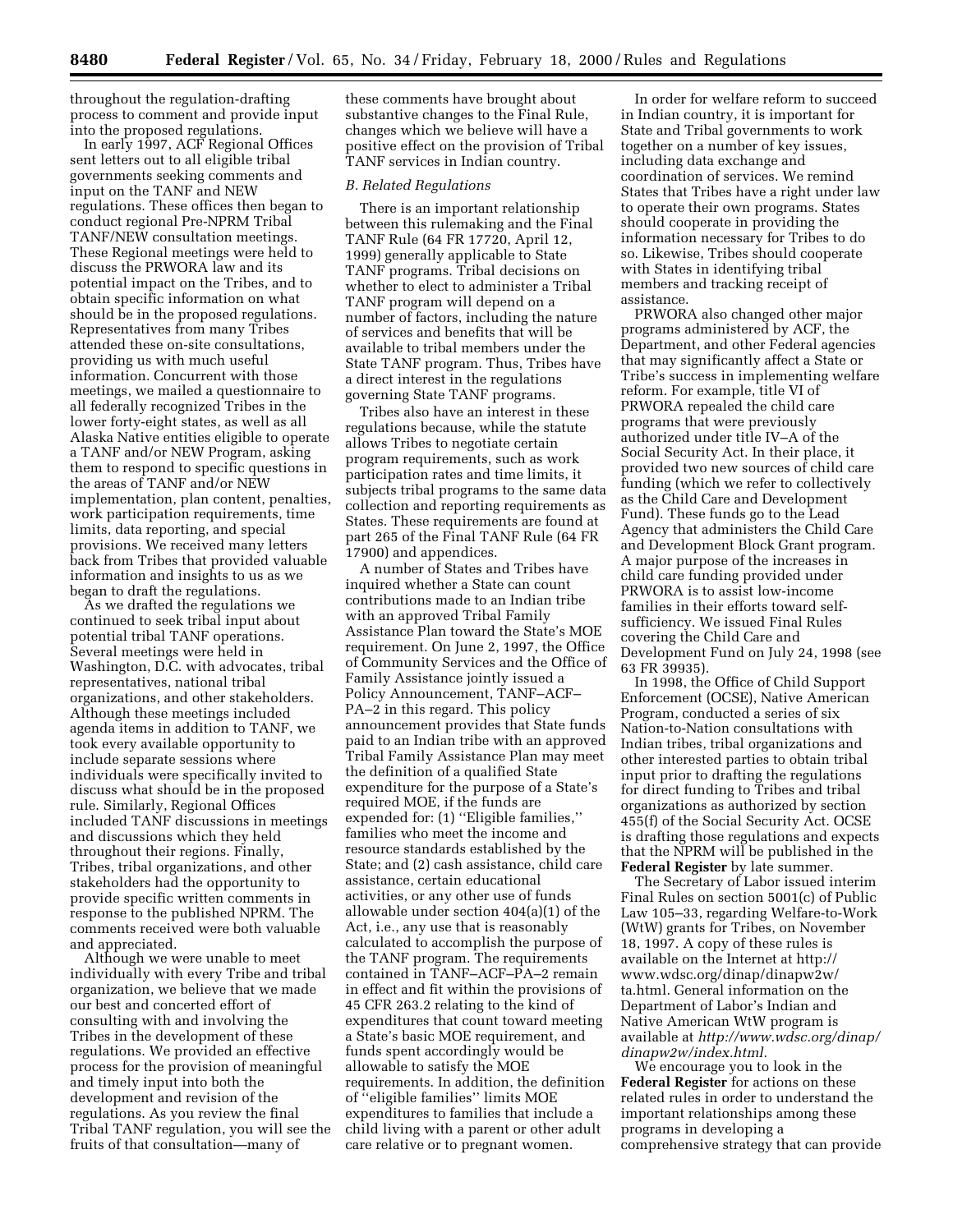throughout the regulation-drafting process to comment and provide input into the proposed regulations.

In early 1997, ACF Regional Offices sent letters out to all eligible tribal governments seeking comments and input on the TANF and NEW regulations. These offices then began to conduct regional Pre-NPRM Tribal TANF/NEW consultation meetings. These Regional meetings were held to discuss the PRWORA law and its potential impact on the Tribes, and to obtain specific information on what should be in the proposed regulations. Representatives from many Tribes attended these on-site consultations, providing us with much useful information. Concurrent with those meetings, we mailed a questionnaire to all federally recognized Tribes in the lower forty-eight states, as well as all Alaska Native entities eligible to operate a TANF and/or NEW Program, asking them to respond to specific questions in the areas of TANF and/or NEW implementation, plan content, penalties, work participation requirements, time limits, data reporting, and special provisions. We received many letters back from Tribes that provided valuable information and insights to us as we began to draft the regulations.

As we drafted the regulations we continued to seek tribal input about potential tribal TANF operations. Several meetings were held in Washington, D.C. with advocates, tribal representatives, national tribal organizations, and other stakeholders. Although these meetings included agenda items in addition to TANF, we took every available opportunity to include separate sessions where individuals were specifically invited to discuss what should be in the proposed rule. Similarly, Regional Offices included TANF discussions in meetings and discussions which they held throughout their regions. Finally, Tribes, tribal organizations, and other stakeholders had the opportunity to provide specific written comments in response to the published NPRM. The comments received were both valuable and appreciated.

Although we were unable to meet individually with every Tribe and tribal organization, we believe that we made our best and concerted effort of consulting with and involving the Tribes in the development of these regulations. We provided an effective process for the provision of meaningful and timely input into both the development and revision of the regulations. As you review the final Tribal TANF regulation, you will see the fruits of that consultation—many of

these comments have brought about substantive changes to the Final Rule, changes which we believe will have a positive effect on the provision of Tribal TANF services in Indian country.

#### *B. Related Regulations*

There is an important relationship between this rulemaking and the Final TANF Rule (64 FR 17720, April 12, 1999) generally applicable to State TANF programs. Tribal decisions on whether to elect to administer a Tribal TANF program will depend on a number of factors, including the nature of services and benefits that will be available to tribal members under the State TANF program. Thus, Tribes have a direct interest in the regulations governing State TANF programs.

Tribes also have an interest in these regulations because, while the statute allows Tribes to negotiate certain program requirements, such as work participation rates and time limits, it subjects tribal programs to the same data collection and reporting requirements as States. These requirements are found at part 265 of the Final TANF Rule (64 FR 17900) and appendices.

A number of States and Tribes have inquired whether a State can count contributions made to an Indian tribe with an approved Tribal Family Assistance Plan toward the State's MOE requirement. On June 2, 1997, the Office of Community Services and the Office of Family Assistance jointly issued a Policy Announcement, TANF–ACF– PA–2 in this regard. This policy announcement provides that State funds paid to an Indian tribe with an approved Tribal Family Assistance Plan may meet the definition of a qualified State expenditure for the purpose of a State's required MOE, if the funds are expended for: (1) ''Eligible families,'' families who meet the income and resource standards established by the State; and (2) cash assistance, child care assistance, certain educational activities, or any other use of funds allowable under section 404(a)(1) of the Act, i.e., any use that is reasonably calculated to accomplish the purpose of the TANF program. The requirements contained in TANF–ACF–PA–2 remain in effect and fit within the provisions of 45 CFR 263.2 relating to the kind of expenditures that count toward meeting a State's basic MOE requirement, and funds spent accordingly would be allowable to satisfy the MOE requirements. In addition, the definition of ''eligible families'' limits MOE expenditures to families that include a child living with a parent or other adult care relative or to pregnant women.

In order for welfare reform to succeed in Indian country, it is important for State and Tribal governments to work together on a number of key issues, including data exchange and coordination of services. We remind States that Tribes have a right under law to operate their own programs. States should cooperate in providing the information necessary for Tribes to do so. Likewise, Tribes should cooperate with States in identifying tribal members and tracking receipt of assistance.

PRWORA also changed other major programs administered by ACF, the Department, and other Federal agencies that may significantly affect a State or Tribe's success in implementing welfare reform. For example, title VI of PRWORA repealed the child care programs that were previously authorized under title IV–A of the Social Security Act. In their place, it provided two new sources of child care funding (which we refer to collectively as the Child Care and Development Fund). These funds go to the Lead Agency that administers the Child Care and Development Block Grant program. A major purpose of the increases in child care funding provided under PRWORA is to assist low-income families in their efforts toward selfsufficiency. We issued Final Rules covering the Child Care and Development Fund on July 24, 1998 (see 63 FR 39935).

In 1998, the Office of Child Support Enforcement (OCSE), Native American Program, conducted a series of six Nation-to-Nation consultations with Indian tribes, tribal organizations and other interested parties to obtain tribal input prior to drafting the regulations for direct funding to Tribes and tribal organizations as authorized by section 455(f) of the Social Security Act. OCSE is drafting those regulations and expects that the NPRM will be published in the **Federal Register** by late summer.

The Secretary of Labor issued interim Final Rules on section 5001(c) of Public Law 105–33, regarding Welfare-to-Work (WtW) grants for Tribes, on November 18, 1997. A copy of these rules is available on the Internet at http:// www.wdsc.org/dinap/dinapw2w/ ta.html. General information on the Department of Labor's Indian and Native American WtW program is available at *http://www.wdsc.org/dinap/ dinapw2w/index.html.*

We encourage you to look in the **Federal Register** for actions on these related rules in order to understand the important relationships among these programs in developing a comprehensive strategy that can provide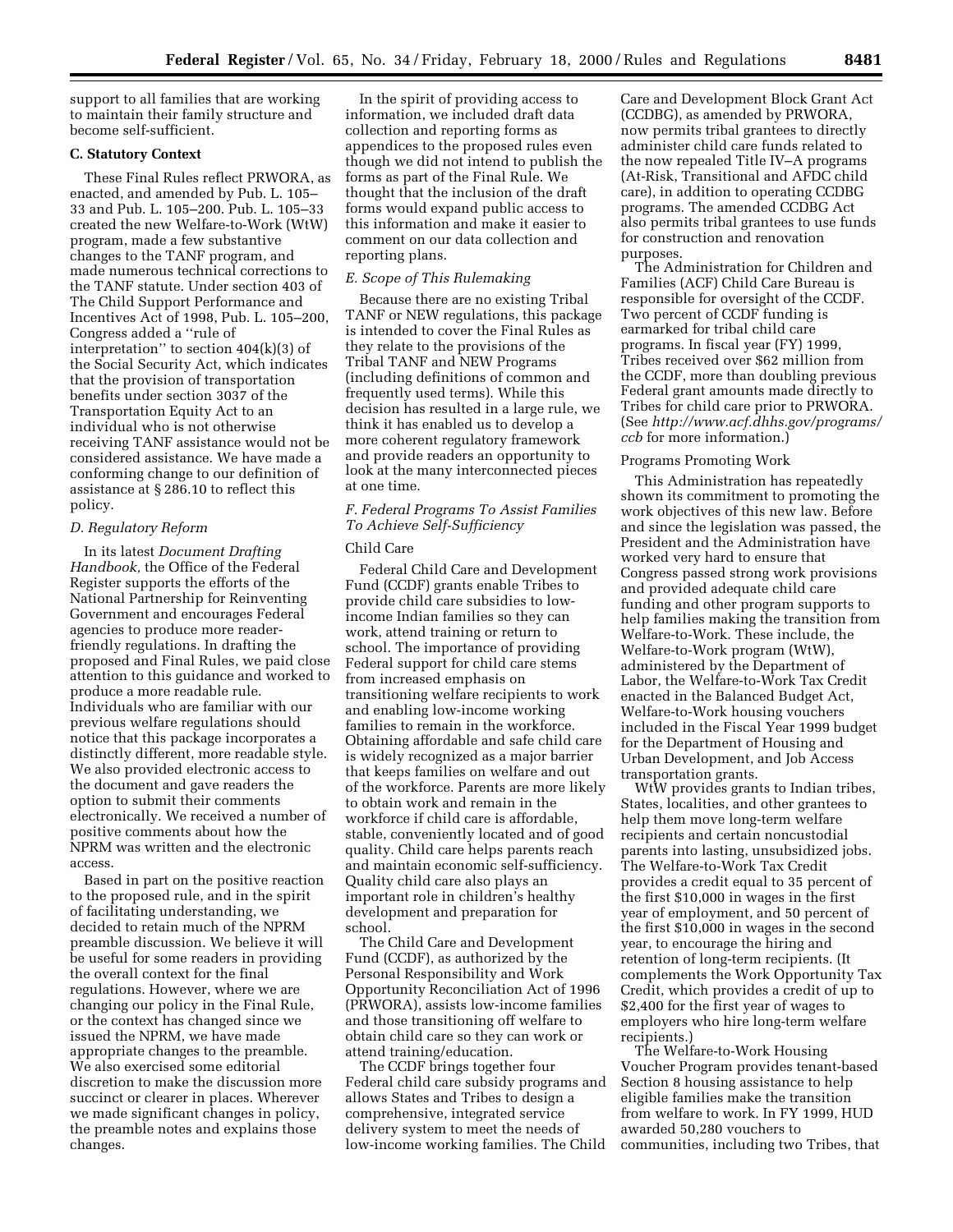support to all families that are working to maintain their family structure and become self-sufficient.

## **C. Statutory Context**

These Final Rules reflect PRWORA, as enacted, and amended by Pub. L. 105– 33 and Pub. L. 105–200. Pub. L. 105–33 created the new Welfare-to-Work (WtW) program, made a few substantive changes to the TANF program, and made numerous technical corrections to the TANF statute. Under section 403 of The Child Support Performance and Incentives Act of 1998, Pub. L. 105–200, Congress added a ''rule of interpretation'' to section 404(k)(3) of the Social Security Act, which indicates that the provision of transportation benefits under section 3037 of the Transportation Equity Act to an individual who is not otherwise receiving TANF assistance would not be considered assistance. We have made a conforming change to our definition of assistance at § 286.10 to reflect this policy.

## *D. Regulatory Reform*

In its latest *Document Drafting Handbook,* the Office of the Federal Register supports the efforts of the National Partnership for Reinventing Government and encourages Federal agencies to produce more readerfriendly regulations. In drafting the proposed and Final Rules, we paid close attention to this guidance and worked to produce a more readable rule. Individuals who are familiar with our previous welfare regulations should notice that this package incorporates a distinctly different, more readable style. We also provided electronic access to the document and gave readers the option to submit their comments electronically. We received a number of positive comments about how the NPRM was written and the electronic access.

Based in part on the positive reaction to the proposed rule, and in the spirit of facilitating understanding, we decided to retain much of the NPRM preamble discussion. We believe it will be useful for some readers in providing the overall context for the final regulations. However, where we are changing our policy in the Final Rule, or the context has changed since we issued the NPRM, we have made appropriate changes to the preamble. We also exercised some editorial discretion to make the discussion more succinct or clearer in places. Wherever we made significant changes in policy, the preamble notes and explains those changes.

In the spirit of providing access to information, we included draft data collection and reporting forms as appendices to the proposed rules even though we did not intend to publish the forms as part of the Final Rule. We thought that the inclusion of the draft forms would expand public access to this information and make it easier to comment on our data collection and reporting plans.

#### *E. Scope of This Rulemaking*

Because there are no existing Tribal TANF or NEW regulations, this package is intended to cover the Final Rules as they relate to the provisions of the Tribal TANF and NEW Programs (including definitions of common and frequently used terms). While this decision has resulted in a large rule, we think it has enabled us to develop a more coherent regulatory framework and provide readers an opportunity to look at the many interconnected pieces at one time.

*F. Federal Programs To Assist Families To Achieve Self-Sufficiency*

## Child Care

Federal Child Care and Development Fund (CCDF) grants enable Tribes to provide child care subsidies to lowincome Indian families so they can work, attend training or return to school. The importance of providing Federal support for child care stems from increased emphasis on transitioning welfare recipients to work and enabling low-income working families to remain in the workforce. Obtaining affordable and safe child care is widely recognized as a major barrier that keeps families on welfare and out of the workforce. Parents are more likely to obtain work and remain in the workforce if child care is affordable, stable, conveniently located and of good quality. Child care helps parents reach and maintain economic self-sufficiency. Quality child care also plays an important role in children's healthy development and preparation for school.

The Child Care and Development Fund (CCDF), as authorized by the Personal Responsibility and Work Opportunity Reconciliation Act of 1996 (PRWORA), assists low-income families and those transitioning off welfare to obtain child care so they can work or attend training/education.

The CCDF brings together four Federal child care subsidy programs and allows States and Tribes to design a comprehensive, integrated service delivery system to meet the needs of low-income working families. The Child Care and Development Block Grant Act (CCDBG), as amended by PRWORA, now permits tribal grantees to directly administer child care funds related to the now repealed Title IV–A programs (At-Risk, Transitional and AFDC child care), in addition to operating CCDBG programs. The amended CCDBG Act also permits tribal grantees to use funds for construction and renovation purposes.

The Administration for Children and Families (ACF) Child Care Bureau is responsible for oversight of the CCDF. Two percent of CCDF funding is earmarked for tribal child care programs. In fiscal year (FY) 1999, Tribes received over \$62 million from the CCDF, more than doubling previous Federal grant amounts made directly to Tribes for child care prior to PRWORA. (See *http://www.acf.dhhs.gov/programs/ ccb* for more information.)

#### Programs Promoting Work

This Administration has repeatedly shown its commitment to promoting the work objectives of this new law. Before and since the legislation was passed, the President and the Administration have worked very hard to ensure that Congress passed strong work provisions and provided adequate child care funding and other program supports to help families making the transition from Welfare-to-Work. These include, the Welfare-to-Work program (WtW), administered by the Department of Labor, the Welfare-to-Work Tax Credit enacted in the Balanced Budget Act, Welfare-to-Work housing vouchers included in the Fiscal Year 1999 budget for the Department of Housing and Urban Development, and Job Access transportation grants.

WtW provides grants to Indian tribes, States, localities, and other grantees to help them move long-term welfare recipients and certain noncustodial parents into lasting, unsubsidized jobs. The Welfare-to-Work Tax Credit provides a credit equal to 35 percent of the first \$10,000 in wages in the first year of employment, and 50 percent of the first \$10,000 in wages in the second year, to encourage the hiring and retention of long-term recipients. (It complements the Work Opportunity Tax Credit, which provides a credit of up to \$2,400 for the first year of wages to employers who hire long-term welfare recipients.)

The Welfare-to-Work Housing Voucher Program provides tenant-based Section 8 housing assistance to help eligible families make the transition from welfare to work. In FY 1999, HUD awarded 50,280 vouchers to communities, including two Tribes, that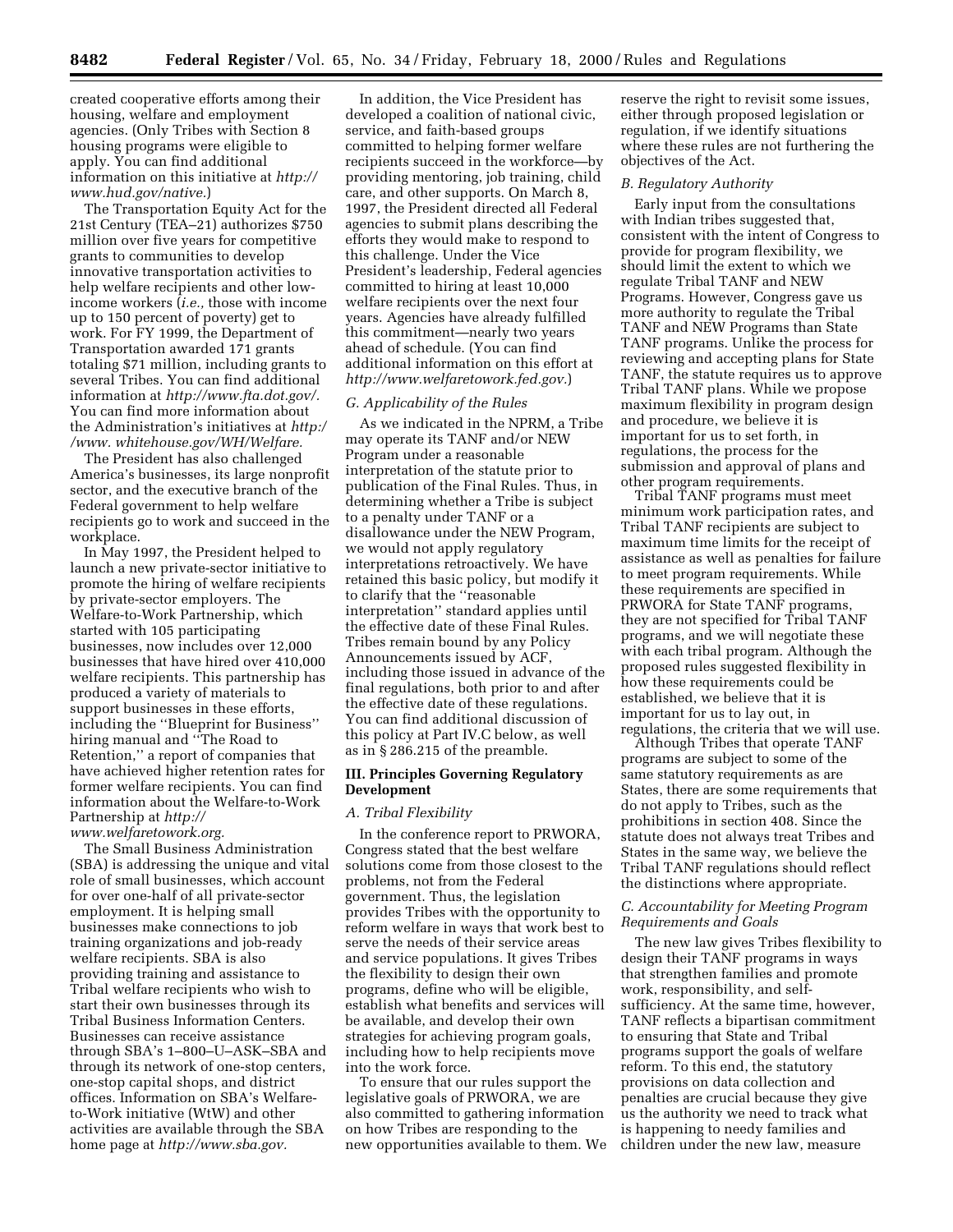created cooperative efforts among their housing, welfare and employment agencies. (Only Tribes with Section 8 housing programs were eligible to apply. You can find additional information on this initiative at *http:// www.hud.gov/native.*)

The Transportation Equity Act for the 21st Century (TEA–21) authorizes \$750 million over five years for competitive grants to communities to develop innovative transportation activities to help welfare recipients and other lowincome workers (*i.e.,* those with income up to 150 percent of poverty) get to work. For FY 1999, the Department of Transportation awarded 171 grants totaling \$71 million, including grants to several Tribes. You can find additional information at *http://www.fta.dot.gov/.* You can find more information about the Administration's initiatives at *http:/ /www. whitehouse.gov/WH/Welfare.*

The President has also challenged America's businesses, its large nonprofit sector, and the executive branch of the Federal government to help welfare recipients go to work and succeed in the workplace.

In May 1997, the President helped to launch a new private-sector initiative to promote the hiring of welfare recipients by private-sector employers. The Welfare-to-Work Partnership, which started with 105 participating businesses, now includes over 12,000 businesses that have hired over 410,000 welfare recipients. This partnership has produced a variety of materials to support businesses in these efforts, including the ''Blueprint for Business'' hiring manual and ''The Road to Retention,'' a report of companies that have achieved higher retention rates for former welfare recipients. You can find information about the Welfare-to-Work Partnership at *http:// www.welfaretowork.org.*

The Small Business Administration (SBA) is addressing the unique and vital role of small businesses, which account for over one-half of all private-sector employment. It is helping small businesses make connections to job training organizations and job-ready welfare recipients. SBA is also providing training and assistance to Tribal welfare recipients who wish to start their own businesses through its Tribal Business Information Centers. Businesses can receive assistance through SBA's 1–800–U–ASK–SBA and through its network of one-stop centers, one-stop capital shops, and district offices. Information on SBA's Welfareto-Work initiative (WtW) and other activities are available through the SBA home page at *http://www.sba.gov.*

In addition, the Vice President has developed a coalition of national civic, service, and faith-based groups committed to helping former welfare recipients succeed in the workforce—by providing mentoring, job training, child care, and other supports. On March 8, 1997, the President directed all Federal agencies to submit plans describing the efforts they would make to respond to this challenge. Under the Vice President's leadership, Federal agencies committed to hiring at least 10,000 welfare recipients over the next four years. Agencies have already fulfilled this commitment—nearly two years ahead of schedule. (You can find additional information on this effort at *http://www.welfaretowork.fed.gov.*)

## *G. Applicability of the Rules*

As we indicated in the NPRM, a Tribe may operate its TANF and/or NEW Program under a reasonable interpretation of the statute prior to publication of the Final Rules. Thus, in determining whether a Tribe is subject to a penalty under TANF or a disallowance under the NEW Program, we would not apply regulatory interpretations retroactively. We have retained this basic policy, but modify it to clarify that the ''reasonable interpretation'' standard applies until the effective date of these Final Rules. Tribes remain bound by any Policy Announcements issued by ACF, including those issued in advance of the final regulations, both prior to and after the effective date of these regulations. You can find additional discussion of this policy at Part IV.C below, as well as in § 286.215 of the preamble.

## **III. Principles Governing Regulatory Development**

#### *A. Tribal Flexibility*

In the conference report to PRWORA, Congress stated that the best welfare solutions come from those closest to the problems, not from the Federal government. Thus, the legislation provides Tribes with the opportunity to reform welfare in ways that work best to serve the needs of their service areas and service populations. It gives Tribes the flexibility to design their own programs, define who will be eligible, establish what benefits and services will be available, and develop their own strategies for achieving program goals, including how to help recipients move into the work force.

To ensure that our rules support the legislative goals of PRWORA, we are also committed to gathering information on how Tribes are responding to the new opportunities available to them. We reserve the right to revisit some issues, either through proposed legislation or regulation, if we identify situations where these rules are not furthering the objectives of the Act.

## *B. Regulatory Authority*

Early input from the consultations with Indian tribes suggested that, consistent with the intent of Congress to provide for program flexibility, we should limit the extent to which we regulate Tribal TANF and NEW Programs. However, Congress gave us more authority to regulate the Tribal TANF and NEW Programs than State TANF programs. Unlike the process for reviewing and accepting plans for State TANF, the statute requires us to approve Tribal TANF plans. While we propose maximum flexibility in program design and procedure, we believe it is important for us to set forth, in regulations, the process for the submission and approval of plans and other program requirements.

Tribal TANF programs must meet minimum work participation rates, and Tribal TANF recipients are subject to maximum time limits for the receipt of assistance as well as penalties for failure to meet program requirements. While these requirements are specified in PRWORA for State TANF programs, they are not specified for Tribal TANF programs, and we will negotiate these with each tribal program. Although the proposed rules suggested flexibility in how these requirements could be established, we believe that it is important for us to lay out, in regulations, the criteria that we will use.

Although Tribes that operate TANF programs are subject to some of the same statutory requirements as are States, there are some requirements that do not apply to Tribes, such as the prohibitions in section 408. Since the statute does not always treat Tribes and States in the same way, we believe the Tribal TANF regulations should reflect the distinctions where appropriate.

## *C. Accountability for Meeting Program Requirements and Goals*

The new law gives Tribes flexibility to design their TANF programs in ways that strengthen families and promote work, responsibility, and selfsufficiency. At the same time, however, TANF reflects a bipartisan commitment to ensuring that State and Tribal programs support the goals of welfare reform. To this end, the statutory provisions on data collection and penalties are crucial because they give us the authority we need to track what is happening to needy families and children under the new law, measure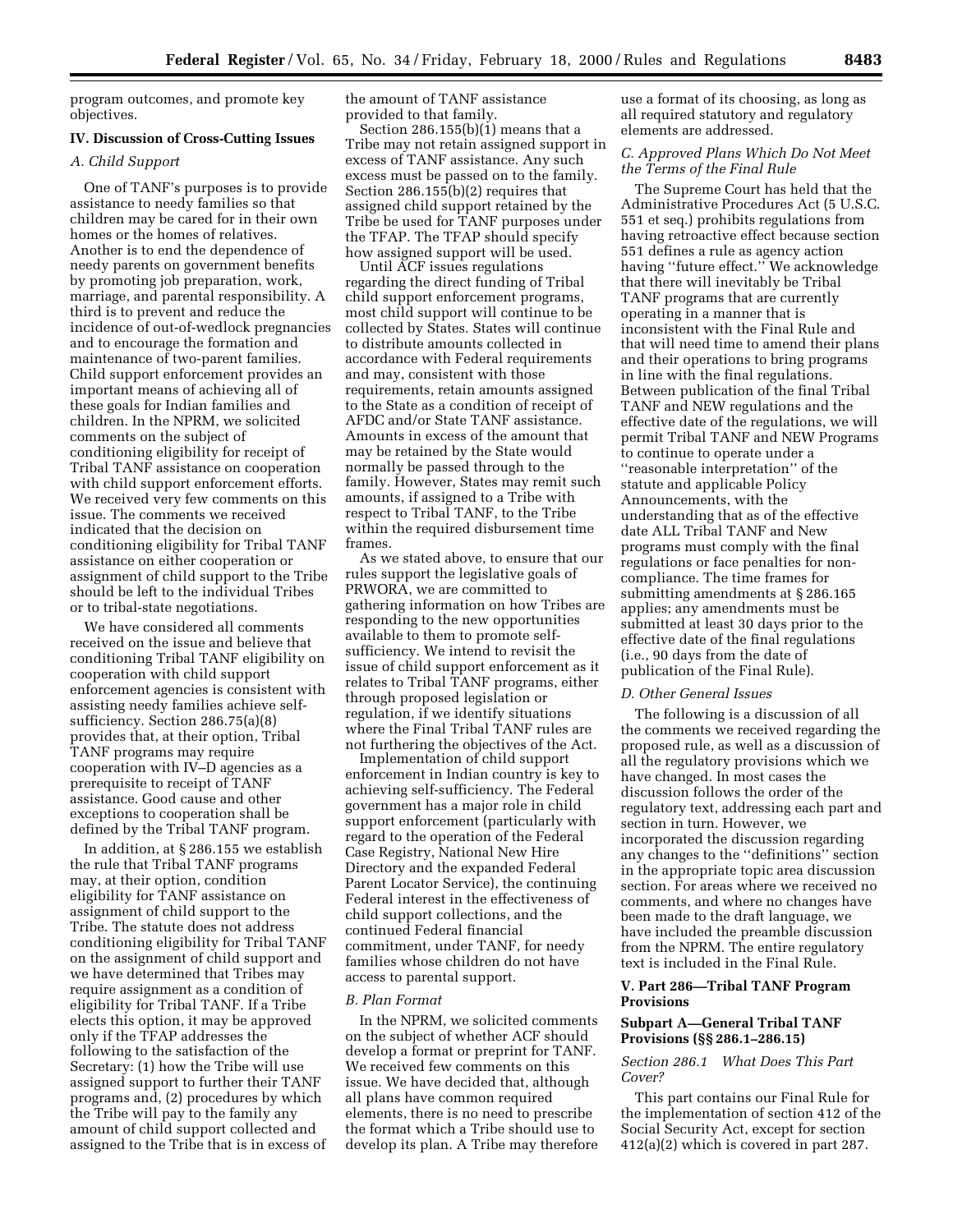program outcomes, and promote key objectives.

## **IV. Discussion of Cross-Cutting Issues**

## *A. Child Support*

One of TANF's purposes is to provide assistance to needy families so that children may be cared for in their own homes or the homes of relatives. Another is to end the dependence of needy parents on government benefits by promoting job preparation, work, marriage, and parental responsibility. A third is to prevent and reduce the incidence of out-of-wedlock pregnancies and to encourage the formation and maintenance of two-parent families. Child support enforcement provides an important means of achieving all of these goals for Indian families and children. In the NPRM, we solicited comments on the subject of conditioning eligibility for receipt of Tribal TANF assistance on cooperation with child support enforcement efforts. We received very few comments on this issue. The comments we received indicated that the decision on conditioning eligibility for Tribal TANF assistance on either cooperation or assignment of child support to the Tribe should be left to the individual Tribes or to tribal-state negotiations.

We have considered all comments received on the issue and believe that conditioning Tribal TANF eligibility on cooperation with child support enforcement agencies is consistent with assisting needy families achieve selfsufficiency. Section 286.75(a)(8) provides that, at their option, Tribal TANF programs may require cooperation with IV–D agencies as a prerequisite to receipt of TANF assistance. Good cause and other exceptions to cooperation shall be defined by the Tribal TANF program.

In addition, at § 286.155 we establish the rule that Tribal TANF programs may, at their option, condition eligibility for TANF assistance on assignment of child support to the Tribe. The statute does not address conditioning eligibility for Tribal TANF on the assignment of child support and we have determined that Tribes may require assignment as a condition of eligibility for Tribal TANF. If a Tribe elects this option, it may be approved only if the TFAP addresses the following to the satisfaction of the Secretary: (1) how the Tribe will use assigned support to further their TANF programs and, (2) procedures by which the Tribe will pay to the family any amount of child support collected and assigned to the Tribe that is in excess of the amount of TANF assistance provided to that family.

Section 286.155(b)(1) means that a Tribe may not retain assigned support in excess of TANF assistance. Any such excess must be passed on to the family. Section 286.155(b)(2) requires that assigned child support retained by the Tribe be used for TANF purposes under the TFAP. The TFAP should specify how assigned support will be used.

Until ACF issues regulations regarding the direct funding of Tribal child support enforcement programs, most child support will continue to be collected by States. States will continue to distribute amounts collected in accordance with Federal requirements and may, consistent with those requirements, retain amounts assigned to the State as a condition of receipt of AFDC and/or State TANF assistance. Amounts in excess of the amount that may be retained by the State would normally be passed through to the family. However, States may remit such amounts, if assigned to a Tribe with respect to Tribal TANF, to the Tribe within the required disbursement time frames.

As we stated above, to ensure that our rules support the legislative goals of PRWORA, we are committed to gathering information on how Tribes are responding to the new opportunities available to them to promote selfsufficiency. We intend to revisit the issue of child support enforcement as it relates to Tribal TANF programs, either through proposed legislation or regulation, if we identify situations where the Final Tribal TANF rules are not furthering the objectives of the Act.

Implementation of child support enforcement in Indian country is key to achieving self-sufficiency. The Federal government has a major role in child support enforcement (particularly with regard to the operation of the Federal Case Registry, National New Hire Directory and the expanded Federal Parent Locator Service), the continuing Federal interest in the effectiveness of child support collections, and the continued Federal financial commitment, under TANF, for needy families whose children do not have access to parental support.

#### *B. Plan Format*

In the NPRM, we solicited comments on the subject of whether ACF should develop a format or preprint for TANF. We received few comments on this issue. We have decided that, although all plans have common required elements, there is no need to prescribe the format which a Tribe should use to develop its plan. A Tribe may therefore use a format of its choosing, as long as all required statutory and regulatory elements are addressed.

## *C. Approved Plans Which Do Not Meet the Terms of the Final Rule*

The Supreme Court has held that the Administrative Procedures Act (5 U.S.C. 551 et seq.) prohibits regulations from having retroactive effect because section 551 defines a rule as agency action having ''future effect.'' We acknowledge that there will inevitably be Tribal TANF programs that are currently operating in a manner that is inconsistent with the Final Rule and that will need time to amend their plans and their operations to bring programs in line with the final regulations. Between publication of the final Tribal TANF and NEW regulations and the effective date of the regulations, we will permit Tribal TANF and NEW Programs to continue to operate under a ''reasonable interpretation'' of the statute and applicable Policy Announcements, with the understanding that as of the effective date ALL Tribal TANF and New programs must comply with the final regulations or face penalties for noncompliance. The time frames for submitting amendments at § 286.165 applies; any amendments must be submitted at least 30 days prior to the effective date of the final regulations (i.e., 90 days from the date of publication of the Final Rule).

#### *D. Other General Issues*

The following is a discussion of all the comments we received regarding the proposed rule, as well as a discussion of all the regulatory provisions which we have changed. In most cases the discussion follows the order of the regulatory text, addressing each part and section in turn. However, we incorporated the discussion regarding any changes to the ''definitions'' section in the appropriate topic area discussion section. For areas where we received no comments, and where no changes have been made to the draft language, we have included the preamble discussion from the NPRM. The entire regulatory text is included in the Final Rule.

## **V. Part 286—Tribal TANF Program Provisions**

## **Subpart A—General Tribal TANF Provisions (§§ 286.1–286.15)**

## *Section 286.1 What Does This Part Cover?*

This part contains our Final Rule for the implementation of section 412 of the Social Security Act, except for section 412(a)(2) which is covered in part 287.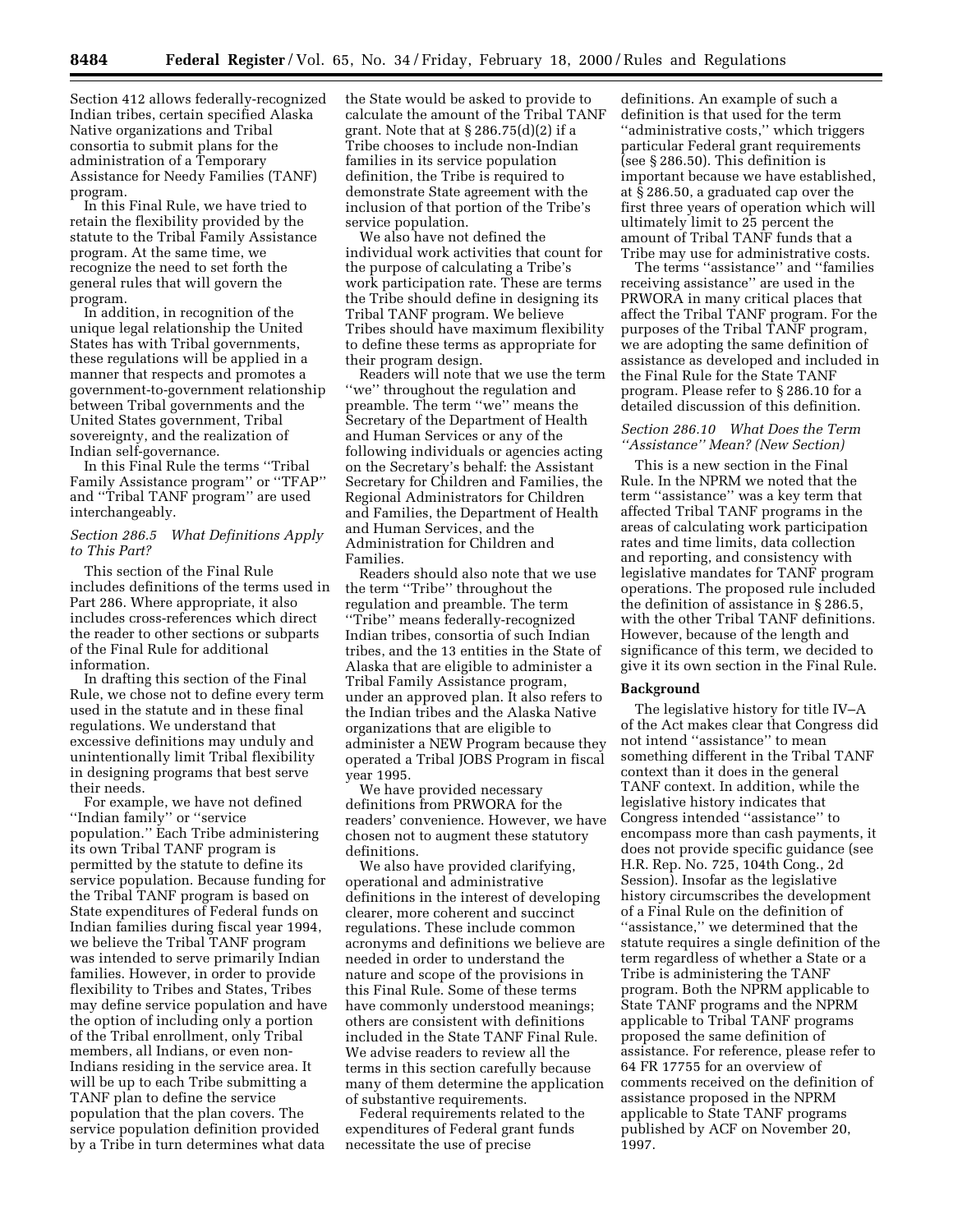Section 412 allows federally-recognized Indian tribes, certain specified Alaska Native organizations and Tribal consortia to submit plans for the administration of a Temporary Assistance for Needy Families (TANF) program.

In this Final Rule, we have tried to retain the flexibility provided by the statute to the Tribal Family Assistance program. At the same time, we recognize the need to set forth the general rules that will govern the program.

In addition, in recognition of the unique legal relationship the United States has with Tribal governments, these regulations will be applied in a manner that respects and promotes a government-to-government relationship between Tribal governments and the United States government, Tribal sovereignty, and the realization of Indian self-governance.

In this Final Rule the terms ''Tribal Family Assistance program'' or ''TFAP'' and ''Tribal TANF program'' are used interchangeably.

## *Section 286.5 What Definitions Apply to This Part?*

This section of the Final Rule includes definitions of the terms used in Part 286. Where appropriate, it also includes cross-references which direct the reader to other sections or subparts of the Final Rule for additional information.

In drafting this section of the Final Rule, we chose not to define every term used in the statute and in these final regulations. We understand that excessive definitions may unduly and unintentionally limit Tribal flexibility in designing programs that best serve their needs.

For example, we have not defined ''Indian family'' or ''service population.'' Each Tribe administering its own Tribal TANF program is permitted by the statute to define its service population. Because funding for the Tribal TANF program is based on State expenditures of Federal funds on Indian families during fiscal year 1994, we believe the Tribal TANF program was intended to serve primarily Indian families. However, in order to provide flexibility to Tribes and States, Tribes may define service population and have the option of including only a portion of the Tribal enrollment, only Tribal members, all Indians, or even non-Indians residing in the service area. It will be up to each Tribe submitting a TANF plan to define the service population that the plan covers. The service population definition provided by a Tribe in turn determines what data

the State would be asked to provide to calculate the amount of the Tribal TANF grant. Note that at  $\S 286.75(d)(2)$  if a Tribe chooses to include non-Indian families in its service population definition, the Tribe is required to demonstrate State agreement with the inclusion of that portion of the Tribe's service population.

We also have not defined the individual work activities that count for the purpose of calculating a Tribe's work participation rate. These are terms the Tribe should define in designing its Tribal TANF program. We believe Tribes should have maximum flexibility to define these terms as appropriate for their program design.

Readers will note that we use the term ''we'' throughout the regulation and preamble. The term ''we'' means the Secretary of the Department of Health and Human Services or any of the following individuals or agencies acting on the Secretary's behalf: the Assistant Secretary for Children and Families, the Regional Administrators for Children and Families, the Department of Health and Human Services, and the Administration for Children and Families.

Readers should also note that we use the term ''Tribe'' throughout the regulation and preamble. The term ''Tribe'' means federally-recognized Indian tribes, consortia of such Indian tribes, and the 13 entities in the State of Alaska that are eligible to administer a Tribal Family Assistance program, under an approved plan. It also refers to the Indian tribes and the Alaska Native organizations that are eligible to administer a NEW Program because they operated a Tribal JOBS Program in fiscal year 1995.

We have provided necessary definitions from PRWORA for the readers' convenience. However, we have chosen not to augment these statutory definitions.

We also have provided clarifying, operational and administrative definitions in the interest of developing clearer, more coherent and succinct regulations. These include common acronyms and definitions we believe are needed in order to understand the nature and scope of the provisions in this Final Rule. Some of these terms have commonly understood meanings; others are consistent with definitions included in the State TANF Final Rule. We advise readers to review all the terms in this section carefully because many of them determine the application of substantive requirements.

Federal requirements related to the expenditures of Federal grant funds necessitate the use of precise

definitions. An example of such a definition is that used for the term ''administrative costs,'' which triggers particular Federal grant requirements (see § 286.50). This definition is important because we have established, at § 286.50, a graduated cap over the first three years of operation which will ultimately limit to 25 percent the amount of Tribal TANF funds that a Tribe may use for administrative costs.

The terms ''assistance'' and ''families receiving assistance'' are used in the PRWORA in many critical places that affect the Tribal TANF program. For the purposes of the Tribal TANF program, we are adopting the same definition of assistance as developed and included in the Final Rule for the State TANF program. Please refer to § 286.10 for a detailed discussion of this definition.

## *Section 286.10 What Does the Term ''Assistance'' Mean? (New Section)*

This is a new section in the Final Rule. In the NPRM we noted that the term ''assistance'' was a key term that affected Tribal TANF programs in the areas of calculating work participation rates and time limits, data collection and reporting, and consistency with legislative mandates for TANF program operations. The proposed rule included the definition of assistance in § 286.5, with the other Tribal TANF definitions. However, because of the length and significance of this term, we decided to give it its own section in the Final Rule.

#### **Background**

The legislative history for title IV–A of the Act makes clear that Congress did not intend ''assistance'' to mean something different in the Tribal TANF context than it does in the general TANF context. In addition, while the legislative history indicates that Congress intended ''assistance'' to encompass more than cash payments, it does not provide specific guidance (see H.R. Rep. No. 725, 104th Cong., 2d Session). Insofar as the legislative history circumscribes the development of a Final Rule on the definition of ''assistance,'' we determined that the statute requires a single definition of the term regardless of whether a State or a Tribe is administering the TANF program. Both the NPRM applicable to State TANF programs and the NPRM applicable to Tribal TANF programs proposed the same definition of assistance. For reference, please refer to 64 FR 17755 for an overview of comments received on the definition of assistance proposed in the NPRM applicable to State TANF programs published by ACF on November 20, 1997.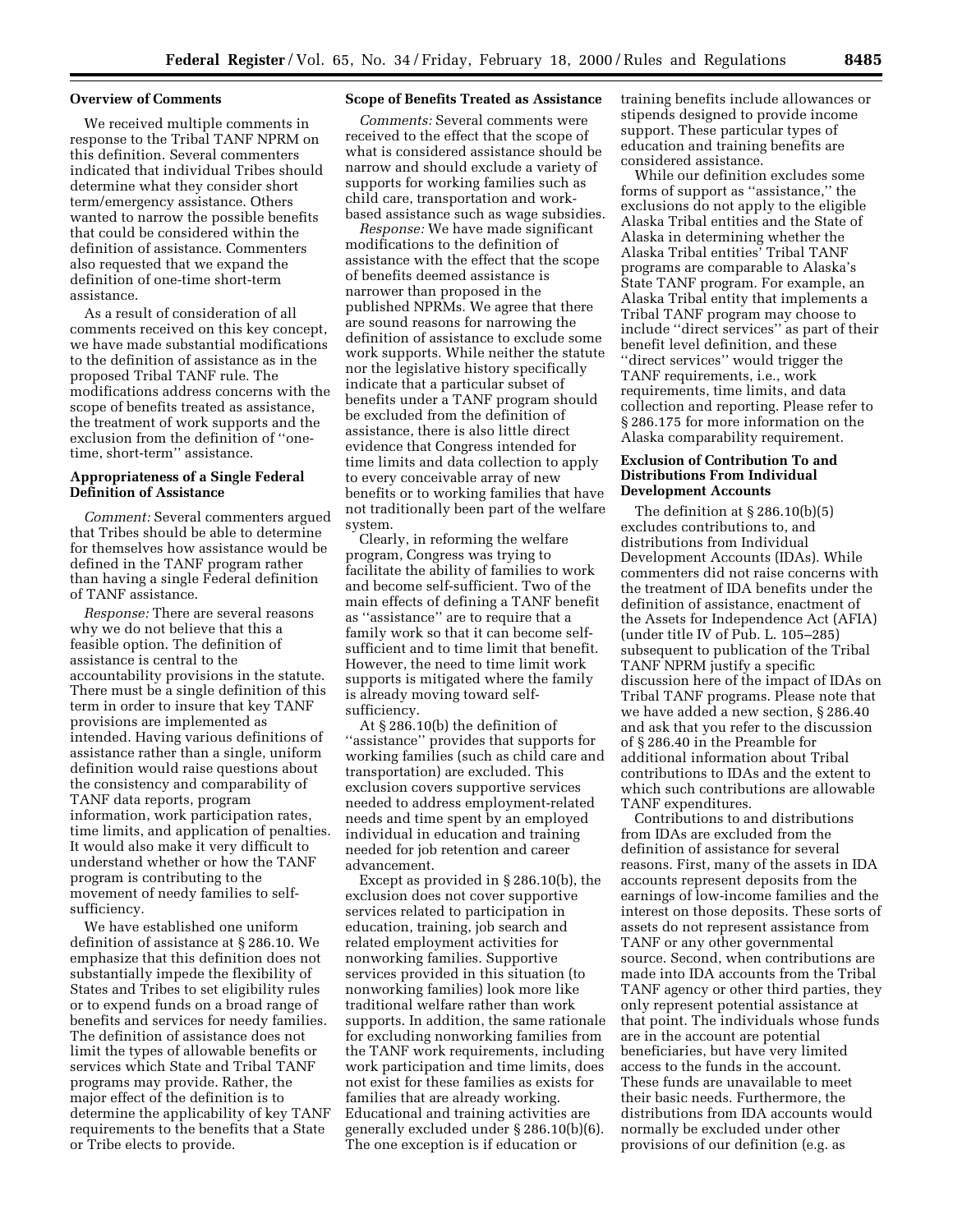#### **Overview of Comments**

We received multiple comments in response to the Tribal TANF NPRM on this definition. Several commenters indicated that individual Tribes should determine what they consider short term/emergency assistance. Others wanted to narrow the possible benefits that could be considered within the definition of assistance. Commenters also requested that we expand the definition of one-time short-term assistance.

As a result of consideration of all comments received on this key concept, we have made substantial modifications to the definition of assistance as in the proposed Tribal TANF rule. The modifications address concerns with the scope of benefits treated as assistance, the treatment of work supports and the exclusion from the definition of ''onetime, short-term'' assistance.

## **Appropriateness of a Single Federal Definition of Assistance**

*Comment:* Several commenters argued that Tribes should be able to determine for themselves how assistance would be defined in the TANF program rather than having a single Federal definition of TANF assistance.

*Response:* There are several reasons why we do not believe that this a feasible option. The definition of assistance is central to the accountability provisions in the statute. There must be a single definition of this term in order to insure that key TANF provisions are implemented as intended. Having various definitions of assistance rather than a single, uniform definition would raise questions about the consistency and comparability of TANF data reports, program information, work participation rates, time limits, and application of penalties. It would also make it very difficult to understand whether or how the TANF program is contributing to the movement of needy families to selfsufficiency.

We have established one uniform definition of assistance at § 286.10. We emphasize that this definition does not substantially impede the flexibility of States and Tribes to set eligibility rules or to expend funds on a broad range of benefits and services for needy families. The definition of assistance does not limit the types of allowable benefits or services which State and Tribal TANF programs may provide. Rather, the major effect of the definition is to determine the applicability of key TANF requirements to the benefits that a State or Tribe elects to provide.

## **Scope of Benefits Treated as Assistance**

*Comments:* Several comments were received to the effect that the scope of what is considered assistance should be narrow and should exclude a variety of supports for working families such as child care, transportation and workbased assistance such as wage subsidies.

*Response:* We have made significant modifications to the definition of assistance with the effect that the scope of benefits deemed assistance is narrower than proposed in the published NPRMs. We agree that there are sound reasons for narrowing the definition of assistance to exclude some work supports. While neither the statute nor the legislative history specifically indicate that a particular subset of benefits under a TANF program should be excluded from the definition of assistance, there is also little direct evidence that Congress intended for time limits and data collection to apply to every conceivable array of new benefits or to working families that have not traditionally been part of the welfare system.

Clearly, in reforming the welfare program, Congress was trying to facilitate the ability of families to work and become self-sufficient. Two of the main effects of defining a TANF benefit as ''assistance'' are to require that a family work so that it can become selfsufficient and to time limit that benefit. However, the need to time limit work supports is mitigated where the family is already moving toward selfsufficiency.

At § 286.10(b) the definition of ''assistance'' provides that supports for working families (such as child care and transportation) are excluded. This exclusion covers supportive services needed to address employment-related needs and time spent by an employed individual in education and training needed for job retention and career advancement.

Except as provided in § 286.10(b), the exclusion does not cover supportive services related to participation in education, training, job search and related employment activities for nonworking families. Supportive services provided in this situation (to nonworking families) look more like traditional welfare rather than work supports. In addition, the same rationale for excluding nonworking families from the TANF work requirements, including work participation and time limits, does not exist for these families as exists for families that are already working. Educational and training activities are generally excluded under § 286.10(b)(6). The one exception is if education or

training benefits include allowances or stipends designed to provide income support. These particular types of education and training benefits are considered assistance.

While our definition excludes some forms of support as ''assistance,'' the exclusions do not apply to the eligible Alaska Tribal entities and the State of Alaska in determining whether the Alaska Tribal entities' Tribal TANF programs are comparable to Alaska's State TANF program. For example, an Alaska Tribal entity that implements a Tribal TANF program may choose to include ''direct services'' as part of their benefit level definition, and these ''direct services'' would trigger the TANF requirements, i.e., work requirements, time limits, and data collection and reporting. Please refer to § 286.175 for more information on the Alaska comparability requirement.

## **Exclusion of Contribution To and Distributions From Individual Development Accounts**

The definition at § 286.10(b)(5) excludes contributions to, and distributions from Individual Development Accounts (IDAs). While commenters did not raise concerns with the treatment of IDA benefits under the definition of assistance, enactment of the Assets for Independence Act (AFIA) (under title IV of Pub. L. 105–285) subsequent to publication of the Tribal TANF NPRM justify a specific discussion here of the impact of IDAs on Tribal TANF programs. Please note that we have added a new section, § 286.40 and ask that you refer to the discussion of § 286.40 in the Preamble for additional information about Tribal contributions to IDAs and the extent to which such contributions are allowable TANF expenditures.

Contributions to and distributions from IDAs are excluded from the definition of assistance for several reasons. First, many of the assets in IDA accounts represent deposits from the earnings of low-income families and the interest on those deposits. These sorts of assets do not represent assistance from TANF or any other governmental source. Second, when contributions are made into IDA accounts from the Tribal TANF agency or other third parties, they only represent potential assistance at that point. The individuals whose funds are in the account are potential beneficiaries, but have very limited access to the funds in the account. These funds are unavailable to meet their basic needs. Furthermore, the distributions from IDA accounts would normally be excluded under other provisions of our definition (e.g. as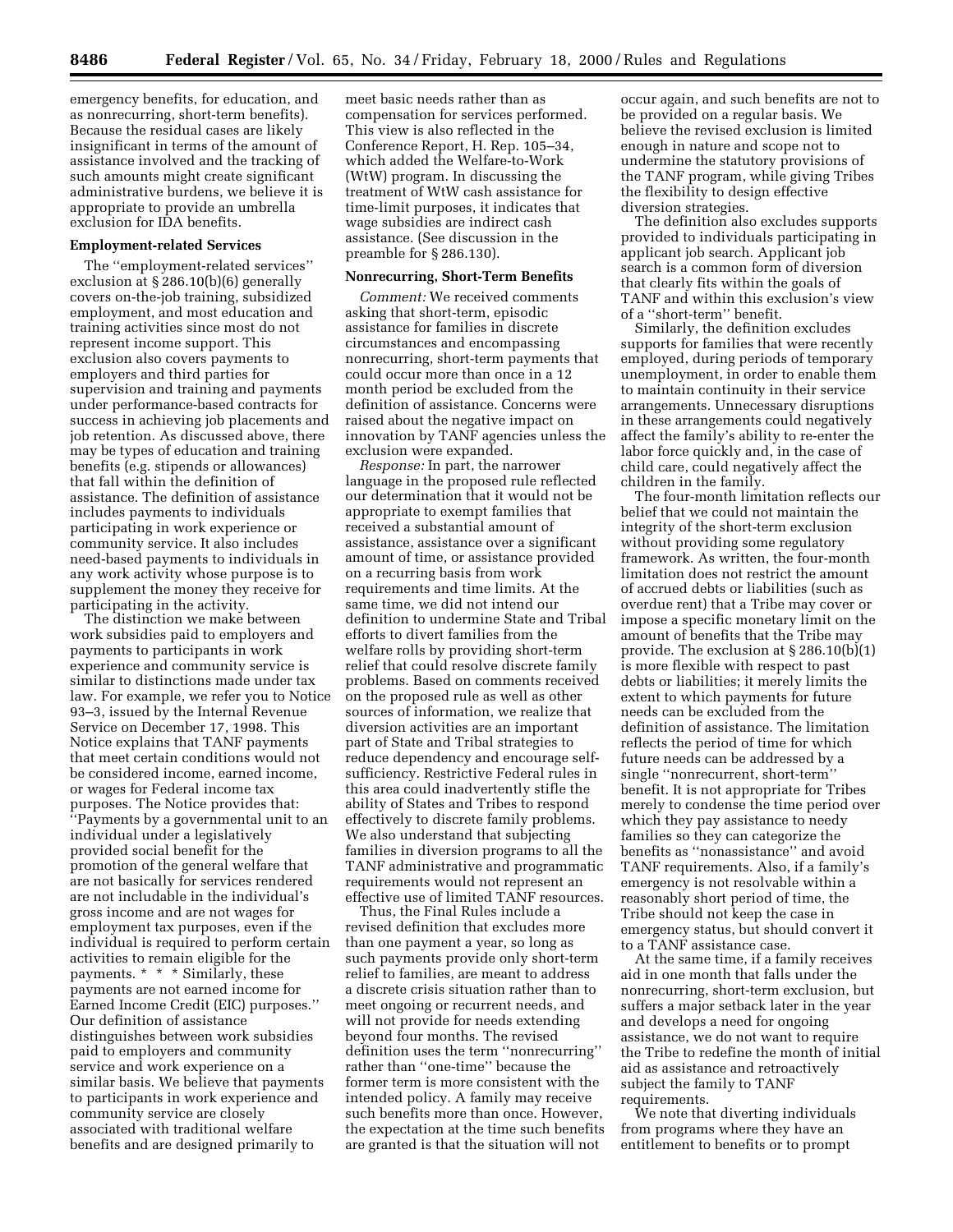emergency benefits, for education, and as nonrecurring, short-term benefits). Because the residual cases are likely insignificant in terms of the amount of assistance involved and the tracking of such amounts might create significant administrative burdens, we believe it is appropriate to provide an umbrella exclusion for IDA benefits.

## **Employment-related Services**

The ''employment-related services'' exclusion at § 286.10(b)(6) generally covers on-the-job training, subsidized employment, and most education and training activities since most do not represent income support. This exclusion also covers payments to employers and third parties for supervision and training and payments under performance-based contracts for success in achieving job placements and job retention. As discussed above, there may be types of education and training benefits (e.g. stipends or allowances) that fall within the definition of assistance. The definition of assistance includes payments to individuals participating in work experience or community service. It also includes need-based payments to individuals in any work activity whose purpose is to supplement the money they receive for participating in the activity.

The distinction we make between work subsidies paid to employers and payments to participants in work experience and community service is similar to distinctions made under tax law. For example, we refer you to Notice 93–3, issued by the Internal Revenue Service on December 17, 1998. This Notice explains that TANF payments that meet certain conditions would not be considered income, earned income, or wages for Federal income tax purposes. The Notice provides that: ''Payments by a governmental unit to an individual under a legislatively provided social benefit for the promotion of the general welfare that are not basically for services rendered are not includable in the individual's gross income and are not wages for employment tax purposes, even if the individual is required to perform certain activities to remain eligible for the payments. \* \* \* Similarly, these payments are not earned income for Earned Income Credit (EIC) purposes.'' Our definition of assistance distinguishes between work subsidies paid to employers and community service and work experience on a similar basis. We believe that payments to participants in work experience and community service are closely associated with traditional welfare benefits and are designed primarily to

meet basic needs rather than as compensation for services performed. This view is also reflected in the Conference Report, H. Rep. 105–34, which added the Welfare-to-Work (WtW) program. In discussing the treatment of WtW cash assistance for time-limit purposes, it indicates that wage subsidies are indirect cash assistance. (See discussion in the preamble for § 286.130).

#### **Nonrecurring, Short-Term Benefits**

*Comment:* We received comments asking that short-term, episodic assistance for families in discrete circumstances and encompassing nonrecurring, short-term payments that could occur more than once in a 12 month period be excluded from the definition of assistance. Concerns were raised about the negative impact on innovation by TANF agencies unless the exclusion were expanded.

*Response:* In part, the narrower language in the proposed rule reflected our determination that it would not be appropriate to exempt families that received a substantial amount of assistance, assistance over a significant amount of time, or assistance provided on a recurring basis from work requirements and time limits. At the same time, we did not intend our definition to undermine State and Tribal efforts to divert families from the welfare rolls by providing short-term relief that could resolve discrete family problems. Based on comments received on the proposed rule as well as other sources of information, we realize that diversion activities are an important part of State and Tribal strategies to reduce dependency and encourage selfsufficiency. Restrictive Federal rules in this area could inadvertently stifle the ability of States and Tribes to respond effectively to discrete family problems. We also understand that subjecting families in diversion programs to all the TANF administrative and programmatic requirements would not represent an effective use of limited TANF resources.

Thus, the Final Rules include a revised definition that excludes more than one payment a year, so long as such payments provide only short-term relief to families, are meant to address a discrete crisis situation rather than to meet ongoing or recurrent needs, and will not provide for needs extending beyond four months. The revised definition uses the term ''nonrecurring'' rather than ''one-time'' because the former term is more consistent with the intended policy. A family may receive such benefits more than once. However, the expectation at the time such benefits are granted is that the situation will not

occur again, and such benefits are not to be provided on a regular basis. We believe the revised exclusion is limited enough in nature and scope not to undermine the statutory provisions of the TANF program, while giving Tribes the flexibility to design effective diversion strategies.

The definition also excludes supports provided to individuals participating in applicant job search. Applicant job search is a common form of diversion that clearly fits within the goals of TANF and within this exclusion's view of a ''short-term'' benefit.

Similarly, the definition excludes supports for families that were recently employed, during periods of temporary unemployment, in order to enable them to maintain continuity in their service arrangements. Unnecessary disruptions in these arrangements could negatively affect the family's ability to re-enter the labor force quickly and, in the case of child care, could negatively affect the children in the family.

The four-month limitation reflects our belief that we could not maintain the integrity of the short-term exclusion without providing some regulatory framework. As written, the four-month limitation does not restrict the amount of accrued debts or liabilities (such as overdue rent) that a Tribe may cover or impose a specific monetary limit on the amount of benefits that the Tribe may provide. The exclusion at § 286.10(b)(1) is more flexible with respect to past debts or liabilities; it merely limits the extent to which payments for future needs can be excluded from the definition of assistance. The limitation reflects the period of time for which future needs can be addressed by a single ''nonrecurrent, short-term'' benefit. It is not appropriate for Tribes merely to condense the time period over which they pay assistance to needy families so they can categorize the benefits as ''nonassistance'' and avoid TANF requirements. Also, if a family's emergency is not resolvable within a reasonably short period of time, the Tribe should not keep the case in emergency status, but should convert it to a TANF assistance case.

At the same time, if a family receives aid in one month that falls under the nonrecurring, short-term exclusion, but suffers a major setback later in the year and develops a need for ongoing assistance, we do not want to require the Tribe to redefine the month of initial aid as assistance and retroactively subject the family to TANF requirements.

We note that diverting individuals from programs where they have an entitlement to benefits or to prompt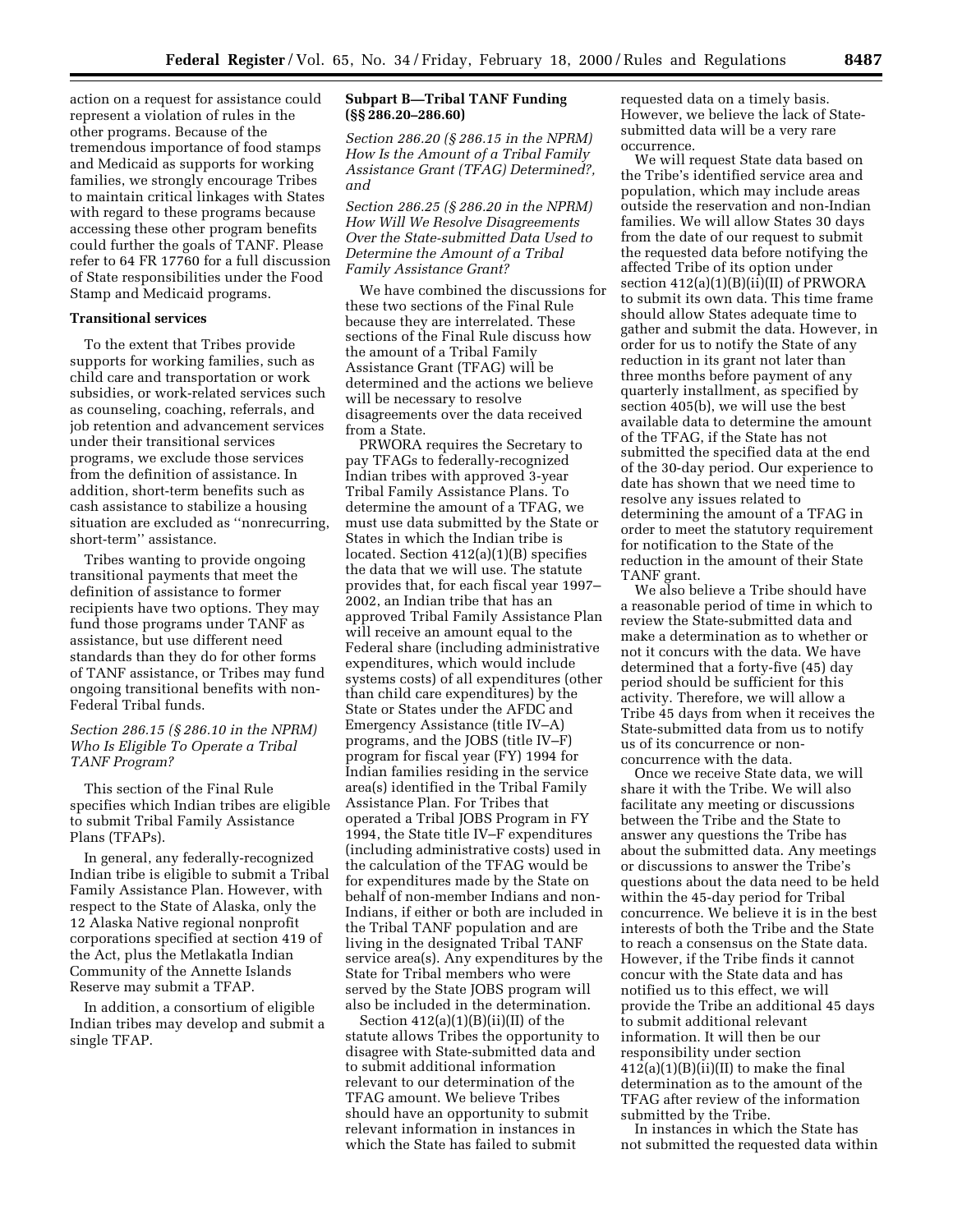action on a request for assistance could represent a violation of rules in the other programs. Because of the tremendous importance of food stamps and Medicaid as supports for working families, we strongly encourage Tribes to maintain critical linkages with States with regard to these programs because accessing these other program benefits could further the goals of TANF. Please refer to 64 FR 17760 for a full discussion of State responsibilities under the Food Stamp and Medicaid programs.

## **Transitional services**

To the extent that Tribes provide supports for working families, such as child care and transportation or work subsidies, or work-related services such as counseling, coaching, referrals, and job retention and advancement services under their transitional services programs, we exclude those services from the definition of assistance. In addition, short-term benefits such as cash assistance to stabilize a housing situation are excluded as ''nonrecurring, short-term'' assistance.

Tribes wanting to provide ongoing transitional payments that meet the definition of assistance to former recipients have two options. They may fund those programs under TANF as assistance, but use different need standards than they do for other forms of TANF assistance, or Tribes may fund ongoing transitional benefits with non-Federal Tribal funds.

## *Section 286.15 (§ 286.10 in the NPRM) Who Is Eligible To Operate a Tribal TANF Program?*

This section of the Final Rule specifies which Indian tribes are eligible to submit Tribal Family Assistance Plans (TFAPs).

In general, any federally-recognized Indian tribe is eligible to submit a Tribal Family Assistance Plan. However, with respect to the State of Alaska, only the 12 Alaska Native regional nonprofit corporations specified at section 419 of the Act, plus the Metlakatla Indian Community of the Annette Islands Reserve may submit a TFAP.

In addition, a consortium of eligible Indian tribes may develop and submit a single TFAP.

## **Subpart B—Tribal TANF Funding (§§ 286.20–286.60)**

*Section 286.20 (§ 286.15 in the NPRM) How Is the Amount of a Tribal Family Assistance Grant (TFAG) Determined?, and*

*Section 286.25 (§ 286.20 in the NPRM) How Will We Resolve Disagreements Over the State-submitted Data Used to Determine the Amount of a Tribal Family Assistance Grant?*

We have combined the discussions for these two sections of the Final Rule because they are interrelated. These sections of the Final Rule discuss how the amount of a Tribal Family Assistance Grant (TFAG) will be determined and the actions we believe will be necessary to resolve disagreements over the data received from a State.

PRWORA requires the Secretary to pay TFAGs to federally-recognized Indian tribes with approved 3-year Tribal Family Assistance Plans. To determine the amount of a TFAG, we must use data submitted by the State or States in which the Indian tribe is located. Section 412(a)(1)(B) specifies the data that we will use. The statute provides that, for each fiscal year 1997– 2002, an Indian tribe that has an approved Tribal Family Assistance Plan will receive an amount equal to the Federal share (including administrative expenditures, which would include systems costs) of all expenditures (other than child care expenditures) by the State or States under the AFDC and Emergency Assistance (title IV–A) programs, and the JOBS (title IV–F) program for fiscal year (FY) 1994 for Indian families residing in the service area(s) identified in the Tribal Family Assistance Plan. For Tribes that operated a Tribal JOBS Program in FY 1994, the State title IV–F expenditures (including administrative costs) used in the calculation of the TFAG would be for expenditures made by the State on behalf of non-member Indians and non-Indians, if either or both are included in the Tribal TANF population and are living in the designated Tribal TANF service area(s). Any expenditures by the State for Tribal members who were served by the State JOBS program will also be included in the determination.

Section 412(a)(1)(B)(ii)(II) of the statute allows Tribes the opportunity to disagree with State-submitted data and to submit additional information relevant to our determination of the TFAG amount. We believe Tribes should have an opportunity to submit relevant information in instances in which the State has failed to submit

requested data on a timely basis. However, we believe the lack of Statesubmitted data will be a very rare occurrence.

We will request State data based on the Tribe's identified service area and population, which may include areas outside the reservation and non-Indian families. We will allow States 30 days from the date of our request to submit the requested data before notifying the affected Tribe of its option under section  $412(a)(1)(B)(ii)(II)$  of PRWORA to submit its own data. This time frame should allow States adequate time to gather and submit the data. However, in order for us to notify the State of any reduction in its grant not later than three months before payment of any quarterly installment, as specified by section 405(b), we will use the best available data to determine the amount of the TFAG, if the State has not submitted the specified data at the end of the 30-day period. Our experience to date has shown that we need time to resolve any issues related to determining the amount of a TFAG in order to meet the statutory requirement for notification to the State of the reduction in the amount of their State TANF grant.

We also believe a Tribe should have a reasonable period of time in which to review the State-submitted data and make a determination as to whether or not it concurs with the data. We have determined that a forty-five (45) day period should be sufficient for this activity. Therefore, we will allow a Tribe 45 days from when it receives the State-submitted data from us to notify us of its concurrence or nonconcurrence with the data.

Once we receive State data, we will share it with the Tribe. We will also facilitate any meeting or discussions between the Tribe and the State to answer any questions the Tribe has about the submitted data. Any meetings or discussions to answer the Tribe's questions about the data need to be held within the 45-day period for Tribal concurrence. We believe it is in the best interests of both the Tribe and the State to reach a consensus on the State data. However, if the Tribe finds it cannot concur with the State data and has notified us to this effect, we will provide the Tribe an additional 45 days to submit additional relevant information. It will then be our responsibility under section  $412(a)(1)(B)(ii)(II)$  to make the final determination as to the amount of the TFAG after review of the information submitted by the Tribe.

In instances in which the State has not submitted the requested data within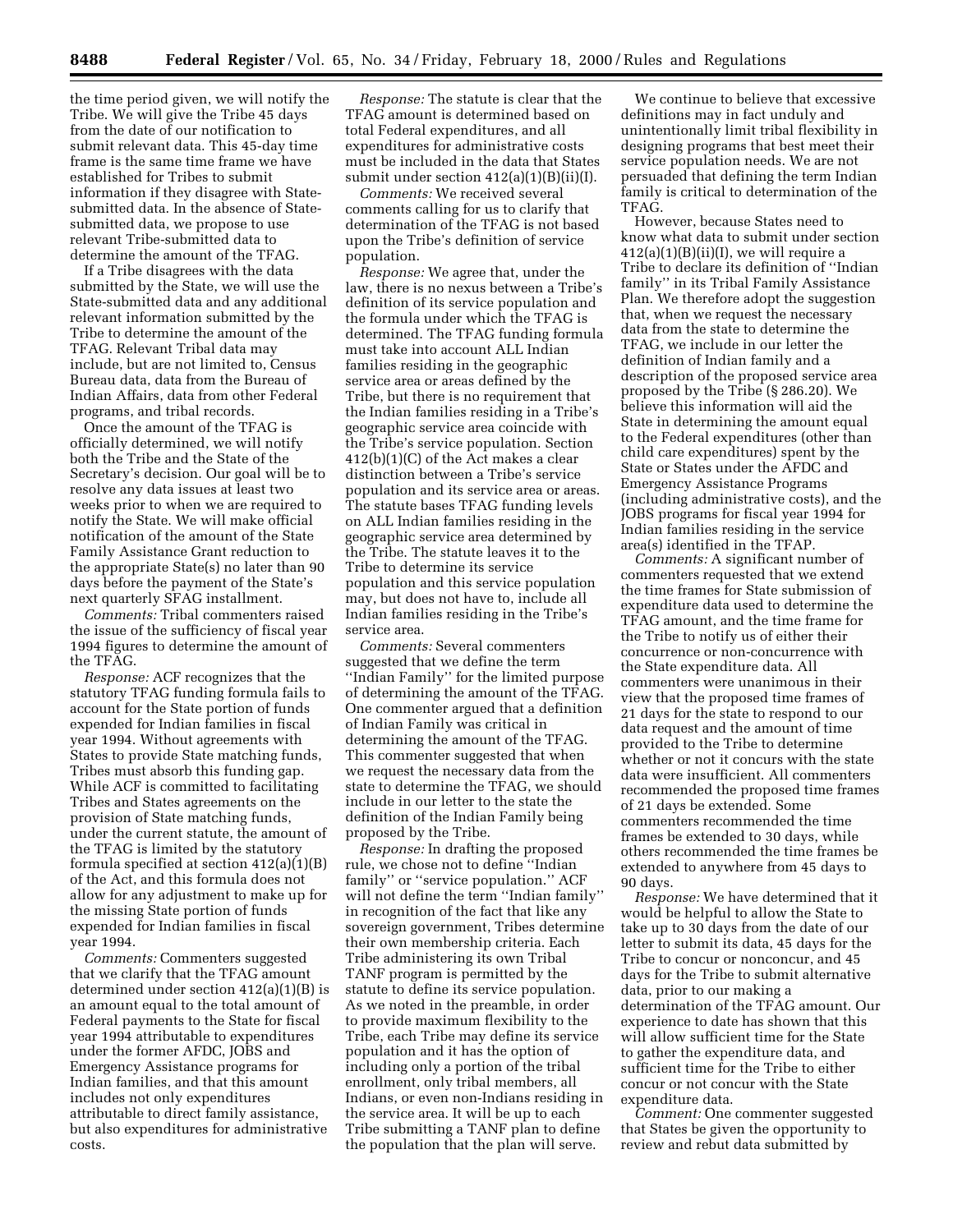the time period given, we will notify the Tribe. We will give the Tribe 45 days from the date of our notification to submit relevant data. This 45-day time frame is the same time frame we have established for Tribes to submit information if they disagree with Statesubmitted data. In the absence of Statesubmitted data, we propose to use relevant Tribe-submitted data to determine the amount of the TFAG.

If a Tribe disagrees with the data submitted by the State, we will use the State-submitted data and any additional relevant information submitted by the Tribe to determine the amount of the TFAG. Relevant Tribal data may include, but are not limited to, Census Bureau data, data from the Bureau of Indian Affairs, data from other Federal programs, and tribal records.

Once the amount of the TFAG is officially determined, we will notify both the Tribe and the State of the Secretary's decision. Our goal will be to resolve any data issues at least two weeks prior to when we are required to notify the State. We will make official notification of the amount of the State Family Assistance Grant reduction to the appropriate State(s) no later than 90 days before the payment of the State's next quarterly SFAG installment.

*Comments:* Tribal commenters raised the issue of the sufficiency of fiscal year 1994 figures to determine the amount of the TFAG.

*Response:* ACF recognizes that the statutory TFAG funding formula fails to account for the State portion of funds expended for Indian families in fiscal year 1994. Without agreements with States to provide State matching funds, Tribes must absorb this funding gap. While ACF is committed to facilitating Tribes and States agreements on the provision of State matching funds, under the current statute, the amount of the TFAG is limited by the statutory formula specified at section 412(a)(1)(B) of the Act, and this formula does not allow for any adjustment to make up for the missing State portion of funds expended for Indian families in fiscal year 1994.

*Comments:* Commenters suggested that we clarify that the TFAG amount determined under section 412(a)(1)(B) is an amount equal to the total amount of Federal payments to the State for fiscal year 1994 attributable to expenditures under the former AFDC, JOBS and Emergency Assistance programs for Indian families, and that this amount includes not only expenditures attributable to direct family assistance, but also expenditures for administrative costs.

*Response:* The statute is clear that the TFAG amount is determined based on total Federal expenditures, and all expenditures for administrative costs must be included in the data that States submit under section 412(a)(1)(B)(ii)(I).

*Comments:* We received several comments calling for us to clarify that determination of the TFAG is not based upon the Tribe's definition of service population.

*Response:* We agree that, under the law, there is no nexus between a Tribe's definition of its service population and the formula under which the TFAG is determined. The TFAG funding formula must take into account ALL Indian families residing in the geographic service area or areas defined by the Tribe, but there is no requirement that the Indian families residing in a Tribe's geographic service area coincide with the Tribe's service population. Section 412(b)(1)(C) of the Act makes a clear distinction between a Tribe's service population and its service area or areas. The statute bases TFAG funding levels on ALL Indian families residing in the geographic service area determined by the Tribe. The statute leaves it to the Tribe to determine its service population and this service population may, but does not have to, include all Indian families residing in the Tribe's service area.

*Comments:* Several commenters suggested that we define the term ''Indian Family'' for the limited purpose of determining the amount of the TFAG. One commenter argued that a definition of Indian Family was critical in determining the amount of the TFAG. This commenter suggested that when we request the necessary data from the state to determine the TFAG, we should include in our letter to the state the definition of the Indian Family being proposed by the Tribe.

*Response:* In drafting the proposed rule, we chose not to define ''Indian family'' or ''service population.'' ACF will not define the term ''Indian family'' in recognition of the fact that like any sovereign government, Tribes determine their own membership criteria. Each Tribe administering its own Tribal TANF program is permitted by the statute to define its service population. As we noted in the preamble, in order to provide maximum flexibility to the Tribe, each Tribe may define its service population and it has the option of including only a portion of the tribal enrollment, only tribal members, all Indians, or even non-Indians residing in the service area. It will be up to each Tribe submitting a TANF plan to define the population that the plan will serve.

We continue to believe that excessive definitions may in fact unduly and unintentionally limit tribal flexibility in designing programs that best meet their service population needs. We are not persuaded that defining the term Indian family is critical to determination of the TFAG.

However, because States need to know what data to submit under section  $412(a)(1)(B)(ii)(I)$ , we will require a Tribe to declare its definition of ''Indian family'' in its Tribal Family Assistance Plan. We therefore adopt the suggestion that, when we request the necessary data from the state to determine the TFAG, we include in our letter the definition of Indian family and a description of the proposed service area proposed by the Tribe (§ 286.20). We believe this information will aid the State in determining the amount equal to the Federal expenditures (other than child care expenditures) spent by the State or States under the AFDC and Emergency Assistance Programs (including administrative costs), and the JOBS programs for fiscal year 1994 for Indian families residing in the service area(s) identified in the TFAP.

*Comments:* A significant number of commenters requested that we extend the time frames for State submission of expenditure data used to determine the TFAG amount, and the time frame for the Tribe to notify us of either their concurrence or non-concurrence with the State expenditure data. All commenters were unanimous in their view that the proposed time frames of 21 days for the state to respond to our data request and the amount of time provided to the Tribe to determine whether or not it concurs with the state data were insufficient. All commenters recommended the proposed time frames of 21 days be extended. Some commenters recommended the time frames be extended to 30 days, while others recommended the time frames be extended to anywhere from 45 days to 90 days.

*Response:* We have determined that it would be helpful to allow the State to take up to 30 days from the date of our letter to submit its data, 45 days for the Tribe to concur or nonconcur, and 45 days for the Tribe to submit alternative data, prior to our making a determination of the TFAG amount. Our experience to date has shown that this will allow sufficient time for the State to gather the expenditure data, and sufficient time for the Tribe to either concur or not concur with the State expenditure data.

*Comment:* One commenter suggested that States be given the opportunity to review and rebut data submitted by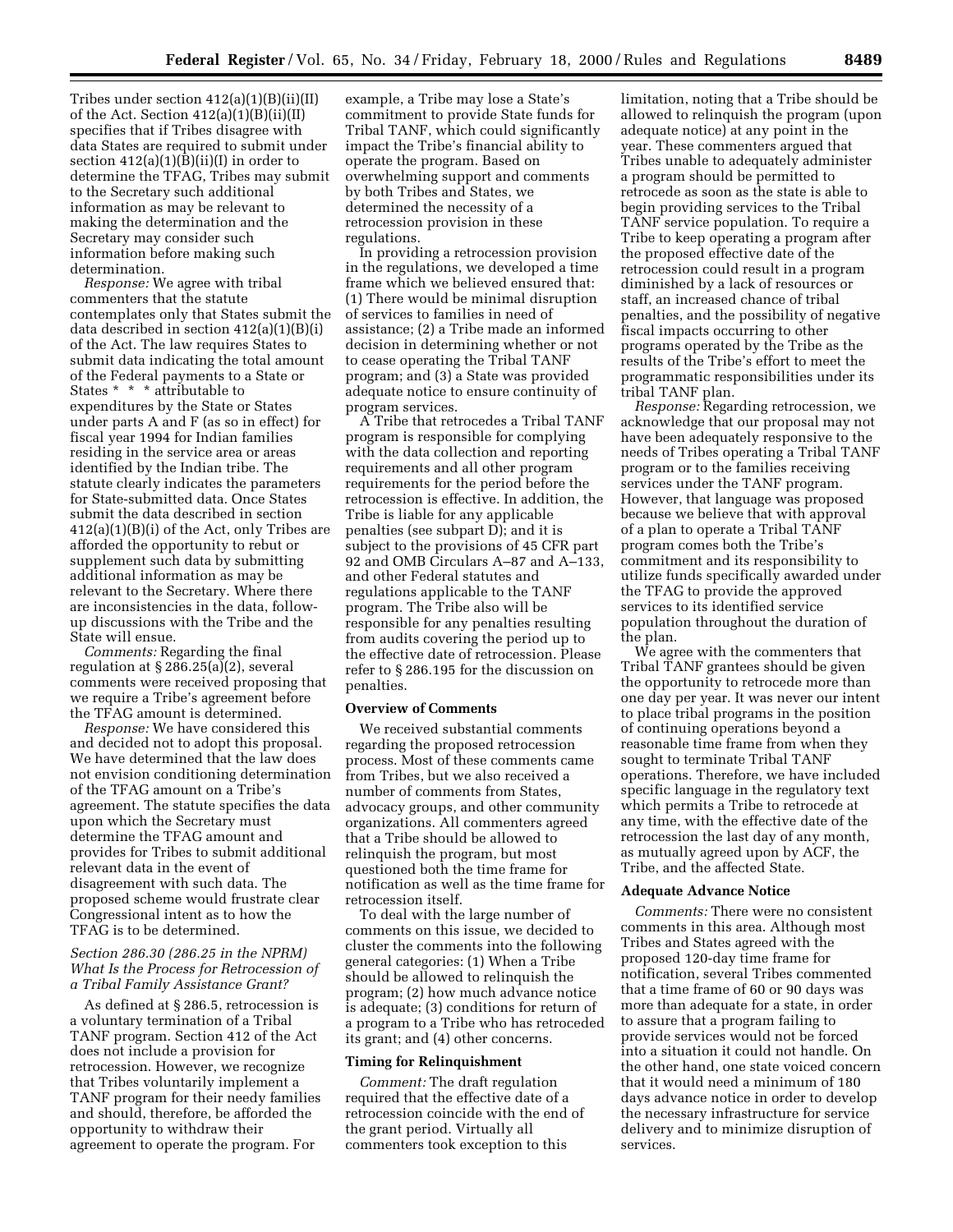Tribes under section 412(a)(1)(B)(ii)(II) of the Act. Section  $412(a)(1)(B)(ii)(II)$ specifies that if Tribes disagree with data States are required to submit under section  $412(a)(1)(B)(ii)(I)$  in order to determine the TFAG, Tribes may submit to the Secretary such additional information as may be relevant to making the determination and the Secretary may consider such information before making such determination.

*Response:* We agree with tribal commenters that the statute contemplates only that States submit the data described in section 412(a)(1)(B)(i) of the Act. The law requires States to submit data indicating the total amount of the Federal payments to a State or States \* \* \* attributable to expenditures by the State or States under parts A and F (as so in effect) for fiscal year 1994 for Indian families residing in the service area or areas identified by the Indian tribe. The statute clearly indicates the parameters for State-submitted data. Once States submit the data described in section 412(a)(1)(B)(i) of the Act, only Tribes are afforded the opportunity to rebut or supplement such data by submitting additional information as may be relevant to the Secretary. Where there are inconsistencies in the data, followup discussions with the Tribe and the State will ensue.

*Comments:* Regarding the final regulation at § 286.25(a)(2), several comments were received proposing that we require a Tribe's agreement before the TFAG amount is determined.

*Response:* We have considered this and decided not to adopt this proposal. We have determined that the law does not envision conditioning determination of the TFAG amount on a Tribe's agreement. The statute specifies the data upon which the Secretary must determine the TFAG amount and provides for Tribes to submit additional relevant data in the event of disagreement with such data. The proposed scheme would frustrate clear Congressional intent as to how the TFAG is to be determined.

## *Section 286.30 (286.25 in the NPRM) What Is the Process for Retrocession of a Tribal Family Assistance Grant?*

As defined at § 286.5, retrocession is a voluntary termination of a Tribal TANF program. Section 412 of the Act does not include a provision for retrocession. However, we recognize that Tribes voluntarily implement a TANF program for their needy families and should, therefore, be afforded the opportunity to withdraw their agreement to operate the program. For

example, a Tribe may lose a State's commitment to provide State funds for Tribal TANF, which could significantly impact the Tribe's financial ability to operate the program. Based on overwhelming support and comments by both Tribes and States, we determined the necessity of a retrocession provision in these regulations.

In providing a retrocession provision in the regulations, we developed a time frame which we believed ensured that: (1) There would be minimal disruption of services to families in need of assistance; (2) a Tribe made an informed decision in determining whether or not to cease operating the Tribal TANF program; and (3) a State was provided adequate notice to ensure continuity of program services.

A Tribe that retrocedes a Tribal TANF program is responsible for complying with the data collection and reporting requirements and all other program requirements for the period before the retrocession is effective. In addition, the Tribe is liable for any applicable penalties (see subpart D); and it is subject to the provisions of 45 CFR part 92 and OMB Circulars A–87 and A–133, and other Federal statutes and regulations applicable to the TANF program. The Tribe also will be responsible for any penalties resulting from audits covering the period up to the effective date of retrocession. Please refer to § 286.195 for the discussion on penalties.

## **Overview of Comments**

We received substantial comments regarding the proposed retrocession process. Most of these comments came from Tribes, but we also received a number of comments from States, advocacy groups, and other community organizations. All commenters agreed that a Tribe should be allowed to relinquish the program, but most questioned both the time frame for notification as well as the time frame for retrocession itself.

To deal with the large number of comments on this issue, we decided to cluster the comments into the following general categories: (1) When a Tribe should be allowed to relinquish the program; (2) how much advance notice is adequate; (3) conditions for return of a program to a Tribe who has retroceded its grant; and (4) other concerns.

#### **Timing for Relinquishment**

*Comment:* The draft regulation required that the effective date of a retrocession coincide with the end of the grant period. Virtually all commenters took exception to this

limitation, noting that a Tribe should be allowed to relinquish the program (upon adequate notice) at any point in the year. These commenters argued that Tribes unable to adequately administer a program should be permitted to retrocede as soon as the state is able to begin providing services to the Tribal TANF service population. To require a Tribe to keep operating a program after the proposed effective date of the retrocession could result in a program diminished by a lack of resources or staff, an increased chance of tribal penalties, and the possibility of negative fiscal impacts occurring to other programs operated by the Tribe as the results of the Tribe's effort to meet the programmatic responsibilities under its tribal TANF plan.

*Response:* Regarding retrocession, we acknowledge that our proposal may not have been adequately responsive to the needs of Tribes operating a Tribal TANF program or to the families receiving services under the TANF program. However, that language was proposed because we believe that with approval of a plan to operate a Tribal TANF program comes both the Tribe's commitment and its responsibility to utilize funds specifically awarded under the TFAG to provide the approved services to its identified service population throughout the duration of the plan.

We agree with the commenters that Tribal TANF grantees should be given the opportunity to retrocede more than one day per year. It was never our intent to place tribal programs in the position of continuing operations beyond a reasonable time frame from when they sought to terminate Tribal TANF operations. Therefore, we have included specific language in the regulatory text which permits a Tribe to retrocede at any time, with the effective date of the retrocession the last day of any month, as mutually agreed upon by ACF, the Tribe, and the affected State.

#### **Adequate Advance Notice**

*Comments:* There were no consistent comments in this area. Although most Tribes and States agreed with the proposed 120-day time frame for notification, several Tribes commented that a time frame of 60 or 90 days was more than adequate for a state, in order to assure that a program failing to provide services would not be forced into a situation it could not handle. On the other hand, one state voiced concern that it would need a minimum of 180 days advance notice in order to develop the necessary infrastructure for service delivery and to minimize disruption of services.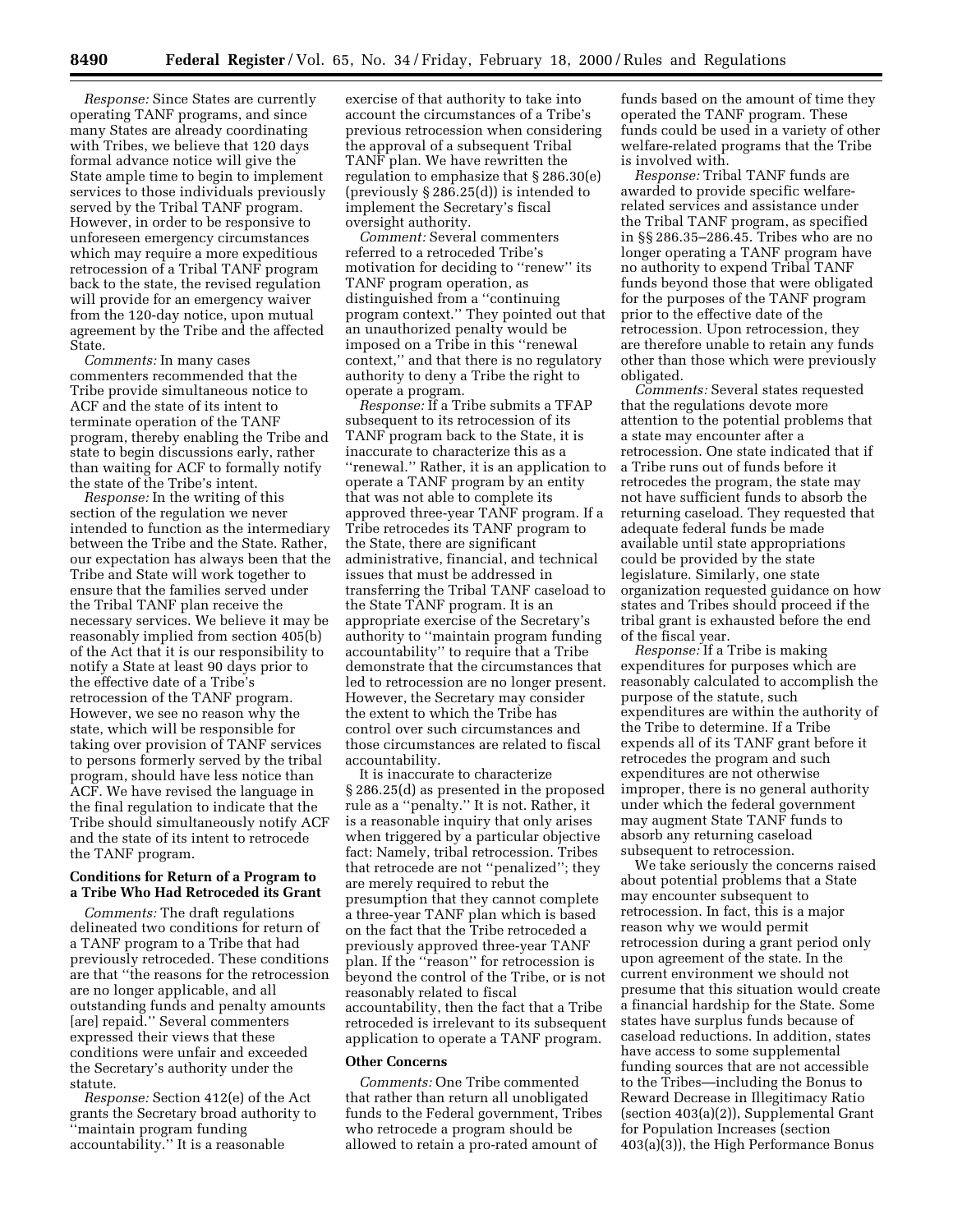*Response:* Since States are currently operating TANF programs, and since many States are already coordinating with Tribes, we believe that 120 days formal advance notice will give the State ample time to begin to implement services to those individuals previously served by the Tribal TANF program. However, in order to be responsive to unforeseen emergency circumstances which may require a more expeditious retrocession of a Tribal TANF program back to the state, the revised regulation will provide for an emergency waiver from the 120-day notice, upon mutual agreement by the Tribe and the affected State.

*Comments:* In many cases commenters recommended that the Tribe provide simultaneous notice to ACF and the state of its intent to terminate operation of the TANF program, thereby enabling the Tribe and state to begin discussions early, rather than waiting for ACF to formally notify the state of the Tribe's intent.

*Response:* In the writing of this section of the regulation we never intended to function as the intermediary between the Tribe and the State. Rather, our expectation has always been that the Tribe and State will work together to ensure that the families served under the Tribal TANF plan receive the necessary services. We believe it may be reasonably implied from section 405(b) of the Act that it is our responsibility to notify a State at least 90 days prior to the effective date of a Tribe's retrocession of the TANF program. However, we see no reason why the state, which will be responsible for taking over provision of TANF services to persons formerly served by the tribal program, should have less notice than ACF. We have revised the language in the final regulation to indicate that the Tribe should simultaneously notify ACF and the state of its intent to retrocede the TANF program.

## **Conditions for Return of a Program to a Tribe Who Had Retroceded its Grant**

*Comments:* The draft regulations delineated two conditions for return of a TANF program to a Tribe that had previously retroceded. These conditions are that ''the reasons for the retrocession are no longer applicable, and all outstanding funds and penalty amounts [are] repaid.'' Several commenters expressed their views that these conditions were unfair and exceeded the Secretary's authority under the statute.

*Response:* Section 412(e) of the Act grants the Secretary broad authority to 'maintain program funding accountability.'' It is a reasonable

exercise of that authority to take into account the circumstances of a Tribe's previous retrocession when considering the approval of a subsequent Tribal TANF plan. We have rewritten the regulation to emphasize that § 286.30(e) (previously § 286.25(d)) is intended to implement the Secretary's fiscal oversight authority.

*Comment:* Several commenters referred to a retroceded Tribe's motivation for deciding to "renew" its TANF program operation, as distinguished from a ''continuing program context.'' They pointed out that an unauthorized penalty would be imposed on a Tribe in this ''renewal context,'' and that there is no regulatory authority to deny a Tribe the right to operate a program.

*Response:* If a Tribe submits a TFAP subsequent to its retrocession of its TANF program back to the State, it is inaccurate to characterize this as a ''renewal.'' Rather, it is an application to operate a TANF program by an entity that was not able to complete its approved three-year TANF program. If a Tribe retrocedes its TANF program to the State, there are significant administrative, financial, and technical issues that must be addressed in transferring the Tribal TANF caseload to the State TANF program. It is an appropriate exercise of the Secretary's authority to ''maintain program funding accountability'' to require that a Tribe demonstrate that the circumstances that led to retrocession are no longer present. However, the Secretary may consider the extent to which the Tribe has control over such circumstances and those circumstances are related to fiscal accountability.

It is inaccurate to characterize § 286.25(d) as presented in the proposed rule as a ''penalty.'' It is not. Rather, it is a reasonable inquiry that only arises when triggered by a particular objective fact: Namely, tribal retrocession. Tribes that retrocede are not ''penalized''; they are merely required to rebut the presumption that they cannot complete a three-year TANF plan which is based on the fact that the Tribe retroceded a previously approved three-year TANF plan. If the ''reason'' for retrocession is beyond the control of the Tribe, or is not reasonably related to fiscal accountability, then the fact that a Tribe retroceded is irrelevant to its subsequent application to operate a TANF program.

#### **Other Concerns**

*Comments:* One Tribe commented that rather than return all unobligated funds to the Federal government, Tribes who retrocede a program should be allowed to retain a pro-rated amount of

funds based on the amount of time they operated the TANF program. These funds could be used in a variety of other welfare-related programs that the Tribe is involved with.

*Response:* Tribal TANF funds are awarded to provide specific welfarerelated services and assistance under the Tribal TANF program, as specified in §§ 286.35–286.45. Tribes who are no longer operating a TANF program have no authority to expend Tribal TANF funds beyond those that were obligated for the purposes of the TANF program prior to the effective date of the retrocession. Upon retrocession, they are therefore unable to retain any funds other than those which were previously obligated.

*Comments:* Several states requested that the regulations devote more attention to the potential problems that a state may encounter after a retrocession. One state indicated that if a Tribe runs out of funds before it retrocedes the program, the state may not have sufficient funds to absorb the returning caseload. They requested that adequate federal funds be made available until state appropriations could be provided by the state legislature. Similarly, one state organization requested guidance on how states and Tribes should proceed if the tribal grant is exhausted before the end of the fiscal year.

*Response:* If a Tribe is making expenditures for purposes which are reasonably calculated to accomplish the purpose of the statute, such expenditures are within the authority of the Tribe to determine. If a Tribe expends all of its TANF grant before it retrocedes the program and such expenditures are not otherwise improper, there is no general authority under which the federal government may augment State TANF funds to absorb any returning caseload subsequent to retrocession.

We take seriously the concerns raised about potential problems that a State may encounter subsequent to retrocession. In fact, this is a major reason why we would permit retrocession during a grant period only upon agreement of the state. In the current environment we should not presume that this situation would create a financial hardship for the State. Some states have surplus funds because of caseload reductions. In addition, states have access to some supplemental funding sources that are not accessible to the Tribes—including the Bonus to Reward Decrease in Illegitimacy Ratio (section 403(a)(2)), Supplemental Grant for Population Increases (section 403(a)(3)), the High Performance Bonus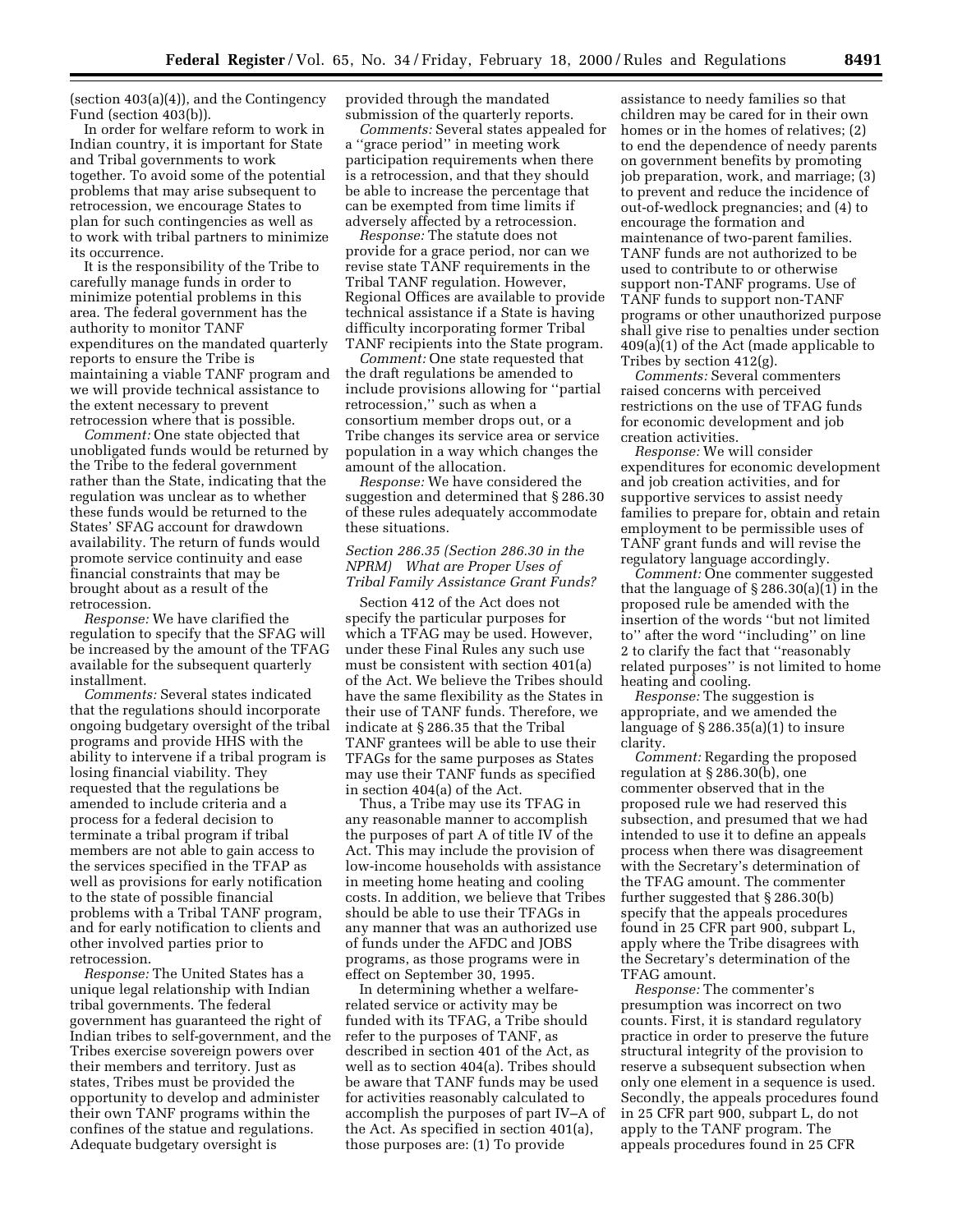(section 403(a)(4)), and the Contingency Fund (section 403(b)).

In order for welfare reform to work in Indian country, it is important for State and Tribal governments to work together. To avoid some of the potential problems that may arise subsequent to retrocession, we encourage States to plan for such contingencies as well as to work with tribal partners to minimize its occurrence.

It is the responsibility of the Tribe to carefully manage funds in order to minimize potential problems in this area. The federal government has the authority to monitor TANF expenditures on the mandated quarterly reports to ensure the Tribe is maintaining a viable TANF program and we will provide technical assistance to the extent necessary to prevent retrocession where that is possible.

*Comment:* One state objected that unobligated funds would be returned by the Tribe to the federal government rather than the State, indicating that the regulation was unclear as to whether these funds would be returned to the States' SFAG account for drawdown availability. The return of funds would promote service continuity and ease financial constraints that may be brought about as a result of the retrocession.

*Response:* We have clarified the regulation to specify that the SFAG will be increased by the amount of the TFAG available for the subsequent quarterly installment.

*Comments:* Several states indicated that the regulations should incorporate ongoing budgetary oversight of the tribal programs and provide HHS with the ability to intervene if a tribal program is losing financial viability. They requested that the regulations be amended to include criteria and a process for a federal decision to terminate a tribal program if tribal members are not able to gain access to the services specified in the TFAP as well as provisions for early notification to the state of possible financial problems with a Tribal TANF program, and for early notification to clients and other involved parties prior to retrocession.

*Response:* The United States has a unique legal relationship with Indian tribal governments. The federal government has guaranteed the right of Indian tribes to self-government, and the Tribes exercise sovereign powers over their members and territory. Just as states, Tribes must be provided the opportunity to develop and administer their own TANF programs within the confines of the statue and regulations. Adequate budgetary oversight is

provided through the mandated submission of the quarterly reports.

*Comments:* Several states appealed for a ''grace period'' in meeting work participation requirements when there is a retrocession, and that they should be able to increase the percentage that can be exempted from time limits if adversely affected by a retrocession.

*Response:* The statute does not provide for a grace period, nor can we revise state TANF requirements in the Tribal TANF regulation. However, Regional Offices are available to provide technical assistance if a State is having difficulty incorporating former Tribal TANF recipients into the State program.

*Comment:* One state requested that the draft regulations be amended to include provisions allowing for ''partial retrocession,'' such as when a consortium member drops out, or a Tribe changes its service area or service population in a way which changes the amount of the allocation.

*Response:* We have considered the suggestion and determined that § 286.30 of these rules adequately accommodate these situations.

## *Section 286.35 (Section 286.30 in the NPRM) What are Proper Uses of Tribal Family Assistance Grant Funds?*

Section 412 of the Act does not specify the particular purposes for which a TFAG may be used. However, under these Final Rules any such use must be consistent with section 401(a) of the Act. We believe the Tribes should have the same flexibility as the States in their use of TANF funds. Therefore, we indicate at § 286.35 that the Tribal TANF grantees will be able to use their TFAGs for the same purposes as States may use their TANF funds as specified in section 404(a) of the Act.

Thus, a Tribe may use its TFAG in any reasonable manner to accomplish the purposes of part A of title IV of the Act. This may include the provision of low-income households with assistance in meeting home heating and cooling costs. In addition, we believe that Tribes should be able to use their TFAGs in any manner that was an authorized use of funds under the AFDC and JOBS programs, as those programs were in effect on September 30, 1995.

In determining whether a welfarerelated service or activity may be funded with its TFAG, a Tribe should refer to the purposes of TANF, as described in section 401 of the Act, as well as to section 404(a). Tribes should be aware that TANF funds may be used for activities reasonably calculated to accomplish the purposes of part IV–A of the Act. As specified in section 401(a), those purposes are: (1) To provide

assistance to needy families so that children may be cared for in their own homes or in the homes of relatives; (2) to end the dependence of needy parents on government benefits by promoting job preparation, work, and marriage; (3) to prevent and reduce the incidence of out-of-wedlock pregnancies; and (4) to encourage the formation and maintenance of two-parent families. TANF funds are not authorized to be used to contribute to or otherwise support non-TANF programs. Use of TANF funds to support non-TANF programs or other unauthorized purpose shall give rise to penalties under section 409(a)(1) of the Act (made applicable to Tribes by section 412(g).

*Comments:* Several commenters raised concerns with perceived restrictions on the use of TFAG funds for economic development and job creation activities.

*Response:* We will consider expenditures for economic development and job creation activities, and for supportive services to assist needy families to prepare for, obtain and retain employment to be permissible uses of TANF grant funds and will revise the regulatory language accordingly.

*Comment:* One commenter suggested that the language of § 286.30(a)(1) in the proposed rule be amended with the insertion of the words ''but not limited to'' after the word ''including'' on line 2 to clarify the fact that ''reasonably related purposes'' is not limited to home heating and cooling.

*Response:* The suggestion is appropriate, and we amended the language of  $\S 286.35(a)(1)$  to insure clarity.

*Comment:* Regarding the proposed regulation at § 286.30(b), one commenter observed that in the proposed rule we had reserved this subsection, and presumed that we had intended to use it to define an appeals process when there was disagreement with the Secretary's determination of the TFAG amount. The commenter further suggested that § 286.30(b) specify that the appeals procedures found in 25 CFR part 900, subpart L, apply where the Tribe disagrees with the Secretary's determination of the TFAG amount.

*Response:* The commenter's presumption was incorrect on two counts. First, it is standard regulatory practice in order to preserve the future structural integrity of the provision to reserve a subsequent subsection when only one element in a sequence is used. Secondly, the appeals procedures found in 25 CFR part 900, subpart L, do not apply to the TANF program. The appeals procedures found in 25 CFR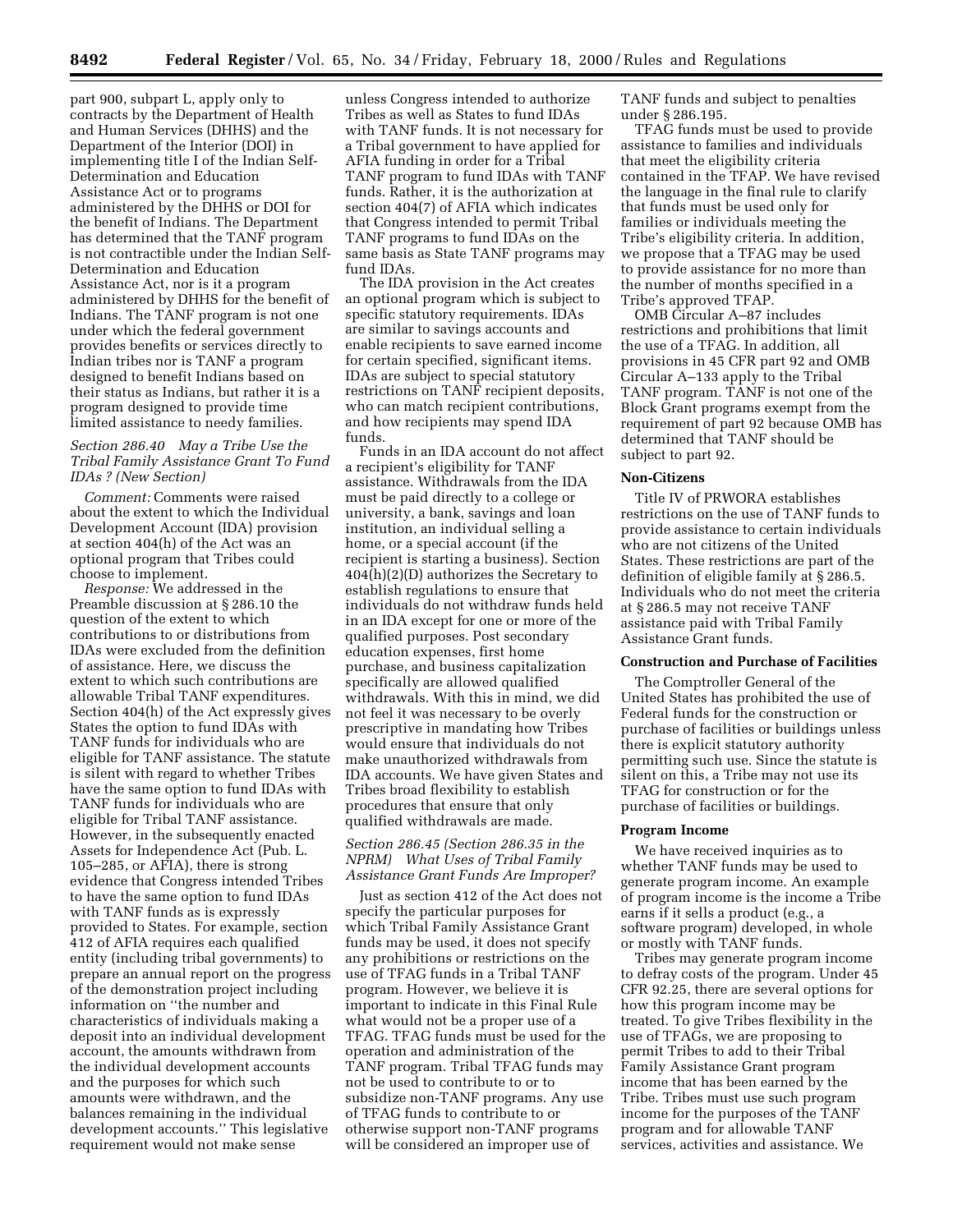part 900, subpart L, apply only to contracts by the Department of Health and Human Services (DHHS) and the Department of the Interior (DOI) in implementing title I of the Indian Self-Determination and Education Assistance Act or to programs administered by the DHHS or DOI for the benefit of Indians. The Department has determined that the TANF program is not contractible under the Indian Self-Determination and Education Assistance Act, nor is it a program administered by DHHS for the benefit of Indians. The TANF program is not one under which the federal government provides benefits or services directly to Indian tribes nor is TANF a program designed to benefit Indians based on their status as Indians, but rather it is a program designed to provide time limited assistance to needy families.

## *Section 286.40 May a Tribe Use the Tribal Family Assistance Grant To Fund IDAs ? (New Section)*

*Comment:* Comments were raised about the extent to which the Individual Development Account (IDA) provision at section 404(h) of the Act was an optional program that Tribes could choose to implement.

*Response:* We addressed in the Preamble discussion at § 286.10 the question of the extent to which contributions to or distributions from IDAs were excluded from the definition of assistance. Here, we discuss the extent to which such contributions are allowable Tribal TANF expenditures. Section 404(h) of the Act expressly gives States the option to fund IDAs with TANF funds for individuals who are eligible for TANF assistance. The statute is silent with regard to whether Tribes have the same option to fund IDAs with TANF funds for individuals who are eligible for Tribal TANF assistance. However, in the subsequently enacted Assets for Independence Act (Pub. L. 105–285, or AFIA), there is strong evidence that Congress intended Tribes to have the same option to fund IDAs with TANF funds as is expressly provided to States. For example, section 412 of AFIA requires each qualified entity (including tribal governments) to prepare an annual report on the progress of the demonstration project including information on ''the number and characteristics of individuals making a deposit into an individual development account, the amounts withdrawn from the individual development accounts and the purposes for which such amounts were withdrawn, and the balances remaining in the individual development accounts.'' This legislative requirement would not make sense

unless Congress intended to authorize Tribes as well as States to fund IDAs with TANF funds. It is not necessary for a Tribal government to have applied for AFIA funding in order for a Tribal TANF program to fund IDAs with TANF funds. Rather, it is the authorization at section 404(7) of AFIA which indicates that Congress intended to permit Tribal TANF programs to fund IDAs on the same basis as State TANF programs may fund IDAs.

The IDA provision in the Act creates an optional program which is subject to specific statutory requirements. IDAs are similar to savings accounts and enable recipients to save earned income for certain specified, significant items. IDAs are subject to special statutory restrictions on TANF recipient deposits, who can match recipient contributions, and how recipients may spend IDA funds.

Funds in an IDA account do not affect a recipient's eligibility for TANF assistance. Withdrawals from the IDA must be paid directly to a college or university, a bank, savings and loan institution, an individual selling a home, or a special account (if the recipient is starting a business). Section 404(h)(2)(D) authorizes the Secretary to establish regulations to ensure that individuals do not withdraw funds held in an IDA except for one or more of the qualified purposes. Post secondary education expenses, first home purchase, and business capitalization specifically are allowed qualified withdrawals. With this in mind, we did not feel it was necessary to be overly prescriptive in mandating how Tribes would ensure that individuals do not make unauthorized withdrawals from IDA accounts. We have given States and Tribes broad flexibility to establish procedures that ensure that only qualified withdrawals are made.

## *Section 286.45 (Section 286.35 in the NPRM) What Uses of Tribal Family Assistance Grant Funds Are Improper?*

Just as section 412 of the Act does not specify the particular purposes for which Tribal Family Assistance Grant funds may be used, it does not specify any prohibitions or restrictions on the use of TFAG funds in a Tribal TANF program. However, we believe it is important to indicate in this Final Rule what would not be a proper use of a TFAG. TFAG funds must be used for the operation and administration of the TANF program. Tribal TFAG funds may not be used to contribute to or to subsidize non-TANF programs. Any use of TFAG funds to contribute to or otherwise support non-TANF programs will be considered an improper use of

TANF funds and subject to penalties under § 286.195.

TFAG funds must be used to provide assistance to families and individuals that meet the eligibility criteria contained in the TFAP. We have revised the language in the final rule to clarify that funds must be used only for families or individuals meeting the Tribe's eligibility criteria. In addition, we propose that a TFAG may be used to provide assistance for no more than the number of months specified in a Tribe's approved TFAP.

OMB Circular A–87 includes restrictions and prohibitions that limit the use of a TFAG. In addition, all provisions in 45 CFR part 92 and OMB Circular A–133 apply to the Tribal TANF program. TANF is not one of the Block Grant programs exempt from the requirement of part 92 because OMB has determined that TANF should be subject to part 92.

#### **Non-Citizens**

Title IV of PRWORA establishes restrictions on the use of TANF funds to provide assistance to certain individuals who are not citizens of the United States. These restrictions are part of the definition of eligible family at § 286.5. Individuals who do not meet the criteria at § 286.5 may not receive TANF assistance paid with Tribal Family Assistance Grant funds.

## **Construction and Purchase of Facilities**

The Comptroller General of the United States has prohibited the use of Federal funds for the construction or purchase of facilities or buildings unless there is explicit statutory authority permitting such use. Since the statute is silent on this, a Tribe may not use its TFAG for construction or for the purchase of facilities or buildings.

#### **Program Income**

We have received inquiries as to whether TANF funds may be used to generate program income. An example of program income is the income a Tribe earns if it sells a product (e.g., a software program) developed, in whole or mostly with TANF funds.

Tribes may generate program income to defray costs of the program. Under 45 CFR 92.25, there are several options for how this program income may be treated. To give Tribes flexibility in the use of TFAGs, we are proposing to permit Tribes to add to their Tribal Family Assistance Grant program income that has been earned by the Tribe. Tribes must use such program income for the purposes of the TANF program and for allowable TANF services, activities and assistance. We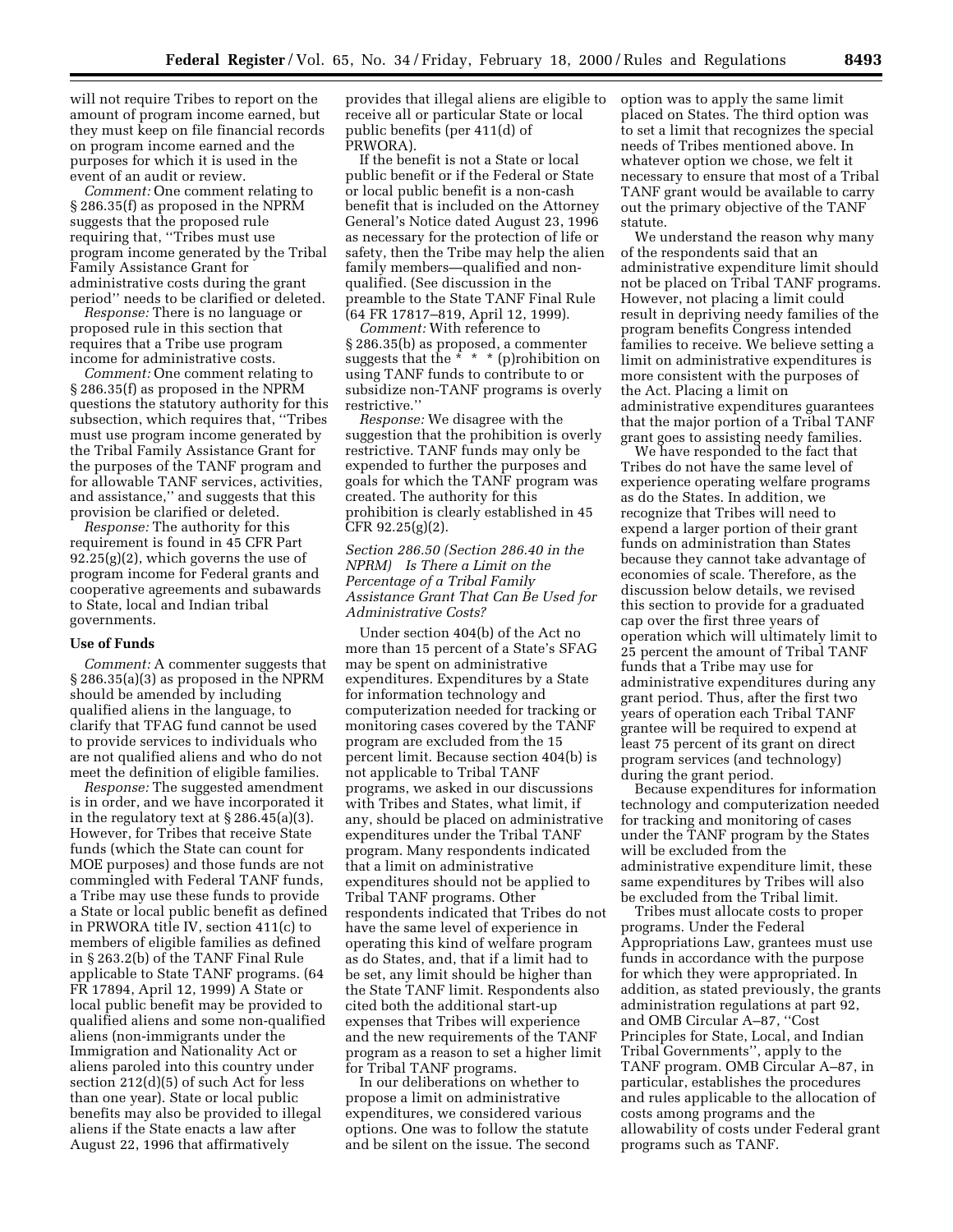will not require Tribes to report on the amount of program income earned, but they must keep on file financial records on program income earned and the purposes for which it is used in the event of an audit or review.

*Comment:* One comment relating to § 286.35(f) as proposed in the NPRM suggests that the proposed rule requiring that, ''Tribes must use program income generated by the Tribal Family Assistance Grant for administrative costs during the grant period'' needs to be clarified or deleted.

*Response:* There is no language or proposed rule in this section that requires that a Tribe use program income for administrative costs.

*Comment:* One comment relating to § 286.35(f) as proposed in the NPRM questions the statutory authority for this subsection, which requires that, ''Tribes must use program income generated by the Tribal Family Assistance Grant for the purposes of the TANF program and for allowable TANF services, activities, and assistance,'' and suggests that this provision be clarified or deleted.

*Response:* The authority for this requirement is found in 45 CFR Part 92.25(g)(2), which governs the use of program income for Federal grants and cooperative agreements and subawards to State, local and Indian tribal governments.

#### **Use of Funds**

*Comment:* A commenter suggests that § 286.35(a)(3) as proposed in the NPRM should be amended by including qualified aliens in the language, to clarify that TFAG fund cannot be used to provide services to individuals who are not qualified aliens and who do not meet the definition of eligible families.

*Response:* The suggested amendment is in order, and we have incorporated it in the regulatory text at  $\S 286.45(a)(3)$ . However, for Tribes that receive State funds (which the State can count for MOE purposes) and those funds are not commingled with Federal TANF funds, a Tribe may use these funds to provide a State or local public benefit as defined in PRWORA title IV, section 411(c) to members of eligible families as defined in § 263.2(b) of the TANF Final Rule applicable to State TANF programs. (64 FR 17894, April 12, 1999) A State or local public benefit may be provided to qualified aliens and some non-qualified aliens (non-immigrants under the Immigration and Nationality Act or aliens paroled into this country under section 212(d)(5) of such Act for less than one year). State or local public benefits may also be provided to illegal aliens if the State enacts a law after August 22, 1996 that affirmatively

provides that illegal aliens are eligible to receive all or particular State or local public benefits (per 411(d) of PRWORA).

If the benefit is not a State or local public benefit or if the Federal or State or local public benefit is a non-cash benefit that is included on the Attorney General's Notice dated August 23, 1996 as necessary for the protection of life or safety, then the Tribe may help the alien family members—qualified and nonqualified. (See discussion in the preamble to the State TANF Final Rule (64 FR 17817–819, April 12, 1999).

*Comment:* With reference to § 286.35(b) as proposed, a commenter suggests that the  $* * * (p)$ rohibition on using TANF funds to contribute to or subsidize non-TANF programs is overly restrictive.''

*Response:* We disagree with the suggestion that the prohibition is overly restrictive. TANF funds may only be expended to further the purposes and goals for which the TANF program was created. The authority for this prohibition is clearly established in 45 CFR 92.25(g)(2).

*Section 286.50 (Section 286.40 in the NPRM) Is There a Limit on the Percentage of a Tribal Family Assistance Grant That Can Be Used for Administrative Costs?*

Under section 404(b) of the Act no more than 15 percent of a State's SFAG may be spent on administrative expenditures. Expenditures by a State for information technology and computerization needed for tracking or monitoring cases covered by the TANF program are excluded from the 15 percent limit. Because section 404(b) is not applicable to Tribal TANF programs, we asked in our discussions with Tribes and States, what limit, if any, should be placed on administrative expenditures under the Tribal TANF program. Many respondents indicated that a limit on administrative expenditures should not be applied to Tribal TANF programs. Other respondents indicated that Tribes do not have the same level of experience in operating this kind of welfare program as do States, and, that if a limit had to be set, any limit should be higher than the State TANF limit. Respondents also cited both the additional start-up expenses that Tribes will experience and the new requirements of the TANF program as a reason to set a higher limit for Tribal TANF programs.

In our deliberations on whether to propose a limit on administrative expenditures, we considered various options. One was to follow the statute and be silent on the issue. The second option was to apply the same limit placed on States. The third option was to set a limit that recognizes the special needs of Tribes mentioned above. In whatever option we chose, we felt it necessary to ensure that most of a Tribal TANF grant would be available to carry out the primary objective of the TANF statute.

We understand the reason why many of the respondents said that an administrative expenditure limit should not be placed on Tribal TANF programs. However, not placing a limit could result in depriving needy families of the program benefits Congress intended families to receive. We believe setting a limit on administrative expenditures is more consistent with the purposes of the Act. Placing a limit on administrative expenditures guarantees that the major portion of a Tribal TANF grant goes to assisting needy families.

We have responded to the fact that Tribes do not have the same level of experience operating welfare programs as do the States. In addition, we recognize that Tribes will need to expend a larger portion of their grant funds on administration than States because they cannot take advantage of economies of scale. Therefore, as the discussion below details, we revised this section to provide for a graduated cap over the first three years of operation which will ultimately limit to 25 percent the amount of Tribal TANF funds that a Tribe may use for administrative expenditures during any grant period. Thus, after the first two years of operation each Tribal TANF grantee will be required to expend at least 75 percent of its grant on direct program services (and technology) during the grant period.

Because expenditures for information technology and computerization needed for tracking and monitoring of cases under the TANF program by the States will be excluded from the administrative expenditure limit, these same expenditures by Tribes will also be excluded from the Tribal limit.

Tribes must allocate costs to proper programs. Under the Federal Appropriations Law, grantees must use funds in accordance with the purpose for which they were appropriated. In addition, as stated previously, the grants administration regulations at part 92, and OMB Circular A–87, ''Cost Principles for State, Local, and Indian Tribal Governments'', apply to the TANF program. OMB Circular A–87, in particular, establishes the procedures and rules applicable to the allocation of costs among programs and the allowability of costs under Federal grant programs such as TANF.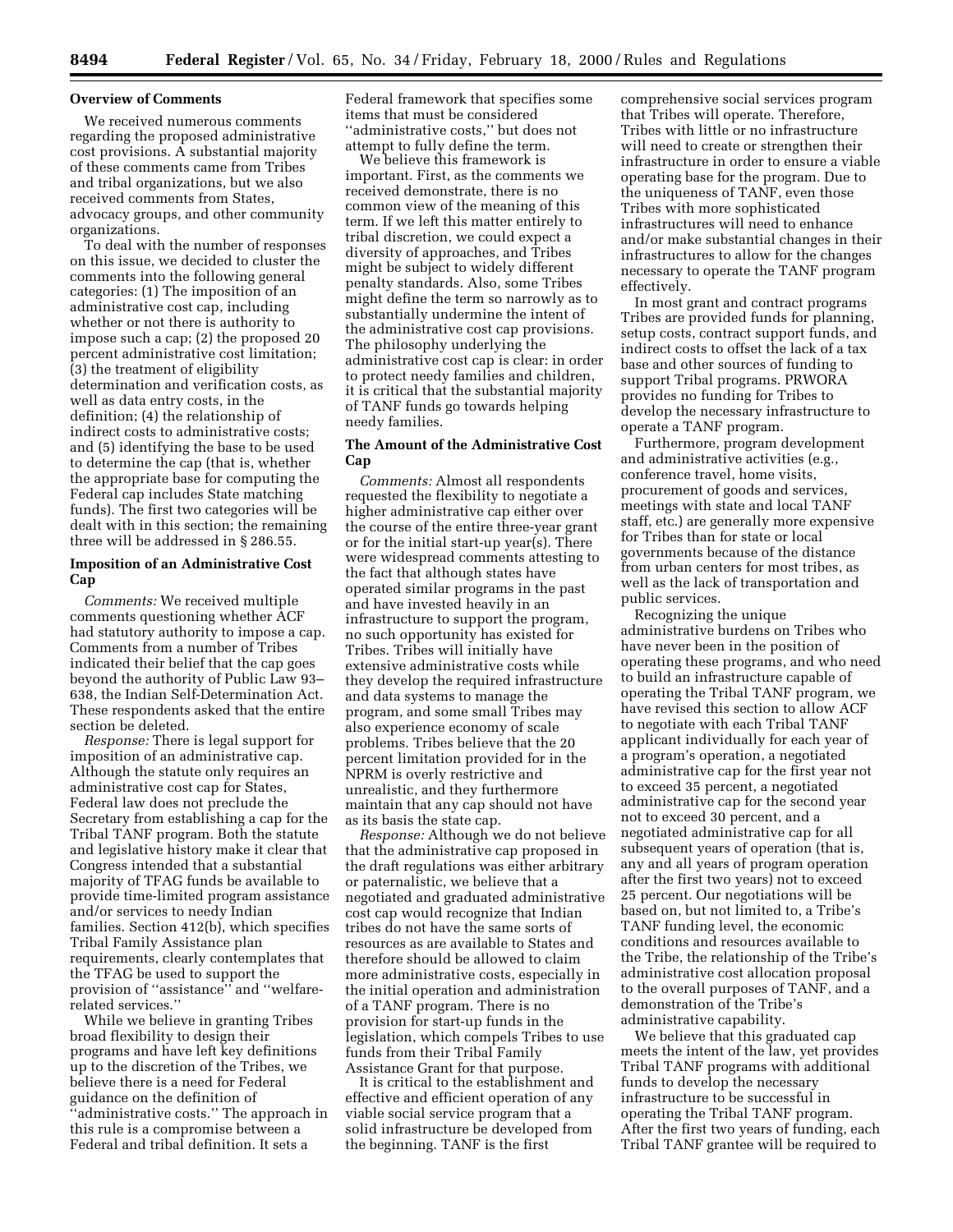### **Overview of Comments**

We received numerous comments regarding the proposed administrative cost provisions. A substantial majority of these comments came from Tribes and tribal organizations, but we also received comments from States, advocacy groups, and other community organizations.

To deal with the number of responses on this issue, we decided to cluster the comments into the following general categories: (1) The imposition of an administrative cost cap, including whether or not there is authority to impose such a cap; (2) the proposed 20 percent administrative cost limitation; (3) the treatment of eligibility determination and verification costs, as well as data entry costs, in the definition; (4) the relationship of indirect costs to administrative costs; and (5) identifying the base to be used to determine the cap (that is, whether the appropriate base for computing the Federal cap includes State matching funds). The first two categories will be dealt with in this section; the remaining three will be addressed in § 286.55.

## **Imposition of an Administrative Cost Cap**

*Comments:* We received multiple comments questioning whether ACF had statutory authority to impose a cap. Comments from a number of Tribes indicated their belief that the cap goes beyond the authority of Public Law 93– 638, the Indian Self-Determination Act. These respondents asked that the entire section be deleted.

*Response:* There is legal support for imposition of an administrative cap. Although the statute only requires an administrative cost cap for States, Federal law does not preclude the Secretary from establishing a cap for the Tribal TANF program. Both the statute and legislative history make it clear that Congress intended that a substantial majority of TFAG funds be available to provide time-limited program assistance and/or services to needy Indian families. Section 412(b), which specifies Tribal Family Assistance plan requirements, clearly contemplates that the TFAG be used to support the provision of ''assistance'' and ''welfarerelated services.''

While we believe in granting Tribes broad flexibility to design their programs and have left key definitions up to the discretion of the Tribes, we believe there is a need for Federal guidance on the definition of ''administrative costs.'' The approach in this rule is a compromise between a Federal and tribal definition. It sets a

Federal framework that specifies some items that must be considered ''administrative costs,'' but does not attempt to fully define the term.

We believe this framework is important. First, as the comments we received demonstrate, there is no common view of the meaning of this term. If we left this matter entirely to tribal discretion, we could expect a diversity of approaches, and Tribes might be subject to widely different penalty standards. Also, some Tribes might define the term so narrowly as to substantially undermine the intent of the administrative cost cap provisions. The philosophy underlying the administrative cost cap is clear: in order to protect needy families and children, it is critical that the substantial majority of TANF funds go towards helping needy families.

## **The Amount of the Administrative Cost Cap**

*Comments:* Almost all respondents requested the flexibility to negotiate a higher administrative cap either over the course of the entire three-year grant or for the initial start-up year(s). There were widespread comments attesting to the fact that although states have operated similar programs in the past and have invested heavily in an infrastructure to support the program, no such opportunity has existed for Tribes. Tribes will initially have extensive administrative costs while they develop the required infrastructure and data systems to manage the program, and some small Tribes may also experience economy of scale problems. Tribes believe that the 20 percent limitation provided for in the NPRM is overly restrictive and unrealistic, and they furthermore maintain that any cap should not have as its basis the state cap.

*Response:* Although we do not believe that the administrative cap proposed in the draft regulations was either arbitrary or paternalistic, we believe that a negotiated and graduated administrative cost cap would recognize that Indian tribes do not have the same sorts of resources as are available to States and therefore should be allowed to claim more administrative costs, especially in the initial operation and administration of a TANF program. There is no provision for start-up funds in the legislation, which compels Tribes to use funds from their Tribal Family Assistance Grant for that purpose.

It is critical to the establishment and effective and efficient operation of any viable social service program that a solid infrastructure be developed from the beginning. TANF is the first

comprehensive social services program that Tribes will operate. Therefore, Tribes with little or no infrastructure will need to create or strengthen their infrastructure in order to ensure a viable operating base for the program. Due to the uniqueness of TANF, even those Tribes with more sophisticated infrastructures will need to enhance and/or make substantial changes in their infrastructures to allow for the changes necessary to operate the TANF program effectively.

In most grant and contract programs Tribes are provided funds for planning, setup costs, contract support funds, and indirect costs to offset the lack of a tax base and other sources of funding to support Tribal programs. PRWORA provides no funding for Tribes to develop the necessary infrastructure to operate a TANF program.

Furthermore, program development and administrative activities (e.g., conference travel, home visits, procurement of goods and services, meetings with state and local TANF staff, etc.) are generally more expensive for Tribes than for state or local governments because of the distance from urban centers for most tribes, as well as the lack of transportation and public services.

Recognizing the unique administrative burdens on Tribes who have never been in the position of operating these programs, and who need to build an infrastructure capable of operating the Tribal TANF program, we have revised this section to allow ACF to negotiate with each Tribal TANF applicant individually for each year of a program's operation, a negotiated administrative cap for the first year not to exceed 35 percent, a negotiated administrative cap for the second year not to exceed 30 percent, and a negotiated administrative cap for all subsequent years of operation (that is, any and all years of program operation after the first two years) not to exceed 25 percent. Our negotiations will be based on, but not limited to, a Tribe's TANF funding level, the economic conditions and resources available to the Tribe, the relationship of the Tribe's administrative cost allocation proposal to the overall purposes of TANF, and a demonstration of the Tribe's administrative capability.

We believe that this graduated cap meets the intent of the law, yet provides Tribal TANF programs with additional funds to develop the necessary infrastructure to be successful in operating the Tribal TANF program. After the first two years of funding, each Tribal TANF grantee will be required to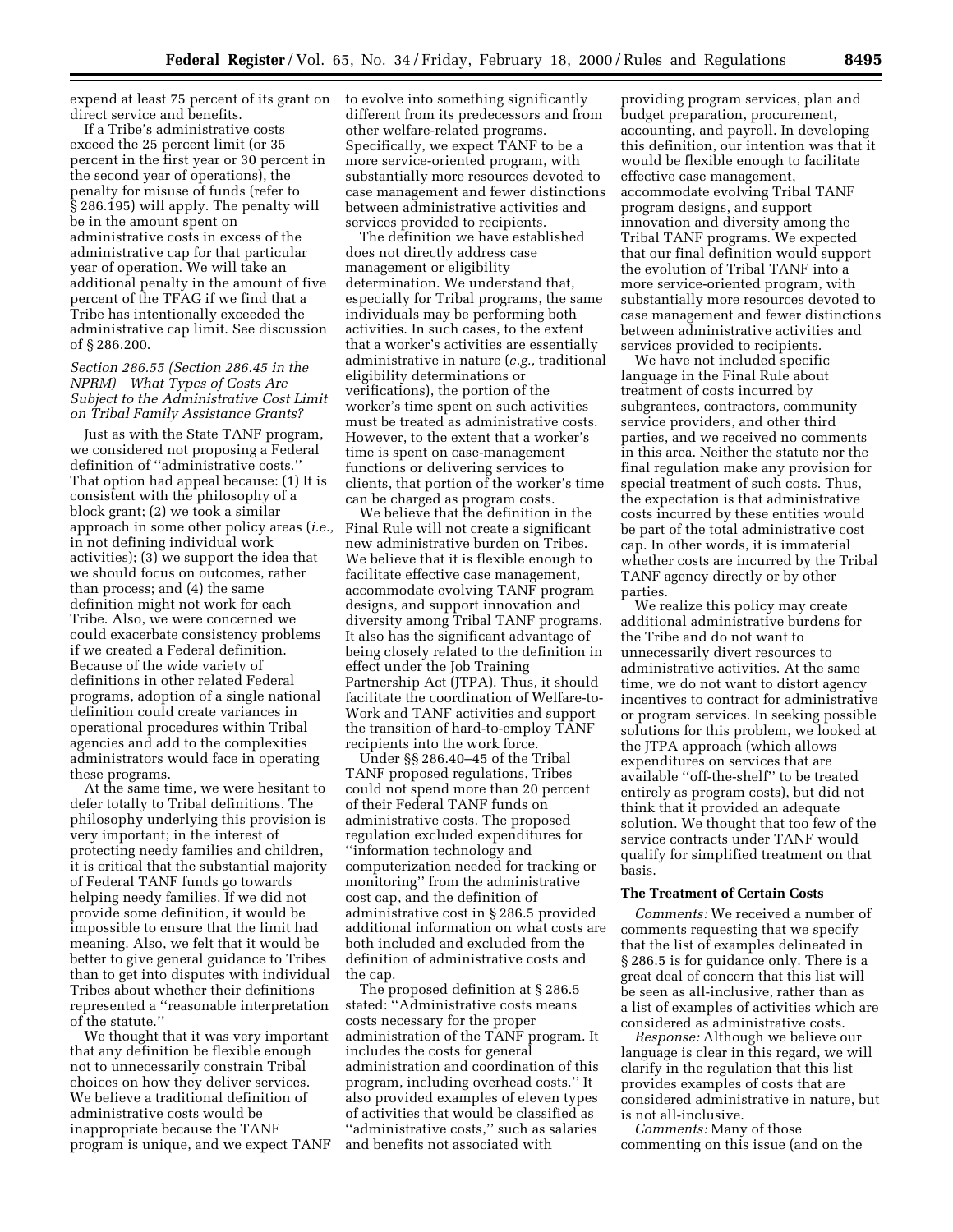expend at least 75 percent of its grant on direct service and benefits.

If a Tribe's administrative costs exceed the 25 percent limit (or 35 percent in the first year or 30 percent in the second year of operations), the penalty for misuse of funds (refer to § 286.195) will apply. The penalty will be in the amount spent on administrative costs in excess of the administrative cap for that particular year of operation. We will take an additional penalty in the amount of five percent of the TFAG if we find that a Tribe has intentionally exceeded the administrative cap limit. See discussion of § 286.200.

## *Section 286.55 (Section 286.45 in the NPRM) What Types of Costs Are Subject to the Administrative Cost Limit on Tribal Family Assistance Grants?*

Just as with the State TANF program, we considered not proposing a Federal definition of ''administrative costs.'' That option had appeal because: (1) It is consistent with the philosophy of a block grant; (2) we took a similar approach in some other policy areas (*i.e.,* in not defining individual work activities); (3) we support the idea that we should focus on outcomes, rather than process; and (4) the same definition might not work for each Tribe. Also, we were concerned we could exacerbate consistency problems if we created a Federal definition. Because of the wide variety of definitions in other related Federal programs, adoption of a single national definition could create variances in operational procedures within Tribal agencies and add to the complexities administrators would face in operating these programs.

At the same time, we were hesitant to defer totally to Tribal definitions. The philosophy underlying this provision is very important; in the interest of protecting needy families and children, it is critical that the substantial majority of Federal TANF funds go towards helping needy families. If we did not provide some definition, it would be impossible to ensure that the limit had meaning. Also, we felt that it would be better to give general guidance to Tribes than to get into disputes with individual Tribes about whether their definitions represented a ''reasonable interpretation of the statute.''

We thought that it was very important that any definition be flexible enough not to unnecessarily constrain Tribal choices on how they deliver services. We believe a traditional definition of administrative costs would be inappropriate because the TANF program is unique, and we expect TANF to evolve into something significantly different from its predecessors and from other welfare-related programs. Specifically, we expect TANF to be a more service-oriented program, with substantially more resources devoted to case management and fewer distinctions between administrative activities and services provided to recipients.

The definition we have established does not directly address case management or eligibility determination. We understand that, especially for Tribal programs, the same individuals may be performing both activities. In such cases, to the extent that a worker's activities are essentially administrative in nature (*e.g.,* traditional eligibility determinations or verifications), the portion of the worker's time spent on such activities must be treated as administrative costs. However, to the extent that a worker's time is spent on case-management functions or delivering services to clients, that portion of the worker's time can be charged as program costs.

We believe that the definition in the Final Rule will not create a significant new administrative burden on Tribes. We believe that it is flexible enough to facilitate effective case management, accommodate evolving TANF program designs, and support innovation and diversity among Tribal TANF programs. It also has the significant advantage of being closely related to the definition in effect under the Job Training Partnership Act (JTPA). Thus, it should facilitate the coordination of Welfare-to-Work and TANF activities and support the transition of hard-to-employ TANF recipients into the work force.

Under §§ 286.40–45 of the Tribal TANF proposed regulations, Tribes could not spend more than 20 percent of their Federal TANF funds on administrative costs. The proposed regulation excluded expenditures for ''information technology and computerization needed for tracking or monitoring'' from the administrative cost cap, and the definition of administrative cost in § 286.5 provided additional information on what costs are both included and excluded from the definition of administrative costs and the cap.

The proposed definition at § 286.5 stated: ''Administrative costs means costs necessary for the proper administration of the TANF program. It includes the costs for general administration and coordination of this program, including overhead costs.'' It also provided examples of eleven types of activities that would be classified as ''administrative costs,'' such as salaries and benefits not associated with

providing program services, plan and budget preparation, procurement, accounting, and payroll. In developing this definition, our intention was that it would be flexible enough to facilitate effective case management, accommodate evolving Tribal TANF program designs, and support innovation and diversity among the Tribal TANF programs. We expected that our final definition would support the evolution of Tribal TANF into a more service-oriented program, with substantially more resources devoted to case management and fewer distinctions between administrative activities and services provided to recipients.

We have not included specific language in the Final Rule about treatment of costs incurred by subgrantees, contractors, community service providers, and other third parties, and we received no comments in this area. Neither the statute nor the final regulation make any provision for special treatment of such costs. Thus, the expectation is that administrative costs incurred by these entities would be part of the total administrative cost cap. In other words, it is immaterial whether costs are incurred by the Tribal TANF agency directly or by other parties.

We realize this policy may create additional administrative burdens for the Tribe and do not want to unnecessarily divert resources to administrative activities. At the same time, we do not want to distort agency incentives to contract for administrative or program services. In seeking possible solutions for this problem, we looked at the JTPA approach (which allows expenditures on services that are available ''off-the-shelf'' to be treated entirely as program costs), but did not think that it provided an adequate solution. We thought that too few of the service contracts under TANF would qualify for simplified treatment on that basis.

#### **The Treatment of Certain Costs**

*Comments:* We received a number of comments requesting that we specify that the list of examples delineated in § 286.5 is for guidance only. There is a great deal of concern that this list will be seen as all-inclusive, rather than as a list of examples of activities which are considered as administrative costs.

*Response:* Although we believe our language is clear in this regard, we will clarify in the regulation that this list provides examples of costs that are considered administrative in nature, but is not all-inclusive.

*Comments:* Many of those commenting on this issue (and on the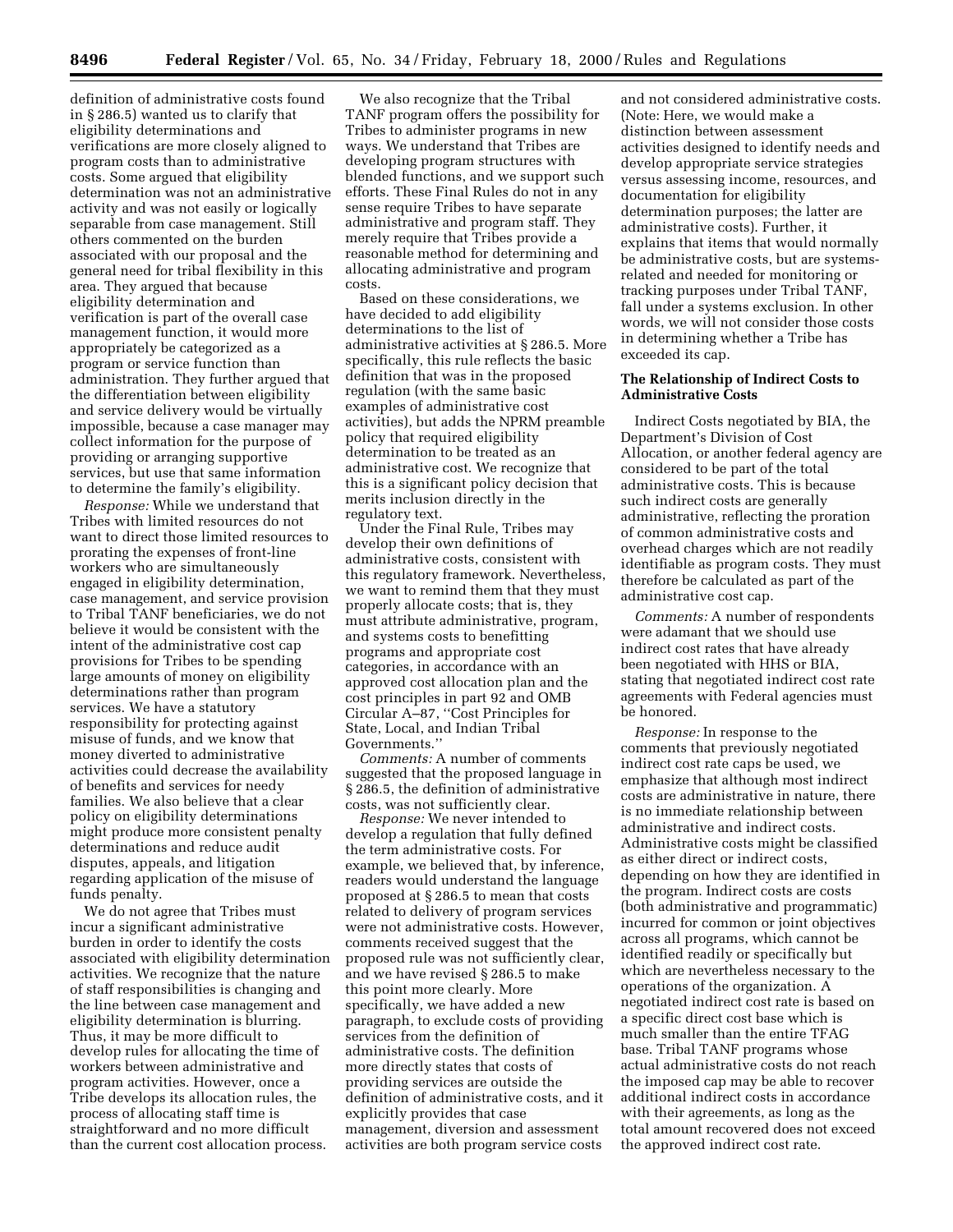definition of administrative costs found in § 286.5) wanted us to clarify that eligibility determinations and verifications are more closely aligned to program costs than to administrative costs. Some argued that eligibility determination was not an administrative activity and was not easily or logically separable from case management. Still others commented on the burden associated with our proposal and the general need for tribal flexibility in this area. They argued that because eligibility determination and verification is part of the overall case management function, it would more appropriately be categorized as a program or service function than administration. They further argued that the differentiation between eligibility and service delivery would be virtually impossible, because a case manager may collect information for the purpose of providing or arranging supportive services, but use that same information to determine the family's eligibility.

*Response:* While we understand that Tribes with limited resources do not want to direct those limited resources to prorating the expenses of front-line workers who are simultaneously engaged in eligibility determination, case management, and service provision to Tribal TANF beneficiaries, we do not believe it would be consistent with the intent of the administrative cost cap provisions for Tribes to be spending large amounts of money on eligibility determinations rather than program services. We have a statutory responsibility for protecting against misuse of funds, and we know that money diverted to administrative activities could decrease the availability of benefits and services for needy families. We also believe that a clear policy on eligibility determinations might produce more consistent penalty determinations and reduce audit disputes, appeals, and litigation regarding application of the misuse of funds penalty.

We do not agree that Tribes must incur a significant administrative burden in order to identify the costs associated with eligibility determination activities. We recognize that the nature of staff responsibilities is changing and the line between case management and eligibility determination is blurring. Thus, it may be more difficult to develop rules for allocating the time of workers between administrative and program activities. However, once a Tribe develops its allocation rules, the process of allocating staff time is straightforward and no more difficult than the current cost allocation process.

We also recognize that the Tribal TANF program offers the possibility for Tribes to administer programs in new ways. We understand that Tribes are developing program structures with blended functions, and we support such efforts. These Final Rules do not in any sense require Tribes to have separate administrative and program staff. They merely require that Tribes provide a reasonable method for determining and allocating administrative and program costs.

Based on these considerations, we have decided to add eligibility determinations to the list of administrative activities at § 286.5. More specifically, this rule reflects the basic definition that was in the proposed regulation (with the same basic examples of administrative cost activities), but adds the NPRM preamble policy that required eligibility determination to be treated as an administrative cost. We recognize that this is a significant policy decision that merits inclusion directly in the regulatory text.

Under the Final Rule, Tribes may develop their own definitions of administrative costs, consistent with this regulatory framework. Nevertheless, we want to remind them that they must properly allocate costs; that is, they must attribute administrative, program, and systems costs to benefitting programs and appropriate cost categories, in accordance with an approved cost allocation plan and the cost principles in part 92 and OMB Circular A–87, ''Cost Principles for State, Local, and Indian Tribal Governments.''

*Comments:* A number of comments suggested that the proposed language in § 286.5, the definition of administrative costs, was not sufficiently clear.

*Response:* We never intended to develop a regulation that fully defined the term administrative costs. For example, we believed that, by inference, readers would understand the language proposed at § 286.5 to mean that costs related to delivery of program services were not administrative costs. However, comments received suggest that the proposed rule was not sufficiently clear, and we have revised § 286.5 to make this point more clearly. More specifically, we have added a new paragraph, to exclude costs of providing services from the definition of administrative costs. The definition more directly states that costs of providing services are outside the definition of administrative costs, and it explicitly provides that case management, diversion and assessment activities are both program service costs

and not considered administrative costs. (Note: Here, we would make a distinction between assessment activities designed to identify needs and develop appropriate service strategies versus assessing income, resources, and documentation for eligibility determination purposes; the latter are administrative costs). Further, it explains that items that would normally be administrative costs, but are systemsrelated and needed for monitoring or tracking purposes under Tribal TANF, fall under a systems exclusion. In other words, we will not consider those costs in determining whether a Tribe has exceeded its cap.

## **The Relationship of Indirect Costs to Administrative Costs**

Indirect Costs negotiated by BIA, the Department's Division of Cost Allocation, or another federal agency are considered to be part of the total administrative costs. This is because such indirect costs are generally administrative, reflecting the proration of common administrative costs and overhead charges which are not readily identifiable as program costs. They must therefore be calculated as part of the administrative cost cap.

*Comments:* A number of respondents were adamant that we should use indirect cost rates that have already been negotiated with HHS or BIA, stating that negotiated indirect cost rate agreements with Federal agencies must be honored.

*Response:* In response to the comments that previously negotiated indirect cost rate caps be used, we emphasize that although most indirect costs are administrative in nature, there is no immediate relationship between administrative and indirect costs. Administrative costs might be classified as either direct or indirect costs, depending on how they are identified in the program. Indirect costs are costs (both administrative and programmatic) incurred for common or joint objectives across all programs, which cannot be identified readily or specifically but which are nevertheless necessary to the operations of the organization. A negotiated indirect cost rate is based on a specific direct cost base which is much smaller than the entire TFAG base. Tribal TANF programs whose actual administrative costs do not reach the imposed cap may be able to recover additional indirect costs in accordance with their agreements, as long as the total amount recovered does not exceed the approved indirect cost rate.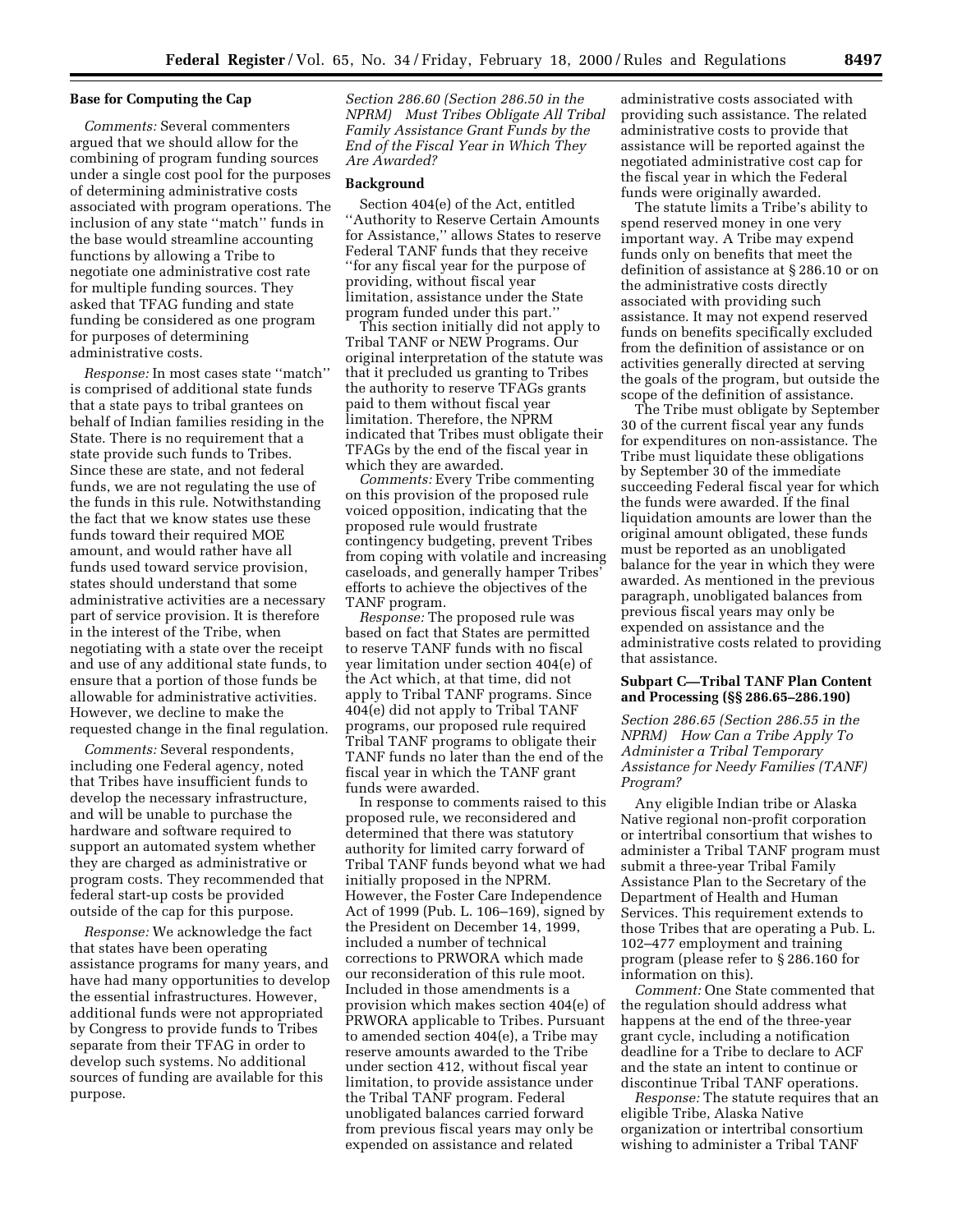## **Base for Computing the Cap**

*Comments:* Several commenters argued that we should allow for the combining of program funding sources under a single cost pool for the purposes of determining administrative costs associated with program operations. The inclusion of any state ''match'' funds in the base would streamline accounting functions by allowing a Tribe to negotiate one administrative cost rate for multiple funding sources. They asked that TFAG funding and state funding be considered as one program for purposes of determining administrative costs.

*Response:* In most cases state ''match'' is comprised of additional state funds that a state pays to tribal grantees on behalf of Indian families residing in the State. There is no requirement that a state provide such funds to Tribes. Since these are state, and not federal funds, we are not regulating the use of the funds in this rule. Notwithstanding the fact that we know states use these funds toward their required MOE amount, and would rather have all funds used toward service provision, states should understand that some administrative activities are a necessary part of service provision. It is therefore in the interest of the Tribe, when negotiating with a state over the receipt and use of any additional state funds, to ensure that a portion of those funds be allowable for administrative activities. However, we decline to make the requested change in the final regulation.

*Comments:* Several respondents, including one Federal agency, noted that Tribes have insufficient funds to develop the necessary infrastructure, and will be unable to purchase the hardware and software required to support an automated system whether they are charged as administrative or program costs. They recommended that federal start-up costs be provided outside of the cap for this purpose.

*Response:* We acknowledge the fact that states have been operating assistance programs for many years, and have had many opportunities to develop the essential infrastructures. However, additional funds were not appropriated by Congress to provide funds to Tribes separate from their TFAG in order to develop such systems. No additional sources of funding are available for this purpose.

*Section 286.60 (Section 286.50 in the NPRM) Must Tribes Obligate All Tribal Family Assistance Grant Funds by the End of the Fiscal Year in Which They Are Awarded?*

#### **Background**

Section 404(e) of the Act, entitled ''Authority to Reserve Certain Amounts for Assistance,'' allows States to reserve Federal TANF funds that they receive ''for any fiscal year for the purpose of providing, without fiscal year limitation, assistance under the State program funded under this part.''

This section initially did not apply to Tribal TANF or NEW Programs. Our original interpretation of the statute was that it precluded us granting to Tribes the authority to reserve TFAGs grants paid to them without fiscal year limitation. Therefore, the NPRM indicated that Tribes must obligate their TFAGs by the end of the fiscal year in which they are awarded.

*Comments:* Every Tribe commenting on this provision of the proposed rule voiced opposition, indicating that the proposed rule would frustrate contingency budgeting, prevent Tribes from coping with volatile and increasing caseloads, and generally hamper Tribes' efforts to achieve the objectives of the TANF program.

*Response:* The proposed rule was based on fact that States are permitted to reserve TANF funds with no fiscal year limitation under section 404(e) of the Act which, at that time, did not apply to Tribal TANF programs. Since 404(e) did not apply to Tribal TANF programs, our proposed rule required Tribal TANF programs to obligate their TANF funds no later than the end of the fiscal year in which the TANF grant funds were awarded.

In response to comments raised to this proposed rule, we reconsidered and determined that there was statutory authority for limited carry forward of Tribal TANF funds beyond what we had initially proposed in the NPRM. However, the Foster Care Independence Act of 1999 (Pub. L. 106–169), signed by the President on December 14, 1999, included a number of technical corrections to PRWORA which made our reconsideration of this rule moot. Included in those amendments is a provision which makes section 404(e) of PRWORA applicable to Tribes. Pursuant to amended section 404(e), a Tribe may reserve amounts awarded to the Tribe under section 412, without fiscal year limitation, to provide assistance under the Tribal TANF program. Federal unobligated balances carried forward from previous fiscal years may only be expended on assistance and related

administrative costs associated with providing such assistance. The related administrative costs to provide that assistance will be reported against the negotiated administrative cost cap for the fiscal year in which the Federal funds were originally awarded.

The statute limits a Tribe's ability to spend reserved money in one very important way. A Tribe may expend funds only on benefits that meet the definition of assistance at § 286.10 or on the administrative costs directly associated with providing such assistance. It may not expend reserved funds on benefits specifically excluded from the definition of assistance or on activities generally directed at serving the goals of the program, but outside the scope of the definition of assistance.

The Tribe must obligate by September 30 of the current fiscal year any funds for expenditures on non-assistance. The Tribe must liquidate these obligations by September 30 of the immediate succeeding Federal fiscal year for which the funds were awarded. If the final liquidation amounts are lower than the original amount obligated, these funds must be reported as an unobligated balance for the year in which they were awarded. As mentioned in the previous paragraph, unobligated balances from previous fiscal years may only be expended on assistance and the administrative costs related to providing that assistance.

## **Subpart C—Tribal TANF Plan Content and Processing (§§ 286.65–286.190)**

*Section 286.65 (Section 286.55 in the NPRM) How Can a Tribe Apply To Administer a Tribal Temporary Assistance for Needy Families (TANF) Program?*

Any eligible Indian tribe or Alaska Native regional non-profit corporation or intertribal consortium that wishes to administer a Tribal TANF program must submit a three-year Tribal Family Assistance Plan to the Secretary of the Department of Health and Human Services. This requirement extends to those Tribes that are operating a Pub. L. 102–477 employment and training program (please refer to § 286.160 for information on this).

*Comment:* One State commented that the regulation should address what happens at the end of the three-year grant cycle, including a notification deadline for a Tribe to declare to ACF and the state an intent to continue or discontinue Tribal TANF operations.

*Response:* The statute requires that an eligible Tribe, Alaska Native organization or intertribal consortium wishing to administer a Tribal TANF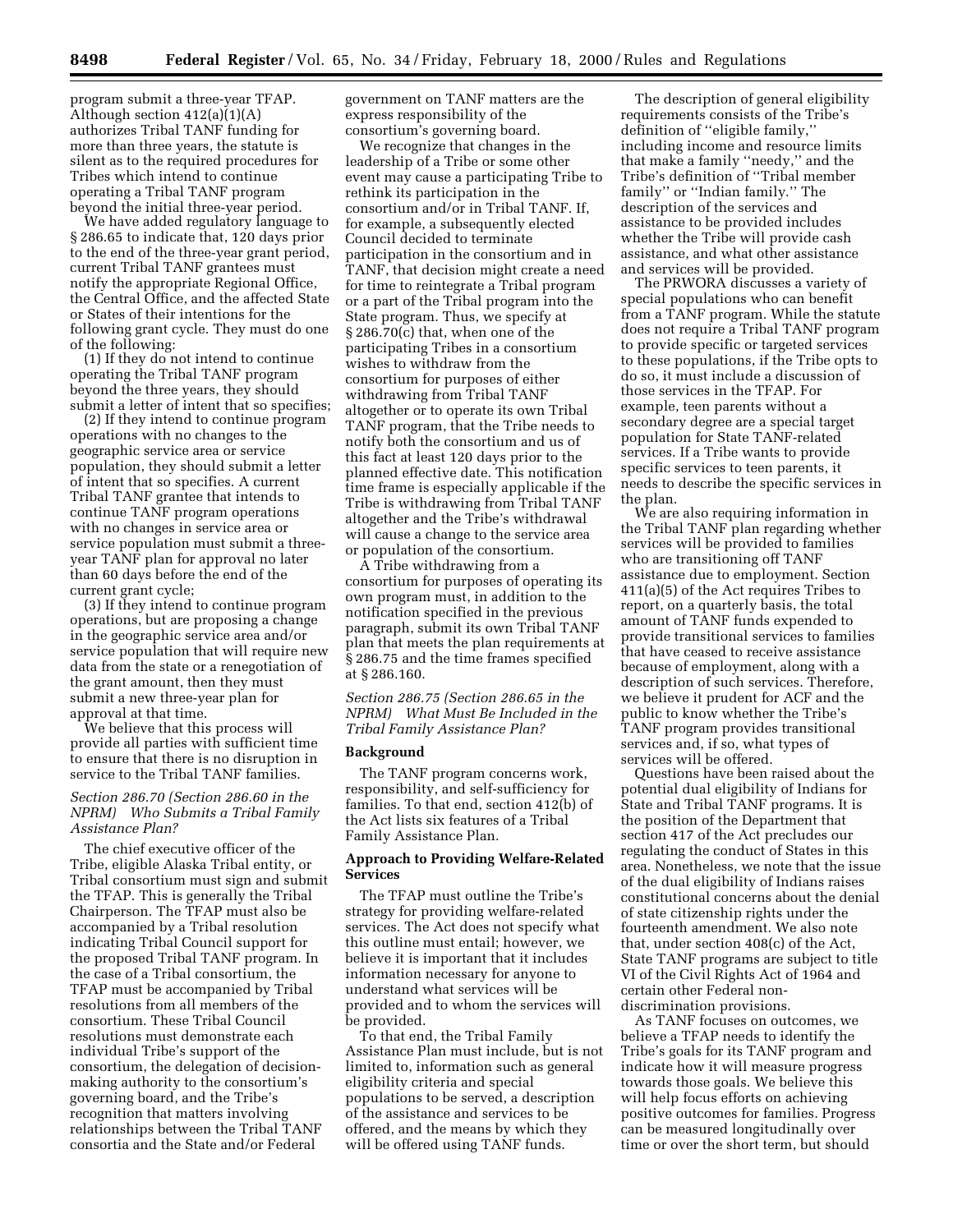program submit a three-year TFAP. Although section 412(a)(1)(A) authorizes Tribal TANF funding for more than three years, the statute is silent as to the required procedures for Tribes which intend to continue operating a Tribal TANF program beyond the initial three-year period.

We have added regulatory language to § 286.65 to indicate that, 120 days prior to the end of the three-year grant period, current Tribal TANF grantees must notify the appropriate Regional Office, the Central Office, and the affected State or States of their intentions for the following grant cycle. They must do one of the following:

(1) If they do not intend to continue operating the Tribal TANF program beyond the three years, they should submit a letter of intent that so specifies;

(2) If they intend to continue program operations with no changes to the geographic service area or service population, they should submit a letter of intent that so specifies. A current Tribal TANF grantee that intends to continue TANF program operations with no changes in service area or service population must submit a threeyear TANF plan for approval no later than 60 days before the end of the current grant cycle;

(3) If they intend to continue program operations, but are proposing a change in the geographic service area and/or service population that will require new data from the state or a renegotiation of the grant amount, then they must submit a new three-year plan for approval at that time.

We believe that this process will provide all parties with sufficient time to ensure that there is no disruption in service to the Tribal TANF families.

## *Section 286.70 (Section 286.60 in the NPRM) Who Submits a Tribal Family Assistance Plan?*

The chief executive officer of the Tribe, eligible Alaska Tribal entity, or Tribal consortium must sign and submit the TFAP. This is generally the Tribal Chairperson. The TFAP must also be accompanied by a Tribal resolution indicating Tribal Council support for the proposed Tribal TANF program. In the case of a Tribal consortium, the TFAP must be accompanied by Tribal resolutions from all members of the consortium. These Tribal Council resolutions must demonstrate each individual Tribe's support of the consortium, the delegation of decisionmaking authority to the consortium's governing board, and the Tribe's recognition that matters involving relationships between the Tribal TANF consortia and the State and/or Federal

government on TANF matters are the express responsibility of the consortium's governing board.

We recognize that changes in the leadership of a Tribe or some other event may cause a participating Tribe to rethink its participation in the consortium and/or in Tribal TANF. If, for example, a subsequently elected Council decided to terminate participation in the consortium and in TANF, that decision might create a need for time to reintegrate a Tribal program or a part of the Tribal program into the State program. Thus, we specify at § 286.70(c) that, when one of the participating Tribes in a consortium wishes to withdraw from the consortium for purposes of either withdrawing from Tribal TANF altogether or to operate its own Tribal TANF program, that the Tribe needs to notify both the consortium and us of this fact at least 120 days prior to the planned effective date. This notification time frame is especially applicable if the Tribe is withdrawing from Tribal TANF altogether and the Tribe's withdrawal will cause a change to the service area or population of the consortium.

A Tribe withdrawing from a consortium for purposes of operating its own program must, in addition to the notification specified in the previous paragraph, submit its own Tribal TANF plan that meets the plan requirements at § 286.75 and the time frames specified at § 286.160.

*Section 286.75 (Section 286.65 in the NPRM) What Must Be Included in the Tribal Family Assistance Plan?*

#### **Background**

The TANF program concerns work, responsibility, and self-sufficiency for families. To that end, section 412(b) of the Act lists six features of a Tribal Family Assistance Plan.

## **Approach to Providing Welfare-Related Services**

The TFAP must outline the Tribe's strategy for providing welfare-related services. The Act does not specify what this outline must entail; however, we believe it is important that it includes information necessary for anyone to understand what services will be provided and to whom the services will be provided.

To that end, the Tribal Family Assistance Plan must include, but is not limited to, information such as general eligibility criteria and special populations to be served, a description of the assistance and services to be offered, and the means by which they will be offered using TANF funds.

The description of general eligibility requirements consists of the Tribe's definition of ''eligible family,'' including income and resource limits that make a family ''needy,'' and the Tribe's definition of ''Tribal member family'' or ''Indian family.'' The description of the services and assistance to be provided includes whether the Tribe will provide cash assistance, and what other assistance and services will be provided.

The PRWORA discusses a variety of special populations who can benefit from a TANF program. While the statute does not require a Tribal TANF program to provide specific or targeted services to these populations, if the Tribe opts to do so, it must include a discussion of those services in the TFAP. For example, teen parents without a secondary degree are a special target population for State TANF-related services. If a Tribe wants to provide specific services to teen parents, it needs to describe the specific services in the plan.

We are also requiring information in the Tribal TANF plan regarding whether services will be provided to families who are transitioning off TANF assistance due to employment. Section 411(a)(5) of the Act requires Tribes to report, on a quarterly basis, the total amount of TANF funds expended to provide transitional services to families that have ceased to receive assistance because of employment, along with a description of such services. Therefore, we believe it prudent for ACF and the public to know whether the Tribe's TANF program provides transitional services and, if so, what types of services will be offered.

Questions have been raised about the potential dual eligibility of Indians for State and Tribal TANF programs. It is the position of the Department that section 417 of the Act precludes our regulating the conduct of States in this area. Nonetheless, we note that the issue of the dual eligibility of Indians raises constitutional concerns about the denial of state citizenship rights under the fourteenth amendment. We also note that, under section 408(c) of the Act, State TANF programs are subject to title VI of the Civil Rights Act of 1964 and certain other Federal nondiscrimination provisions.

As TANF focuses on outcomes, we believe a TFAP needs to identify the Tribe's goals for its TANF program and indicate how it will measure progress towards those goals. We believe this will help focus efforts on achieving positive outcomes for families. Progress can be measured longitudinally over time or over the short term, but should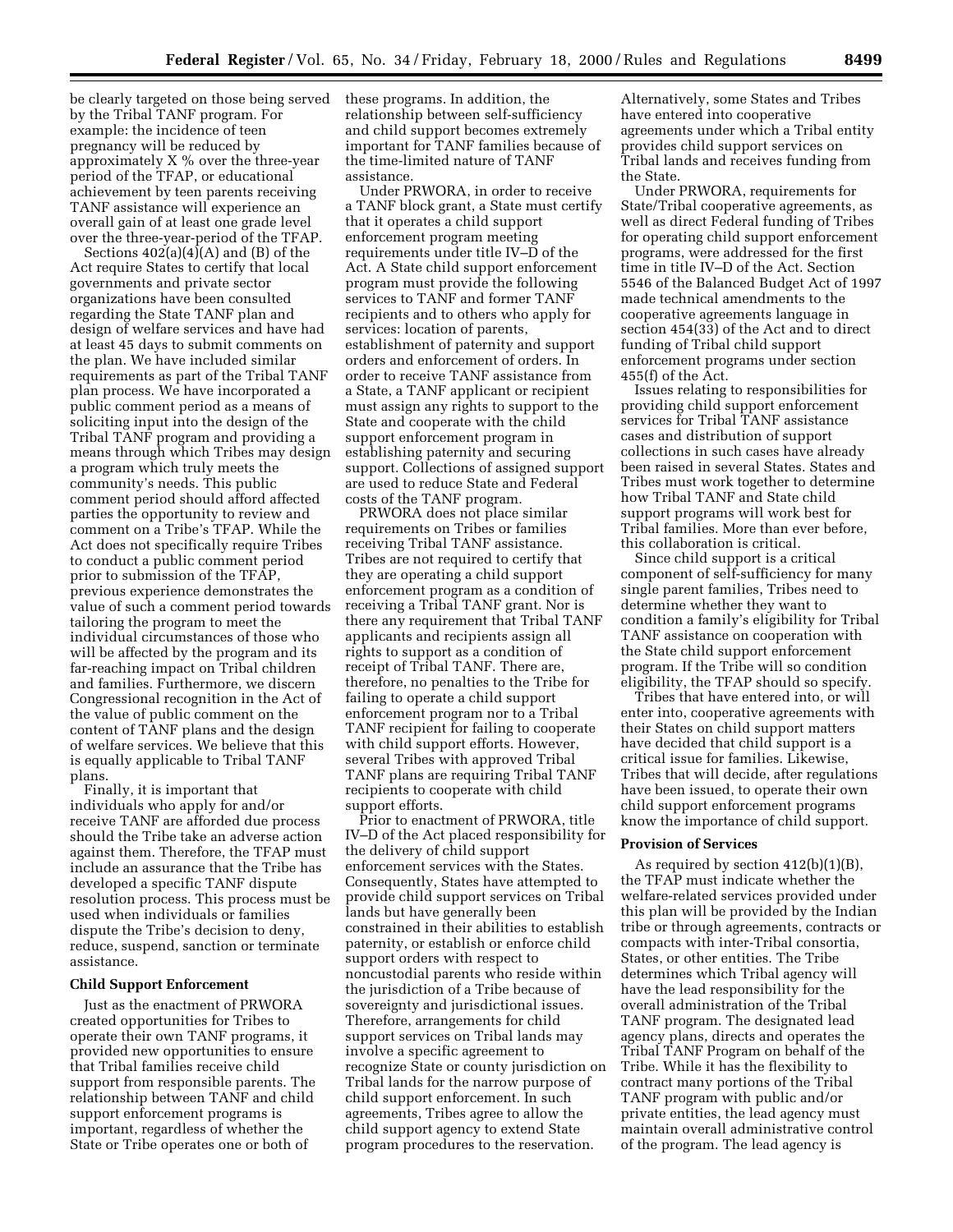be clearly targeted on those being served by the Tribal TANF program. For example: the incidence of teen pregnancy will be reduced by approximately X % over the three-year period of the TFAP, or educational achievement by teen parents receiving TANF assistance will experience an overall gain of at least one grade level over the three-year-period of the TFAP.

Sections  $402(a)(4)(A)$  and  $(B)$  of the Act require States to certify that local governments and private sector organizations have been consulted regarding the State TANF plan and design of welfare services and have had at least 45 days to submit comments on the plan. We have included similar requirements as part of the Tribal TANF plan process. We have incorporated a public comment period as a means of soliciting input into the design of the Tribal TANF program and providing a means through which Tribes may design a program which truly meets the community's needs. This public comment period should afford affected parties the opportunity to review and comment on a Tribe's TFAP. While the Act does not specifically require Tribes to conduct a public comment period prior to submission of the TFAP, previous experience demonstrates the value of such a comment period towards tailoring the program to meet the individual circumstances of those who will be affected by the program and its far-reaching impact on Tribal children and families. Furthermore, we discern Congressional recognition in the Act of the value of public comment on the content of TANF plans and the design of welfare services. We believe that this is equally applicable to Tribal TANF plans.

Finally, it is important that individuals who apply for and/or receive TANF are afforded due process should the Tribe take an adverse action against them. Therefore, the TFAP must include an assurance that the Tribe has developed a specific TANF dispute resolution process. This process must be used when individuals or families dispute the Tribe's decision to deny, reduce, suspend, sanction or terminate assistance.

#### **Child Support Enforcement**

Just as the enactment of PRWORA created opportunities for Tribes to operate their own TANF programs, it provided new opportunities to ensure that Tribal families receive child support from responsible parents. The relationship between TANF and child support enforcement programs is important, regardless of whether the State or Tribe operates one or both of

these programs. In addition, the relationship between self-sufficiency and child support becomes extremely important for TANF families because of the time-limited nature of TANF assistance.

Under PRWORA, in order to receive a TANF block grant, a State must certify that it operates a child support enforcement program meeting requirements under title IV–D of the Act. A State child support enforcement program must provide the following services to TANF and former TANF recipients and to others who apply for services: location of parents, establishment of paternity and support orders and enforcement of orders. In order to receive TANF assistance from a State, a TANF applicant or recipient must assign any rights to support to the State and cooperate with the child support enforcement program in establishing paternity and securing support. Collections of assigned support are used to reduce State and Federal costs of the TANF program.

PRWORA does not place similar requirements on Tribes or families receiving Tribal TANF assistance. Tribes are not required to certify that they are operating a child support enforcement program as a condition of receiving a Tribal TANF grant. Nor is there any requirement that Tribal TANF applicants and recipients assign all rights to support as a condition of receipt of Tribal TANF. There are, therefore, no penalties to the Tribe for failing to operate a child support enforcement program nor to a Tribal TANF recipient for failing to cooperate with child support efforts. However, several Tribes with approved Tribal TANF plans are requiring Tribal TANF recipients to cooperate with child support efforts.

Prior to enactment of PRWORA, title IV–D of the Act placed responsibility for the delivery of child support enforcement services with the States. Consequently, States have attempted to provide child support services on Tribal lands but have generally been constrained in their abilities to establish paternity, or establish or enforce child support orders with respect to noncustodial parents who reside within the jurisdiction of a Tribe because of sovereignty and jurisdictional issues. Therefore, arrangements for child support services on Tribal lands may involve a specific agreement to recognize State or county jurisdiction on Tribal lands for the narrow purpose of child support enforcement. In such agreements, Tribes agree to allow the child support agency to extend State program procedures to the reservation.

Alternatively, some States and Tribes have entered into cooperative agreements under which a Tribal entity provides child support services on Tribal lands and receives funding from the State.

Under PRWORA, requirements for State/Tribal cooperative agreements, as well as direct Federal funding of Tribes for operating child support enforcement programs, were addressed for the first time in title IV–D of the Act. Section 5546 of the Balanced Budget Act of 1997 made technical amendments to the cooperative agreements language in section 454(33) of the Act and to direct funding of Tribal child support enforcement programs under section  $455(f)$  of the Act.

Issues relating to responsibilities for providing child support enforcement services for Tribal TANF assistance cases and distribution of support collections in such cases have already been raised in several States. States and Tribes must work together to determine how Tribal TANF and State child support programs will work best for Tribal families. More than ever before, this collaboration is critical.

Since child support is a critical component of self-sufficiency for many single parent families, Tribes need to determine whether they want to condition a family's eligibility for Tribal TANF assistance on cooperation with the State child support enforcement program. If the Tribe will so condition eligibility, the TFAP should so specify.

Tribes that have entered into, or will enter into, cooperative agreements with their States on child support matters have decided that child support is a critical issue for families. Likewise, Tribes that will decide, after regulations have been issued, to operate their own child support enforcement programs know the importance of child support.

#### **Provision of Services**

As required by section 412(b)(1)(B), the TFAP must indicate whether the welfare-related services provided under this plan will be provided by the Indian tribe or through agreements, contracts or compacts with inter-Tribal consortia, States, or other entities. The Tribe determines which Tribal agency will have the lead responsibility for the overall administration of the Tribal TANF program. The designated lead agency plans, directs and operates the Tribal TANF Program on behalf of the Tribe. While it has the flexibility to contract many portions of the Tribal TANF program with public and/or private entities, the lead agency must maintain overall administrative control of the program. The lead agency is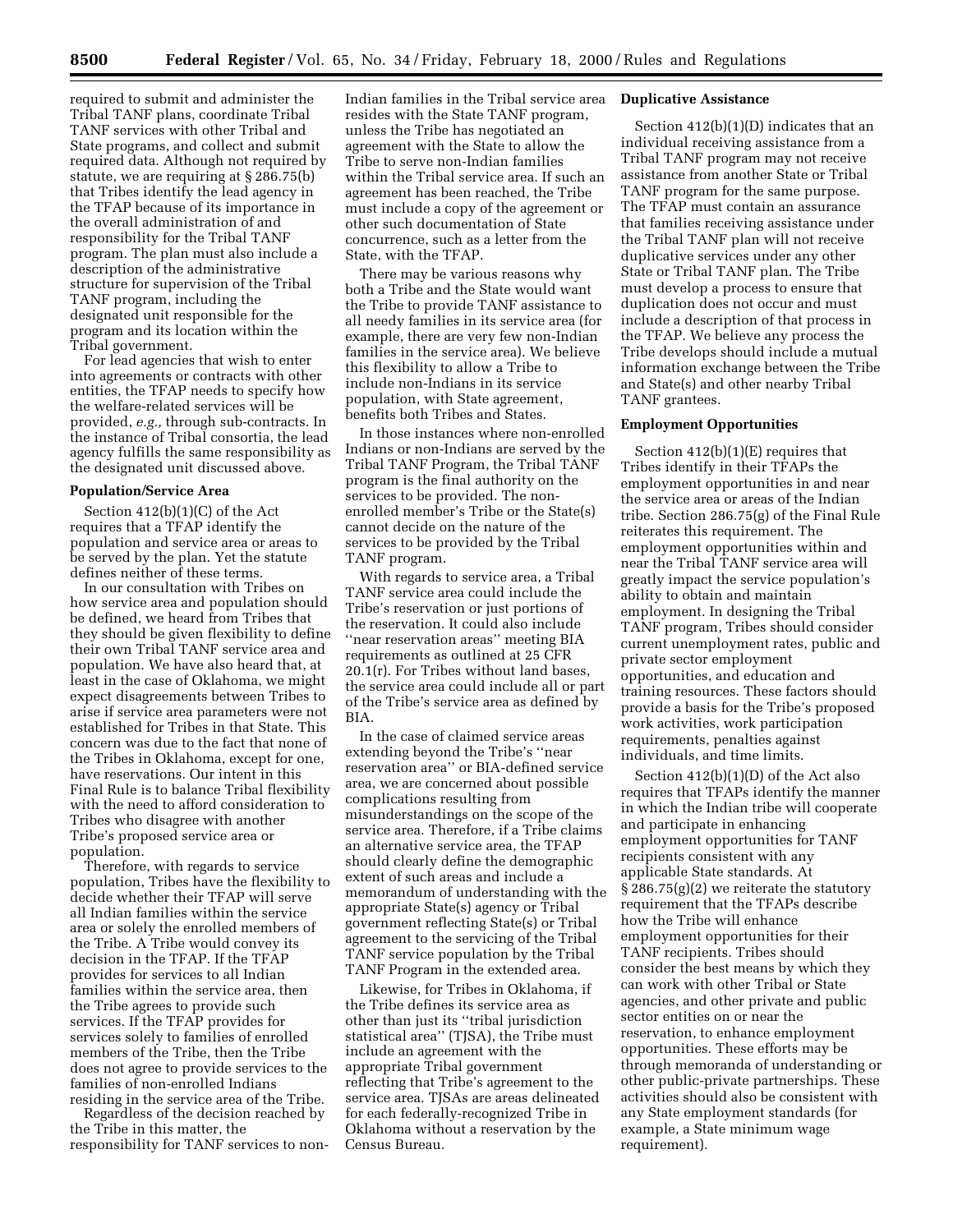required to submit and administer the Tribal TANF plans, coordinate Tribal TANF services with other Tribal and State programs, and collect and submit required data. Although not required by statute, we are requiring at § 286.75(b) that Tribes identify the lead agency in the TFAP because of its importance in the overall administration of and responsibility for the Tribal TANF program. The plan must also include a description of the administrative structure for supervision of the Tribal TANF program, including the designated unit responsible for the program and its location within the Tribal government.

For lead agencies that wish to enter into agreements or contracts with other entities, the TFAP needs to specify how the welfare-related services will be provided, *e.g.,* through sub-contracts. In the instance of Tribal consortia, the lead agency fulfills the same responsibility as the designated unit discussed above.

#### **Population/Service Area**

Section 412(b)(1)(C) of the Act requires that a TFAP identify the population and service area or areas to be served by the plan. Yet the statute defines neither of these terms.

In our consultation with Tribes on how service area and population should be defined, we heard from Tribes that they should be given flexibility to define their own Tribal TANF service area and population. We have also heard that, at least in the case of Oklahoma, we might expect disagreements between Tribes to arise if service area parameters were not established for Tribes in that State. This concern was due to the fact that none of the Tribes in Oklahoma, except for one, have reservations. Our intent in this Final Rule is to balance Tribal flexibility with the need to afford consideration to Tribes who disagree with another Tribe's proposed service area or population.

Therefore, with regards to service population, Tribes have the flexibility to decide whether their TFAP will serve all Indian families within the service area or solely the enrolled members of the Tribe. A Tribe would convey its decision in the TFAP. If the TFAP provides for services to all Indian families within the service area, then the Tribe agrees to provide such services. If the TFAP provides for services solely to families of enrolled members of the Tribe, then the Tribe does not agree to provide services to the families of non-enrolled Indians residing in the service area of the Tribe.

Regardless of the decision reached by the Tribe in this matter, the responsibility for TANF services to non-

Indian families in the Tribal service area resides with the State TANF program, unless the Tribe has negotiated an agreement with the State to allow the Tribe to serve non-Indian families within the Tribal service area. If such an agreement has been reached, the Tribe must include a copy of the agreement or other such documentation of State concurrence, such as a letter from the State, with the TFAP.

There may be various reasons why both a Tribe and the State would want the Tribe to provide TANF assistance to all needy families in its service area (for example, there are very few non-Indian families in the service area). We believe this flexibility to allow a Tribe to include non-Indians in its service population, with State agreement, benefits both Tribes and States.

In those instances where non-enrolled Indians or non-Indians are served by the Tribal TANF Program, the Tribal TANF program is the final authority on the services to be provided. The nonenrolled member's Tribe or the State(s) cannot decide on the nature of the services to be provided by the Tribal TANF program.

With regards to service area, a Tribal TANF service area could include the Tribe's reservation or just portions of the reservation. It could also include ''near reservation areas'' meeting BIA requirements as outlined at 25 CFR 20.1(r). For Tribes without land bases, the service area could include all or part of the Tribe's service area as defined by BIA.

In the case of claimed service areas extending beyond the Tribe's ''near reservation area'' or BIA-defined service area, we are concerned about possible complications resulting from misunderstandings on the scope of the service area. Therefore, if a Tribe claims an alternative service area, the TFAP should clearly define the demographic extent of such areas and include a memorandum of understanding with the appropriate State(s) agency or Tribal government reflecting State(s) or Tribal agreement to the servicing of the Tribal TANF service population by the Tribal TANF Program in the extended area.

Likewise, for Tribes in Oklahoma, if the Tribe defines its service area as other than just its ''tribal jurisdiction statistical area'' (TJSA), the Tribe must include an agreement with the appropriate Tribal government reflecting that Tribe's agreement to the service area. TJSAs are areas delineated for each federally-recognized Tribe in Oklahoma without a reservation by the Census Bureau.

## **Duplicative Assistance**

Section 412(b)(1)(D) indicates that an individual receiving assistance from a Tribal TANF program may not receive assistance from another State or Tribal TANF program for the same purpose. The TFAP must contain an assurance that families receiving assistance under the Tribal TANF plan will not receive duplicative services under any other State or Tribal TANF plan. The Tribe must develop a process to ensure that duplication does not occur and must include a description of that process in the TFAP. We believe any process the Tribe develops should include a mutual information exchange between the Tribe and State(s) and other nearby Tribal TANF grantees.

## **Employment Opportunities**

Section 412(b)(1)(E) requires that Tribes identify in their TFAPs the employment opportunities in and near the service area or areas of the Indian tribe. Section 286.75(g) of the Final Rule reiterates this requirement. The employment opportunities within and near the Tribal TANF service area will greatly impact the service population's ability to obtain and maintain employment. In designing the Tribal TANF program, Tribes should consider current unemployment rates, public and private sector employment opportunities, and education and training resources. These factors should provide a basis for the Tribe's proposed work activities, work participation requirements, penalties against individuals, and time limits.

Section 412(b)(1)(D) of the Act also requires that TFAPs identify the manner in which the Indian tribe will cooperate and participate in enhancing employment opportunities for TANF recipients consistent with any applicable State standards. At § 286.75(g)(2) we reiterate the statutory requirement that the TFAPs describe how the Tribe will enhance employment opportunities for their TANF recipients. Tribes should consider the best means by which they can work with other Tribal or State agencies, and other private and public sector entities on or near the reservation, to enhance employment opportunities. These efforts may be through memoranda of understanding or other public-private partnerships. These activities should also be consistent with any State employment standards (for example, a State minimum wage requirement).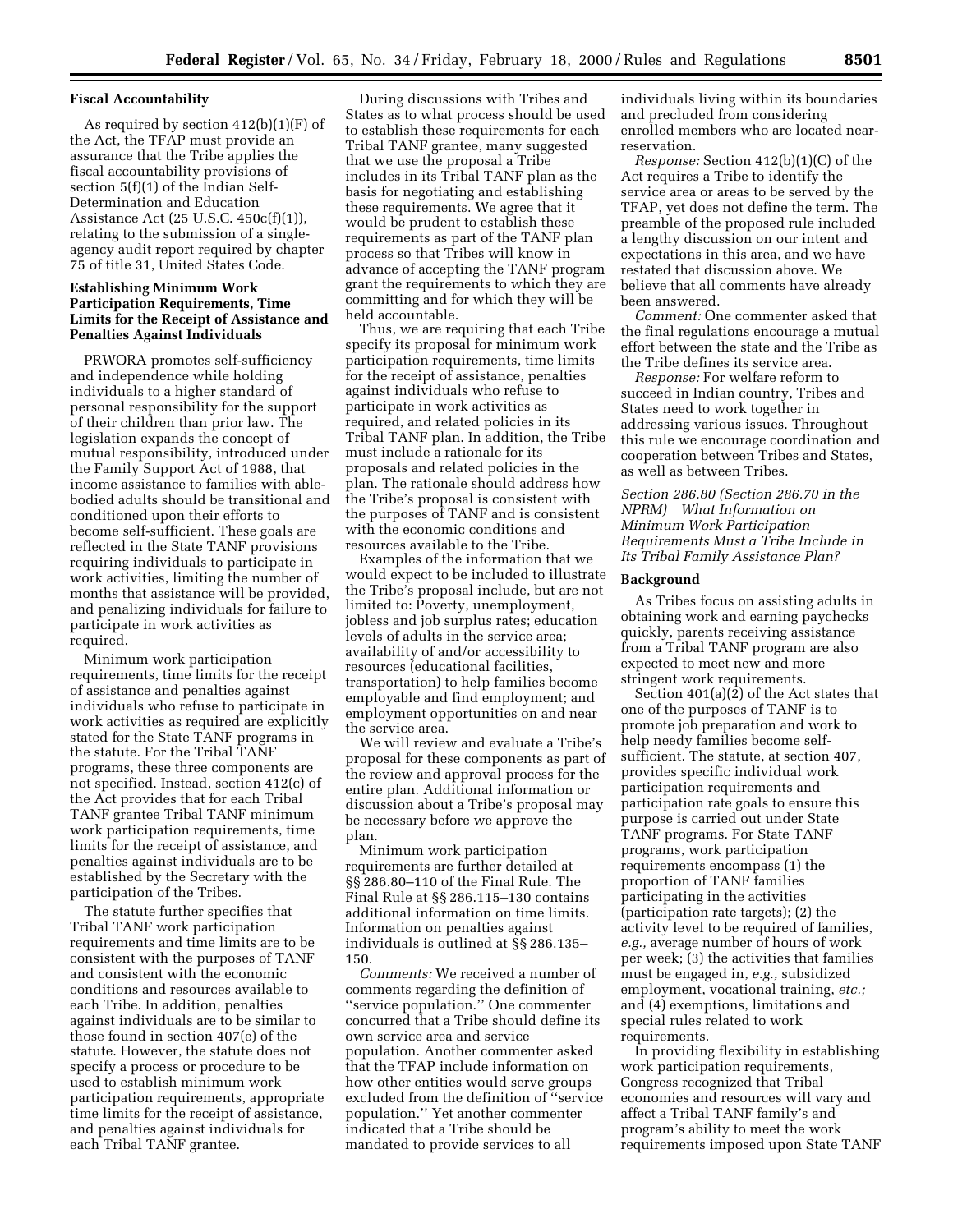#### **Fiscal Accountability**

As required by section 412(b)(1)(F) of the Act, the TFAP must provide an assurance that the Tribe applies the fiscal accountability provisions of section 5(f)(1) of the Indian Self-Determination and Education Assistance Act (25 U.S.C. 450c(f)(1)), relating to the submission of a singleagency audit report required by chapter 75 of title 31, United States Code.

## **Establishing Minimum Work Participation Requirements, Time Limits for the Receipt of Assistance and Penalties Against Individuals**

PRWORA promotes self-sufficiency and independence while holding individuals to a higher standard of personal responsibility for the support of their children than prior law. The legislation expands the concept of mutual responsibility, introduced under the Family Support Act of 1988, that income assistance to families with ablebodied adults should be transitional and conditioned upon their efforts to become self-sufficient. These goals are reflected in the State TANF provisions requiring individuals to participate in work activities, limiting the number of months that assistance will be provided, and penalizing individuals for failure to participate in work activities as required.

Minimum work participation requirements, time limits for the receipt of assistance and penalties against individuals who refuse to participate in work activities as required are explicitly stated for the State TANF programs in the statute. For the Tribal TANF programs, these three components are not specified. Instead, section 412(c) of the Act provides that for each Tribal TANF grantee Tribal TANF minimum work participation requirements, time limits for the receipt of assistance, and penalties against individuals are to be established by the Secretary with the participation of the Tribes.

The statute further specifies that Tribal TANF work participation requirements and time limits are to be consistent with the purposes of TANF and consistent with the economic conditions and resources available to each Tribe. In addition, penalties against individuals are to be similar to those found in section 407(e) of the statute. However, the statute does not specify a process or procedure to be used to establish minimum work participation requirements, appropriate time limits for the receipt of assistance, and penalties against individuals for each Tribal TANF grantee.

During discussions with Tribes and States as to what process should be used to establish these requirements for each Tribal TANF grantee, many suggested that we use the proposal a Tribe includes in its Tribal TANF plan as the basis for negotiating and establishing these requirements. We agree that it would be prudent to establish these requirements as part of the TANF plan process so that Tribes will know in advance of accepting the TANF program grant the requirements to which they are committing and for which they will be held accountable.

Thus, we are requiring that each Tribe specify its proposal for minimum work participation requirements, time limits for the receipt of assistance, penalties against individuals who refuse to participate in work activities as required, and related policies in its Tribal TANF plan. In addition, the Tribe must include a rationale for its proposals and related policies in the plan. The rationale should address how the Tribe's proposal is consistent with the purposes of TANF and is consistent with the economic conditions and resources available to the Tribe.

Examples of the information that we would expect to be included to illustrate the Tribe's proposal include, but are not limited to: Poverty, unemployment, jobless and job surplus rates; education levels of adults in the service area; availability of and/or accessibility to resources (educational facilities, transportation) to help families become employable and find employment; and employment opportunities on and near the service area.

We will review and evaluate a Tribe's proposal for these components as part of the review and approval process for the entire plan. Additional information or discussion about a Tribe's proposal may be necessary before we approve the plan.

Minimum work participation requirements are further detailed at §§ 286.80–110 of the Final Rule. The Final Rule at §§ 286.115–130 contains additional information on time limits. Information on penalties against individuals is outlined at §§ 286.135– 150.

*Comments:* We received a number of comments regarding the definition of ''service population.'' One commenter concurred that a Tribe should define its own service area and service population. Another commenter asked that the TFAP include information on how other entities would serve groups excluded from the definition of ''service population.'' Yet another commenter indicated that a Tribe should be mandated to provide services to all

individuals living within its boundaries and precluded from considering enrolled members who are located nearreservation.

*Response:* Section 412(b)(1)(C) of the Act requires a Tribe to identify the service area or areas to be served by the TFAP, yet does not define the term. The preamble of the proposed rule included a lengthy discussion on our intent and expectations in this area, and we have restated that discussion above. We believe that all comments have already been answered.

*Comment:* One commenter asked that the final regulations encourage a mutual effort between the state and the Tribe as the Tribe defines its service area.

*Response:* For welfare reform to succeed in Indian country, Tribes and States need to work together in addressing various issues. Throughout this rule we encourage coordination and cooperation between Tribes and States, as well as between Tribes.

*Section 286.80 (Section 286.70 in the NPRM) What Information on Minimum Work Participation Requirements Must a Tribe Include in Its Tribal Family Assistance Plan?*

## **Background**

As Tribes focus on assisting adults in obtaining work and earning paychecks quickly, parents receiving assistance from a Tribal TANF program are also expected to meet new and more stringent work requirements.

Section 401(a)(2) of the Act states that one of the purposes of TANF is to promote job preparation and work to help needy families become selfsufficient. The statute, at section 407, provides specific individual work participation requirements and participation rate goals to ensure this purpose is carried out under State TANF programs. For State TANF programs, work participation requirements encompass (1) the proportion of TANF families participating in the activities (participation rate targets); (2) the activity level to be required of families, *e.g.,* average number of hours of work per week; (3) the activities that families must be engaged in, *e.g.,* subsidized employment, vocational training, *etc.;* and (4) exemptions, limitations and special rules related to work requirements.

In providing flexibility in establishing work participation requirements, Congress recognized that Tribal economies and resources will vary and affect a Tribal TANF family's and program's ability to meet the work requirements imposed upon State TANF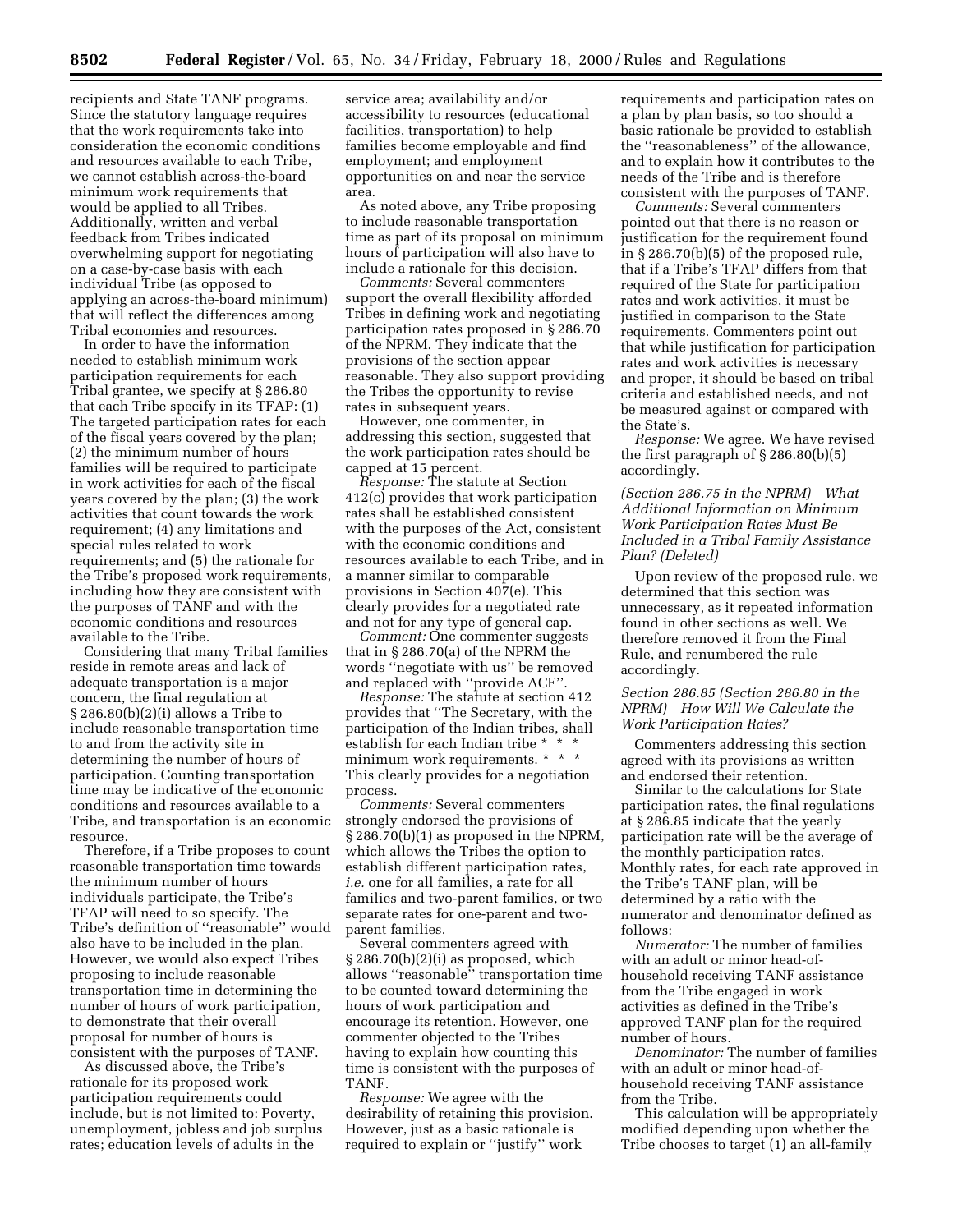recipients and State TANF programs. Since the statutory language requires that the work requirements take into consideration the economic conditions and resources available to each Tribe, we cannot establish across-the-board minimum work requirements that would be applied to all Tribes. Additionally, written and verbal feedback from Tribes indicated overwhelming support for negotiating on a case-by-case basis with each individual Tribe (as opposed to applying an across-the-board minimum) that will reflect the differences among Tribal economies and resources.

In order to have the information needed to establish minimum work participation requirements for each Tribal grantee, we specify at § 286.80 that each Tribe specify in its TFAP: (1) The targeted participation rates for each of the fiscal years covered by the plan; (2) the minimum number of hours families will be required to participate in work activities for each of the fiscal years covered by the plan; (3) the work activities that count towards the work requirement; (4) any limitations and special rules related to work requirements; and (5) the rationale for the Tribe's proposed work requirements, including how they are consistent with the purposes of TANF and with the economic conditions and resources available to the Tribe.

Considering that many Tribal families reside in remote areas and lack of adequate transportation is a major concern, the final regulation at § 286.80(b)(2)(i) allows a Tribe to include reasonable transportation time to and from the activity site in determining the number of hours of participation. Counting transportation time may be indicative of the economic conditions and resources available to a Tribe, and transportation is an economic resource.

Therefore, if a Tribe proposes to count reasonable transportation time towards the minimum number of hours individuals participate, the Tribe's TFAP will need to so specify. The Tribe's definition of ''reasonable'' would also have to be included in the plan. However, we would also expect Tribes proposing to include reasonable transportation time in determining the number of hours of work participation, to demonstrate that their overall proposal for number of hours is consistent with the purposes of TANF.

As discussed above, the Tribe's rationale for its proposed work participation requirements could include, but is not limited to: Poverty, unemployment, jobless and job surplus rates; education levels of adults in the

service area; availability and/or accessibility to resources (educational facilities, transportation) to help families become employable and find employment; and employment opportunities on and near the service area.

As noted above, any Tribe proposing to include reasonable transportation time as part of its proposal on minimum hours of participation will also have to include a rationale for this decision.

*Comments:* Several commenters support the overall flexibility afforded Tribes in defining work and negotiating participation rates proposed in § 286.70 of the NPRM. They indicate that the provisions of the section appear reasonable. They also support providing the Tribes the opportunity to revise rates in subsequent years.

However, one commenter, in addressing this section, suggested that the work participation rates should be capped at 15 percent.

*Response:* The statute at Section 412(c) provides that work participation rates shall be established consistent with the purposes of the Act, consistent with the economic conditions and resources available to each Tribe, and in a manner similar to comparable provisions in Section 407(e). This clearly provides for a negotiated rate and not for any type of general cap.

*Comment:* One commenter suggests that in § 286.70(a) of the NPRM the words ''negotiate with us'' be removed and replaced with ''provide ACF''.

*Response:* The statute at section 412 provides that ''The Secretary, with the participation of the Indian tribes, shall establish for each Indian tribe  $^{\star}$ minimum work requirements. \* \* \* This clearly provides for a negotiation process.

*Comments:* Several commenters strongly endorsed the provisions of § 286.70(b)(1) as proposed in the NPRM, which allows the Tribes the option to establish different participation rates, *i.e.* one for all families, a rate for all families and two-parent families, or two separate rates for one-parent and twoparent families.

Several commenters agreed with  $\S 286.70(b)(2)(i)$  as proposed, which allows ''reasonable'' transportation time to be counted toward determining the hours of work participation and encourage its retention. However, one commenter objected to the Tribes having to explain how counting this time is consistent with the purposes of TANF.

*Response:* We agree with the desirability of retaining this provision. However, just as a basic rationale is required to explain or ''justify'' work

requirements and participation rates on a plan by plan basis, so too should a basic rationale be provided to establish the ''reasonableness'' of the allowance, and to explain how it contributes to the needs of the Tribe and is therefore consistent with the purposes of TANF.

*Comments:* Several commenters pointed out that there is no reason or justification for the requirement found in § 286.70(b)(5) of the proposed rule, that if a Tribe's TFAP differs from that required of the State for participation rates and work activities, it must be justified in comparison to the State requirements. Commenters point out that while justification for participation rates and work activities is necessary and proper, it should be based on tribal criteria and established needs, and not be measured against or compared with the State's.

*Response:* We agree. We have revised the first paragraph of § 286.80(b)(5) accordingly.

*(Section 286.75 in the NPRM) What Additional Information on Minimum Work Participation Rates Must Be Included in a Tribal Family Assistance Plan? (Deleted)*

Upon review of the proposed rule, we determined that this section was unnecessary, as it repeated information found in other sections as well. We therefore removed it from the Final Rule, and renumbered the rule accordingly.

## *Section 286.85 (Section 286.80 in the NPRM) How Will We Calculate the Work Participation Rates?*

Commenters addressing this section agreed with its provisions as written and endorsed their retention.

Similar to the calculations for State participation rates, the final regulations at § 286.85 indicate that the yearly participation rate will be the average of the monthly participation rates. Monthly rates, for each rate approved in the Tribe's TANF plan, will be determined by a ratio with the numerator and denominator defined as follows:

*Numerator:* The number of families with an adult or minor head-ofhousehold receiving TANF assistance from the Tribe engaged in work activities as defined in the Tribe's approved TANF plan for the required number of hours.

*Denominator:* The number of families with an adult or minor head-ofhousehold receiving TANF assistance from the Tribe.

This calculation will be appropriately modified depending upon whether the Tribe chooses to target (1) an all-family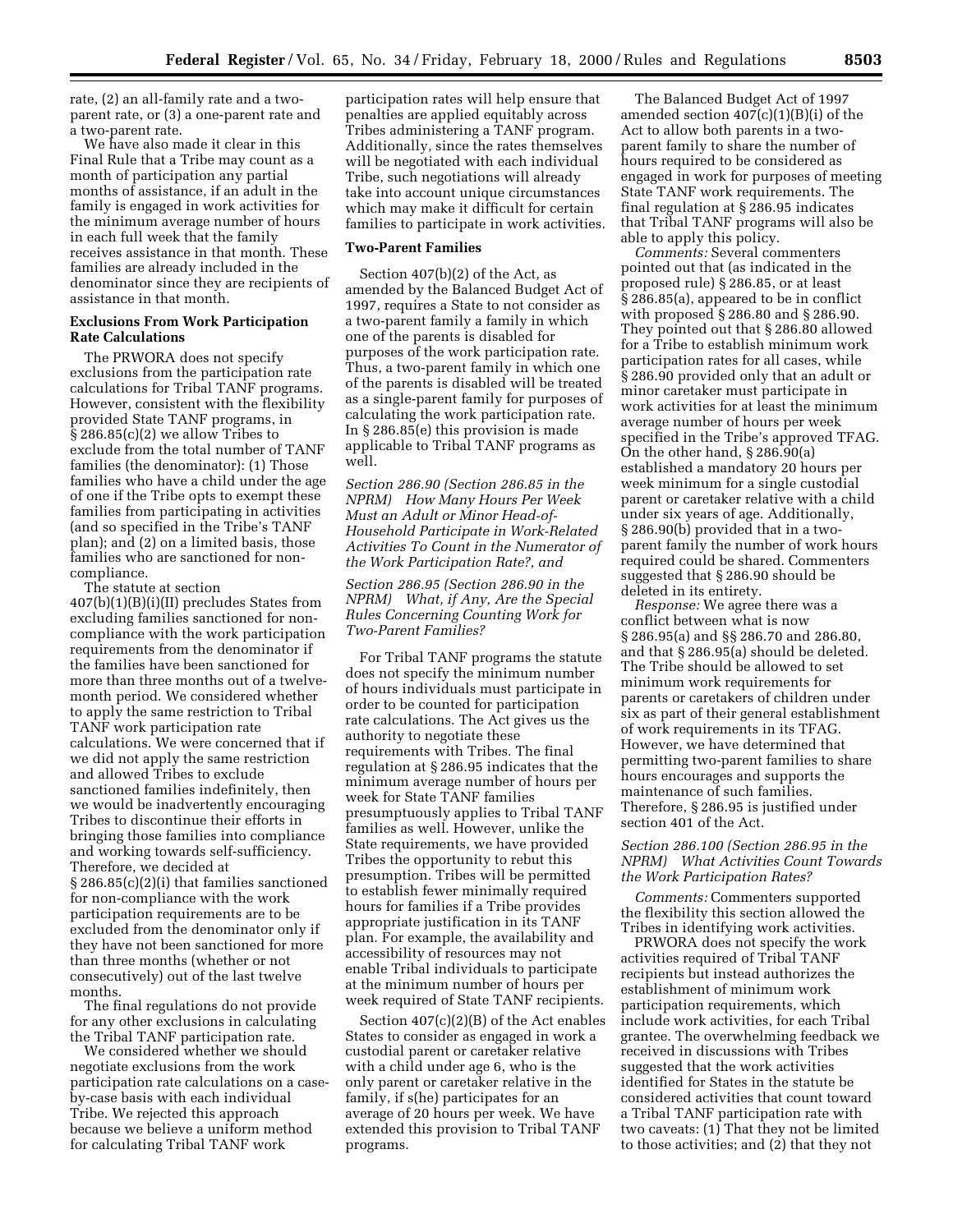rate, (2) an all-family rate and a twoparent rate, or (3) a one-parent rate and a two-parent rate.

We have also made it clear in this Final Rule that a Tribe may count as a month of participation any partial months of assistance, if an adult in the family is engaged in work activities for the minimum average number of hours in each full week that the family receives assistance in that month. These families are already included in the denominator since they are recipients of assistance in that month.

## **Exclusions From Work Participation Rate Calculations**

The PRWORA does not specify exclusions from the participation rate calculations for Tribal TANF programs. However, consistent with the flexibility provided State TANF programs, in § 286.85(c)(2) we allow Tribes to exclude from the total number of TANF families (the denominator): (1) Those families who have a child under the age of one if the Tribe opts to exempt these families from participating in activities (and so specified in the Tribe's TANF plan); and (2) on a limited basis, those families who are sanctioned for noncompliance.

The statute at section 407(b)(1)(B)(i)(II) precludes States from excluding families sanctioned for noncompliance with the work participation requirements from the denominator if the families have been sanctioned for more than three months out of a twelvemonth period. We considered whether to apply the same restriction to Tribal TANF work participation rate calculations. We were concerned that if we did not apply the same restriction and allowed Tribes to exclude sanctioned families indefinitely, then we would be inadvertently encouraging Tribes to discontinue their efforts in bringing those families into compliance and working towards self-sufficiency. Therefore, we decided at § 286.85(c)(2)(i) that families sanctioned for non-compliance with the work participation requirements are to be excluded from the denominator only if they have not been sanctioned for more than three months (whether or not consecutively) out of the last twelve months.

The final regulations do not provide for any other exclusions in calculating the Tribal TANF participation rate.

We considered whether we should negotiate exclusions from the work participation rate calculations on a caseby-case basis with each individual Tribe. We rejected this approach because we believe a uniform method for calculating Tribal TANF work

participation rates will help ensure that penalties are applied equitably across Tribes administering a TANF program. Additionally, since the rates themselves will be negotiated with each individual Tribe, such negotiations will already take into account unique circumstances which may make it difficult for certain families to participate in work activities.

## **Two-Parent Families**

Section 407(b)(2) of the Act, as amended by the Balanced Budget Act of 1997, requires a State to not consider as a two-parent family a family in which one of the parents is disabled for purposes of the work participation rate. Thus, a two-parent family in which one of the parents is disabled will be treated as a single-parent family for purposes of calculating the work participation rate. In § 286.85(e) this provision is made applicable to Tribal TANF programs as well.

*Section 286.90 (Section 286.85 in the NPRM) How Many Hours Per Week Must an Adult or Minor Head-of-Household Participate in Work-Related Activities To Count in the Numerator of the Work Participation Rate?, and*

*Section 286.95 (Section 286.90 in the NPRM) What, if Any, Are the Special Rules Concerning Counting Work for Two-Parent Families?*

For Tribal TANF programs the statute does not specify the minimum number of hours individuals must participate in order to be counted for participation rate calculations. The Act gives us the authority to negotiate these requirements with Tribes. The final regulation at § 286.95 indicates that the minimum average number of hours per week for State TANF families presumptuously applies to Tribal TANF families as well. However, unlike the State requirements, we have provided Tribes the opportunity to rebut this presumption. Tribes will be permitted to establish fewer minimally required hours for families if a Tribe provides appropriate justification in its TANF plan. For example, the availability and accessibility of resources may not enable Tribal individuals to participate at the minimum number of hours per week required of State TANF recipients.

Section 407(c)(2)(B) of the Act enables States to consider as engaged in work a custodial parent or caretaker relative with a child under age 6, who is the only parent or caretaker relative in the family, if s(he) participates for an average of 20 hours per week. We have extended this provision to Tribal TANF programs.

The Balanced Budget Act of 1997 amended section  $407(c)(1)(B)(i)$  of the Act to allow both parents in a twoparent family to share the number of hours required to be considered as engaged in work for purposes of meeting State TANF work requirements. The final regulation at § 286.95 indicates that Tribal TANF programs will also be able to apply this policy.

*Comments:* Several commenters pointed out that (as indicated in the proposed rule) § 286.85, or at least § 286.85(a), appeared to be in conflict with proposed § 286.80 and § 286.90. They pointed out that § 286.80 allowed for a Tribe to establish minimum work participation rates for all cases, while § 286.90 provided only that an adult or minor caretaker must participate in work activities for at least the minimum average number of hours per week specified in the Tribe's approved TFAG. On the other hand, § 286.90(a) established a mandatory 20 hours per week minimum for a single custodial parent or caretaker relative with a child under six years of age. Additionally, § 286.90(b) provided that in a twoparent family the number of work hours required could be shared. Commenters suggested that § 286.90 should be deleted in its entirety.

*Response:* We agree there was a conflict between what is now § 286.95(a) and §§ 286.70 and 286.80, and that § 286.95(a) should be deleted. The Tribe should be allowed to set minimum work requirements for parents or caretakers of children under six as part of their general establishment of work requirements in its TFAG. However, we have determined that permitting two-parent families to share hours encourages and supports the maintenance of such families. Therefore, § 286.95 is justified under section 401 of the Act.

## *Section 286.100 (Section 286.95 in the NPRM) What Activities Count Towards the Work Participation Rates?*

*Comments:* Commenters supported the flexibility this section allowed the Tribes in identifying work activities.

PRWORA does not specify the work activities required of Tribal TANF recipients but instead authorizes the establishment of minimum work participation requirements, which include work activities, for each Tribal grantee. The overwhelming feedback we received in discussions with Tribes suggested that the work activities identified for States in the statute be considered activities that count toward a Tribal TANF participation rate with two caveats: (1) That they not be limited to those activities; and (2) that they not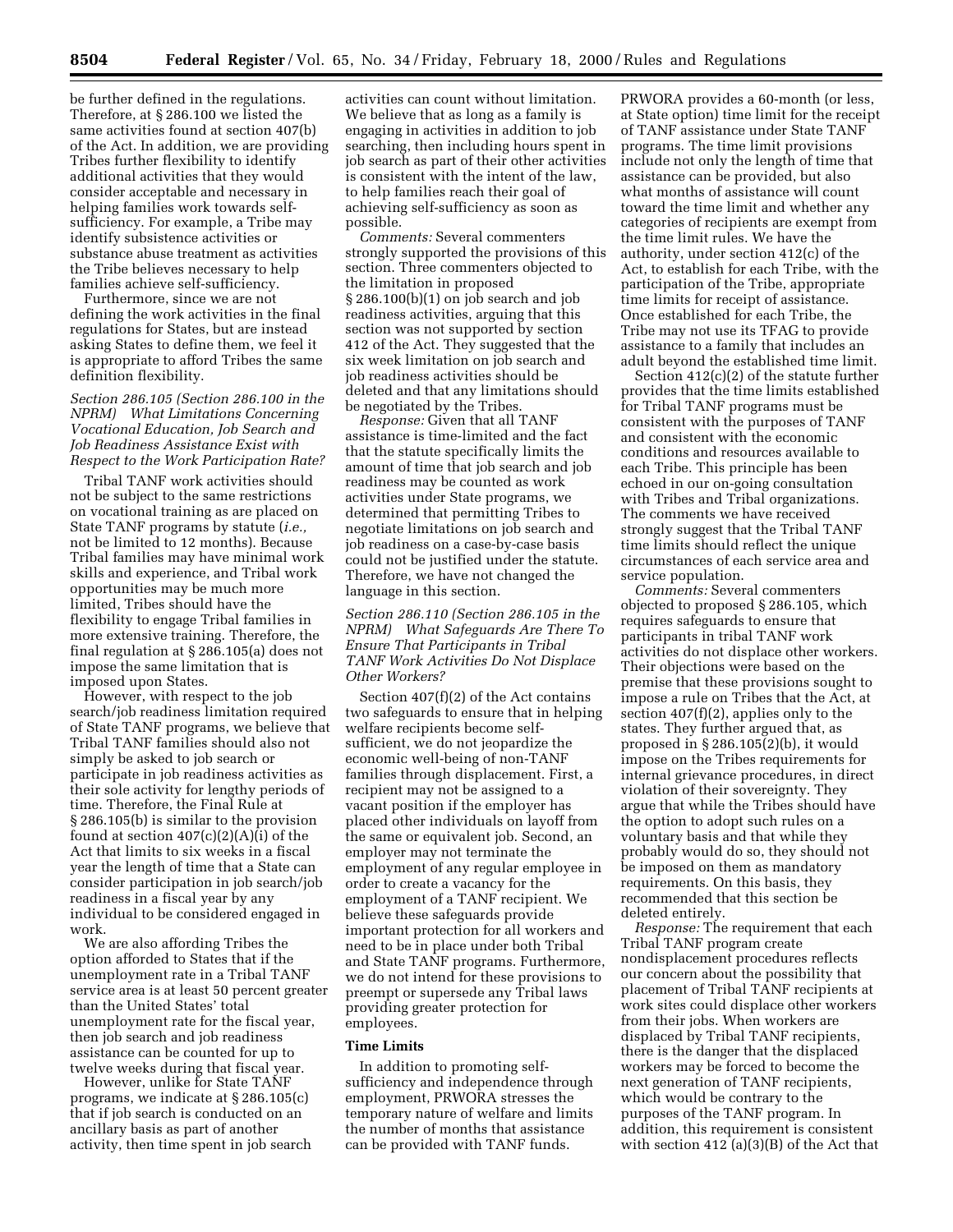be further defined in the regulations. Therefore, at § 286.100 we listed the same activities found at section 407(b) of the Act. In addition, we are providing Tribes further flexibility to identify additional activities that they would consider acceptable and necessary in helping families work towards selfsufficiency. For example, a Tribe may identify subsistence activities or substance abuse treatment as activities the Tribe believes necessary to help families achieve self-sufficiency.

Furthermore, since we are not defining the work activities in the final regulations for States, but are instead asking States to define them, we feel it is appropriate to afford Tribes the same definition flexibility.

## *Section 286.105 (Section 286.100 in the NPRM) What Limitations Concerning Vocational Education, Job Search and Job Readiness Assistance Exist with Respect to the Work Participation Rate?*

Tribal TANF work activities should not be subject to the same restrictions on vocational training as are placed on State TANF programs by statute (*i.e.,* not be limited to 12 months). Because Tribal families may have minimal work skills and experience, and Tribal work opportunities may be much more limited, Tribes should have the flexibility to engage Tribal families in more extensive training. Therefore, the final regulation at § 286.105(a) does not impose the same limitation that is imposed upon States.

However, with respect to the job search/job readiness limitation required of State TANF programs, we believe that Tribal TANF families should also not simply be asked to job search or participate in job readiness activities as their sole activity for lengthy periods of time. Therefore, the Final Rule at § 286.105(b) is similar to the provision found at section  $407(c)(2)(A)(i)$  of the Act that limits to six weeks in a fiscal year the length of time that a State can consider participation in job search/job readiness in a fiscal year by any individual to be considered engaged in work.

We are also affording Tribes the option afforded to States that if the unemployment rate in a Tribal TANF service area is at least 50 percent greater than the United States' total unemployment rate for the fiscal year, then job search and job readiness assistance can be counted for up to twelve weeks during that fiscal year.

However, unlike for State TANF programs, we indicate at § 286.105(c) that if job search is conducted on an ancillary basis as part of another activity, then time spent in job search

activities can count without limitation. We believe that as long as a family is engaging in activities in addition to job searching, then including hours spent in job search as part of their other activities is consistent with the intent of the law, to help families reach their goal of achieving self-sufficiency as soon as possible.

*Comments:* Several commenters strongly supported the provisions of this section. Three commenters objected to the limitation in proposed § 286.100(b)(1) on job search and job readiness activities, arguing that this section was not supported by section 412 of the Act. They suggested that the six week limitation on job search and job readiness activities should be deleted and that any limitations should be negotiated by the Tribes.

*Response:* Given that all TANF assistance is time-limited and the fact that the statute specifically limits the amount of time that job search and job readiness may be counted as work activities under State programs, we determined that permitting Tribes to negotiate limitations on job search and job readiness on a case-by-case basis could not be justified under the statute. Therefore, we have not changed the language in this section.

*Section 286.110 (Section 286.105 in the NPRM) What Safeguards Are There To Ensure That Participants in Tribal TANF Work Activities Do Not Displace Other Workers?*

Section 407(f)(2) of the Act contains two safeguards to ensure that in helping welfare recipients become selfsufficient, we do not jeopardize the economic well-being of non-TANF families through displacement. First, a recipient may not be assigned to a vacant position if the employer has placed other individuals on layoff from the same or equivalent job. Second, an employer may not terminate the employment of any regular employee in order to create a vacancy for the employment of a TANF recipient. We believe these safeguards provide important protection for all workers and need to be in place under both Tribal and State TANF programs. Furthermore, we do not intend for these provisions to preempt or supersede any Tribal laws providing greater protection for employees.

#### **Time Limits**

In addition to promoting selfsufficiency and independence through employment, PRWORA stresses the temporary nature of welfare and limits the number of months that assistance can be provided with TANF funds.

PRWORA provides a 60-month (or less, at State option) time limit for the receipt of TANF assistance under State TANF programs. The time limit provisions include not only the length of time that assistance can be provided, but also what months of assistance will count toward the time limit and whether any categories of recipients are exempt from the time limit rules. We have the authority, under section 412(c) of the Act, to establish for each Tribe, with the participation of the Tribe, appropriate time limits for receipt of assistance. Once established for each Tribe, the Tribe may not use its TFAG to provide assistance to a family that includes an adult beyond the established time limit.

Section 412(c)(2) of the statute further provides that the time limits established for Tribal TANF programs must be consistent with the purposes of TANF and consistent with the economic conditions and resources available to each Tribe. This principle has been echoed in our on-going consultation with Tribes and Tribal organizations. The comments we have received strongly suggest that the Tribal TANF time limits should reflect the unique circumstances of each service area and service population.

*Comments:* Several commenters objected to proposed § 286.105, which requires safeguards to ensure that participants in tribal TANF work activities do not displace other workers. Their objections were based on the premise that these provisions sought to impose a rule on Tribes that the Act, at section 407(f)(2), applies only to the states. They further argued that, as proposed in § 286.105(2)(b), it would impose on the Tribes requirements for internal grievance procedures, in direct violation of their sovereignty. They argue that while the Tribes should have the option to adopt such rules on a voluntary basis and that while they probably would do so, they should not be imposed on them as mandatory requirements. On this basis, they recommended that this section be deleted entirely.

*Response:* The requirement that each Tribal TANF program create nondisplacement procedures reflects our concern about the possibility that placement of Tribal TANF recipients at work sites could displace other workers from their jobs. When workers are displaced by Tribal TANF recipients, there is the danger that the displaced workers may be forced to become the next generation of TANF recipients, which would be contrary to the purposes of the TANF program. In addition, this requirement is consistent with section 412 (a)(3)(B) of the Act that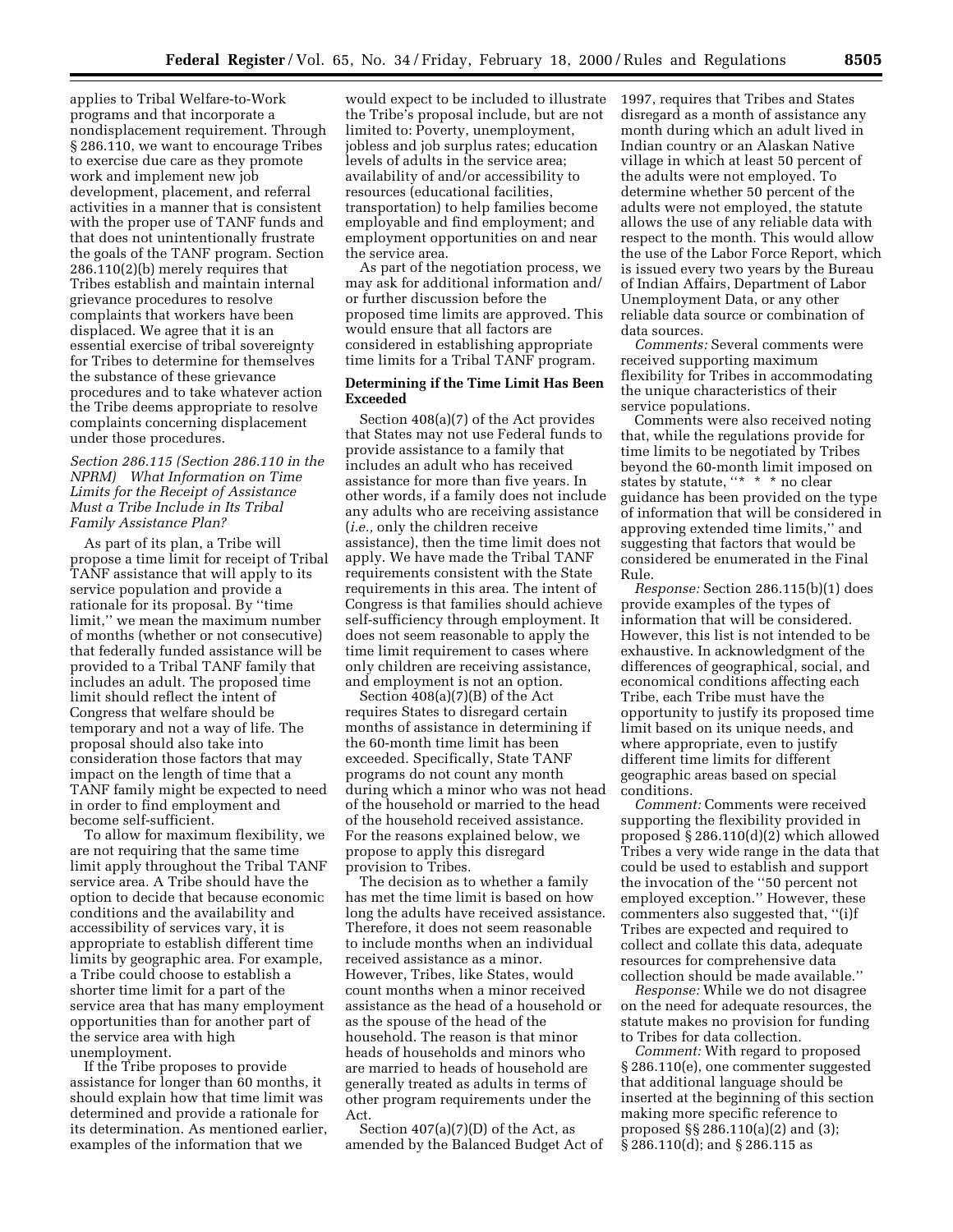applies to Tribal Welfare-to-Work programs and that incorporate a nondisplacement requirement. Through § 286.110, we want to encourage Tribes to exercise due care as they promote work and implement new job development, placement, and referral activities in a manner that is consistent with the proper use of TANF funds and that does not unintentionally frustrate the goals of the TANF program. Section 286.110(2)(b) merely requires that Tribes establish and maintain internal grievance procedures to resolve complaints that workers have been displaced. We agree that it is an essential exercise of tribal sovereignty for Tribes to determine for themselves the substance of these grievance procedures and to take whatever action the Tribe deems appropriate to resolve complaints concerning displacement under those procedures.

## *Section 286.115 (Section 286.110 in the NPRM) What Information on Time Limits for the Receipt of Assistance Must a Tribe Include in Its Tribal Family Assistance Plan?*

As part of its plan, a Tribe will propose a time limit for receipt of Tribal TANF assistance that will apply to its service population and provide a rationale for its proposal. By ''time limit,'' we mean the maximum number of months (whether or not consecutive) that federally funded assistance will be provided to a Tribal TANF family that includes an adult. The proposed time limit should reflect the intent of Congress that welfare should be temporary and not a way of life. The proposal should also take into consideration those factors that may impact on the length of time that a TANF family might be expected to need in order to find employment and become self-sufficient.

To allow for maximum flexibility, we are not requiring that the same time limit apply throughout the Tribal TANF service area. A Tribe should have the option to decide that because economic conditions and the availability and accessibility of services vary, it is appropriate to establish different time limits by geographic area. For example, a Tribe could choose to establish a shorter time limit for a part of the service area that has many employment opportunities than for another part of the service area with high unemployment.

If the Tribe proposes to provide assistance for longer than 60 months, it should explain how that time limit was determined and provide a rationale for its determination. As mentioned earlier, examples of the information that we

would expect to be included to illustrate the Tribe's proposal include, but are not limited to: Poverty, unemployment, jobless and job surplus rates; education levels of adults in the service area; availability of and/or accessibility to resources (educational facilities, transportation) to help families become employable and find employment; and employment opportunities on and near the service area.

As part of the negotiation process, we may ask for additional information and/ or further discussion before the proposed time limits are approved. This would ensure that all factors are considered in establishing appropriate time limits for a Tribal TANF program.

## **Determining if the Time Limit Has Been Exceeded**

Section 408(a)(7) of the Act provides that States may not use Federal funds to provide assistance to a family that includes an adult who has received assistance for more than five years. In other words, if a family does not include any adults who are receiving assistance (*i.e.,* only the children receive assistance), then the time limit does not apply. We have made the Tribal TANF requirements consistent with the State requirements in this area. The intent of Congress is that families should achieve self-sufficiency through employment. It does not seem reasonable to apply the time limit requirement to cases where only children are receiving assistance, and employment is not an option.

Section 408(a)(7)(B) of the Act requires States to disregard certain months of assistance in determining if the 60-month time limit has been exceeded. Specifically, State TANF programs do not count any month during which a minor who was not head of the household or married to the head of the household received assistance. For the reasons explained below, we propose to apply this disregard provision to Tribes.

The decision as to whether a family has met the time limit is based on how long the adults have received assistance. Therefore, it does not seem reasonable to include months when an individual received assistance as a minor. However, Tribes, like States, would count months when a minor received assistance as the head of a household or as the spouse of the head of the household. The reason is that minor heads of households and minors who are married to heads of household are generally treated as adults in terms of other program requirements under the Act.

Section  $407(a)(7)(D)$  of the Act, as amended by the Balanced Budget Act of 1997, requires that Tribes and States disregard as a month of assistance any month during which an adult lived in Indian country or an Alaskan Native village in which at least 50 percent of the adults were not employed. To determine whether 50 percent of the adults were not employed, the statute allows the use of any reliable data with respect to the month. This would allow the use of the Labor Force Report, which is issued every two years by the Bureau of Indian Affairs, Department of Labor Unemployment Data, or any other reliable data source or combination of data sources.

*Comments:* Several comments were received supporting maximum flexibility for Tribes in accommodating the unique characteristics of their service populations.

Comments were also received noting that, while the regulations provide for time limits to be negotiated by Tribes beyond the 60-month limit imposed on states by statute, "\* \* \* no clear guidance has been provided on the type of information that will be considered in approving extended time limits,'' and suggesting that factors that would be considered be enumerated in the Final Rule.

*Response:* Section 286.115(b)(1) does provide examples of the types of information that will be considered. However, this list is not intended to be exhaustive. In acknowledgment of the differences of geographical, social, and economical conditions affecting each Tribe, each Tribe must have the opportunity to justify its proposed time limit based on its unique needs, and where appropriate, even to justify different time limits for different geographic areas based on special conditions.

*Comment:* Comments were received supporting the flexibility provided in proposed § 286.110(d)(2) which allowed Tribes a very wide range in the data that could be used to establish and support the invocation of the ''50 percent not employed exception.'' However, these commenters also suggested that, ''(i)f Tribes are expected and required to collect and collate this data, adequate resources for comprehensive data collection should be made available.''

*Response:* While we do not disagree on the need for adequate resources, the statute makes no provision for funding to Tribes for data collection.

*Comment:* With regard to proposed § 286.110(e), one commenter suggested that additional language should be inserted at the beginning of this section making more specific reference to proposed §§ 286.110(a)(2) and (3); § 286.110(d); and § 286.115 as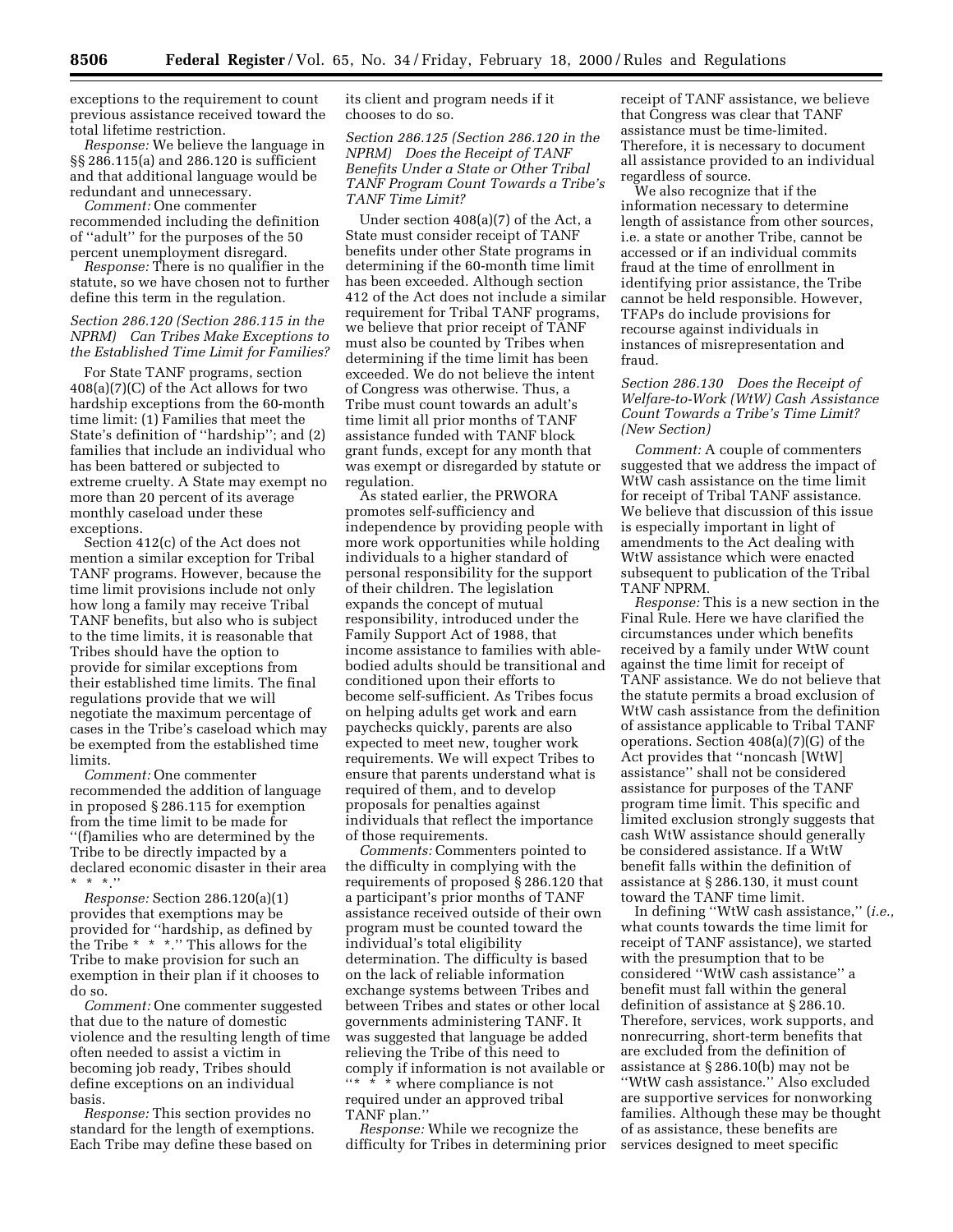exceptions to the requirement to count previous assistance received toward the total lifetime restriction.

*Response:* We believe the language in §§ 286.115(a) and 286.120 is sufficient and that additional language would be redundant and unnecessary.

*Comment:* One commenter recommended including the definition of ''adult'' for the purposes of the 50 percent unemployment disregard.

*Response:* There is no qualifier in the statute, so we have chosen not to further define this term in the regulation.

## *Section 286.120 (Section 286.115 in the NPRM) Can Tribes Make Exceptions to the Established Time Limit for Families?*

For State TANF programs, section 408(a)(7)(C) of the Act allows for two hardship exceptions from the 60-month time limit: (1) Families that meet the State's definition of ''hardship''; and (2) families that include an individual who has been battered or subjected to extreme cruelty. A State may exempt no more than 20 percent of its average monthly caseload under these exceptions.

Section 412(c) of the Act does not mention a similar exception for Tribal TANF programs. However, because the time limit provisions include not only how long a family may receive Tribal TANF benefits, but also who is subject to the time limits, it is reasonable that Tribes should have the option to provide for similar exceptions from their established time limits. The final regulations provide that we will negotiate the maximum percentage of cases in the Tribe's caseload which may be exempted from the established time limits.

*Comment:* One commenter recommended the addition of language in proposed § 286.115 for exemption from the time limit to be made for ''(f)amilies who are determined by the Tribe to be directly impacted by a declared economic disaster in their area  $*$  \*.''

*Response:* Section 286.120(a)(1) provides that exemptions may be provided for ''hardship, as defined by the Tribe \* \* \*.'' This allows for the Tribe to make provision for such an exemption in their plan if it chooses to do so.

*Comment:* One commenter suggested that due to the nature of domestic violence and the resulting length of time often needed to assist a victim in becoming job ready, Tribes should define exceptions on an individual basis.

*Response:* This section provides no standard for the length of exemptions. Each Tribe may define these based on

its client and program needs if it chooses to do so.

*Section 286.125 (Section 286.120 in the NPRM) Does the Receipt of TANF Benefits Under a State or Other Tribal TANF Program Count Towards a Tribe's TANF Time Limit?*

Under section 408(a)(7) of the Act, a State must consider receipt of TANF benefits under other State programs in determining if the 60-month time limit has been exceeded. Although section 412 of the Act does not include a similar requirement for Tribal TANF programs, we believe that prior receipt of TANF must also be counted by Tribes when determining if the time limit has been exceeded. We do not believe the intent of Congress was otherwise. Thus, a Tribe must count towards an adult's time limit all prior months of TANF assistance funded with TANF block grant funds, except for any month that was exempt or disregarded by statute or regulation.

As stated earlier, the PRWORA promotes self-sufficiency and independence by providing people with more work opportunities while holding individuals to a higher standard of personal responsibility for the support of their children. The legislation expands the concept of mutual responsibility, introduced under the Family Support Act of 1988, that income assistance to families with ablebodied adults should be transitional and conditioned upon their efforts to become self-sufficient. As Tribes focus on helping adults get work and earn paychecks quickly, parents are also expected to meet new, tougher work requirements. We will expect Tribes to ensure that parents understand what is required of them, and to develop proposals for penalties against individuals that reflect the importance of those requirements.

*Comments:* Commenters pointed to the difficulty in complying with the requirements of proposed § 286.120 that a participant's prior months of TANF assistance received outside of their own program must be counted toward the individual's total eligibility determination. The difficulty is based on the lack of reliable information exchange systems between Tribes and between Tribes and states or other local governments administering TANF. It was suggested that language be added relieving the Tribe of this need to comply if information is not available or ''\* \* \* where compliance is not required under an approved tribal TANF plan.''

*Response:* While we recognize the difficulty for Tribes in determining prior receipt of TANF assistance, we believe that Congress was clear that TANF assistance must be time-limited. Therefore, it is necessary to document all assistance provided to an individual regardless of source.

We also recognize that if the information necessary to determine length of assistance from other sources, i.e. a state or another Tribe, cannot be accessed or if an individual commits fraud at the time of enrollment in identifying prior assistance, the Tribe cannot be held responsible. However, TFAPs do include provisions for recourse against individuals in instances of misrepresentation and fraud.

## *Section 286.130 Does the Receipt of Welfare-to-Work (WtW) Cash Assistance Count Towards a Tribe's Time Limit? (New Section)*

*Comment:* A couple of commenters suggested that we address the impact of WtW cash assistance on the time limit for receipt of Tribal TANF assistance. We believe that discussion of this issue is especially important in light of amendments to the Act dealing with WtW assistance which were enacted subsequent to publication of the Tribal TANF NPRM.

*Response:* This is a new section in the Final Rule. Here we have clarified the circumstances under which benefits received by a family under WtW count against the time limit for receipt of TANF assistance. We do not believe that the statute permits a broad exclusion of WtW cash assistance from the definition of assistance applicable to Tribal TANF operations. Section 408(a)(7)(G) of the Act provides that ''noncash [WtW] assistance'' shall not be considered assistance for purposes of the TANF program time limit. This specific and limited exclusion strongly suggests that cash WtW assistance should generally be considered assistance. If a WtW benefit falls within the definition of assistance at § 286.130, it must count toward the TANF time limit.

In defining ''WtW cash assistance,'' (*i.e.,* what counts towards the time limit for receipt of TANF assistance), we started with the presumption that to be considered ''WtW cash assistance'' a benefit must fall within the general definition of assistance at § 286.10. Therefore, services, work supports, and nonrecurring, short-term benefits that are excluded from the definition of assistance at § 286.10(b) may not be ''WtW cash assistance.'' Also excluded are supportive services for nonworking families. Although these may be thought of as assistance, these benefits are services designed to meet specific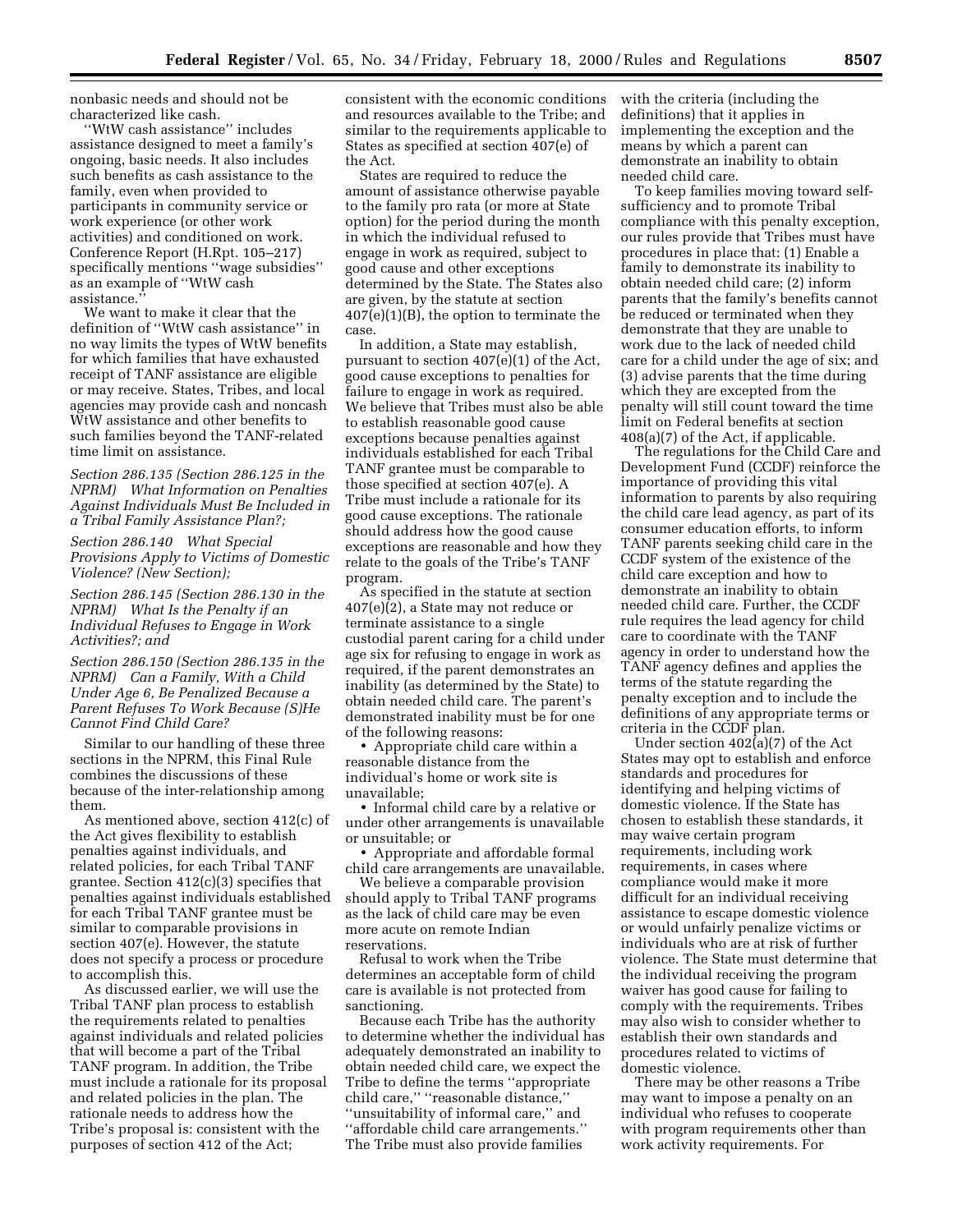nonbasic needs and should not be characterized like cash.

'WtW cash assistance'' includes assistance designed to meet a family's ongoing, basic needs. It also includes such benefits as cash assistance to the family, even when provided to participants in community service or work experience (or other work activities) and conditioned on work. Conference Report (H.Rpt. 105–217) specifically mentions ''wage subsidies'' as an example of ''WtW cash assistance.''

We want to make it clear that the definition of ''WtW cash assistance'' in no way limits the types of WtW benefits for which families that have exhausted receipt of TANF assistance are eligible or may receive. States, Tribes, and local agencies may provide cash and noncash WtW assistance and other benefits to such families beyond the TANF-related time limit on assistance.

*Section 286.135 (Section 286.125 in the NPRM) What Information on Penalties Against Individuals Must Be Included in a Tribal Family Assistance Plan?;*

*Section 286.140 What Special Provisions Apply to Victims of Domestic Violence? (New Section);*

*Section 286.145 (Section 286.130 in the NPRM) What Is the Penalty if an Individual Refuses to Engage in Work Activities?; and*

*Section 286.150 (Section 286.135 in the NPRM) Can a Family, With a Child Under Age 6, Be Penalized Because a Parent Refuses To Work Because (S)He Cannot Find Child Care?*

Similar to our handling of these three sections in the NPRM, this Final Rule combines the discussions of these because of the inter-relationship among them.

As mentioned above, section 412(c) of the Act gives flexibility to establish penalties against individuals, and related policies, for each Tribal TANF grantee. Section 412(c)(3) specifies that penalties against individuals established for each Tribal TANF grantee must be similar to comparable provisions in section 407(e). However, the statute does not specify a process or procedure to accomplish this.

As discussed earlier, we will use the Tribal TANF plan process to establish the requirements related to penalties against individuals and related policies that will become a part of the Tribal TANF program. In addition, the Tribe must include a rationale for its proposal and related policies in the plan. The rationale needs to address how the Tribe's proposal is: consistent with the purposes of section 412 of the Act;

consistent with the economic conditions and resources available to the Tribe; and similar to the requirements applicable to States as specified at section 407(e) of the Act.

States are required to reduce the amount of assistance otherwise payable to the family pro rata (or more at State option) for the period during the month in which the individual refused to engage in work as required, subject to good cause and other exceptions determined by the State. The States also are given, by the statute at section 407(e)(1)(B), the option to terminate the case.

In addition, a State may establish, pursuant to section 407(e)(1) of the Act, good cause exceptions to penalties for failure to engage in work as required. We believe that Tribes must also be able to establish reasonable good cause exceptions because penalties against individuals established for each Tribal TANF grantee must be comparable to those specified at section 407(e). A Tribe must include a rationale for its good cause exceptions. The rationale should address how the good cause exceptions are reasonable and how they relate to the goals of the Tribe's TANF program.

As specified in the statute at section 407(e)(2), a State may not reduce or terminate assistance to a single custodial parent caring for a child under age six for refusing to engage in work as required, if the parent demonstrates an inability (as determined by the State) to obtain needed child care. The parent's demonstrated inability must be for one of the following reasons:

• Appropriate child care within a reasonable distance from the individual's home or work site is unavailable;

• Informal child care by a relative or under other arrangements is unavailable or unsuitable; or

• Appropriate and affordable formal child care arrangements are unavailable.

We believe a comparable provision should apply to Tribal TANF programs as the lack of child care may be even more acute on remote Indian reservations.

Refusal to work when the Tribe determines an acceptable form of child care is available is not protected from sanctioning.

Because each Tribe has the authority to determine whether the individual has adequately demonstrated an inability to obtain needed child care, we expect the Tribe to define the terms ''appropriate child care,'' ''reasonable distance,'' ''unsuitability of informal care,'' and ''affordable child care arrangements.'' The Tribe must also provide families

with the criteria (including the definitions) that it applies in implementing the exception and the means by which a parent can demonstrate an inability to obtain needed child care.

To keep families moving toward selfsufficiency and to promote Tribal compliance with this penalty exception, our rules provide that Tribes must have procedures in place that: (1) Enable a family to demonstrate its inability to obtain needed child care; (2) inform parents that the family's benefits cannot be reduced or terminated when they demonstrate that they are unable to work due to the lack of needed child care for a child under the age of six; and (3) advise parents that the time during which they are excepted from the penalty will still count toward the time limit on Federal benefits at section 408(a)(7) of the Act, if applicable.

The regulations for the Child Care and Development Fund (CCDF) reinforce the importance of providing this vital information to parents by also requiring the child care lead agency, as part of its consumer education efforts, to inform TANF parents seeking child care in the CCDF system of the existence of the child care exception and how to demonstrate an inability to obtain needed child care. Further, the CCDF rule requires the lead agency for child care to coordinate with the TANF agency in order to understand how the TANF agency defines and applies the terms of the statute regarding the penalty exception and to include the definitions of any appropriate terms or criteria in the CCDF plan.

Under section 402(a)(7) of the Act States may opt to establish and enforce standards and procedures for identifying and helping victims of domestic violence. If the State has chosen to establish these standards, it may waive certain program requirements, including work requirements, in cases where compliance would make it more difficult for an individual receiving assistance to escape domestic violence or would unfairly penalize victims or individuals who are at risk of further violence. The State must determine that the individual receiving the program waiver has good cause for failing to comply with the requirements. Tribes may also wish to consider whether to establish their own standards and procedures related to victims of domestic violence.

There may be other reasons a Tribe may want to impose a penalty on an individual who refuses to cooperate with program requirements other than work activity requirements. For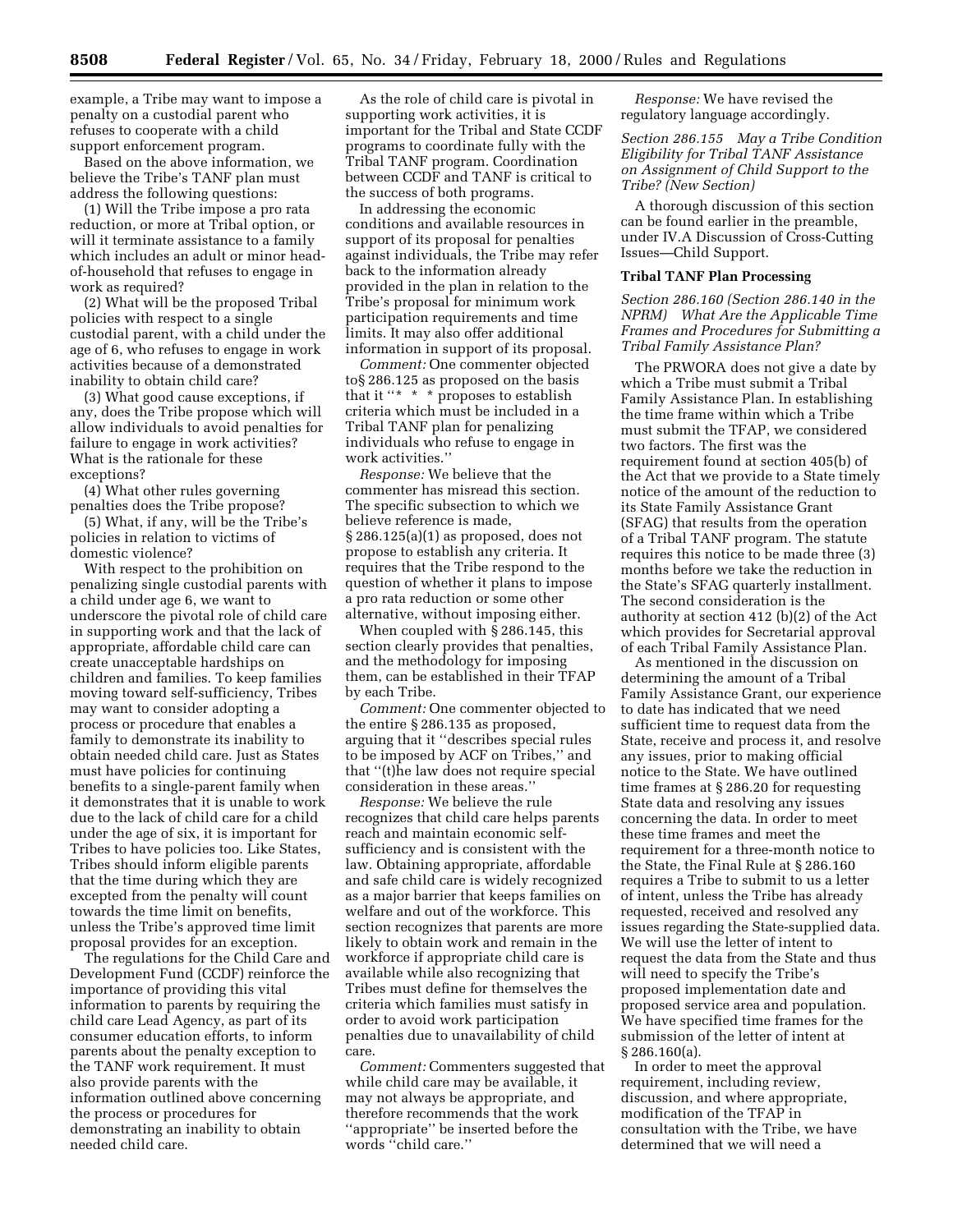example, a Tribe may want to impose a penalty on a custodial parent who refuses to cooperate with a child support enforcement program.

Based on the above information, we believe the Tribe's TANF plan must address the following questions:

(1) Will the Tribe impose a pro rata reduction, or more at Tribal option, or will it terminate assistance to a family which includes an adult or minor headof-household that refuses to engage in work as required?

(2) What will be the proposed Tribal policies with respect to a single custodial parent, with a child under the age of 6, who refuses to engage in work activities because of a demonstrated inability to obtain child care?

(3) What good cause exceptions, if any, does the Tribe propose which will allow individuals to avoid penalties for failure to engage in work activities? What is the rationale for these exceptions?

(4) What other rules governing penalties does the Tribe propose?

(5) What, if any, will be the Tribe's policies in relation to victims of domestic violence?

With respect to the prohibition on penalizing single custodial parents with a child under age 6, we want to underscore the pivotal role of child care in supporting work and that the lack of appropriate, affordable child care can create unacceptable hardships on children and families. To keep families moving toward self-sufficiency, Tribes may want to consider adopting a process or procedure that enables a family to demonstrate its inability to obtain needed child care. Just as States must have policies for continuing benefits to a single-parent family when it demonstrates that it is unable to work due to the lack of child care for a child under the age of six, it is important for Tribes to have policies too. Like States, Tribes should inform eligible parents that the time during which they are excepted from the penalty will count towards the time limit on benefits, unless the Tribe's approved time limit proposal provides for an exception.

The regulations for the Child Care and Development Fund (CCDF) reinforce the importance of providing this vital information to parents by requiring the child care Lead Agency, as part of its consumer education efforts, to inform parents about the penalty exception to the TANF work requirement. It must also provide parents with the information outlined above concerning the process or procedures for demonstrating an inability to obtain needed child care.

As the role of child care is pivotal in supporting work activities, it is important for the Tribal and State CCDF programs to coordinate fully with the Tribal TANF program. Coordination between CCDF and TANF is critical to the success of both programs.

In addressing the economic conditions and available resources in support of its proposal for penalties against individuals, the Tribe may refer back to the information already provided in the plan in relation to the Tribe's proposal for minimum work participation requirements and time limits. It may also offer additional information in support of its proposal.

*Comment:* One commenter objected to§ 286.125 as proposed on the basis that it " $*$  \* \* proposes to establish criteria which must be included in a Tribal TANF plan for penalizing individuals who refuse to engage in work activities.''

*Response:* We believe that the commenter has misread this section. The specific subsection to which we believe reference is made, § 286.125(a)(1) as proposed, does not propose to establish any criteria. It requires that the Tribe respond to the question of whether it plans to impose a pro rata reduction or some other alternative, without imposing either.

When coupled with § 286.145, this section clearly provides that penalties, and the methodology for imposing them, can be established in their TFAP by each Tribe.

*Comment:* One commenter objected to the entire § 286.135 as proposed, arguing that it ''describes special rules to be imposed by ACF on Tribes,'' and that ''(t)he law does not require special consideration in these areas.''

*Response:* We believe the rule recognizes that child care helps parents reach and maintain economic selfsufficiency and is consistent with the law. Obtaining appropriate, affordable and safe child care is widely recognized as a major barrier that keeps families on welfare and out of the workforce. This section recognizes that parents are more likely to obtain work and remain in the workforce if appropriate child care is available while also recognizing that Tribes must define for themselves the criteria which families must satisfy in order to avoid work participation penalties due to unavailability of child care.

*Comment:* Commenters suggested that while child care may be available, it may not always be appropriate, and therefore recommends that the work ''appropriate'' be inserted before the words ''child care.''

*Response:* We have revised the regulatory language accordingly.

*Section 286.155 May a Tribe Condition Eligibility for Tribal TANF Assistance on Assignment of Child Support to the Tribe? (New Section)*

A thorough discussion of this section can be found earlier in the preamble, under IV.A Discussion of Cross-Cutting Issues—Child Support.

## **Tribal TANF Plan Processing**

*Section 286.160 (Section 286.140 in the NPRM) What Are the Applicable Time Frames and Procedures for Submitting a Tribal Family Assistance Plan?*

The PRWORA does not give a date by which a Tribe must submit a Tribal Family Assistance Plan. In establishing the time frame within which a Tribe must submit the TFAP, we considered two factors. The first was the requirement found at section 405(b) of the Act that we provide to a State timely notice of the amount of the reduction to its State Family Assistance Grant (SFAG) that results from the operation of a Tribal TANF program. The statute requires this notice to be made three (3) months before we take the reduction in the State's SFAG quarterly installment. The second consideration is the authority at section 412 (b)(2) of the Act which provides for Secretarial approval of each Tribal Family Assistance Plan.

As mentioned in the discussion on determining the amount of a Tribal Family Assistance Grant, our experience to date has indicated that we need sufficient time to request data from the State, receive and process it, and resolve any issues, prior to making official notice to the State. We have outlined time frames at § 286.20 for requesting State data and resolving any issues concerning the data. In order to meet these time frames and meet the requirement for a three-month notice to the State, the Final Rule at § 286.160 requires a Tribe to submit to us a letter of intent, unless the Tribe has already requested, received and resolved any issues regarding the State-supplied data. We will use the letter of intent to request the data from the State and thus will need to specify the Tribe's proposed implementation date and proposed service area and population. We have specified time frames for the submission of the letter of intent at § 286.160(a).

In order to meet the approval requirement, including review, discussion, and where appropriate, modification of the TFAP in consultation with the Tribe, we have determined that we will need a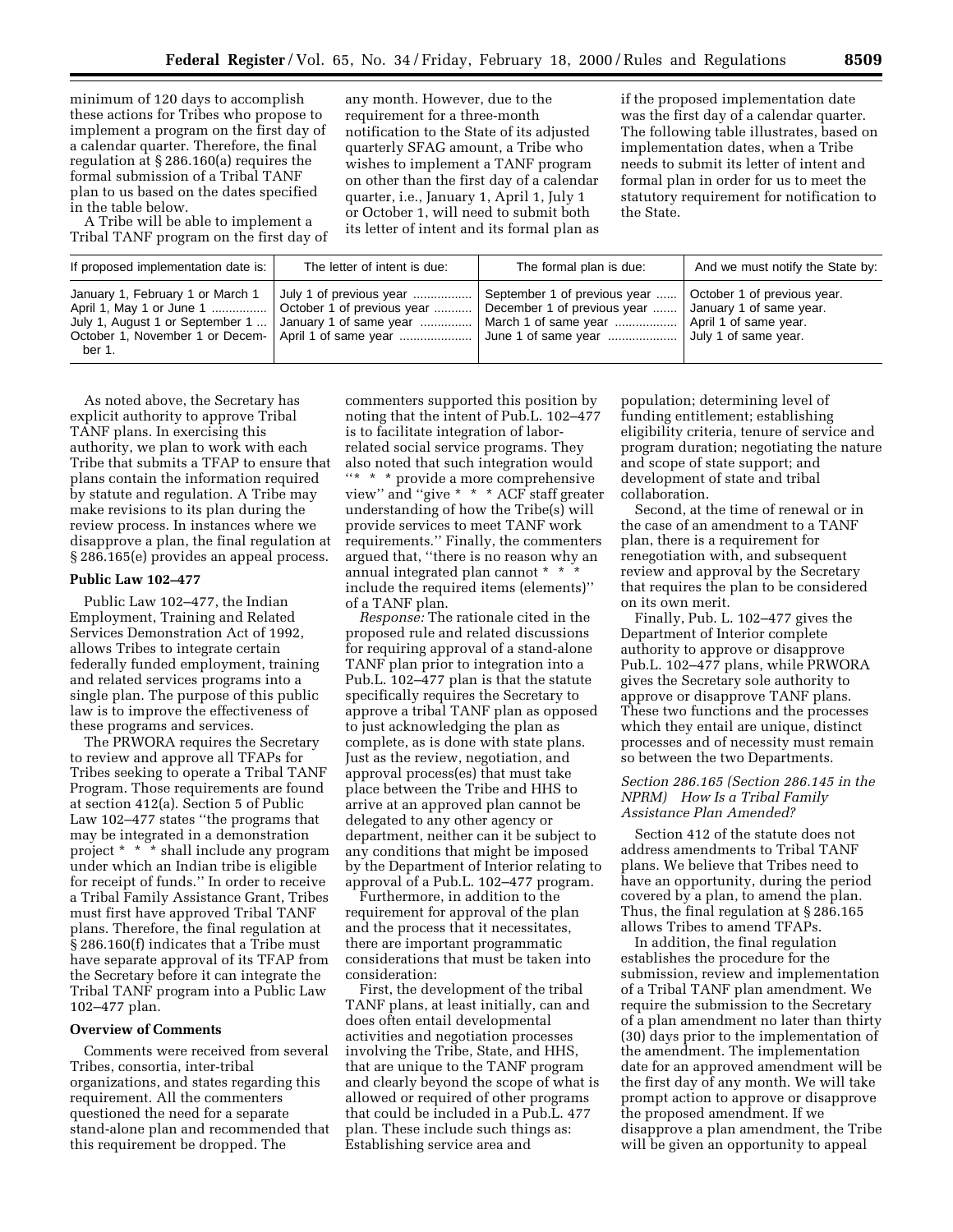minimum of 120 days to accomplish these actions for Tribes who propose to implement a program on the first day of a calendar quarter. Therefore, the final regulation at § 286.160(a) requires the formal submission of a Tribal TANF plan to us based on the dates specified in the table below.

A Tribe will be able to implement a Tribal TANF program on the first day of

any month. However, due to the requirement for a three-month notification to the State of its adjusted quarterly SFAG amount, a Tribe who wishes to implement a TANF program on other than the first day of a calendar quarter, i.e., January 1, April 1, July 1 or October 1, will need to submit both its letter of intent and its formal plan as if the proposed implementation date was the first day of a calendar quarter. The following table illustrates, based on implementation dates, when a Tribe needs to submit its letter of intent and formal plan in order for us to meet the statutory requirement for notification to the State.

| The formal plan is due:<br>If proposed implementation date is:  <br>The letter of intent is due:<br>January 1, February 1 or March 1<br>September 1 of previous year    October 1 of previous year.<br>July 1 of previous year<br>October 1 of previous year  December 1 of previous year  January 1 of same year. |                          |  |                                  |
|--------------------------------------------------------------------------------------------------------------------------------------------------------------------------------------------------------------------------------------------------------------------------------------------------------------------|--------------------------|--|----------------------------------|
|                                                                                                                                                                                                                                                                                                                    |                          |  | And we must notify the State by: |
| July 1, August 1 or September 1<br>April 1 of same year.<br>October 1, November 1 or Decem-<br>  April 1 of same year    June 1 of same year<br>July 1 of same year.<br>ber 1.                                                                                                                                     | April 1, May 1 or June 1 |  |                                  |

As noted above, the Secretary has explicit authority to approve Tribal TANF plans. In exercising this authority, we plan to work with each Tribe that submits a TFAP to ensure that plans contain the information required by statute and regulation. A Tribe may make revisions to its plan during the review process. In instances where we disapprove a plan, the final regulation at § 286.165(e) provides an appeal process.

## **Public Law 102–477**

Public Law 102–477, the Indian Employment, Training and Related Services Demonstration Act of 1992, allows Tribes to integrate certain federally funded employment, training and related services programs into a single plan. The purpose of this public law is to improve the effectiveness of these programs and services.

The PRWORA requires the Secretary to review and approve all TFAPs for Tribes seeking to operate a Tribal TANF Program. Those requirements are found at section 412(a). Section 5 of Public Law 102–477 states ''the programs that may be integrated in a demonstration project \* \* \* shall include any program under which an Indian tribe is eligible for receipt of funds.'' In order to receive a Tribal Family Assistance Grant, Tribes must first have approved Tribal TANF plans. Therefore, the final regulation at § 286.160(f) indicates that a Tribe must have separate approval of its TFAP from the Secretary before it can integrate the Tribal TANF program into a Public Law 102–477 plan.

#### **Overview of Comments**

Comments were received from several Tribes, consortia, inter-tribal organizations, and states regarding this requirement. All the commenters questioned the need for a separate stand-alone plan and recommended that this requirement be dropped. The

commenters supported this position by noting that the intent of Pub.L. 102–477 is to facilitate integration of laborrelated social service programs. They also noted that such integration would ''\* \* \* provide a more comprehensive view'' and ''give \* \* \* ACF staff greater understanding of how the Tribe(s) will provide services to meet TANF work requirements.'' Finally, the commenters argued that, ''there is no reason why an annual integrated plan cannot \* \* \* include the required items (elements)'' of a TANF plan.

*Response:* The rationale cited in the proposed rule and related discussions for requiring approval of a stand-alone TANF plan prior to integration into a Pub.L. 102–477 plan is that the statute specifically requires the Secretary to approve a tribal TANF plan as opposed to just acknowledging the plan as complete, as is done with state plans. Just as the review, negotiation, and approval process(es) that must take place between the Tribe and HHS to arrive at an approved plan cannot be delegated to any other agency or department, neither can it be subject to any conditions that might be imposed by the Department of Interior relating to approval of a Pub.L. 102–477 program.

Furthermore, in addition to the requirement for approval of the plan and the process that it necessitates, there are important programmatic considerations that must be taken into consideration:

First, the development of the tribal TANF plans, at least initially, can and does often entail developmental activities and negotiation processes involving the Tribe, State, and HHS, that are unique to the TANF program and clearly beyond the scope of what is allowed or required of other programs that could be included in a Pub.L. 477 plan. These include such things as: Establishing service area and

population; determining level of funding entitlement; establishing eligibility criteria, tenure of service and program duration; negotiating the nature and scope of state support; and development of state and tribal collaboration.

Second, at the time of renewal or in the case of an amendment to a TANF plan, there is a requirement for renegotiation with, and subsequent review and approval by the Secretary that requires the plan to be considered on its own merit.

Finally, Pub. L. 102–477 gives the Department of Interior complete authority to approve or disapprove Pub.L. 102–477 plans, while PRWORA gives the Secretary sole authority to approve or disapprove TANF plans. These two functions and the processes which they entail are unique, distinct processes and of necessity must remain so between the two Departments.

## *Section 286.165 (Section 286.145 in the NPRM) How Is a Tribal Family Assistance Plan Amended?*

Section 412 of the statute does not address amendments to Tribal TANF plans. We believe that Tribes need to have an opportunity, during the period covered by a plan, to amend the plan. Thus, the final regulation at § 286.165 allows Tribes to amend TFAPs.

In addition, the final regulation establishes the procedure for the submission, review and implementation of a Tribal TANF plan amendment. We require the submission to the Secretary of a plan amendment no later than thirty (30) days prior to the implementation of the amendment. The implementation date for an approved amendment will be the first day of any month. We will take prompt action to approve or disapprove the proposed amendment. If we disapprove a plan amendment, the Tribe will be given an opportunity to appeal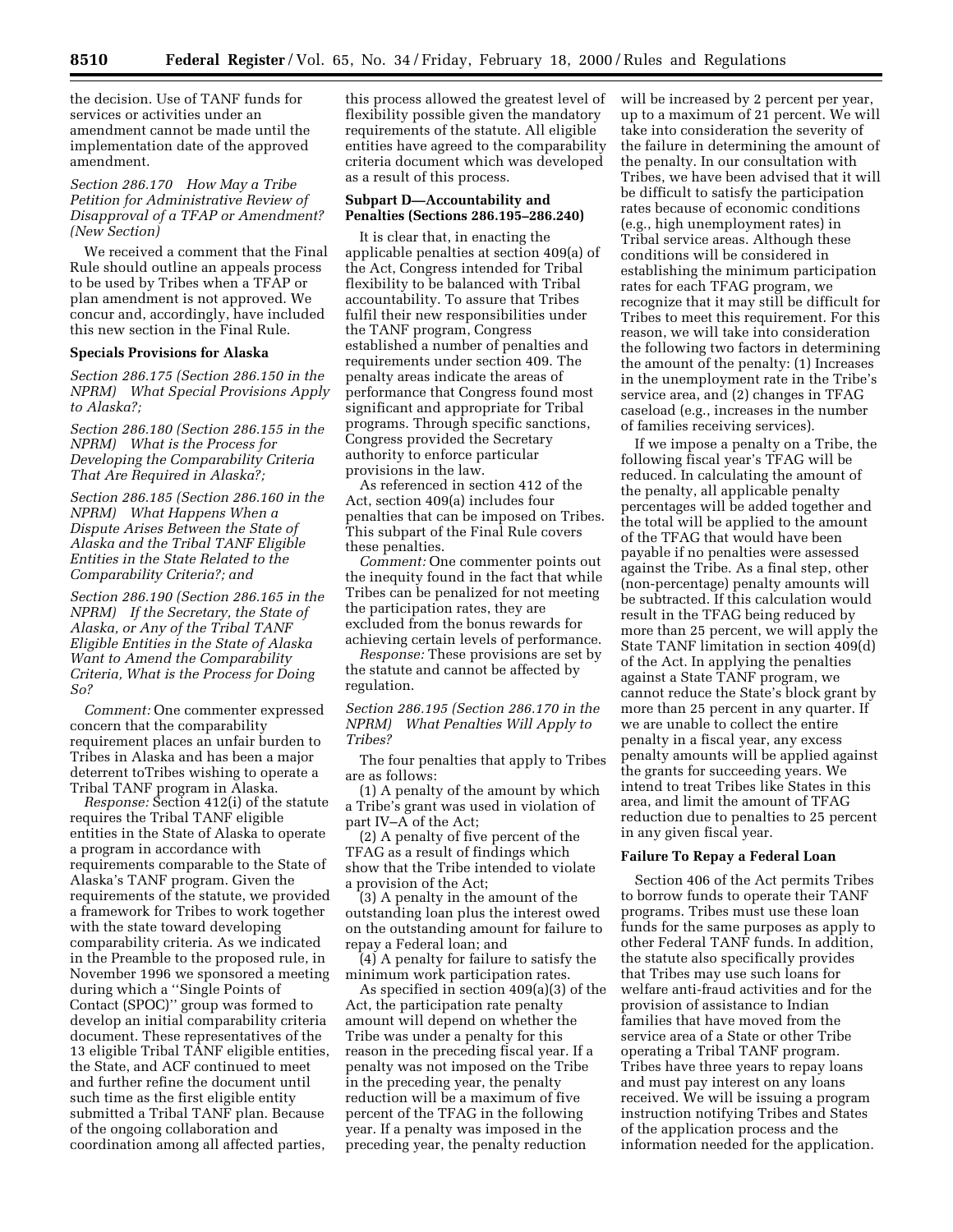the decision. Use of TANF funds for services or activities under an amendment cannot be made until the implementation date of the approved amendment.

*Section 286.170 How May a Tribe Petition for Administrative Review of Disapproval of a TFAP or Amendment? (New Section)*

We received a comment that the Final Rule should outline an appeals process to be used by Tribes when a TFAP or plan amendment is not approved. We concur and, accordingly, have included this new section in the Final Rule.

#### **Specials Provisions for Alaska**

*Section 286.175 (Section 286.150 in the NPRM) What Special Provisions Apply to Alaska?;*

*Section 286.180 (Section 286.155 in the NPRM) What is the Process for Developing the Comparability Criteria That Are Required in Alaska?;*

*Section 286.185 (Section 286.160 in the NPRM) What Happens When a Dispute Arises Between the State of Alaska and the Tribal TANF Eligible Entities in the State Related to the Comparability Criteria?; and*

*Section 286.190 (Section 286.165 in the NPRM) If the Secretary, the State of Alaska, or Any of the Tribal TANF Eligible Entities in the State of Alaska Want to Amend the Comparability Criteria, What is the Process for Doing So?*

*Comment:* One commenter expressed concern that the comparability requirement places an unfair burden to Tribes in Alaska and has been a major deterrent toTribes wishing to operate a Tribal TANF program in Alaska.

*Response:* Section 412(i) of the statute requires the Tribal TANF eligible entities in the State of Alaska to operate a program in accordance with requirements comparable to the State of Alaska's TANF program. Given the requirements of the statute, we provided a framework for Tribes to work together with the state toward developing comparability criteria. As we indicated in the Preamble to the proposed rule, in November 1996 we sponsored a meeting during which a ''Single Points of Contact (SPOC)'' group was formed to develop an initial comparability criteria document. These representatives of the 13 eligible Tribal TANF eligible entities, the State, and ACF continued to meet and further refine the document until such time as the first eligible entity submitted a Tribal TANF plan. Because of the ongoing collaboration and coordination among all affected parties,

this process allowed the greatest level of flexibility possible given the mandatory requirements of the statute. All eligible entities have agreed to the comparability criteria document which was developed as a result of this process.

## **Subpart D—Accountability and Penalties (Sections 286.195–286.240)**

It is clear that, in enacting the applicable penalties at section 409(a) of the Act, Congress intended for Tribal flexibility to be balanced with Tribal accountability. To assure that Tribes fulfil their new responsibilities under the TANF program, Congress established a number of penalties and requirements under section 409. The penalty areas indicate the areas of performance that Congress found most significant and appropriate for Tribal programs. Through specific sanctions, Congress provided the Secretary authority to enforce particular provisions in the law.

As referenced in section 412 of the Act, section 409(a) includes four penalties that can be imposed on Tribes. This subpart of the Final Rule covers these penalties.

*Comment:* One commenter points out the inequity found in the fact that while Tribes can be penalized for not meeting the participation rates, they are excluded from the bonus rewards for achieving certain levels of performance.

*Response:* These provisions are set by the statute and cannot be affected by regulation.

*Section 286.195 (Section 286.170 in the NPRM) What Penalties Will Apply to Tribes?*

The four penalties that apply to Tribes are as follows:

(1) A penalty of the amount by which a Tribe's grant was used in violation of part IV–A of the Act;

(2) A penalty of five percent of the TFAG as a result of findings which show that the Tribe intended to violate a provision of the Act;

(3) A penalty in the amount of the outstanding loan plus the interest owed on the outstanding amount for failure to repay a Federal loan; and

(4) A penalty for failure to satisfy the minimum work participation rates.

As specified in section 409(a)(3) of the Act, the participation rate penalty amount will depend on whether the Tribe was under a penalty for this reason in the preceding fiscal year. If a penalty was not imposed on the Tribe in the preceding year, the penalty reduction will be a maximum of five percent of the TFAG in the following year. If a penalty was imposed in the preceding year, the penalty reduction

will be increased by 2 percent per year, up to a maximum of 21 percent. We will take into consideration the severity of the failure in determining the amount of the penalty. In our consultation with Tribes, we have been advised that it will be difficult to satisfy the participation rates because of economic conditions (e.g., high unemployment rates) in Tribal service areas. Although these conditions will be considered in establishing the minimum participation rates for each TFAG program, we recognize that it may still be difficult for Tribes to meet this requirement. For this reason, we will take into consideration the following two factors in determining the amount of the penalty: (1) Increases in the unemployment rate in the Tribe's service area, and (2) changes in TFAG caseload (e.g., increases in the number of families receiving services).

If we impose a penalty on a Tribe, the following fiscal year's TFAG will be reduced. In calculating the amount of the penalty, all applicable penalty percentages will be added together and the total will be applied to the amount of the TFAG that would have been payable if no penalties were assessed against the Tribe. As a final step, other (non-percentage) penalty amounts will be subtracted. If this calculation would result in the TFAG being reduced by more than 25 percent, we will apply the State TANF limitation in section 409(d) of the Act. In applying the penalties against a State TANF program, we cannot reduce the State's block grant by more than 25 percent in any quarter. If we are unable to collect the entire penalty in a fiscal year, any excess penalty amounts will be applied against the grants for succeeding years. We intend to treat Tribes like States in this area, and limit the amount of TFAG reduction due to penalties to 25 percent in any given fiscal year.

#### **Failure To Repay a Federal Loan**

Section 406 of the Act permits Tribes to borrow funds to operate their TANF programs. Tribes must use these loan funds for the same purposes as apply to other Federal TANF funds. In addition, the statute also specifically provides that Tribes may use such loans for welfare anti-fraud activities and for the provision of assistance to Indian families that have moved from the service area of a State or other Tribe operating a Tribal TANF program. Tribes have three years to repay loans and must pay interest on any loans received. We will be issuing a program instruction notifying Tribes and States of the application process and the information needed for the application.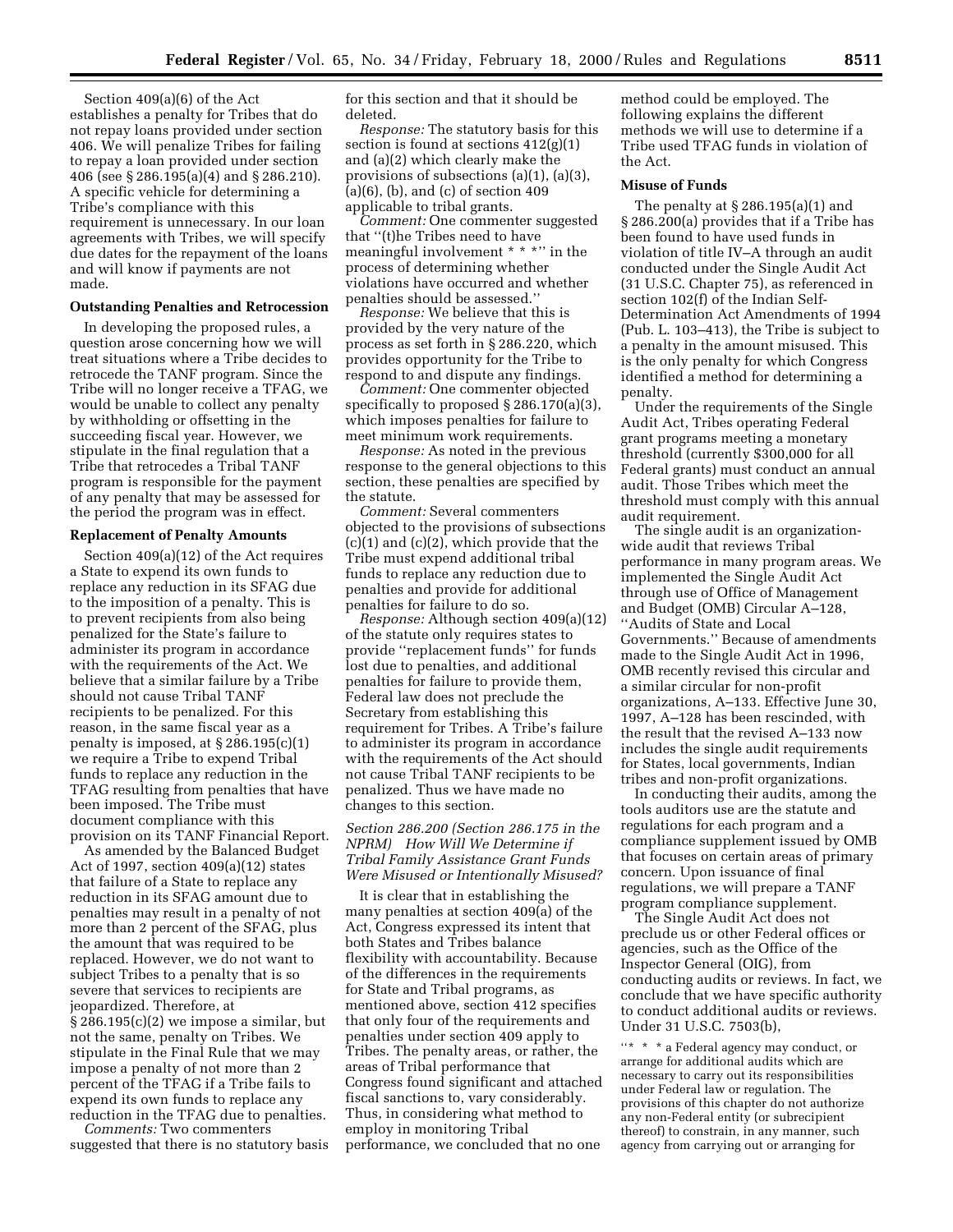Section 409(a)(6) of the Act establishes a penalty for Tribes that do not repay loans provided under section 406. We will penalize Tribes for failing to repay a loan provided under section 406 (see § 286.195(a)(4) and § 286.210). A specific vehicle for determining a Tribe's compliance with this requirement is unnecessary. In our loan agreements with Tribes, we will specify due dates for the repayment of the loans and will know if payments are not made.

## **Outstanding Penalties and Retrocession**

In developing the proposed rules, a question arose concerning how we will treat situations where a Tribe decides to retrocede the TANF program. Since the Tribe will no longer receive a TFAG, we would be unable to collect any penalty by withholding or offsetting in the succeeding fiscal year. However, we stipulate in the final regulation that a Tribe that retrocedes a Tribal TANF program is responsible for the payment of any penalty that may be assessed for the period the program was in effect.

#### **Replacement of Penalty Amounts**

Section 409(a)(12) of the Act requires a State to expend its own funds to replace any reduction in its SFAG due to the imposition of a penalty. This is to prevent recipients from also being penalized for the State's failure to administer its program in accordance with the requirements of the Act. We believe that a similar failure by a Tribe should not cause Tribal TANF recipients to be penalized. For this reason, in the same fiscal year as a penalty is imposed, at § 286.195(c)(1) we require a Tribe to expend Tribal funds to replace any reduction in the TFAG resulting from penalties that have been imposed. The Tribe must document compliance with this provision on its TANF Financial Report.

As amended by the Balanced Budget Act of 1997, section 409(a)(12) states that failure of a State to replace any reduction in its SFAG amount due to penalties may result in a penalty of not more than 2 percent of the SFAG, plus the amount that was required to be replaced. However, we do not want to subject Tribes to a penalty that is so severe that services to recipients are jeopardized. Therefore, at § 286.195(c)(2) we impose a similar, but not the same, penalty on Tribes. We stipulate in the Final Rule that we may impose a penalty of not more than 2 percent of the TFAG if a Tribe fails to expend its own funds to replace any reduction in the TFAG due to penalties.

*Comments:* Two commenters suggested that there is no statutory basis for this section and that it should be deleted.

*Response:* The statutory basis for this section is found at sections 412(g)(1) and (a)(2) which clearly make the provisions of subsections (a)(1), (a)(3), (a)(6), (b), and (c) of section 409 applicable to tribal grants.

*Comment:* One commenter suggested that ''(t)he Tribes need to have meaningful involvement \* \* \*'' in the process of determining whether violations have occurred and whether penalties should be assessed.''

*Response:* We believe that this is provided by the very nature of the process as set forth in § 286.220, which provides opportunity for the Tribe to respond to and dispute any findings.

*Comment:* One commenter objected specifically to proposed § 286.170(a)(3), which imposes penalties for failure to meet minimum work requirements.

*Response:* As noted in the previous response to the general objections to this section, these penalties are specified by the statute.

*Comment:* Several commenters objected to the provisions of subsections (c)(1) and (c)(2), which provide that the Tribe must expend additional tribal funds to replace any reduction due to penalties and provide for additional penalties for failure to do so.

*Response:* Although section 409(a)(12) of the statute only requires states to provide ''replacement funds'' for funds lost due to penalties, and additional penalties for failure to provide them, Federal law does not preclude the Secretary from establishing this requirement for Tribes. A Tribe's failure to administer its program in accordance with the requirements of the Act should not cause Tribal TANF recipients to be penalized. Thus we have made no changes to this section.

*Section 286.200 (Section 286.175 in the NPRM) How Will We Determine if Tribal Family Assistance Grant Funds Were Misused or Intentionally Misused?*

It is clear that in establishing the many penalties at section 409(a) of the Act, Congress expressed its intent that both States and Tribes balance flexibility with accountability. Because of the differences in the requirements for State and Tribal programs, as mentioned above, section 412 specifies that only four of the requirements and penalties under section 409 apply to Tribes. The penalty areas, or rather, the areas of Tribal performance that Congress found significant and attached fiscal sanctions to, vary considerably. Thus, in considering what method to employ in monitoring Tribal performance, we concluded that no one method could be employed. The following explains the different methods we will use to determine if a Tribe used TFAG funds in violation of the Act.

#### **Misuse of Funds**

The penalty at § 286.195(a)(1) and § 286.200(a) provides that if a Tribe has been found to have used funds in violation of title IV–A through an audit conducted under the Single Audit Act (31 U.S.C. Chapter 75), as referenced in section 102(f) of the Indian Self-Determination Act Amendments of 1994 (Pub. L. 103–413), the Tribe is subject to a penalty in the amount misused. This is the only penalty for which Congress identified a method for determining a penalty.

Under the requirements of the Single Audit Act, Tribes operating Federal grant programs meeting a monetary threshold (currently \$300,000 for all Federal grants) must conduct an annual audit. Those Tribes which meet the threshold must comply with this annual audit requirement.

The single audit is an organizationwide audit that reviews Tribal performance in many program areas. We implemented the Single Audit Act through use of Office of Management and Budget (OMB) Circular A–128, ''Audits of State and Local Governments.'' Because of amendments made to the Single Audit Act in 1996, OMB recently revised this circular and a similar circular for non-profit organizations, A–133. Effective June 30, 1997, A–128 has been rescinded, with the result that the revised A–133 now includes the single audit requirements for States, local governments, Indian tribes and non-profit organizations.

In conducting their audits, among the tools auditors use are the statute and regulations for each program and a compliance supplement issued by OMB that focuses on certain areas of primary concern. Upon issuance of final regulations, we will prepare a TANF program compliance supplement.

The Single Audit Act does not preclude us or other Federal offices or agencies, such as the Office of the Inspector General (OIG), from conducting audits or reviews. In fact, we conclude that we have specific authority to conduct additional audits or reviews. Under 31 U.S.C. 7503(b),

''\* \* \* a Federal agency may conduct, or arrange for additional audits which are necessary to carry out its responsibilities under Federal law or regulation. The provisions of this chapter do not authorize any non-Federal entity (or subrecipient thereof) to constrain, in any manner, such agency from carrying out or arranging for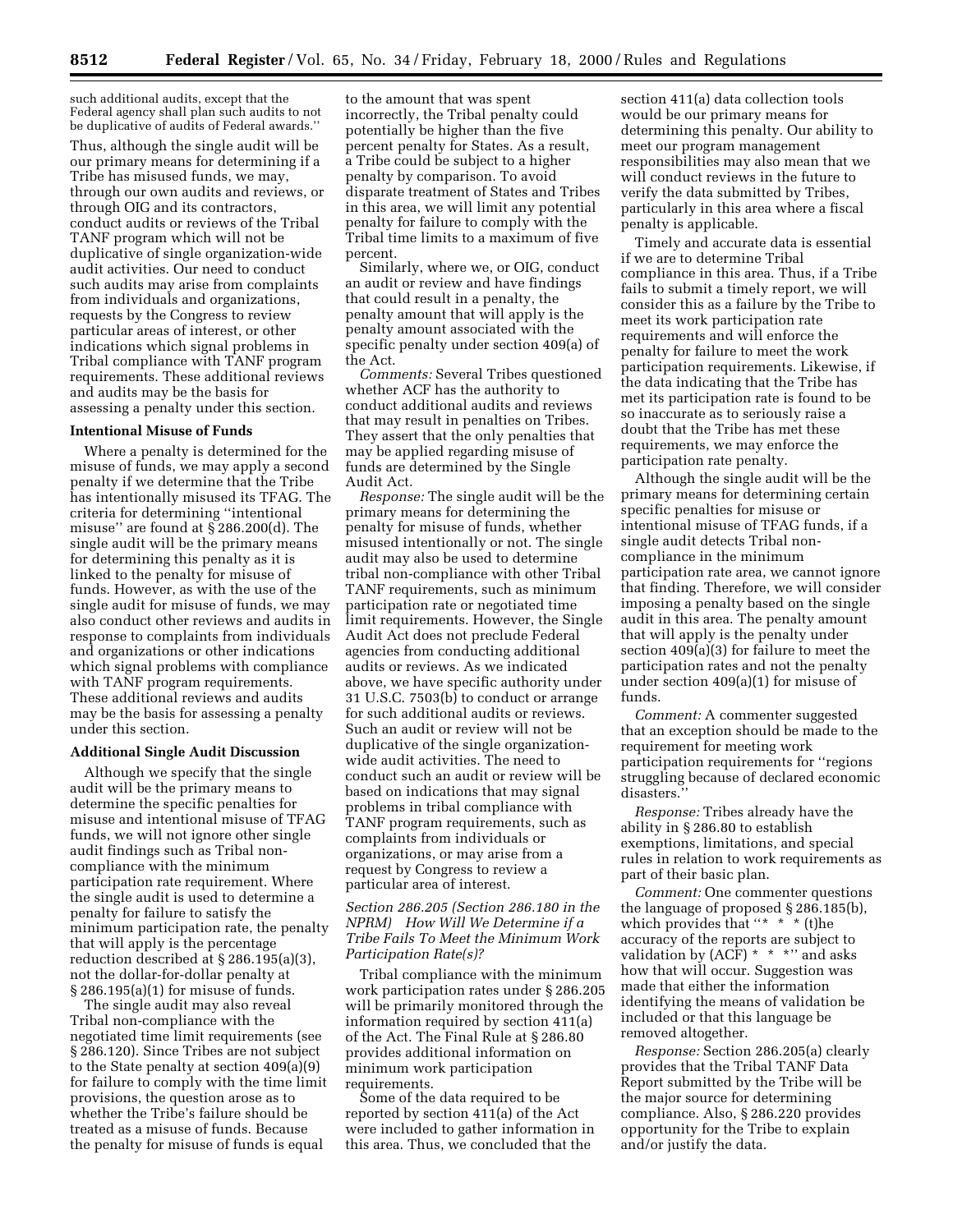such additional audits, except that the Federal agency shall plan such audits to not be duplicative of audits of Federal awards.''

Thus, although the single audit will be our primary means for determining if a Tribe has misused funds, we may, through our own audits and reviews, or through OIG and its contractors, conduct audits or reviews of the Tribal TANF program which will not be duplicative of single organization-wide audit activities. Our need to conduct such audits may arise from complaints from individuals and organizations, requests by the Congress to review particular areas of interest, or other indications which signal problems in Tribal compliance with TANF program requirements. These additional reviews and audits may be the basis for assessing a penalty under this section.

#### **Intentional Misuse of Funds**

Where a penalty is determined for the misuse of funds, we may apply a second penalty if we determine that the Tribe has intentionally misused its TFAG. The criteria for determining ''intentional misuse'' are found at § 286.200(d). The single audit will be the primary means for determining this penalty as it is linked to the penalty for misuse of funds. However, as with the use of the single audit for misuse of funds, we may also conduct other reviews and audits in response to complaints from individuals and organizations or other indications which signal problems with compliance with TANF program requirements. These additional reviews and audits may be the basis for assessing a penalty under this section.

## **Additional Single Audit Discussion**

Although we specify that the single audit will be the primary means to determine the specific penalties for misuse and intentional misuse of TFAG funds, we will not ignore other single audit findings such as Tribal noncompliance with the minimum participation rate requirement. Where the single audit is used to determine a penalty for failure to satisfy the minimum participation rate, the penalty that will apply is the percentage reduction described at § 286.195(a)(3), not the dollar-for-dollar penalty at § 286.195(a)(1) for misuse of funds.

The single audit may also reveal Tribal non-compliance with the negotiated time limit requirements (see § 286.120). Since Tribes are not subject to the State penalty at section 409(a)(9) for failure to comply with the time limit provisions, the question arose as to whether the Tribe's failure should be treated as a misuse of funds. Because the penalty for misuse of funds is equal

to the amount that was spent incorrectly, the Tribal penalty could potentially be higher than the five percent penalty for States. As a result, a Tribe could be subject to a higher penalty by comparison. To avoid disparate treatment of States and Tribes in this area, we will limit any potential penalty for failure to comply with the Tribal time limits to a maximum of five percent.

Similarly, where we, or OIG, conduct an audit or review and have findings that could result in a penalty, the penalty amount that will apply is the penalty amount associated with the specific penalty under section 409(a) of the Act.

*Comments:* Several Tribes questioned whether ACF has the authority to conduct additional audits and reviews that may result in penalties on Tribes. They assert that the only penalties that may be applied regarding misuse of funds are determined by the Single Audit Act.

*Response:* The single audit will be the primary means for determining the penalty for misuse of funds, whether misused intentionally or not. The single audit may also be used to determine tribal non-compliance with other Tribal TANF requirements, such as minimum participation rate or negotiated time limit requirements. However, the Single Audit Act does not preclude Federal agencies from conducting additional audits or reviews. As we indicated above, we have specific authority under 31 U.S.C. 7503(b) to conduct or arrange for such additional audits or reviews. Such an audit or review will not be duplicative of the single organizationwide audit activities. The need to conduct such an audit or review will be based on indications that may signal problems in tribal compliance with TANF program requirements, such as complaints from individuals or organizations, or may arise from a request by Congress to review a particular area of interest.

## *Section 286.205 (Section 286.180 in the NPRM) How Will We Determine if a Tribe Fails To Meet the Minimum Work Participation Rate(s)?*

Tribal compliance with the minimum work participation rates under § 286.205 will be primarily monitored through the information required by section 411(a) of the Act. The Final Rule at § 286.80 provides additional information on minimum work participation requirements.

Some of the data required to be reported by section 411(a) of the Act were included to gather information in this area. Thus, we concluded that the

section 411(a) data collection tools would be our primary means for determining this penalty. Our ability to meet our program management responsibilities may also mean that we will conduct reviews in the future to verify the data submitted by Tribes, particularly in this area where a fiscal penalty is applicable.

Timely and accurate data is essential if we are to determine Tribal compliance in this area. Thus, if a Tribe fails to submit a timely report, we will consider this as a failure by the Tribe to meet its work participation rate requirements and will enforce the penalty for failure to meet the work participation requirements. Likewise, if the data indicating that the Tribe has met its participation rate is found to be so inaccurate as to seriously raise a doubt that the Tribe has met these requirements, we may enforce the participation rate penalty.

Although the single audit will be the primary means for determining certain specific penalties for misuse or intentional misuse of TFAG funds, if a single audit detects Tribal noncompliance in the minimum participation rate area, we cannot ignore that finding. Therefore, we will consider imposing a penalty based on the single audit in this area. The penalty amount that will apply is the penalty under section 409(a)(3) for failure to meet the participation rates and not the penalty under section 409(a)(1) for misuse of funds.

*Comment:* A commenter suggested that an exception should be made to the requirement for meeting work participation requirements for ''regions struggling because of declared economic disasters.

*Response:* Tribes already have the ability in § 286.80 to establish exemptions, limitations, and special rules in relation to work requirements as part of their basic plan.

*Comment:* One commenter questions the language of proposed § 286.185(b), which provides that "\*  $*$  \* (t) he accuracy of the reports are subject to validation by  $(ACF) * * * \cdot '$  and asks how that will occur. Suggestion was made that either the information identifying the means of validation be included or that this language be removed altogether.

*Response:* Section 286.205(a) clearly provides that the Tribal TANF Data Report submitted by the Tribe will be the major source for determining compliance. Also, § 286.220 provides opportunity for the Tribe to explain and/or justify the data.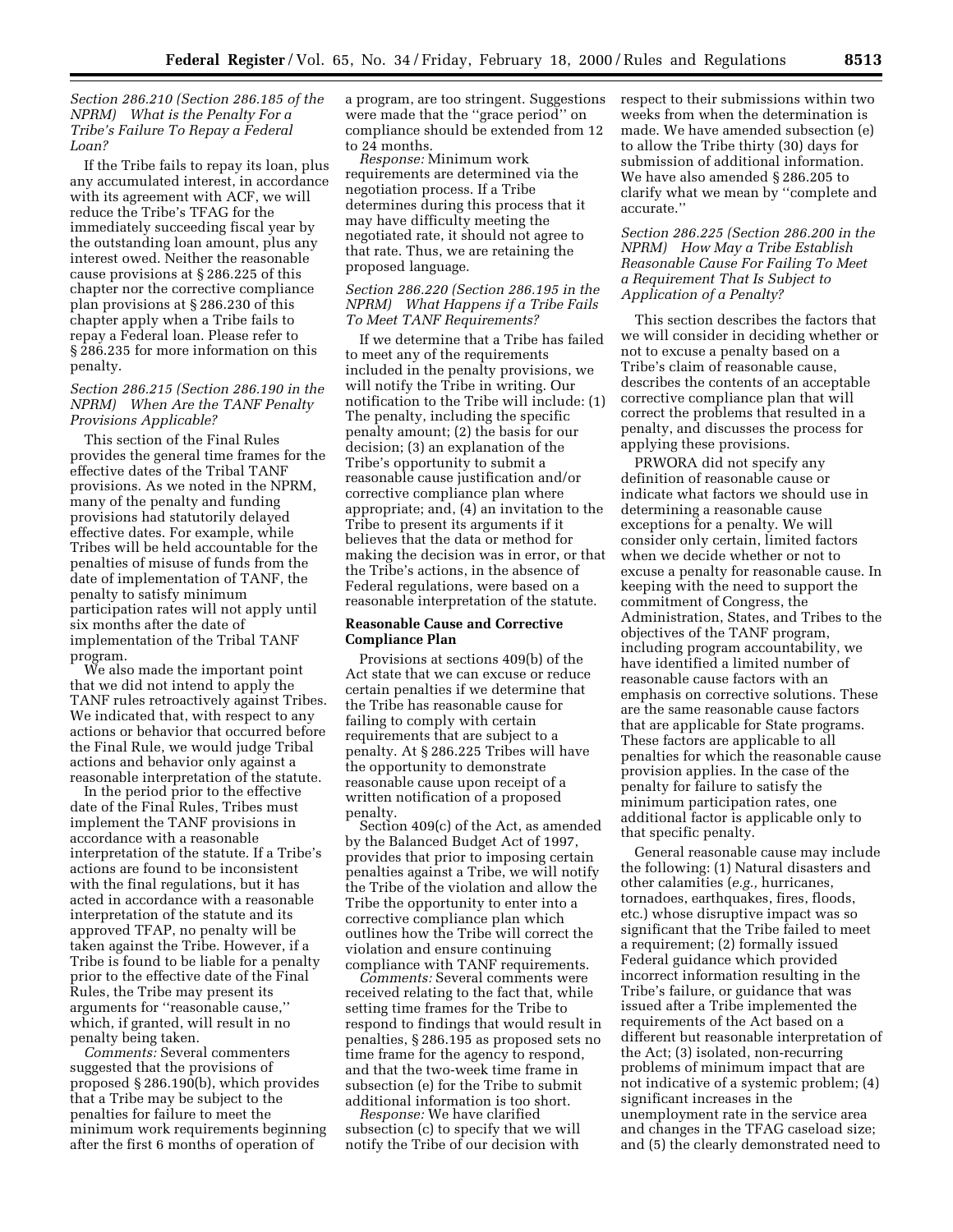*Section 286.210 (Section 286.185 of the NPRM) What is the Penalty For a Tribe's Failure To Repay a Federal Loan?*

If the Tribe fails to repay its loan, plus any accumulated interest, in accordance with its agreement with ACF, we will reduce the Tribe's TFAG for the immediately succeeding fiscal year by the outstanding loan amount, plus any interest owed. Neither the reasonable cause provisions at § 286.225 of this chapter nor the corrective compliance plan provisions at § 286.230 of this chapter apply when a Tribe fails to repay a Federal loan. Please refer to § 286.235 for more information on this penalty.

## *Section 286.215 (Section 286.190 in the NPRM) When Are the TANF Penalty Provisions Applicable?*

This section of the Final Rules provides the general time frames for the effective dates of the Tribal TANF provisions. As we noted in the NPRM, many of the penalty and funding provisions had statutorily delayed effective dates. For example, while Tribes will be held accountable for the penalties of misuse of funds from the date of implementation of TANF, the penalty to satisfy minimum participation rates will not apply until six months after the date of implementation of the Tribal TANF program.

We also made the important point that we did not intend to apply the TANF rules retroactively against Tribes. We indicated that, with respect to any actions or behavior that occurred before the Final Rule, we would judge Tribal actions and behavior only against a reasonable interpretation of the statute.

In the period prior to the effective date of the Final Rules, Tribes must implement the TANF provisions in accordance with a reasonable interpretation of the statute. If a Tribe's actions are found to be inconsistent with the final regulations, but it has acted in accordance with a reasonable interpretation of the statute and its approved TFAP, no penalty will be taken against the Tribe. However, if a Tribe is found to be liable for a penalty prior to the effective date of the Final Rules, the Tribe may present its arguments for ''reasonable cause,'' which, if granted, will result in no penalty being taken.

*Comments:* Several commenters suggested that the provisions of proposed § 286.190(b), which provides that a Tribe may be subject to the penalties for failure to meet the minimum work requirements beginning after the first 6 months of operation of

a program, are too stringent. Suggestions were made that the ''grace period'' on compliance should be extended from 12 to 24 months.

*Response:* Minimum work requirements are determined via the negotiation process. If a Tribe determines during this process that it may have difficulty meeting the negotiated rate, it should not agree to that rate. Thus, we are retaining the proposed language.

# *Section 286.220 (Section 286.195 in the NPRM) What Happens if a Tribe Fails To Meet TANF Requirements?*

If we determine that a Tribe has failed to meet any of the requirements included in the penalty provisions, we will notify the Tribe in writing. Our notification to the Tribe will include: (1) The penalty, including the specific penalty amount; (2) the basis for our decision; (3) an explanation of the Tribe's opportunity to submit a reasonable cause justification and/or corrective compliance plan where appropriate; and, (4) an invitation to the Tribe to present its arguments if it believes that the data or method for making the decision was in error, or that the Tribe's actions, in the absence of Federal regulations, were based on a reasonable interpretation of the statute.

## **Reasonable Cause and Corrective Compliance Plan**

Provisions at sections 409(b) of the Act state that we can excuse or reduce certain penalties if we determine that the Tribe has reasonable cause for failing to comply with certain requirements that are subject to a penalty. At § 286.225 Tribes will have the opportunity to demonstrate reasonable cause upon receipt of a written notification of a proposed penalty. Section 409(c) of the Act, as amended

by the Balanced Budget Act of 1997, provides that prior to imposing certain penalties against a Tribe, we will notify the Tribe of the violation and allow the Tribe the opportunity to enter into a corrective compliance plan which outlines how the Tribe will correct the violation and ensure continuing

*Comments:* Several comments were received relating to the fact that, while setting time frames for the Tribe to respond to findings that would result in penalties, § 286.195 as proposed sets no time frame for the agency to respond, and that the two-week time frame in subsection (e) for the Tribe to submit additional information is too short.

*Response:* We have clarified subsection (c) to specify that we will notify the Tribe of our decision with

respect to their submissions within two weeks from when the determination is made. We have amended subsection (e) to allow the Tribe thirty (30) days for submission of additional information. We have also amended § 286.205 to clarify what we mean by ''complete and accurate.''

# *Section 286.225 (Section 286.200 in the NPRM) How May a Tribe Establish Reasonable Cause For Failing To Meet a Requirement That Is Subject to Application of a Penalty?*

This section describes the factors that we will consider in deciding whether or not to excuse a penalty based on a Tribe's claim of reasonable cause, describes the contents of an acceptable corrective compliance plan that will correct the problems that resulted in a penalty, and discusses the process for applying these provisions.

PRWORA did not specify any definition of reasonable cause or indicate what factors we should use in determining a reasonable cause exceptions for a penalty. We will consider only certain, limited factors when we decide whether or not to excuse a penalty for reasonable cause. In keeping with the need to support the commitment of Congress, the Administration, States, and Tribes to the objectives of the TANF program, including program accountability, we have identified a limited number of reasonable cause factors with an emphasis on corrective solutions. These are the same reasonable cause factors that are applicable for State programs. These factors are applicable to all penalties for which the reasonable cause provision applies. In the case of the penalty for failure to satisfy the minimum participation rates, one additional factor is applicable only to that specific penalty.

General reasonable cause may include the following: (1) Natural disasters and other calamities (*e.g.,* hurricanes, tornadoes, earthquakes, fires, floods, etc.) whose disruptive impact was so significant that the Tribe failed to meet a requirement; (2) formally issued Federal guidance which provided incorrect information resulting in the Tribe's failure, or guidance that was issued after a Tribe implemented the requirements of the Act based on a different but reasonable interpretation of the Act; (3) isolated, non-recurring problems of minimum impact that are not indicative of a systemic problem; (4) significant increases in the unemployment rate in the service area and changes in the TFAG caseload size; and (5) the clearly demonstrated need to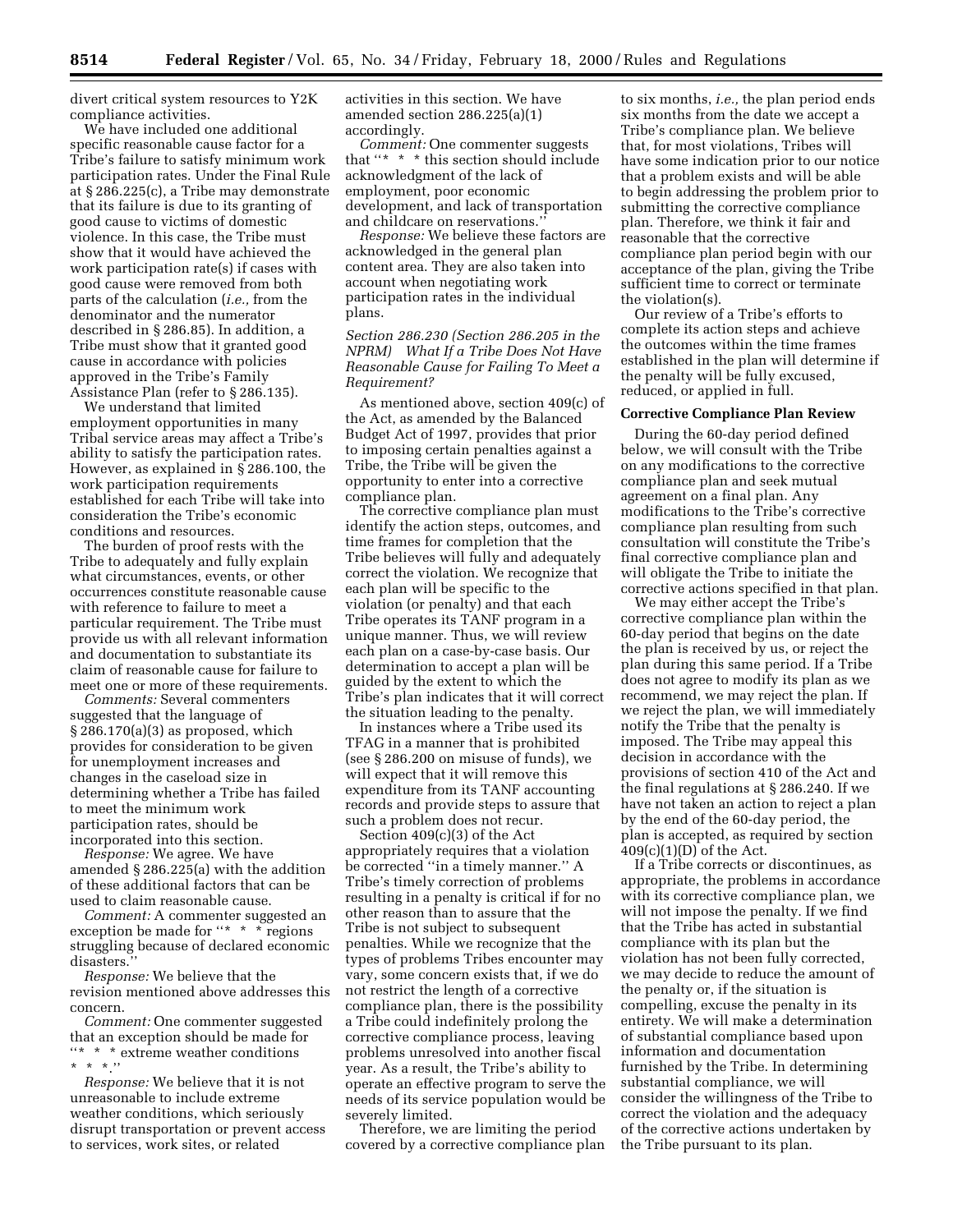divert critical system resources to Y2K compliance activities.

We have included one additional specific reasonable cause factor for a Tribe's failure to satisfy minimum work participation rates. Under the Final Rule at § 286.225(c), a Tribe may demonstrate that its failure is due to its granting of good cause to victims of domestic violence. In this case, the Tribe must show that it would have achieved the work participation rate(s) if cases with good cause were removed from both parts of the calculation (*i.e.,* from the denominator and the numerator described in § 286.85). In addition, a Tribe must show that it granted good cause in accordance with policies approved in the Tribe's Family Assistance Plan (refer to § 286.135).

We understand that limited employment opportunities in many Tribal service areas may affect a Tribe's ability to satisfy the participation rates. However, as explained in § 286.100, the work participation requirements established for each Tribe will take into consideration the Tribe's economic conditions and resources.

The burden of proof rests with the Tribe to adequately and fully explain what circumstances, events, or other occurrences constitute reasonable cause with reference to failure to meet a particular requirement. The Tribe must provide us with all relevant information and documentation to substantiate its claim of reasonable cause for failure to meet one or more of these requirements.

*Comments:* Several commenters suggested that the language of § 286.170(a)(3) as proposed, which provides for consideration to be given for unemployment increases and changes in the caseload size in determining whether a Tribe has failed to meet the minimum work participation rates, should be incorporated into this section.

*Response:* We agree. We have amended § 286.225(a) with the addition of these additional factors that can be used to claim reasonable cause.

*Comment:* A commenter suggested an exception be made for "\* \* \* regions struggling because of declared economic disasters.

*Response:* We believe that the revision mentioned above addresses this concern.

*Comment:* One commenter suggested that an exception should be made for  $\lq \lq \lq \lq \lq \lq \lq$  \* \* extreme weather conditions  $* * * ''$ 

*Response:* We believe that it is not unreasonable to include extreme weather conditions, which seriously disrupt transportation or prevent access to services, work sites, or related

activities in this section. We have amended section 286.225(a)(1) accordingly.

*Comment:* One commenter suggests that ''\* \* \* this section should include acknowledgment of the lack of employment, poor economic development, and lack of transportation and childcare on reservations.''

*Response:* We believe these factors are acknowledged in the general plan content area. They are also taken into account when negotiating work participation rates in the individual plans.

*Section 286.230 (Section 286.205 in the NPRM) What If a Tribe Does Not Have Reasonable Cause for Failing To Meet a Requirement?*

As mentioned above, section 409(c) of the Act, as amended by the Balanced Budget Act of 1997, provides that prior to imposing certain penalties against a Tribe, the Tribe will be given the opportunity to enter into a corrective compliance plan.

The corrective compliance plan must identify the action steps, outcomes, and time frames for completion that the Tribe believes will fully and adequately correct the violation. We recognize that each plan will be specific to the violation (or penalty) and that each Tribe operates its TANF program in a unique manner. Thus, we will review each plan on a case-by-case basis. Our determination to accept a plan will be guided by the extent to which the Tribe's plan indicates that it will correct the situation leading to the penalty.

In instances where a Tribe used its TFAG in a manner that is prohibited (see § 286.200 on misuse of funds), we will expect that it will remove this expenditure from its TANF accounting records and provide steps to assure that such a problem does not recur.

Section 409(c)(3) of the Act appropriately requires that a violation be corrected ''in a timely manner.'' A Tribe's timely correction of problems resulting in a penalty is critical if for no other reason than to assure that the Tribe is not subject to subsequent penalties. While we recognize that the types of problems Tribes encounter may vary, some concern exists that, if we do not restrict the length of a corrective compliance plan, there is the possibility a Tribe could indefinitely prolong the corrective compliance process, leaving problems unresolved into another fiscal year. As a result, the Tribe's ability to operate an effective program to serve the needs of its service population would be severely limited.

Therefore, we are limiting the period covered by a corrective compliance plan

to six months, *i.e.,* the plan period ends six months from the date we accept a Tribe's compliance plan. We believe that, for most violations, Tribes will have some indication prior to our notice that a problem exists and will be able to begin addressing the problem prior to submitting the corrective compliance plan. Therefore, we think it fair and reasonable that the corrective compliance plan period begin with our acceptance of the plan, giving the Tribe sufficient time to correct or terminate the violation(s).

Our review of a Tribe's efforts to complete its action steps and achieve the outcomes within the time frames established in the plan will determine if the penalty will be fully excused, reduced, or applied in full.

#### **Corrective Compliance Plan Review**

During the 60-day period defined below, we will consult with the Tribe on any modifications to the corrective compliance plan and seek mutual agreement on a final plan. Any modifications to the Tribe's corrective compliance plan resulting from such consultation will constitute the Tribe's final corrective compliance plan and will obligate the Tribe to initiate the corrective actions specified in that plan.

We may either accept the Tribe's corrective compliance plan within the 60-day period that begins on the date the plan is received by us, or reject the plan during this same period. If a Tribe does not agree to modify its plan as we recommend, we may reject the plan. If we reject the plan, we will immediately notify the Tribe that the penalty is imposed. The Tribe may appeal this decision in accordance with the provisions of section 410 of the Act and the final regulations at § 286.240. If we have not taken an action to reject a plan by the end of the 60-day period, the plan is accepted, as required by section 409(c)(1)(D) of the Act.

If a Tribe corrects or discontinues, as appropriate, the problems in accordance with its corrective compliance plan, we will not impose the penalty. If we find that the Tribe has acted in substantial compliance with its plan but the violation has not been fully corrected, we may decide to reduce the amount of the penalty or, if the situation is compelling, excuse the penalty in its entirety. We will make a determination of substantial compliance based upon information and documentation furnished by the Tribe. In determining substantial compliance, we will consider the willingness of the Tribe to correct the violation and the adequacy of the corrective actions undertaken by the Tribe pursuant to its plan.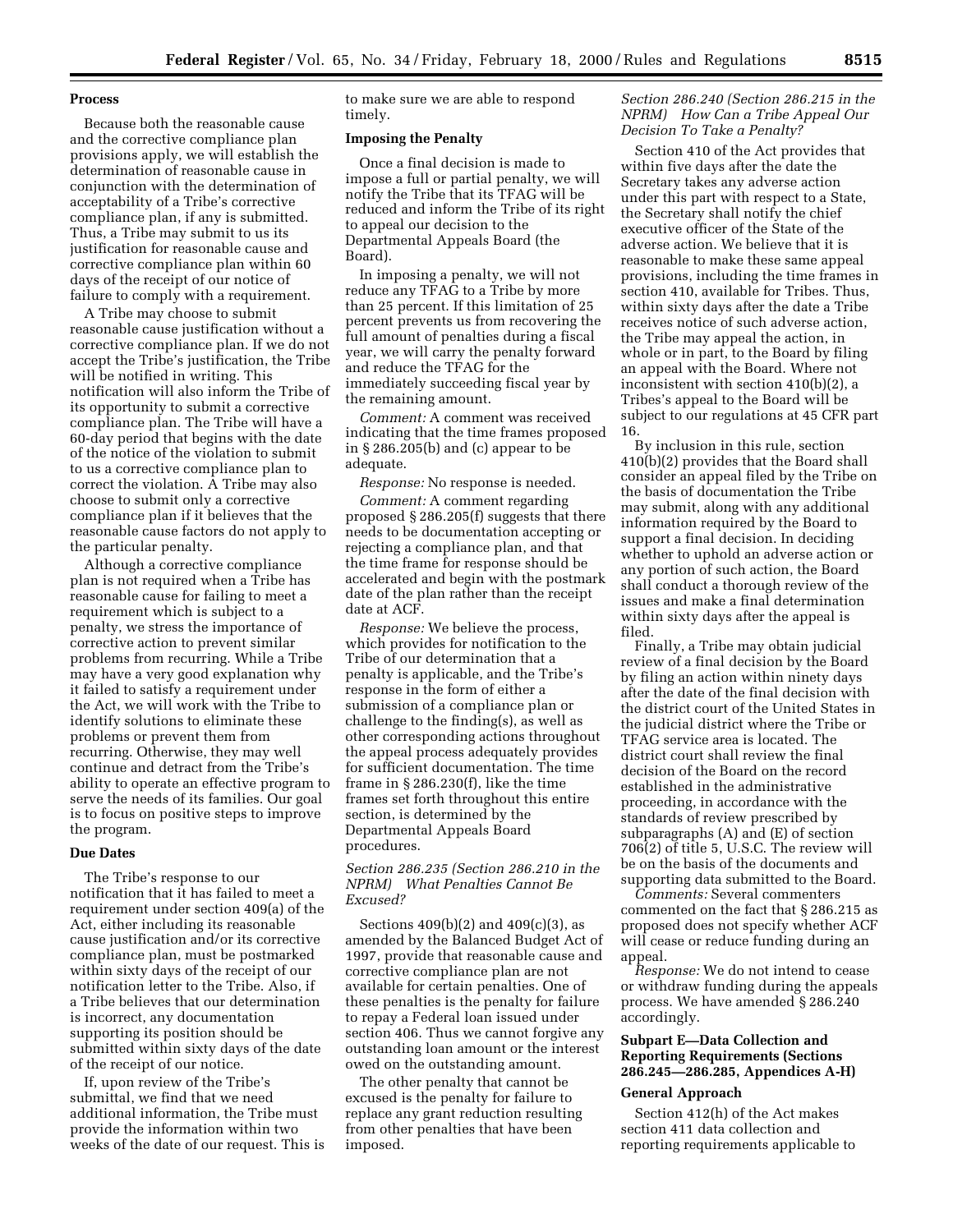## **Process**

Because both the reasonable cause and the corrective compliance plan provisions apply, we will establish the determination of reasonable cause in conjunction with the determination of acceptability of a Tribe's corrective compliance plan, if any is submitted. Thus, a Tribe may submit to us its justification for reasonable cause and corrective compliance plan within 60 days of the receipt of our notice of failure to comply with a requirement.

A Tribe may choose to submit reasonable cause justification without a corrective compliance plan. If we do not accept the Tribe's justification, the Tribe will be notified in writing. This notification will also inform the Tribe of its opportunity to submit a corrective compliance plan. The Tribe will have a 60-day period that begins with the date of the notice of the violation to submit to us a corrective compliance plan to correct the violation. A Tribe may also choose to submit only a corrective compliance plan if it believes that the reasonable cause factors do not apply to the particular penalty.

Although a corrective compliance plan is not required when a Tribe has reasonable cause for failing to meet a requirement which is subject to a penalty, we stress the importance of corrective action to prevent similar problems from recurring. While a Tribe may have a very good explanation why it failed to satisfy a requirement under the Act, we will work with the Tribe to identify solutions to eliminate these problems or prevent them from recurring. Otherwise, they may well continue and detract from the Tribe's ability to operate an effective program to serve the needs of its families. Our goal is to focus on positive steps to improve the program.

#### **Due Dates**

The Tribe's response to our notification that it has failed to meet a requirement under section 409(a) of the Act, either including its reasonable cause justification and/or its corrective compliance plan, must be postmarked within sixty days of the receipt of our notification letter to the Tribe. Also, if a Tribe believes that our determination is incorrect, any documentation supporting its position should be submitted within sixty days of the date of the receipt of our notice.

If, upon review of the Tribe's submittal, we find that we need additional information, the Tribe must provide the information within two weeks of the date of our request. This is to make sure we are able to respond timely.

## **Imposing the Penalty**

Once a final decision is made to impose a full or partial penalty, we will notify the Tribe that its TFAG will be reduced and inform the Tribe of its right to appeal our decision to the Departmental Appeals Board (the Board).

In imposing a penalty, we will not reduce any TFAG to a Tribe by more than 25 percent. If this limitation of 25 percent prevents us from recovering the full amount of penalties during a fiscal year, we will carry the penalty forward and reduce the TFAG for the immediately succeeding fiscal year by the remaining amount.

*Comment:* A comment was received indicating that the time frames proposed in § 286.205(b) and (c) appear to be adequate.

*Response:* No response is needed.

*Comment:* A comment regarding proposed § 286.205(f) suggests that there needs to be documentation accepting or rejecting a compliance plan, and that the time frame for response should be accelerated and begin with the postmark date of the plan rather than the receipt date at ACF.

*Response:* We believe the process, which provides for notification to the Tribe of our determination that a penalty is applicable, and the Tribe's response in the form of either a submission of a compliance plan or challenge to the finding(s), as well as other corresponding actions throughout the appeal process adequately provides for sufficient documentation. The time frame in § 286.230(f), like the time frames set forth throughout this entire section, is determined by the Departmental Appeals Board procedures.

## *Section 286.235 (Section 286.210 in the NPRM) What Penalties Cannot Be Excused?*

Sections 409(b)(2) and 409(c)(3), as amended by the Balanced Budget Act of 1997, provide that reasonable cause and corrective compliance plan are not available for certain penalties. One of these penalties is the penalty for failure to repay a Federal loan issued under section 406. Thus we cannot forgive any outstanding loan amount or the interest owed on the outstanding amount.

The other penalty that cannot be excused is the penalty for failure to replace any grant reduction resulting from other penalties that have been imposed.

# *Section 286.240 (Section 286.215 in the NPRM) How Can a Tribe Appeal Our Decision To Take a Penalty?*

Section 410 of the Act provides that within five days after the date the Secretary takes any adverse action under this part with respect to a State, the Secretary shall notify the chief executive officer of the State of the adverse action. We believe that it is reasonable to make these same appeal provisions, including the time frames in section 410, available for Tribes. Thus, within sixty days after the date a Tribe receives notice of such adverse action, the Tribe may appeal the action, in whole or in part, to the Board by filing an appeal with the Board. Where not inconsistent with section 410(b)(2), a Tribes's appeal to the Board will be subject to our regulations at 45 CFR part 16.

By inclusion in this rule, section 410(b)(2) provides that the Board shall consider an appeal filed by the Tribe on the basis of documentation the Tribe may submit, along with any additional information required by the Board to support a final decision. In deciding whether to uphold an adverse action or any portion of such action, the Board shall conduct a thorough review of the issues and make a final determination within sixty days after the appeal is filed.

Finally, a Tribe may obtain judicial review of a final decision by the Board by filing an action within ninety days after the date of the final decision with the district court of the United States in the judicial district where the Tribe or TFAG service area is located. The district court shall review the final decision of the Board on the record established in the administrative proceeding, in accordance with the standards of review prescribed by subparagraphs (A) and (E) of section 706(2) of title 5, U.S.C. The review will be on the basis of the documents and supporting data submitted to the Board.

*Comments:* Several commenters commented on the fact that § 286.215 as proposed does not specify whether ACF will cease or reduce funding during an appeal.

*Response:* We do not intend to cease or withdraw funding during the appeals process. We have amended § 286.240 accordingly.

# **Subpart E—Data Collection and Reporting Requirements (Sections 286.245—286.285, Appendices A-H)**

## **General Approach**

Section 412(h) of the Act makes section 411 data collection and reporting requirements applicable to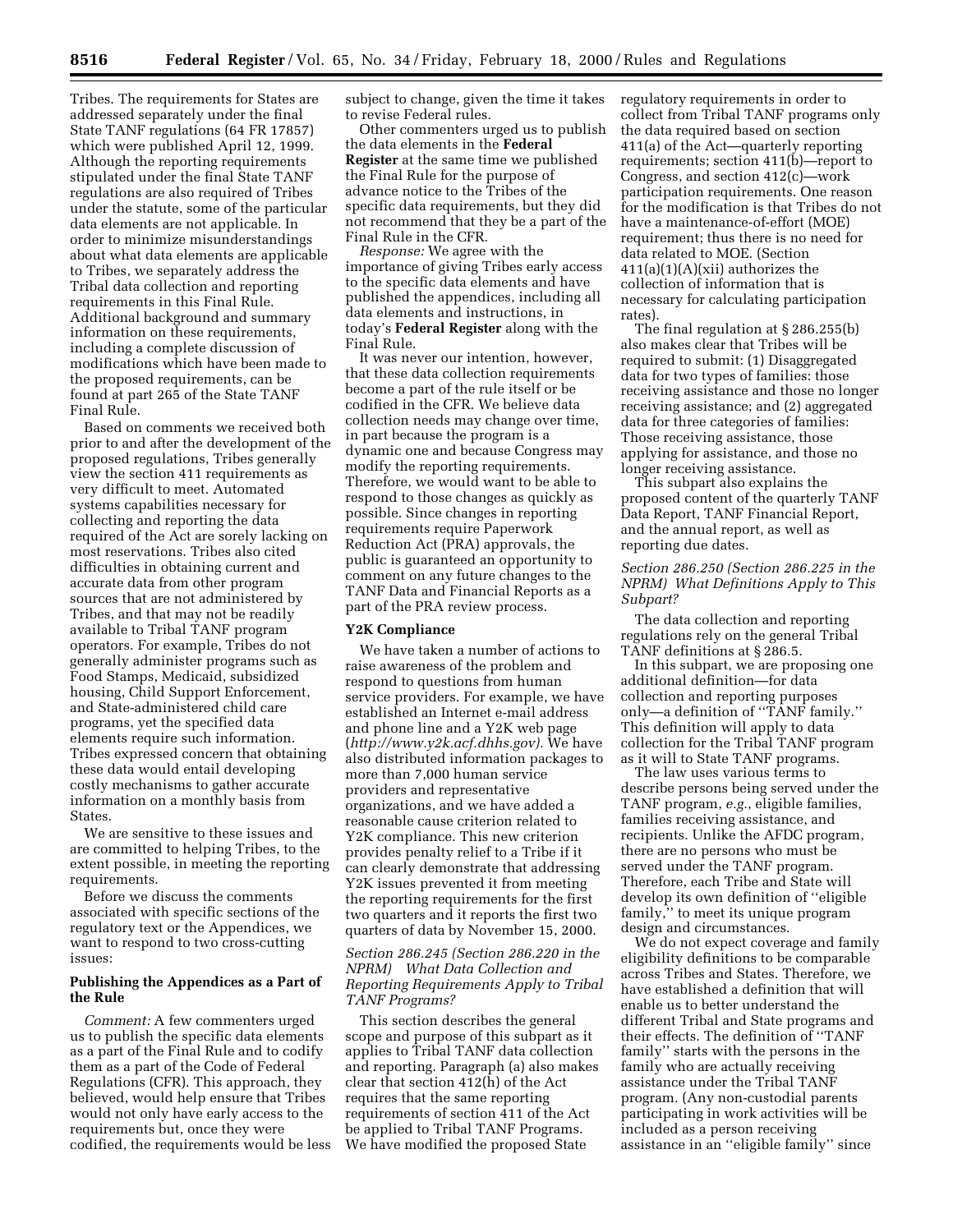Tribes. The requirements for States are addressed separately under the final State TANF regulations (64 FR 17857) which were published April 12, 1999. Although the reporting requirements stipulated under the final State TANF regulations are also required of Tribes under the statute, some of the particular data elements are not applicable. In order to minimize misunderstandings about what data elements are applicable to Tribes, we separately address the Tribal data collection and reporting requirements in this Final Rule. Additional background and summary information on these requirements, including a complete discussion of modifications which have been made to the proposed requirements, can be found at part 265 of the State TANF Final Rule.

Based on comments we received both prior to and after the development of the proposed regulations, Tribes generally view the section 411 requirements as very difficult to meet. Automated systems capabilities necessary for collecting and reporting the data required of the Act are sorely lacking on most reservations. Tribes also cited difficulties in obtaining current and accurate data from other program sources that are not administered by Tribes, and that may not be readily available to Tribal TANF program operators. For example, Tribes do not generally administer programs such as Food Stamps, Medicaid, subsidized housing, Child Support Enforcement, and State-administered child care programs, yet the specified data elements require such information. Tribes expressed concern that obtaining these data would entail developing costly mechanisms to gather accurate information on a monthly basis from States.

We are sensitive to these issues and are committed to helping Tribes, to the extent possible, in meeting the reporting requirements.

Before we discuss the comments associated with specific sections of the regulatory text or the Appendices, we want to respond to two cross-cutting issues:

## **Publishing the Appendices as a Part of the Rule**

*Comment:* A few commenters urged us to publish the specific data elements as a part of the Final Rule and to codify them as a part of the Code of Federal Regulations (CFR). This approach, they believed, would help ensure that Tribes would not only have early access to the requirements but, once they were codified, the requirements would be less subject to change, given the time it takes to revise Federal rules.

Other commenters urged us to publish the data elements in the **Federal Register** at the same time we published the Final Rule for the purpose of advance notice to the Tribes of the specific data requirements, but they did not recommend that they be a part of the Final Rule in the CFR.

*Response:* We agree with the importance of giving Tribes early access to the specific data elements and have published the appendices, including all data elements and instructions, in today's **Federal Register** along with the Final Rule.

It was never our intention, however, that these data collection requirements become a part of the rule itself or be codified in the CFR. We believe data collection needs may change over time, in part because the program is a dynamic one and because Congress may modify the reporting requirements. Therefore, we would want to be able to respond to those changes as quickly as possible. Since changes in reporting requirements require Paperwork Reduction Act (PRA) approvals, the public is guaranteed an opportunity to comment on any future changes to the TANF Data and Financial Reports as a part of the PRA review process.

#### **Y2K Compliance**

We have taken a number of actions to raise awareness of the problem and respond to questions from human service providers. For example, we have established an Internet e-mail address and phone line and a Y2K web page (*http://www.y2k.acf.dhhs.gov).* We have also distributed information packages to more than 7,000 human service providers and representative organizations, and we have added a reasonable cause criterion related to Y2K compliance. This new criterion provides penalty relief to a Tribe if it can clearly demonstrate that addressing Y2K issues prevented it from meeting the reporting requirements for the first two quarters and it reports the first two quarters of data by November 15, 2000.

# *Section 286.245 (Section 286.220 in the NPRM) What Data Collection and Reporting Requirements Apply to Tribal TANF Programs?*

This section describes the general scope and purpose of this subpart as it applies to Tribal TANF data collection and reporting. Paragraph (a) also makes clear that section 412(h) of the Act requires that the same reporting requirements of section 411 of the Act be applied to Tribal TANF Programs. We have modified the proposed State

regulatory requirements in order to collect from Tribal TANF programs only the data required based on section 411(a) of the Act—quarterly reporting requirements; section 411(b)—report to Congress, and section 412(c)—work participation requirements. One reason for the modification is that Tribes do not have a maintenance-of-effort (MOE) requirement; thus there is no need for data related to MOE. (Section 411(a)(1)(A)(xii) authorizes the collection of information that is necessary for calculating participation rates).

The final regulation at § 286.255(b) also makes clear that Tribes will be required to submit: (1) Disaggregated data for two types of families: those receiving assistance and those no longer receiving assistance; and (2) aggregated data for three categories of families: Those receiving assistance, those applying for assistance, and those no longer receiving assistance.

This subpart also explains the proposed content of the quarterly TANF Data Report, TANF Financial Report, and the annual report, as well as reporting due dates.

# *Section 286.250 (Section 286.225 in the NPRM) What Definitions Apply to This Subpart?*

The data collection and reporting regulations rely on the general Tribal TANF definitions at § 286.5.

In this subpart, we are proposing one additional definition—for data collection and reporting purposes only—a definition of ''TANF family.'' This definition will apply to data collection for the Tribal TANF program as it will to State TANF programs.

The law uses various terms to describe persons being served under the TANF program, *e.g.*, eligible families, families receiving assistance, and recipients. Unlike the AFDC program, there are no persons who must be served under the TANF program. Therefore, each Tribe and State will develop its own definition of ''eligible family,'' to meet its unique program design and circumstances.

We do not expect coverage and family eligibility definitions to be comparable across Tribes and States. Therefore, we have established a definition that will enable us to better understand the different Tribal and State programs and their effects. The definition of ''TANF family'' starts with the persons in the family who are actually receiving assistance under the Tribal TANF program. (Any non-custodial parents participating in work activities will be included as a person receiving assistance in an ''eligible family'' since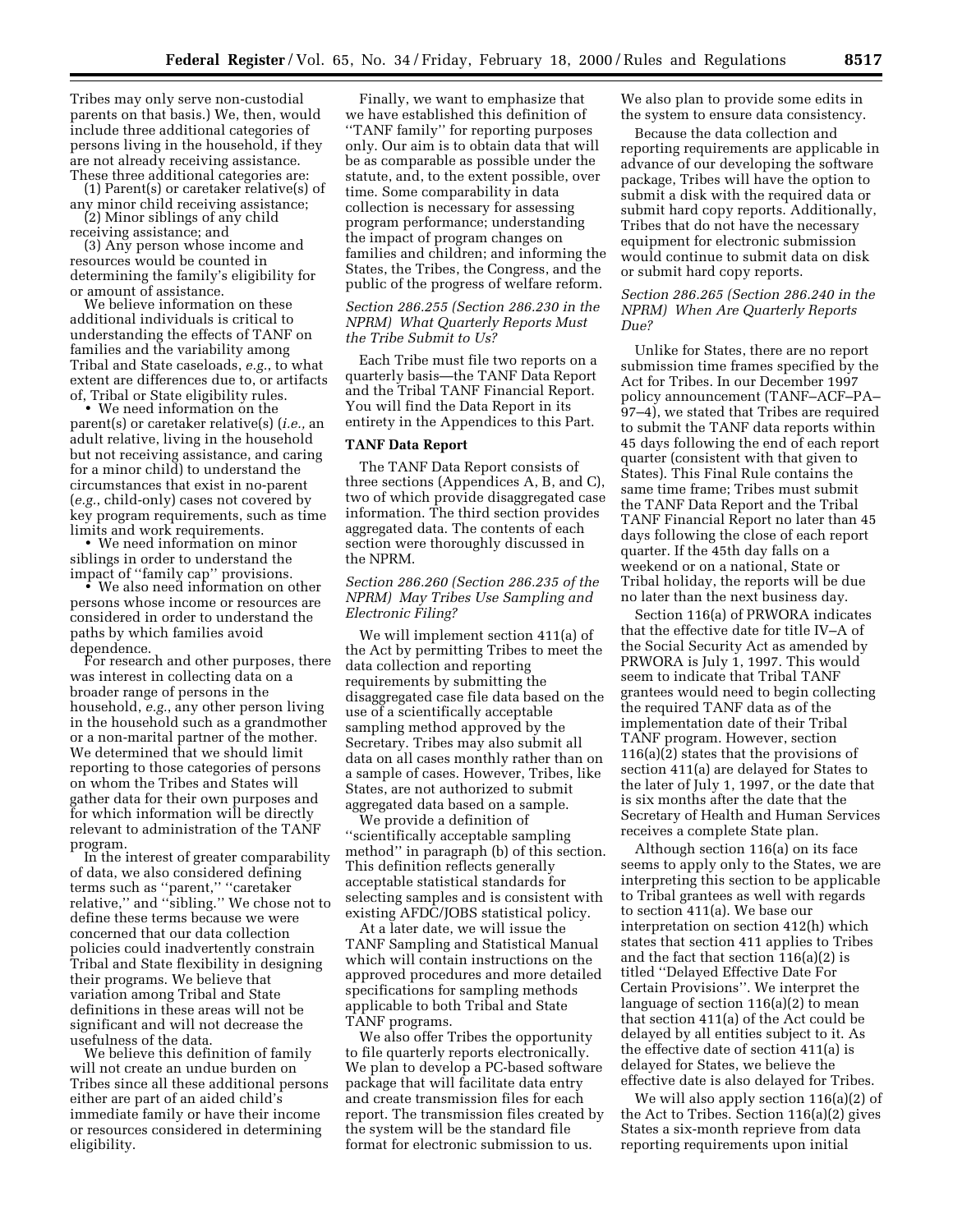Tribes may only serve non-custodial parents on that basis.) We, then, would include three additional categories of persons living in the household, if they are not already receiving assistance. These three additional categories are: (1) Parent(s) or caretaker relative(s) of

any minor child receiving assistance; (2) Minor siblings of any child

receiving assistance; and (3) Any person whose income and resources would be counted in determining the family's eligibility for or amount of assistance.

We believe information on these additional individuals is critical to understanding the effects of TANF on families and the variability among Tribal and State caseloads, *e.g.*, to what extent are differences due to, or artifacts<br>of, Tribal or State eligibility rules.

• We need information on the parent(s) or caretaker relative(s) (*i.e.,* an adult relative, living in the household but not receiving assistance, and caring for a minor child) to understand the circumstances that exist in no-parent (*e.g.*, child-only) cases not covered by key program requirements, such as time<br>limits and work requirements.

• We need information on minor siblings in order to understand the impact of ''family cap'' provisions. • We also need information on other

persons whose income or resources are considered in order to understand the paths by which families avoid dependence. For research and other purposes, there

was interest in collecting data on a broader range of persons in the household, *e.g.*, any other person living in the household such as a grandmother or a non-marital partner of the mother. We determined that we should limit reporting to those categories of persons on whom the Tribes and States will gather data for their own purposes and for which information will be directly relevant to administration of the TANF program. In the interest of greater comparability

of data, we also considered defining terms such as ''parent,'' ''caretaker relative,'' and ''sibling.'' We chose not to define these terms because we were concerned that our data collection policies could inadvertently constrain Tribal and State flexibility in designing their programs. We believe that variation among Tribal and State definitions in these areas will not be significant and will not decrease the usefulness of the data.

We believe this definition of family will not create an undue burden on Tribes since all these additional persons either are part of an aided child's immediate family or have their income or resources considered in determining eligibility.

Finally, we want to emphasize that we have established this definition of ''TANF family'' for reporting purposes only. Our aim is to obtain data that will be as comparable as possible under the statute, and, to the extent possible, over time. Some comparability in data collection is necessary for assessing program performance; understanding the impact of program changes on families and children; and informing the States, the Tribes, the Congress, and the public of the progress of welfare reform.

# *Section 286.255 (Section 286.230 in the NPRM) What Quarterly Reports Must the Tribe Submit to Us?*

Each Tribe must file two reports on a quarterly basis—the TANF Data Report and the Tribal TANF Financial Report. You will find the Data Report in its entirety in the Appendices to this Part.

#### **TANF Data Report**

The TANF Data Report consists of three sections (Appendices A, B, and C), two of which provide disaggregated case information. The third section provides aggregated data. The contents of each section were thoroughly discussed in the NPRM.

# *Section 286.260 (Section 286.235 of the NPRM) May Tribes Use Sampling and Electronic Filing?*

We will implement section 411(a) of the Act by permitting Tribes to meet the data collection and reporting requirements by submitting the disaggregated case file data based on the use of a scientifically acceptable sampling method approved by the Secretary. Tribes may also submit all data on all cases monthly rather than on a sample of cases. However, Tribes, like States, are not authorized to submit aggregated data based on a sample.

We provide a definition of ''scientifically acceptable sampling method'' in paragraph (b) of this section. This definition reflects generally acceptable statistical standards for selecting samples and is consistent with existing AFDC/JOBS statistical policy.

At a later date, we will issue the TANF Sampling and Statistical Manual which will contain instructions on the approved procedures and more detailed specifications for sampling methods applicable to both Tribal and State TANF programs.

We also offer Tribes the opportunity to file quarterly reports electronically. We plan to develop a PC-based software package that will facilitate data entry and create transmission files for each report. The transmission files created by the system will be the standard file format for electronic submission to us.

We also plan to provide some edits in the system to ensure data consistency.

Because the data collection and reporting requirements are applicable in advance of our developing the software package, Tribes will have the option to submit a disk with the required data or submit hard copy reports. Additionally, Tribes that do not have the necessary equipment for electronic submission would continue to submit data on disk or submit hard copy reports.

#### *Section 286.265 (Section 286.240 in the NPRM) When Are Quarterly Reports Due?*

Unlike for States, there are no report submission time frames specified by the Act for Tribes. In our December 1997 policy announcement (TANF–ACF–PA– 97–4), we stated that Tribes are required to submit the TANF data reports within 45 days following the end of each report quarter (consistent with that given to States). This Final Rule contains the same time frame; Tribes must submit the TANF Data Report and the Tribal TANF Financial Report no later than 45 days following the close of each report quarter. If the 45th day falls on a weekend or on a national, State or Tribal holiday, the reports will be due no later than the next business day.

Section 116(a) of PRWORA indicates that the effective date for title IV–A of the Social Security Act as amended by PRWORA is July 1, 1997. This would seem to indicate that Tribal TANF grantees would need to begin collecting the required TANF data as of the implementation date of their Tribal TANF program. However, section 116(a)(2) states that the provisions of section 411(a) are delayed for States to the later of July 1, 1997, or the date that is six months after the date that the Secretary of Health and Human Services receives a complete State plan.

Although section 116(a) on its face seems to apply only to the States, we are interpreting this section to be applicable to Tribal grantees as well with regards to section 411(a). We base our interpretation on section 412(h) which states that section 411 applies to Tribes and the fact that section 116(a)(2) is titled ''Delayed Effective Date For Certain Provisions''. We interpret the language of section 116(a)(2) to mean that section 411(a) of the Act could be delayed by all entities subject to it. As the effective date of section 411(a) is delayed for States, we believe the effective date is also delayed for Tribes.

We will also apply section 116(a)(2) of the Act to Tribes. Section 116(a)(2) gives States a six-month reprieve from data reporting requirements upon initial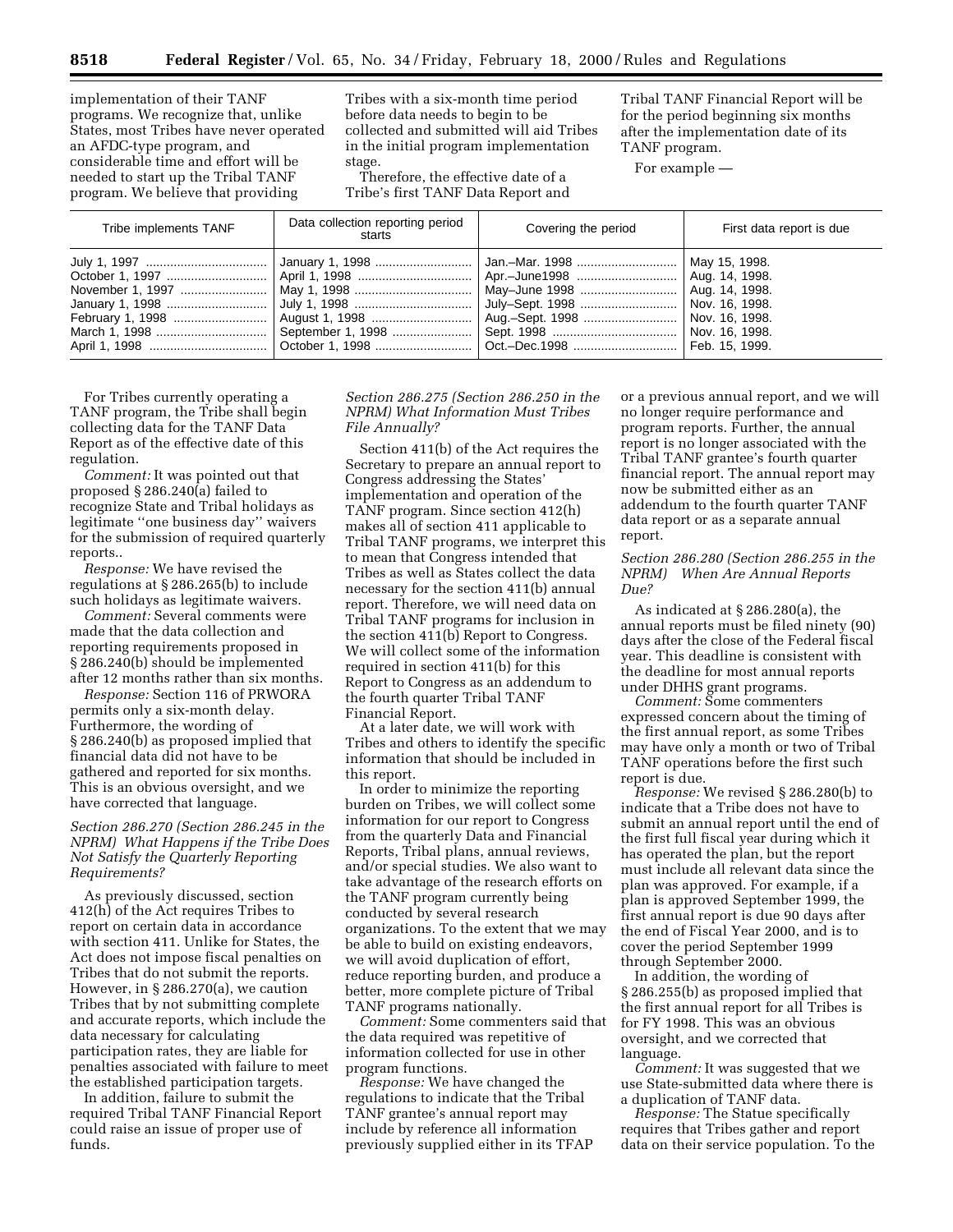implementation of their TANF programs. We recognize that, unlike States, most Tribes have never operated an AFDC-type program, and considerable time and effort will be needed to start up the Tribal TANF program. We believe that providing

Tribes with a six-month time period before data needs to begin to be collected and submitted will aid Tribes in the initial program implementation stage.

Therefore, the effective date of a Tribe's first TANF Data Report and Tribal TANF Financial Report will be for the period beginning six months after the implementation date of its TANF program.

For example —

| Tribe implements TANF                                                                               | Data collection reporting period<br>starts | Covering the period                                                  | First data report is due |
|-----------------------------------------------------------------------------------------------------|--------------------------------------------|----------------------------------------------------------------------|--------------------------|
| July 1, 1997 …………………………………   January 1, 1998 …………………………   Jan.–Mar. 1998 …………………………   May 15, 1998. |                                            | May-June 1998    Aug. 14, 1998.<br>Aug.-Sept. 1998    Nov. 16, 1998. |                          |

For Tribes currently operating a TANF program, the Tribe shall begin collecting data for the TANF Data Report as of the effective date of this regulation.

*Comment:* It was pointed out that proposed § 286.240(a) failed to recognize State and Tribal holidays as legitimate ''one business day'' waivers for the submission of required quarterly reports..

*Response:* We have revised the regulations at § 286.265(b) to include such holidays as legitimate waivers.

*Comment:* Several comments were made that the data collection and reporting requirements proposed in § 286.240(b) should be implemented after 12 months rather than six months.

*Response:* Section 116 of PRWORA permits only a six-month delay. Furthermore, the wording of § 286.240(b) as proposed implied that financial data did not have to be gathered and reported for six months. This is an obvious oversight, and we have corrected that language.

# *Section 286.270 (Section 286.245 in the NPRM) What Happens if the Tribe Does Not Satisfy the Quarterly Reporting Requirements?*

As previously discussed, section 412(h) of the Act requires Tribes to report on certain data in accordance with section 411. Unlike for States, the Act does not impose fiscal penalties on Tribes that do not submit the reports. However, in § 286.270(a), we caution Tribes that by not submitting complete and accurate reports, which include the data necessary for calculating participation rates, they are liable for penalties associated with failure to meet the established participation targets.

In addition, failure to submit the required Tribal TANF Financial Report could raise an issue of proper use of funds.

*Section 286.275 (Section 286.250 in the NPRM) What Information Must Tribes File Annually?*

Section 411(b) of the Act requires the Secretary to prepare an annual report to Congress addressing the States' implementation and operation of the TANF program. Since section 412(h) makes all of section 411 applicable to Tribal TANF programs, we interpret this to mean that Congress intended that Tribes as well as States collect the data necessary for the section 411(b) annual report. Therefore, we will need data on Tribal TANF programs for inclusion in the section 411(b) Report to Congress. We will collect some of the information required in section 411(b) for this Report to Congress as an addendum to the fourth quarter Tribal TANF Financial Report.

At a later date, we will work with Tribes and others to identify the specific information that should be included in this report.

In order to minimize the reporting burden on Tribes, we will collect some information for our report to Congress from the quarterly Data and Financial Reports, Tribal plans, annual reviews, and/or special studies. We also want to take advantage of the research efforts on the TANF program currently being conducted by several research organizations. To the extent that we may be able to build on existing endeavors, we will avoid duplication of effort, reduce reporting burden, and produce a better, more complete picture of Tribal TANF programs nationally.

*Comment:* Some commenters said that the data required was repetitive of information collected for use in other program functions.

*Response:* We have changed the regulations to indicate that the Tribal TANF grantee's annual report may include by reference all information previously supplied either in its TFAP or a previous annual report, and we will no longer require performance and program reports. Further, the annual report is no longer associated with the Tribal TANF grantee's fourth quarter financial report. The annual report may now be submitted either as an addendum to the fourth quarter TANF data report or as a separate annual report.

## *Section 286.280 (Section 286.255 in the NPRM) When Are Annual Reports Due?*

As indicated at § 286.280(a), the annual reports must be filed ninety (90) days after the close of the Federal fiscal year. This deadline is consistent with the deadline for most annual reports under DHHS grant programs.

*Comment:* Some commenters expressed concern about the timing of the first annual report, as some Tribes may have only a month or two of Tribal TANF operations before the first such report is due.

*Response:* We revised § 286.280(b) to indicate that a Tribe does not have to submit an annual report until the end of the first full fiscal year during which it has operated the plan, but the report must include all relevant data since the plan was approved. For example, if a plan is approved September 1999, the first annual report is due 90 days after the end of Fiscal Year 2000, and is to cover the period September 1999 through September 2000.

In addition, the wording of § 286.255(b) as proposed implied that the first annual report for all Tribes is for FY 1998. This was an obvious oversight, and we corrected that language.

*Comment:* It was suggested that we use State-submitted data where there is a duplication of TANF data.

*Response:* The Statue specifically requires that Tribes gather and report data on their service population. To the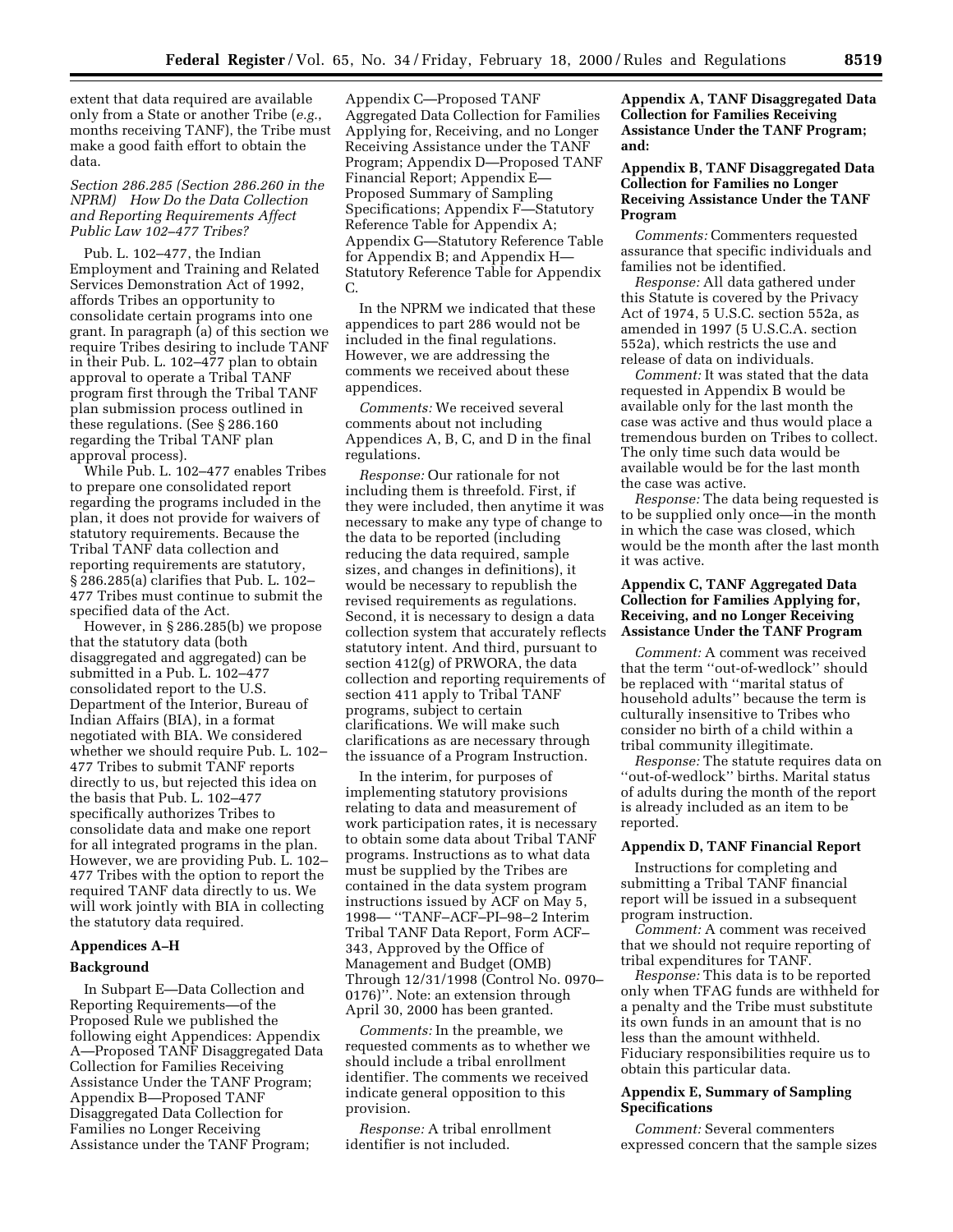extent that data required are available only from a State or another Tribe (*e.g.*, months receiving TANF), the Tribe must make a good faith effort to obtain the data.

# *Section 286.285 (Section 286.260 in the NPRM) How Do the Data Collection and Reporting Requirements Affect Public Law 102–477 Tribes?*

Pub. L. 102–477, the Indian Employment and Training and Related Services Demonstration Act of 1992, affords Tribes an opportunity to consolidate certain programs into one grant. In paragraph (a) of this section we require Tribes desiring to include TANF in their Pub. L. 102–477 plan to obtain approval to operate a Tribal TANF program first through the Tribal TANF plan submission process outlined in these regulations. (See § 286.160 regarding the Tribal TANF plan approval process).

While Pub. L. 102–477 enables Tribes to prepare one consolidated report regarding the programs included in the plan, it does not provide for waivers of statutory requirements. Because the Tribal TANF data collection and reporting requirements are statutory, § 286.285(a) clarifies that Pub. L. 102– 477 Tribes must continue to submit the specified data of the Act.

However, in § 286.285(b) we propose that the statutory data (both disaggregated and aggregated) can be submitted in a Pub. L. 102–477 consolidated report to the U.S. Department of the Interior, Bureau of Indian Affairs (BIA), in a format negotiated with BIA. We considered whether we should require Pub. L. 102– 477 Tribes to submit TANF reports directly to us, but rejected this idea on the basis that Pub. L. 102–477 specifically authorizes Tribes to consolidate data and make one report for all integrated programs in the plan. However, we are providing Pub. L. 102– 477 Tribes with the option to report the required TANF data directly to us. We will work jointly with BIA in collecting the statutory data required.

# **Appendices A–H**

# **Background**

In Subpart E—Data Collection and Reporting Requirements—of the Proposed Rule we published the following eight Appendices: Appendix A—Proposed TANF Disaggregated Data Collection for Families Receiving Assistance Under the TANF Program; Appendix B—Proposed TANF Disaggregated Data Collection for Families no Longer Receiving Assistance under the TANF Program;

Appendix C—Proposed TANF Aggregated Data Collection for Families Applying for, Receiving, and no Longer Receiving Assistance under the TANF Program; Appendix D—Proposed TANF Financial Report; Appendix E— Proposed Summary of Sampling Specifications; Appendix F—Statutory Reference Table for Appendix A; Appendix G—Statutory Reference Table for Appendix B; and Appendix H— Statutory Reference Table for Appendix C.

In the NPRM we indicated that these appendices to part 286 would not be included in the final regulations. However, we are addressing the comments we received about these appendices.

*Comments:* We received several comments about not including Appendices A, B, C, and D in the final regulations.

*Response:* Our rationale for not including them is threefold. First, if they were included, then anytime it was necessary to make any type of change to the data to be reported (including reducing the data required, sample sizes, and changes in definitions), it would be necessary to republish the revised requirements as regulations. Second, it is necessary to design a data collection system that accurately reflects statutory intent. And third, pursuant to section 412(g) of PRWORA, the data collection and reporting requirements of section 411 apply to Tribal TANF programs, subject to certain clarifications. We will make such clarifications as are necessary through the issuance of a Program Instruction.

In the interim, for purposes of implementing statutory provisions relating to data and measurement of work participation rates, it is necessary to obtain some data about Tribal TANF programs. Instructions as to what data must be supplied by the Tribes are contained in the data system program instructions issued by ACF on May 5, 1998— ''TANF–ACF–PI–98–2 Interim Tribal TANF Data Report, Form ACF– 343, Approved by the Office of Management and Budget (OMB) Through 12/31/1998 (Control No. 0970– 0176)''. Note: an extension through April 30, 2000 has been granted.

*Comments:* In the preamble, we requested comments as to whether we should include a tribal enrollment identifier. The comments we received indicate general opposition to this provision.

*Response:* A tribal enrollment identifier is not included.

**Appendix A, TANF Disaggregated Data Collection for Families Receiving Assistance Under the TANF Program; and:**

# **Appendix B, TANF Disaggregated Data Collection for Families no Longer Receiving Assistance Under the TANF Program**

*Comments:* Commenters requested assurance that specific individuals and families not be identified.

*Response:* All data gathered under this Statute is covered by the Privacy Act of 1974, 5 U.S.C. section 552a, as amended in 1997 (5 U.S.C.A. section 552a), which restricts the use and release of data on individuals.

*Comment:* It was stated that the data requested in Appendix B would be available only for the last month the case was active and thus would place a tremendous burden on Tribes to collect. The only time such data would be available would be for the last month the case was active.

*Response:* The data being requested is to be supplied only once—in the month in which the case was closed, which would be the month after the last month it was active.

# **Appendix C, TANF Aggregated Data Collection for Families Applying for, Receiving, and no Longer Receiving Assistance Under the TANF Program**

*Comment:* A comment was received that the term ''out-of-wedlock'' should be replaced with ''marital status of household adults'' because the term is culturally insensitive to Tribes who consider no birth of a child within a tribal community illegitimate.

*Response:* The statute requires data on ''out-of-wedlock'' births. Marital status of adults during the month of the report is already included as an item to be reported.

# **Appendix D, TANF Financial Report**

Instructions for completing and submitting a Tribal TANF financial report will be issued in a subsequent program instruction.

*Comment:* A comment was received that we should not require reporting of tribal expenditures for TANF.

*Response:* This data is to be reported only when TFAG funds are withheld for a penalty and the Tribe must substitute its own funds in an amount that is no less than the amount withheld. Fiduciary responsibilities require us to obtain this particular data.

# **Appendix E, Summary of Sampling Specifications**

*Comment:* Several commenters expressed concern that the sample sizes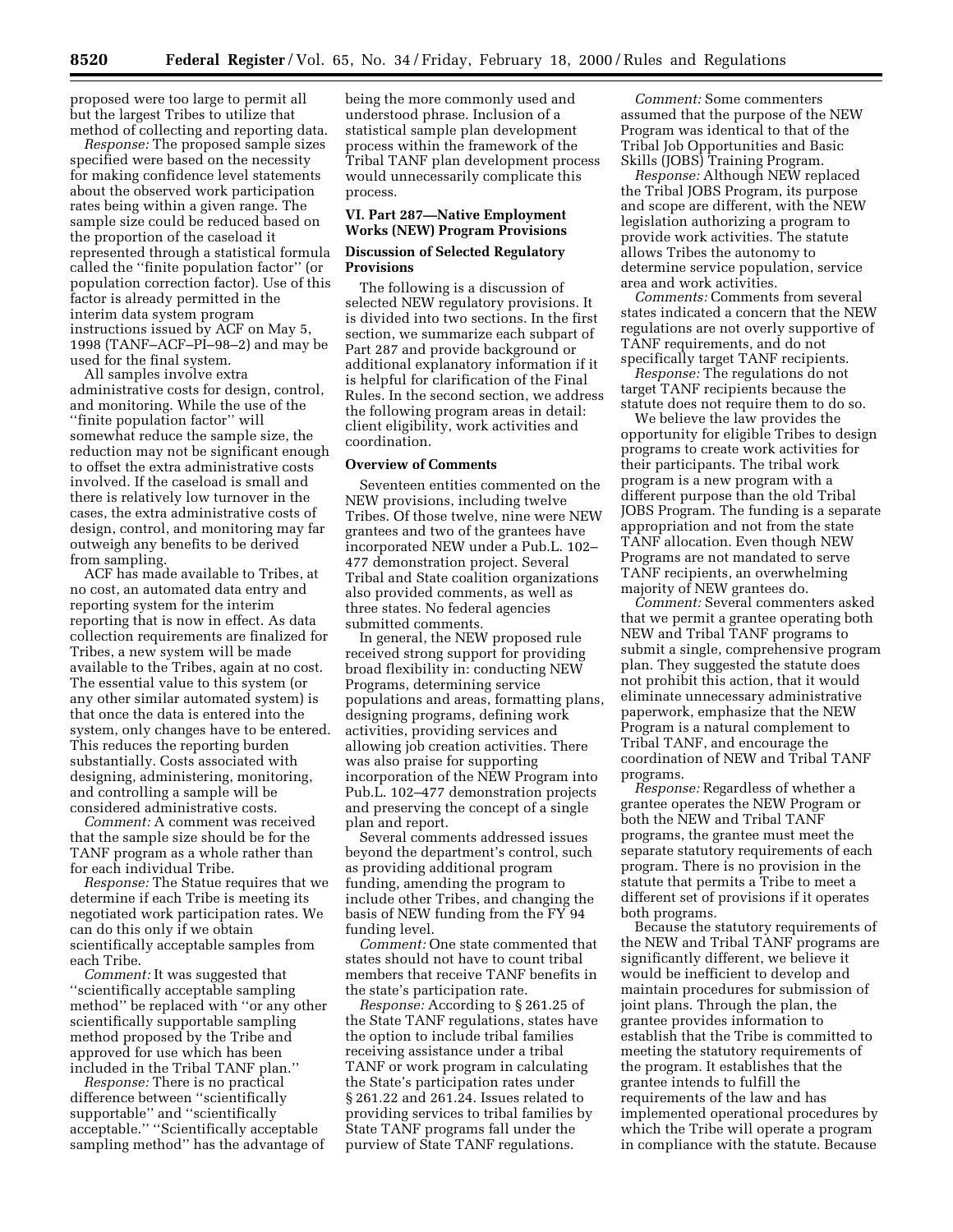proposed were too large to permit all but the largest Tribes to utilize that method of collecting and reporting data.

*Response:* The proposed sample sizes specified were based on the necessity for making confidence level statements about the observed work participation rates being within a given range. The sample size could be reduced based on the proportion of the caseload it represented through a statistical formula called the ''finite population factor'' (or population correction factor). Use of this factor is already permitted in the interim data system program instructions issued by ACF on May 5, 1998 (TANF–ACF–PI–98–2) and may be used for the final system.

All samples involve extra administrative costs for design, control, and monitoring. While the use of the ''finite population factor'' will somewhat reduce the sample size, the reduction may not be significant enough to offset the extra administrative costs involved. If the caseload is small and there is relatively low turnover in the cases, the extra administrative costs of design, control, and monitoring may far outweigh any benefits to be derived from sampling.

ACF has made available to Tribes, at no cost, an automated data entry and reporting system for the interim reporting that is now in effect. As data collection requirements are finalized for Tribes, a new system will be made available to the Tribes, again at no cost. The essential value to this system (or any other similar automated system) is that once the data is entered into the system, only changes have to be entered. This reduces the reporting burden substantially. Costs associated with designing, administering, monitoring, and controlling a sample will be considered administrative costs.

*Comment:* A comment was received that the sample size should be for the TANF program as a whole rather than for each individual Tribe.

*Response:* The Statue requires that we determine if each Tribe is meeting its negotiated work participation rates. We can do this only if we obtain scientifically acceptable samples from each Tribe.

*Comment:* It was suggested that ''scientifically acceptable sampling method'' be replaced with ''or any other scientifically supportable sampling method proposed by the Tribe and approved for use which has been included in the Tribal TANF plan.''

*Response:* There is no practical difference between ''scientifically supportable'' and ''scientifically acceptable.'' ''Scientifically acceptable sampling method'' has the advantage of being the more commonly used and understood phrase. Inclusion of a statistical sample plan development process within the framework of the Tribal TANF plan development process would unnecessarily complicate this process.

## **VI. Part 287—Native Employment Works (NEW) Program Provisions**

# **Discussion of Selected Regulatory Provisions**

The following is a discussion of selected NEW regulatory provisions. It is divided into two sections. In the first section, we summarize each subpart of Part 287 and provide background or additional explanatory information if it is helpful for clarification of the Final Rules. In the second section, we address the following program areas in detail: client eligibility, work activities and coordination.

#### **Overview of Comments**

Seventeen entities commented on the NEW provisions, including twelve Tribes. Of those twelve, nine were NEW grantees and two of the grantees have incorporated NEW under a Pub.L. 102– 477 demonstration project. Several Tribal and State coalition organizations also provided comments, as well as three states. No federal agencies submitted comments.

In general, the NEW proposed rule received strong support for providing broad flexibility in: conducting NEW Programs, determining service populations and areas, formatting plans, designing programs, defining work activities, providing services and allowing job creation activities. There was also praise for supporting incorporation of the NEW Program into Pub.L. 102–477 demonstration projects and preserving the concept of a single plan and report.

Several comments addressed issues beyond the department's control, such as providing additional program funding, amending the program to include other Tribes, and changing the basis of NEW funding from the FY 94 funding level.

*Comment:* One state commented that states should not have to count tribal members that receive TANF benefits in the state's participation rate.

*Response:* According to § 261.25 of the State TANF regulations, states have the option to include tribal families receiving assistance under a tribal TANF or work program in calculating the State's participation rates under § 261.22 and 261.24. Issues related to providing services to tribal families by State TANF programs fall under the purview of State TANF regulations.

*Comment:* Some commenters assumed that the purpose of the NEW Program was identical to that of the Tribal Job Opportunities and Basic Skills (JOBS) Training Program.

*Response:* Although NEW replaced the Tribal JOBS Program, its purpose and scope are different, with the NEW legislation authorizing a program to provide work activities. The statute allows Tribes the autonomy to determine service population, service area and work activities.

*Comments:* Comments from several states indicated a concern that the NEW regulations are not overly supportive of TANF requirements, and do not specifically target TANF recipients.

*Response:* The regulations do not target TANF recipients because the statute does not require them to do so.

We believe the law provides the opportunity for eligible Tribes to design programs to create work activities for their participants. The tribal work program is a new program with a different purpose than the old Tribal JOBS Program. The funding is a separate appropriation and not from the state TANF allocation. Even though NEW Programs are not mandated to serve TANF recipients, an overwhelming majority of NEW grantees do.

*Comment:* Several commenters asked that we permit a grantee operating both NEW and Tribal TANF programs to submit a single, comprehensive program plan. They suggested the statute does not prohibit this action, that it would eliminate unnecessary administrative paperwork, emphasize that the NEW Program is a natural complement to Tribal TANF, and encourage the coordination of NEW and Tribal TANF programs.

*Response:* Regardless of whether a grantee operates the NEW Program or both the NEW and Tribal TANF programs, the grantee must meet the separate statutory requirements of each program. There is no provision in the statute that permits a Tribe to meet a different set of provisions if it operates both programs.

Because the statutory requirements of the NEW and Tribal TANF programs are significantly different, we believe it would be inefficient to develop and maintain procedures for submission of joint plans. Through the plan, the grantee provides information to establish that the Tribe is committed to meeting the statutory requirements of the program. It establishes that the grantee intends to fulfill the requirements of the law and has implemented operational procedures by which the Tribe will operate a program in compliance with the statute. Because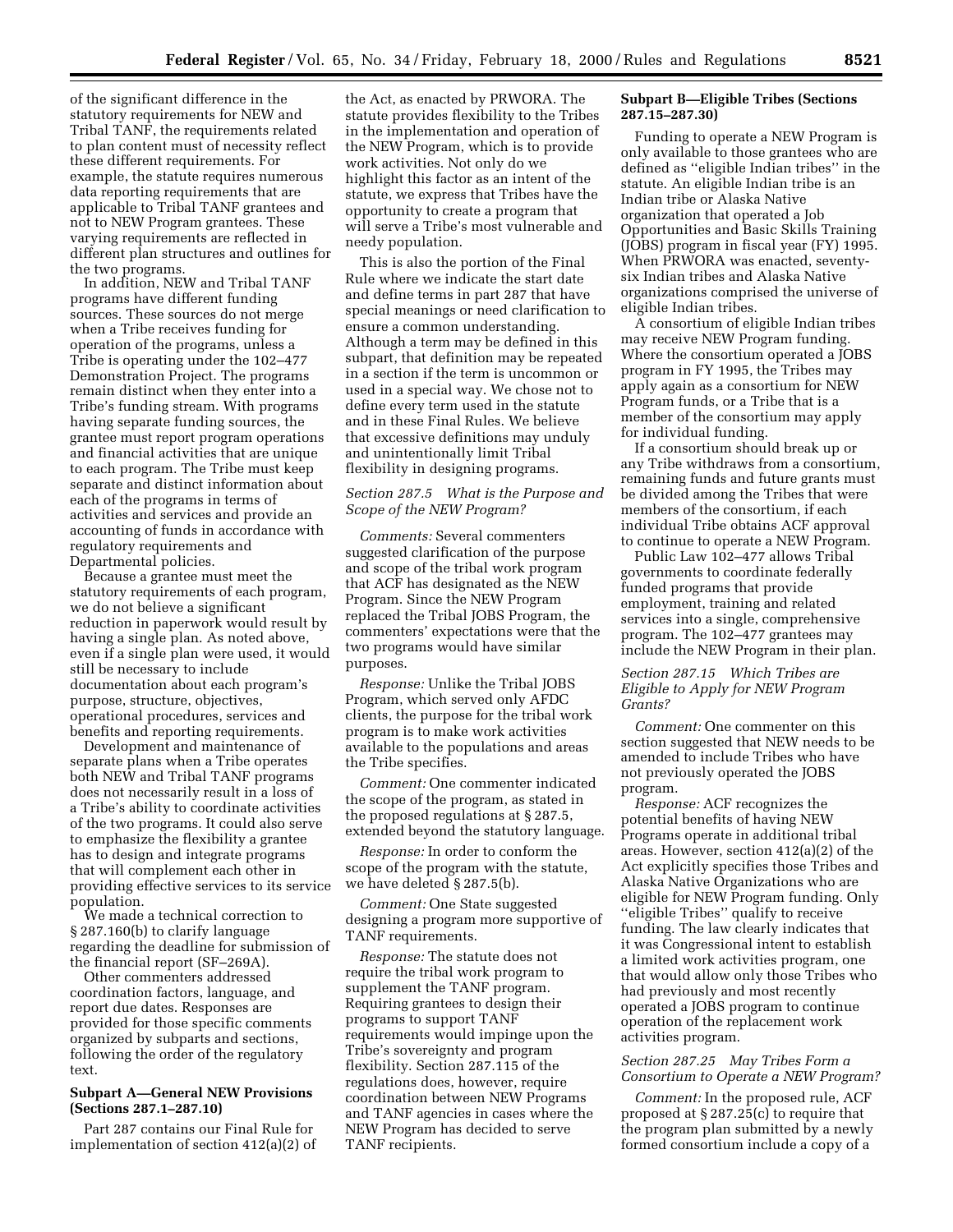of the significant difference in the statutory requirements for NEW and Tribal TANF, the requirements related to plan content must of necessity reflect these different requirements. For example, the statute requires numerous data reporting requirements that are applicable to Tribal TANF grantees and not to NEW Program grantees. These varying requirements are reflected in different plan structures and outlines for the two programs.

In addition, NEW and Tribal TANF programs have different funding sources. These sources do not merge when a Tribe receives funding for operation of the programs, unless a Tribe is operating under the 102–477 Demonstration Project. The programs remain distinct when they enter into a Tribe's funding stream. With programs having separate funding sources, the grantee must report program operations and financial activities that are unique to each program. The Tribe must keep separate and distinct information about each of the programs in terms of activities and services and provide an accounting of funds in accordance with regulatory requirements and Departmental policies.

Because a grantee must meet the statutory requirements of each program, we do not believe a significant reduction in paperwork would result by having a single plan. As noted above, even if a single plan were used, it would still be necessary to include documentation about each program's purpose, structure, objectives, operational procedures, services and benefits and reporting requirements.

Development and maintenance of separate plans when a Tribe operates both NEW and Tribal TANF programs does not necessarily result in a loss of a Tribe's ability to coordinate activities of the two programs. It could also serve to emphasize the flexibility a grantee has to design and integrate programs that will complement each other in providing effective services to its service population.

We made a technical correction to § 287.160(b) to clarify language regarding the deadline for submission of the financial report (SF–269A).

Other commenters addressed coordination factors, language, and report due dates. Responses are provided for those specific comments organized by subparts and sections, following the order of the regulatory text.

# **Subpart A—General NEW Provisions (Sections 287.1–287.10)**

Part 287 contains our Final Rule for implementation of section 412(a)(2) of

the Act, as enacted by PRWORA. The statute provides flexibility to the Tribes in the implementation and operation of the NEW Program, which is to provide work activities. Not only do we highlight this factor as an intent of the statute, we express that Tribes have the opportunity to create a program that will serve a Tribe's most vulnerable and needy population.

This is also the portion of the Final Rule where we indicate the start date and define terms in part 287 that have special meanings or need clarification to ensure a common understanding. Although a term may be defined in this subpart, that definition may be repeated in a section if the term is uncommon or used in a special way. We chose not to define every term used in the statute and in these Final Rules. We believe that excessive definitions may unduly and unintentionally limit Tribal flexibility in designing programs.

# *Section 287.5 What is the Purpose and Scope of the NEW Program?*

*Comments:* Several commenters suggested clarification of the purpose and scope of the tribal work program that ACF has designated as the NEW Program. Since the NEW Program replaced the Tribal JOBS Program, the commenters' expectations were that the two programs would have similar purposes.

*Response:* Unlike the Tribal JOBS Program, which served only AFDC clients, the purpose for the tribal work program is to make work activities available to the populations and areas the Tribe specifies.

*Comment:* One commenter indicated the scope of the program, as stated in the proposed regulations at § 287.5, extended beyond the statutory language.

*Response:* In order to conform the scope of the program with the statute, we have deleted § 287.5(b).

*Comment:* One State suggested designing a program more supportive of TANF requirements.

*Response:* The statute does not require the tribal work program to supplement the TANF program. Requiring grantees to design their programs to support TANF requirements would impinge upon the Tribe's sovereignty and program flexibility. Section 287.115 of the regulations does, however, require coordination between NEW Programs and TANF agencies in cases where the NEW Program has decided to serve TANF recipients.

## **Subpart B—Eligible Tribes (Sections 287.15–287.30)**

Funding to operate a NEW Program is only available to those grantees who are defined as ''eligible Indian tribes'' in the statute. An eligible Indian tribe is an Indian tribe or Alaska Native organization that operated a Job Opportunities and Basic Skills Training (JOBS) program in fiscal year (FY) 1995. When PRWORA was enacted, seventysix Indian tribes and Alaska Native organizations comprised the universe of eligible Indian tribes.

A consortium of eligible Indian tribes may receive NEW Program funding. Where the consortium operated a JOBS program in FY 1995, the Tribes may apply again as a consortium for NEW Program funds, or a Tribe that is a member of the consortium may apply for individual funding.

If a consortium should break up or any Tribe withdraws from a consortium, remaining funds and future grants must be divided among the Tribes that were members of the consortium, if each individual Tribe obtains ACF approval to continue to operate a NEW Program.

Public Law 102–477 allows Tribal governments to coordinate federally funded programs that provide employment, training and related services into a single, comprehensive program. The 102–477 grantees may include the NEW Program in their plan.

# *Section 287.15 Which Tribes are Eligible to Apply for NEW Program Grants?*

*Comment:* One commenter on this section suggested that NEW needs to be amended to include Tribes who have not previously operated the JOBS program.

*Response:* ACF recognizes the potential benefits of having NEW Programs operate in additional tribal areas. However, section 412(a)(2) of the Act explicitly specifies those Tribes and Alaska Native Organizations who are eligible for NEW Program funding. Only ''eligible Tribes'' qualify to receive funding. The law clearly indicates that it was Congressional intent to establish a limited work activities program, one that would allow only those Tribes who had previously and most recently operated a JOBS program to continue operation of the replacement work activities program.

# *Section 287.25 May Tribes Form a Consortium to Operate a NEW Program?*

*Comment:* In the proposed rule, ACF proposed at § 287.25(c) to require that the program plan submitted by a newly formed consortium include a copy of a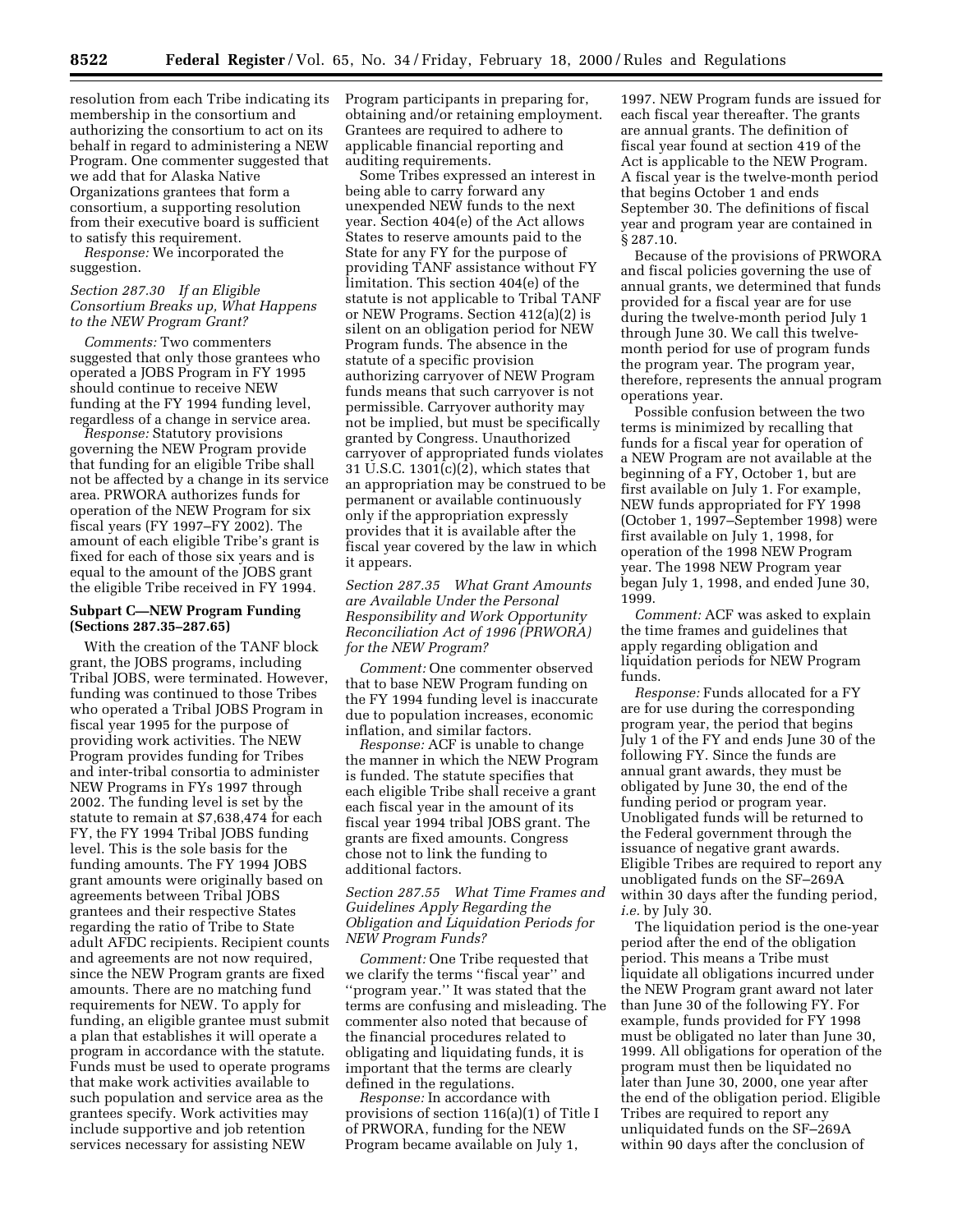resolution from each Tribe indicating its membership in the consortium and authorizing the consortium to act on its behalf in regard to administering a NEW Program. One commenter suggested that we add that for Alaska Native Organizations grantees that form a consortium, a supporting resolution from their executive board is sufficient to satisfy this requirement.

*Response:* We incorporated the suggestion.

# *Section 287.30 If an Eligible Consortium Breaks up, What Happens to the NEW Program Grant?*

*Comments:* Two commenters suggested that only those grantees who operated a JOBS Program in FY 1995 should continue to receive NEW funding at the FY 1994 funding level, regardless of a change in service area.

*Response:* Statutory provisions governing the NEW Program provide that funding for an eligible Tribe shall not be affected by a change in its service area. PRWORA authorizes funds for operation of the NEW Program for six fiscal years (FY 1997–FY 2002). The amount of each eligible Tribe's grant is fixed for each of those six years and is equal to the amount of the JOBS grant the eligible Tribe received in FY 1994.

## **Subpart C—NEW Program Funding (Sections 287.35–287.65)**

With the creation of the TANF block grant, the JOBS programs, including Tribal JOBS, were terminated. However, funding was continued to those Tribes who operated a Tribal JOBS Program in fiscal year 1995 for the purpose of providing work activities. The NEW Program provides funding for Tribes and inter-tribal consortia to administer NEW Programs in FYs 1997 through 2002. The funding level is set by the statute to remain at \$7,638,474 for each FY, the FY 1994 Tribal JOBS funding level. This is the sole basis for the funding amounts. The FY 1994 JOBS grant amounts were originally based on agreements between Tribal JOBS grantees and their respective States regarding the ratio of Tribe to State adult AFDC recipients. Recipient counts and agreements are not now required, since the NEW Program grants are fixed amounts. There are no matching fund requirements for NEW. To apply for funding, an eligible grantee must submit a plan that establishes it will operate a program in accordance with the statute. Funds must be used to operate programs that make work activities available to such population and service area as the grantees specify. Work activities may include supportive and job retention services necessary for assisting NEW

Program participants in preparing for, obtaining and/or retaining employment. Grantees are required to adhere to applicable financial reporting and auditing requirements.

Some Tribes expressed an interest in being able to carry forward any unexpended NEW funds to the next year. Section 404(e) of the Act allows States to reserve amounts paid to the State for any FY for the purpose of providing TANF assistance without FY limitation. This section 404(e) of the statute is not applicable to Tribal TANF or NEW Programs. Section 412(a)(2) is silent on an obligation period for NEW Program funds. The absence in the statute of a specific provision authorizing carryover of NEW Program funds means that such carryover is not permissible. Carryover authority may not be implied, but must be specifically granted by Congress. Unauthorized carryover of appropriated funds violates 31 U.S.C. 1301(c)(2), which states that an appropriation may be construed to be permanent or available continuously only if the appropriation expressly provides that it is available after the fiscal year covered by the law in which it appears.

*Section 287.35 What Grant Amounts are Available Under the Personal Responsibility and Work Opportunity Reconciliation Act of 1996 (PRWORA) for the NEW Program?*

*Comment:* One commenter observed that to base NEW Program funding on the FY 1994 funding level is inaccurate due to population increases, economic inflation, and similar factors.

*Response:* ACF is unable to change the manner in which the NEW Program is funded. The statute specifies that each eligible Tribe shall receive a grant each fiscal year in the amount of its fiscal year 1994 tribal JOBS grant. The grants are fixed amounts. Congress chose not to link the funding to additional factors.

*Section 287.55 What Time Frames and Guidelines Apply Regarding the Obligation and Liquidation Periods for NEW Program Funds?*

*Comment:* One Tribe requested that we clarify the terms ''fiscal year'' and ''program year.'' It was stated that the terms are confusing and misleading. The commenter also noted that because of the financial procedures related to obligating and liquidating funds, it is important that the terms are clearly defined in the regulations.

*Response:* In accordance with provisions of section 116(a)(1) of Title I of PRWORA, funding for the NEW Program became available on July 1,

1997. NEW Program funds are issued for each fiscal year thereafter. The grants are annual grants. The definition of fiscal year found at section 419 of the Act is applicable to the NEW Program. A fiscal year is the twelve-month period that begins October 1 and ends September 30. The definitions of fiscal year and program year are contained in § 287.10.

Because of the provisions of PRWORA and fiscal policies governing the use of annual grants, we determined that funds provided for a fiscal year are for use during the twelve-month period July 1 through June 30. We call this twelvemonth period for use of program funds the program year. The program year, therefore, represents the annual program operations year.

Possible confusion between the two terms is minimized by recalling that funds for a fiscal year for operation of a NEW Program are not available at the beginning of a FY, October 1, but are first available on July 1. For example, NEW funds appropriated for FY 1998 (October 1, 1997–September 1998) were first available on July 1, 1998, for operation of the 1998 NEW Program year. The 1998 NEW Program year began July 1, 1998, and ended June 30, 1999.

*Comment:* ACF was asked to explain the time frames and guidelines that apply regarding obligation and liquidation periods for NEW Program funds.

*Response:* Funds allocated for a FY are for use during the corresponding program year, the period that begins July 1 of the FY and ends June 30 of the following FY. Since the funds are annual grant awards, they must be obligated by June 30, the end of the funding period or program year. Unobligated funds will be returned to the Federal government through the issuance of negative grant awards. Eligible Tribes are required to report any unobligated funds on the SF–269A within 30 days after the funding period, *i.e.* by July 30.

The liquidation period is the one-year period after the end of the obligation period. This means a Tribe must liquidate all obligations incurred under the NEW Program grant award not later than June 30 of the following FY. For example, funds provided for FY 1998 must be obligated no later than June 30, 1999. All obligations for operation of the program must then be liquidated no later than June 30, 2000, one year after the end of the obligation period. Eligible Tribes are required to report any unliquidated funds on the SF–269A within 90 days after the conclusion of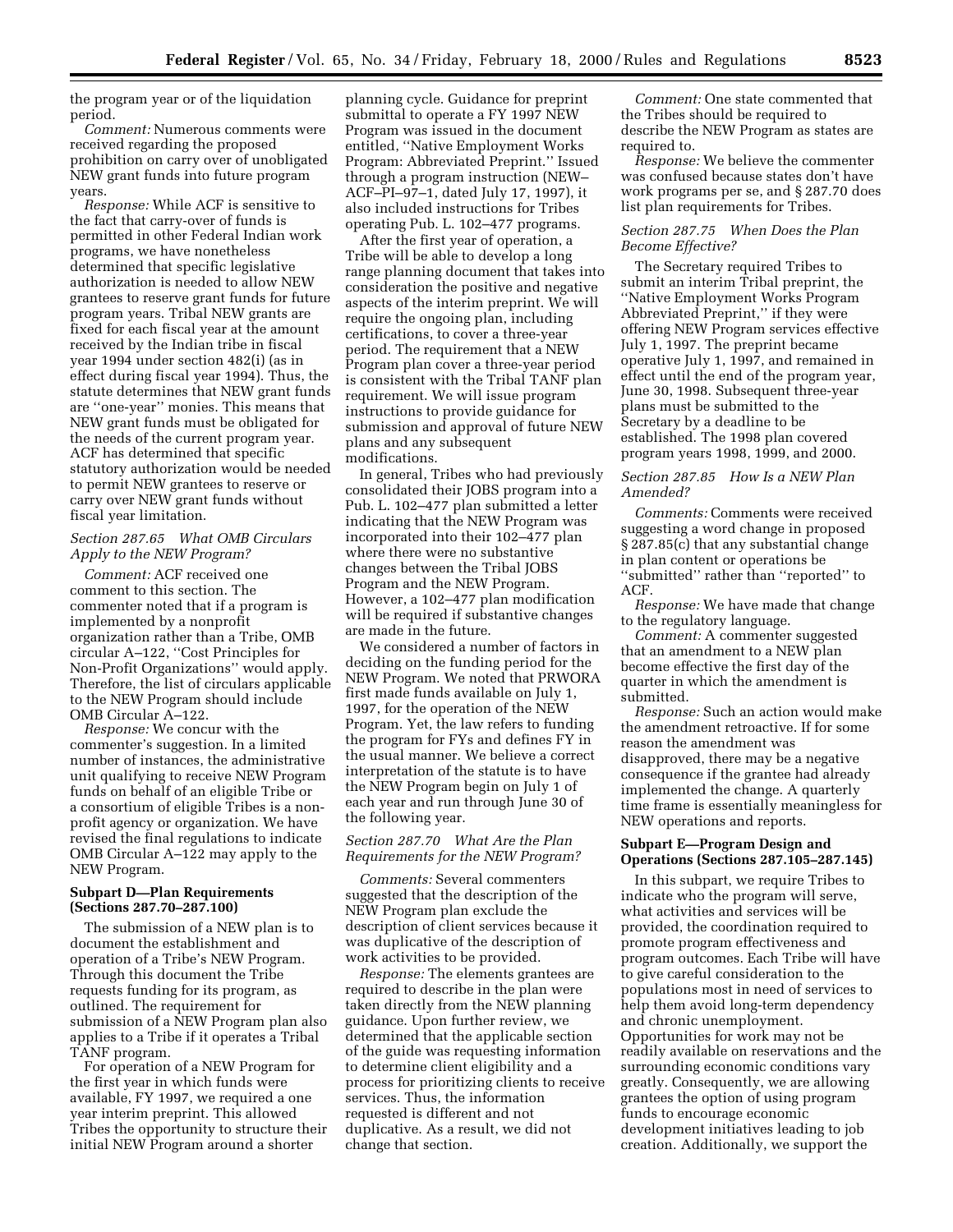the program year or of the liquidation period.

*Comment:* Numerous comments were received regarding the proposed prohibition on carry over of unobligated NEW grant funds into future program years.

*Response:* While ACF is sensitive to the fact that carry-over of funds is permitted in other Federal Indian work programs, we have nonetheless determined that specific legislative authorization is needed to allow NEW grantees to reserve grant funds for future program years. Tribal NEW grants are fixed for each fiscal year at the amount received by the Indian tribe in fiscal year 1994 under section 482(i) (as in effect during fiscal year 1994). Thus, the statute determines that NEW grant funds are ''one-year'' monies. This means that NEW grant funds must be obligated for the needs of the current program year. ACF has determined that specific statutory authorization would be needed to permit NEW grantees to reserve or carry over NEW grant funds without fiscal year limitation.

# *Section 287.65 What OMB Circulars Apply to the NEW Program?*

*Comment:* ACF received one comment to this section. The commenter noted that if a program is implemented by a nonprofit organization rather than a Tribe, OMB circular A–122, ''Cost Principles for Non-Profit Organizations'' would apply. Therefore, the list of circulars applicable to the NEW Program should include OMB Circular A–122.

*Response:* We concur with the commenter's suggestion. In a limited number of instances, the administrative unit qualifying to receive NEW Program funds on behalf of an eligible Tribe or a consortium of eligible Tribes is a nonprofit agency or organization. We have revised the final regulations to indicate OMB Circular A–122 may apply to the NEW Program.

## **Subpart D—Plan Requirements (Sections 287.70–287.100)**

The submission of a NEW plan is to document the establishment and operation of a Tribe's NEW Program. Through this document the Tribe requests funding for its program, as outlined. The requirement for submission of a NEW Program plan also applies to a Tribe if it operates a Tribal TANF program.

For operation of a NEW Program for the first year in which funds were available, FY 1997, we required a one year interim preprint. This allowed Tribes the opportunity to structure their initial NEW Program around a shorter

planning cycle. Guidance for preprint submittal to operate a FY 1997 NEW Program was issued in the document entitled, ''Native Employment Works Program: Abbreviated Preprint.'' Issued through a program instruction (NEW– ACF–PI–97–1, dated July 17, 1997), it also included instructions for Tribes operating Pub. L. 102–477 programs.

After the first year of operation, a Tribe will be able to develop a long range planning document that takes into consideration the positive and negative aspects of the interim preprint. We will require the ongoing plan, including certifications, to cover a three-year period. The requirement that a NEW Program plan cover a three-year period is consistent with the Tribal TANF plan requirement. We will issue program instructions to provide guidance for submission and approval of future NEW plans and any subsequent modifications.

In general, Tribes who had previously consolidated their JOBS program into a Pub. L. 102–477 plan submitted a letter indicating that the NEW Program was incorporated into their 102–477 plan where there were no substantive changes between the Tribal JOBS Program and the NEW Program. However, a 102–477 plan modification will be required if substantive changes are made in the future.

We considered a number of factors in deciding on the funding period for the NEW Program. We noted that PRWORA first made funds available on July 1, 1997, for the operation of the NEW Program. Yet, the law refers to funding the program for FYs and defines FY in the usual manner. We believe a correct interpretation of the statute is to have the NEW Program begin on July 1 of each year and run through June 30 of the following year.

# *Section 287.70 What Are the Plan Requirements for the NEW Program?*

*Comments:* Several commenters suggested that the description of the NEW Program plan exclude the description of client services because it was duplicative of the description of work activities to be provided.

*Response:* The elements grantees are required to describe in the plan were taken directly from the NEW planning guidance. Upon further review, we determined that the applicable section of the guide was requesting information to determine client eligibility and a process for prioritizing clients to receive services. Thus, the information requested is different and not duplicative. As a result, we did not change that section.

*Comment:* One state commented that the Tribes should be required to describe the NEW Program as states are required to.

*Response:* We believe the commenter was confused because states don't have work programs per se, and § 287.70 does list plan requirements for Tribes.

## *Section 287.75 When Does the Plan Become Effective?*

The Secretary required Tribes to submit an interim Tribal preprint, the ''Native Employment Works Program Abbreviated Preprint,'' if they were offering NEW Program services effective July 1, 1997. The preprint became operative July 1, 1997, and remained in effect until the end of the program year, June 30, 1998. Subsequent three-year plans must be submitted to the Secretary by a deadline to be established. The 1998 plan covered program years 1998, 1999, and 2000.

# *Section 287.85 How Is a NEW Plan Amended?*

*Comments:* Comments were received suggesting a word change in proposed § 287.85(c) that any substantial change in plan content or operations be ''submitted'' rather than ''reported'' to ACF.

*Response:* We have made that change to the regulatory language.

*Comment:* A commenter suggested that an amendment to a NEW plan become effective the first day of the quarter in which the amendment is submitted.

*Response:* Such an action would make the amendment retroactive. If for some reason the amendment was disapproved, there may be a negative consequence if the grantee had already implemented the change. A quarterly time frame is essentially meaningless for NEW operations and reports.

## **Subpart E—Program Design and Operations (Sections 287.105–287.145)**

In this subpart, we require Tribes to indicate who the program will serve, what activities and services will be provided, the coordination required to promote program effectiveness and program outcomes. Each Tribe will have to give careful consideration to the populations most in need of services to help them avoid long-term dependency and chronic unemployment. Opportunities for work may not be readily available on reservations and the surrounding economic conditions vary greatly. Consequently, we are allowing grantees the option of using program funds to encourage economic development initiatives leading to job creation. Additionally, we support the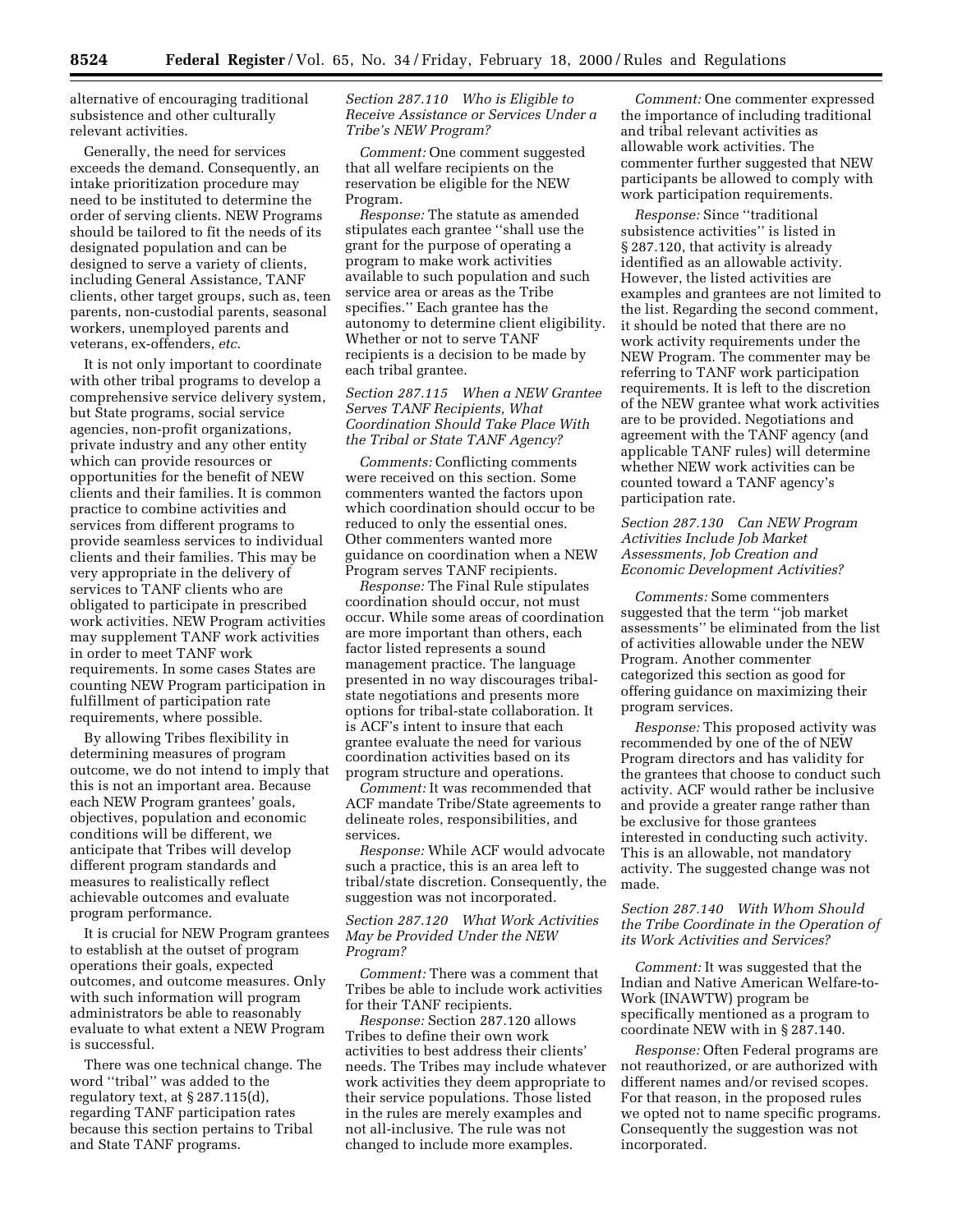alternative of encouraging traditional subsistence and other culturally relevant activities.

Generally, the need for services exceeds the demand. Consequently, an intake prioritization procedure may need to be instituted to determine the order of serving clients. NEW Programs should be tailored to fit the needs of its designated population and can be designed to serve a variety of clients, including General Assistance, TANF clients, other target groups, such as, teen parents, non-custodial parents, seasonal workers, unemployed parents and veterans, ex-offenders, *etc*.

It is not only important to coordinate with other tribal programs to develop a comprehensive service delivery system, but State programs, social service agencies, non-profit organizations, private industry and any other entity which can provide resources or opportunities for the benefit of NEW clients and their families. It is common practice to combine activities and services from different programs to provide seamless services to individual clients and their families. This may be very appropriate in the delivery of services to TANF clients who are obligated to participate in prescribed work activities. NEW Program activities may supplement TANF work activities in order to meet TANF work requirements. In some cases States are counting NEW Program participation in fulfillment of participation rate requirements, where possible.

By allowing Tribes flexibility in determining measures of program outcome, we do not intend to imply that this is not an important area. Because each NEW Program grantees' goals, objectives, population and economic conditions will be different, we anticipate that Tribes will develop different program standards and measures to realistically reflect achievable outcomes and evaluate program performance.

It is crucial for NEW Program grantees to establish at the outset of program operations their goals, expected outcomes, and outcome measures. Only with such information will program administrators be able to reasonably evaluate to what extent a NEW Program is successful.

There was one technical change. The word ''tribal'' was added to the regulatory text, at § 287.115(d), regarding TANF participation rates because this section pertains to Tribal and State TANF programs.

*Section 287.110 Who is Eligible to Receive Assistance or Services Under a Tribe's NEW Program?*

*Comment:* One comment suggested that all welfare recipients on the reservation be eligible for the NEW Program.

*Response:* The statute as amended stipulates each grantee ''shall use the grant for the purpose of operating a program to make work activities available to such population and such service area or areas as the Tribe specifies.'' Each grantee has the autonomy to determine client eligibility. Whether or not to serve TANF recipients is a decision to be made by each tribal grantee.

*Section 287.115 When a NEW Grantee Serves TANF Recipients, What Coordination Should Take Place With the Tribal or State TANF Agency?*

*Comments:* Conflicting comments were received on this section. Some commenters wanted the factors upon which coordination should occur to be reduced to only the essential ones. Other commenters wanted more guidance on coordination when a NEW Program serves TANF recipients.

*Response:* The Final Rule stipulates coordination should occur, not must occur. While some areas of coordination are more important than others, each factor listed represents a sound management practice. The language presented in no way discourages tribalstate negotiations and presents more options for tribal-state collaboration. It is ACF's intent to insure that each grantee evaluate the need for various coordination activities based on its program structure and operations.

*Comment:* It was recommended that ACF mandate Tribe/State agreements to delineate roles, responsibilities, and services.

*Response:* While ACF would advocate such a practice, this is an area left to tribal/state discretion. Consequently, the suggestion was not incorporated.

# *Section 287.120 What Work Activities May be Provided Under the NEW Program?*

*Comment:* There was a comment that Tribes be able to include work activities for their TANF recipients.

*Response:* Section 287.120 allows Tribes to define their own work activities to best address their clients' needs. The Tribes may include whatever work activities they deem appropriate to their service populations. Those listed in the rules are merely examples and not all-inclusive. The rule was not changed to include more examples.

*Comment:* One commenter expressed the importance of including traditional and tribal relevant activities as allowable work activities. The commenter further suggested that NEW participants be allowed to comply with work participation requirements.

*Response:* Since ''traditional subsistence activities'' is listed in § 287.120, that activity is already identified as an allowable activity. However, the listed activities are examples and grantees are not limited to the list. Regarding the second comment, it should be noted that there are no work activity requirements under the NEW Program. The commenter may be referring to TANF work participation requirements. It is left to the discretion of the NEW grantee what work activities are to be provided. Negotiations and agreement with the TANF agency (and applicable TANF rules) will determine whether NEW work activities can be counted toward a TANF agency's participation rate.

# *Section 287.130 Can NEW Program Activities Include Job Market Assessments, Job Creation and Economic Development Activities?*

*Comments:* Some commenters suggested that the term ''job market assessments'' be eliminated from the list of activities allowable under the NEW Program. Another commenter categorized this section as good for offering guidance on maximizing their program services.

*Response:* This proposed activity was recommended by one of the of NEW Program directors and has validity for the grantees that choose to conduct such activity. ACF would rather be inclusive and provide a greater range rather than be exclusive for those grantees interested in conducting such activity. This is an allowable, not mandatory activity. The suggested change was not made.

# *Section 287.140 With Whom Should the Tribe Coordinate in the Operation of its Work Activities and Services?*

*Comment:* It was suggested that the Indian and Native American Welfare-to-Work (INAWTW) program be specifically mentioned as a program to coordinate NEW with in § 287.140.

*Response:* Often Federal programs are not reauthorized, or are authorized with different names and/or revised scopes. For that reason, in the proposed rules we opted not to name specific programs. Consequently the suggestion was not incorporated.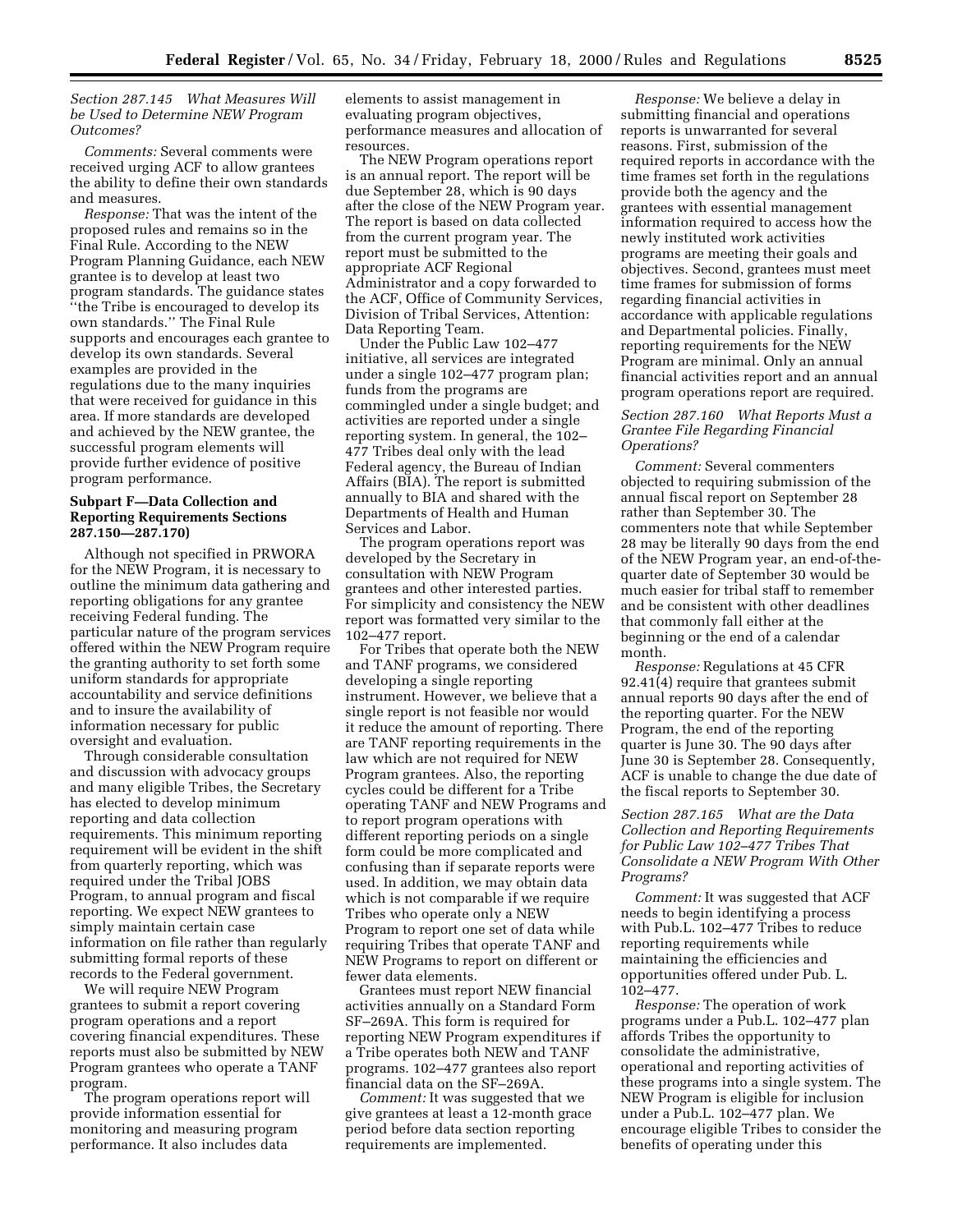# *Section 287.145 What Measures Will be Used to Determine NEW Program Outcomes?*

*Comments:* Several comments were received urging ACF to allow grantees the ability to define their own standards and measures.

*Response:* That was the intent of the proposed rules and remains so in the Final Rule. According to the NEW Program Planning Guidance, each NEW grantee is to develop at least two program standards. The guidance states ''the Tribe is encouraged to develop its own standards.'' The Final Rule supports and encourages each grantee to develop its own standards. Several examples are provided in the regulations due to the many inquiries that were received for guidance in this area. If more standards are developed and achieved by the NEW grantee, the successful program elements will provide further evidence of positive program performance.

# **Subpart F—Data Collection and Reporting Requirements Sections 287.150—287.170)**

Although not specified in PRWORA for the NEW Program, it is necessary to outline the minimum data gathering and reporting obligations for any grantee receiving Federal funding. The particular nature of the program services offered within the NEW Program require the granting authority to set forth some uniform standards for appropriate accountability and service definitions and to insure the availability of information necessary for public oversight and evaluation.

Through considerable consultation and discussion with advocacy groups and many eligible Tribes, the Secretary has elected to develop minimum reporting and data collection requirements. This minimum reporting requirement will be evident in the shift from quarterly reporting, which was required under the Tribal JOBS Program, to annual program and fiscal reporting. We expect NEW grantees to simply maintain certain case information on file rather than regularly submitting formal reports of these records to the Federal government.

We will require NEW Program grantees to submit a report covering program operations and a report covering financial expenditures. These reports must also be submitted by NEW Program grantees who operate a TANF program.

The program operations report will provide information essential for monitoring and measuring program performance. It also includes data

elements to assist management in evaluating program objectives, performance measures and allocation of resources.

The NEW Program operations report is an annual report. The report will be due September 28, which is 90 days after the close of the NEW Program year. The report is based on data collected from the current program year. The report must be submitted to the appropriate ACF Regional Administrator and a copy forwarded to the ACF, Office of Community Services, Division of Tribal Services, Attention: Data Reporting Team.

Under the Public Law 102–477 initiative, all services are integrated under a single 102–477 program plan; funds from the programs are commingled under a single budget; and activities are reported under a single reporting system. In general, the 102– 477 Tribes deal only with the lead Federal agency, the Bureau of Indian Affairs (BIA). The report is submitted annually to BIA and shared with the Departments of Health and Human Services and Labor.

The program operations report was developed by the Secretary in consultation with NEW Program grantees and other interested parties. For simplicity and consistency the NEW report was formatted very similar to the 102–477 report.

For Tribes that operate both the NEW and TANF programs, we considered developing a single reporting instrument. However, we believe that a single report is not feasible nor would it reduce the amount of reporting. There are TANF reporting requirements in the law which are not required for NEW Program grantees. Also, the reporting cycles could be different for a Tribe operating TANF and NEW Programs and to report program operations with different reporting periods on a single form could be more complicated and confusing than if separate reports were used. In addition, we may obtain data which is not comparable if we require Tribes who operate only a NEW Program to report one set of data while requiring Tribes that operate TANF and NEW Programs to report on different or fewer data elements.

Grantees must report NEW financial activities annually on a Standard Form SF–269A. This form is required for reporting NEW Program expenditures if a Tribe operates both NEW and TANF programs. 102–477 grantees also report financial data on the SF–269A.

*Comment:* It was suggested that we give grantees at least a 12-month grace period before data section reporting requirements are implemented.

*Response:* We believe a delay in submitting financial and operations reports is unwarranted for several reasons. First, submission of the required reports in accordance with the time frames set forth in the regulations provide both the agency and the grantees with essential management information required to access how the newly instituted work activities programs are meeting their goals and objectives. Second, grantees must meet time frames for submission of forms regarding financial activities in accordance with applicable regulations and Departmental policies. Finally, reporting requirements for the NEW Program are minimal. Only an annual financial activities report and an annual program operations report are required.

# *Section 287.160 What Reports Must a Grantee File Regarding Financial Operations?*

*Comment:* Several commenters objected to requiring submission of the annual fiscal report on September 28 rather than September 30. The commenters note that while September 28 may be literally 90 days from the end of the NEW Program year, an end-of-thequarter date of September 30 would be much easier for tribal staff to remember and be consistent with other deadlines that commonly fall either at the beginning or the end of a calendar month.

*Response:* Regulations at 45 CFR 92.41(4) require that grantees submit annual reports 90 days after the end of the reporting quarter. For the NEW Program, the end of the reporting quarter is June 30. The 90 days after June 30 is September 28. Consequently, ACF is unable to change the due date of the fiscal reports to September 30.

*Section 287.165 What are the Data Collection and Reporting Requirements for Public Law 102–477 Tribes That Consolidate a NEW Program With Other Programs?*

*Comment:* It was suggested that ACF needs to begin identifying a process with Pub.L. 102–477 Tribes to reduce reporting requirements while maintaining the efficiencies and opportunities offered under Pub. L. 102–477.

*Response:* The operation of work programs under a Pub.L. 102–477 plan affords Tribes the opportunity to consolidate the administrative, operational and reporting activities of these programs into a single system. The NEW Program is eligible for inclusion under a Pub.L. 102–477 plan. We encourage eligible Tribes to consider the benefits of operating under this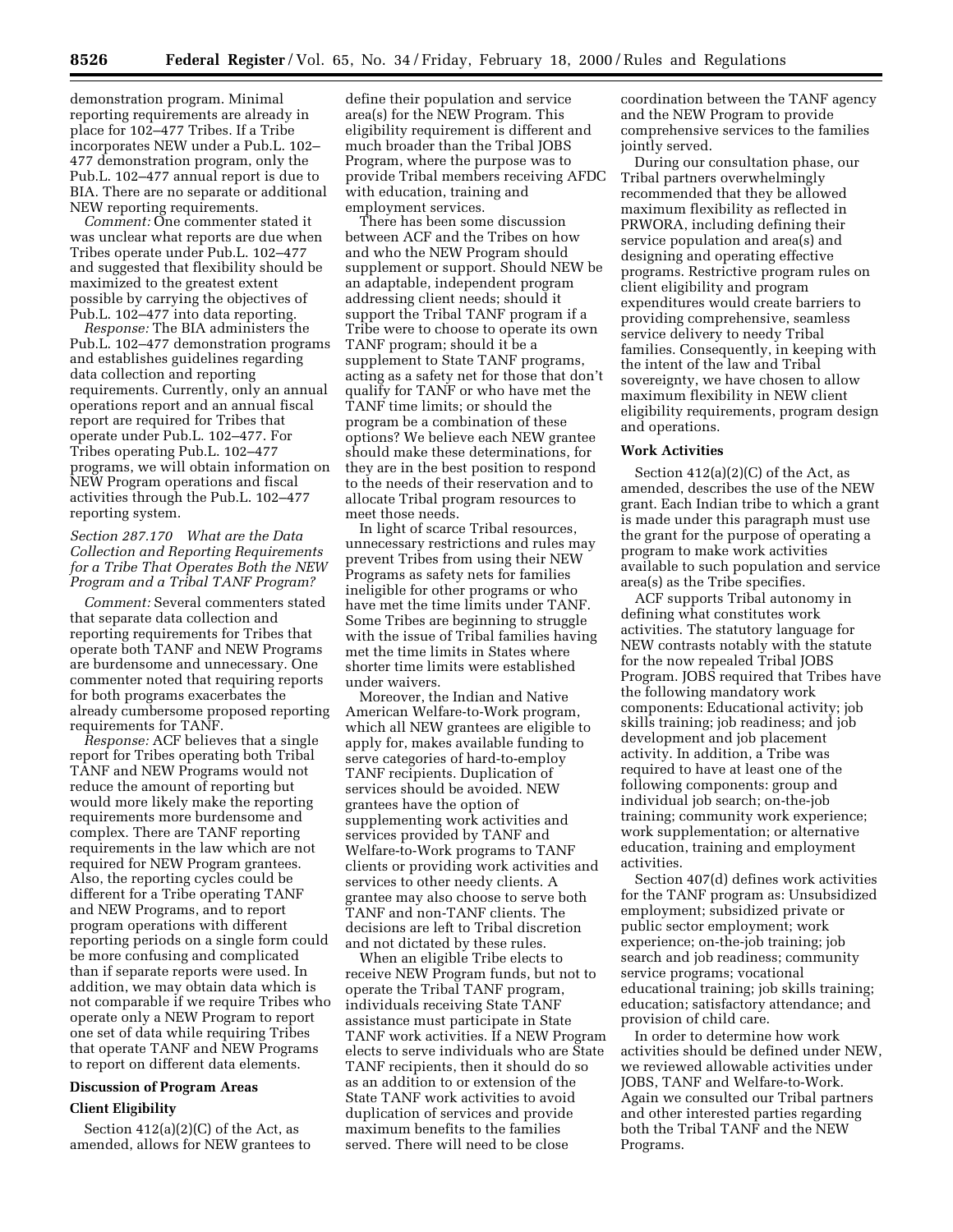demonstration program. Minimal reporting requirements are already in place for 102–477 Tribes. If a Tribe incorporates NEW under a Pub.L. 102– 477 demonstration program, only the Pub.L. 102–477 annual report is due to BIA. There are no separate or additional NEW reporting requirements.

*Comment:* One commenter stated it was unclear what reports are due when Tribes operate under Pub.L. 102–477 and suggested that flexibility should be maximized to the greatest extent possible by carrying the objectives of Pub.L. 102–477 into data reporting.

*Response:* The BIA administers the Pub.L. 102–477 demonstration programs and establishes guidelines regarding data collection and reporting requirements. Currently, only an annual operations report and an annual fiscal report are required for Tribes that operate under Pub.L. 102–477. For Tribes operating Pub.L. 102–477 programs, we will obtain information on NEW Program operations and fiscal activities through the Pub.L. 102–477 reporting system.

*Section 287.170 What are the Data Collection and Reporting Requirements for a Tribe That Operates Both the NEW Program and a Tribal TANF Program?*

*Comment:* Several commenters stated that separate data collection and reporting requirements for Tribes that operate both TANF and NEW Programs are burdensome and unnecessary. One commenter noted that requiring reports for both programs exacerbates the already cumbersome proposed reporting requirements for TANF.

*Response:* ACF believes that a single report for Tribes operating both Tribal TANF and NEW Programs would not reduce the amount of reporting but would more likely make the reporting requirements more burdensome and complex. There are TANF reporting requirements in the law which are not required for NEW Program grantees. Also, the reporting cycles could be different for a Tribe operating TANF and NEW Programs, and to report program operations with different reporting periods on a single form could be more confusing and complicated than if separate reports were used. In addition, we may obtain data which is not comparable if we require Tribes who operate only a NEW Program to report one set of data while requiring Tribes that operate TANF and NEW Programs to report on different data elements.

# **Discussion of Program Areas Client Eligibility**

Section  $412(a)(2)(C)$  of the Act, as amended, allows for NEW grantees to define their population and service area(s) for the NEW Program. This eligibility requirement is different and much broader than the Tribal JOBS Program, where the purpose was to provide Tribal members receiving AFDC with education, training and employment services.

There has been some discussion between ACF and the Tribes on how and who the NEW Program should supplement or support. Should NEW be an adaptable, independent program addressing client needs; should it support the Tribal TANF program if a Tribe were to choose to operate its own TANF program; should it be a supplement to State TANF programs, acting as a safety net for those that don't qualify for TANF or who have met the TANF time limits; or should the program be a combination of these options? We believe each NEW grantee should make these determinations, for they are in the best position to respond to the needs of their reservation and to allocate Tribal program resources to meet those needs.

In light of scarce Tribal resources, unnecessary restrictions and rules may prevent Tribes from using their NEW Programs as safety nets for families ineligible for other programs or who have met the time limits under TANF. Some Tribes are beginning to struggle with the issue of Tribal families having met the time limits in States where shorter time limits were established under waivers.

Moreover, the Indian and Native American Welfare-to-Work program, which all NEW grantees are eligible to apply for, makes available funding to serve categories of hard-to-employ TANF recipients. Duplication of services should be avoided. NEW grantees have the option of supplementing work activities and services provided by TANF and Welfare-to-Work programs to TANF clients or providing work activities and services to other needy clients. A grantee may also choose to serve both TANF and non-TANF clients. The decisions are left to Tribal discretion and not dictated by these rules.

When an eligible Tribe elects to receive NEW Program funds, but not to operate the Tribal TANF program, individuals receiving State TANF assistance must participate in State TANF work activities. If a NEW Program elects to serve individuals who are State TANF recipients, then it should do so as an addition to or extension of the State TANF work activities to avoid duplication of services and provide maximum benefits to the families served. There will need to be close

coordination between the TANF agency and the NEW Program to provide comprehensive services to the families jointly served.

During our consultation phase, our Tribal partners overwhelmingly recommended that they be allowed maximum flexibility as reflected in PRWORA, including defining their service population and area(s) and designing and operating effective programs. Restrictive program rules on client eligibility and program expenditures would create barriers to providing comprehensive, seamless service delivery to needy Tribal families. Consequently, in keeping with the intent of the law and Tribal sovereignty, we have chosen to allow maximum flexibility in NEW client eligibility requirements, program design and operations.

#### **Work Activities**

Section  $412(a)(2)(C)$  of the Act, as amended, describes the use of the NEW grant. Each Indian tribe to which a grant is made under this paragraph must use the grant for the purpose of operating a program to make work activities available to such population and service area(s) as the Tribe specifies.

ACF supports Tribal autonomy in defining what constitutes work activities. The statutory language for NEW contrasts notably with the statute for the now repealed Tribal JOBS Program. JOBS required that Tribes have the following mandatory work components: Educational activity; job skills training; job readiness; and job development and job placement activity. In addition, a Tribe was required to have at least one of the following components: group and individual job search; on-the-job training; community work experience; work supplementation; or alternative education, training and employment activities.

Section 407(d) defines work activities for the TANF program as: Unsubsidized employment; subsidized private or public sector employment; work experience; on-the-job training; job search and job readiness; community service programs; vocational educational training; job skills training; education; satisfactory attendance; and provision of child care.

In order to determine how work activities should be defined under NEW, we reviewed allowable activities under JOBS, TANF and Welfare-to-Work. Again we consulted our Tribal partners and other interested parties regarding both the Tribal TANF and the NEW Programs.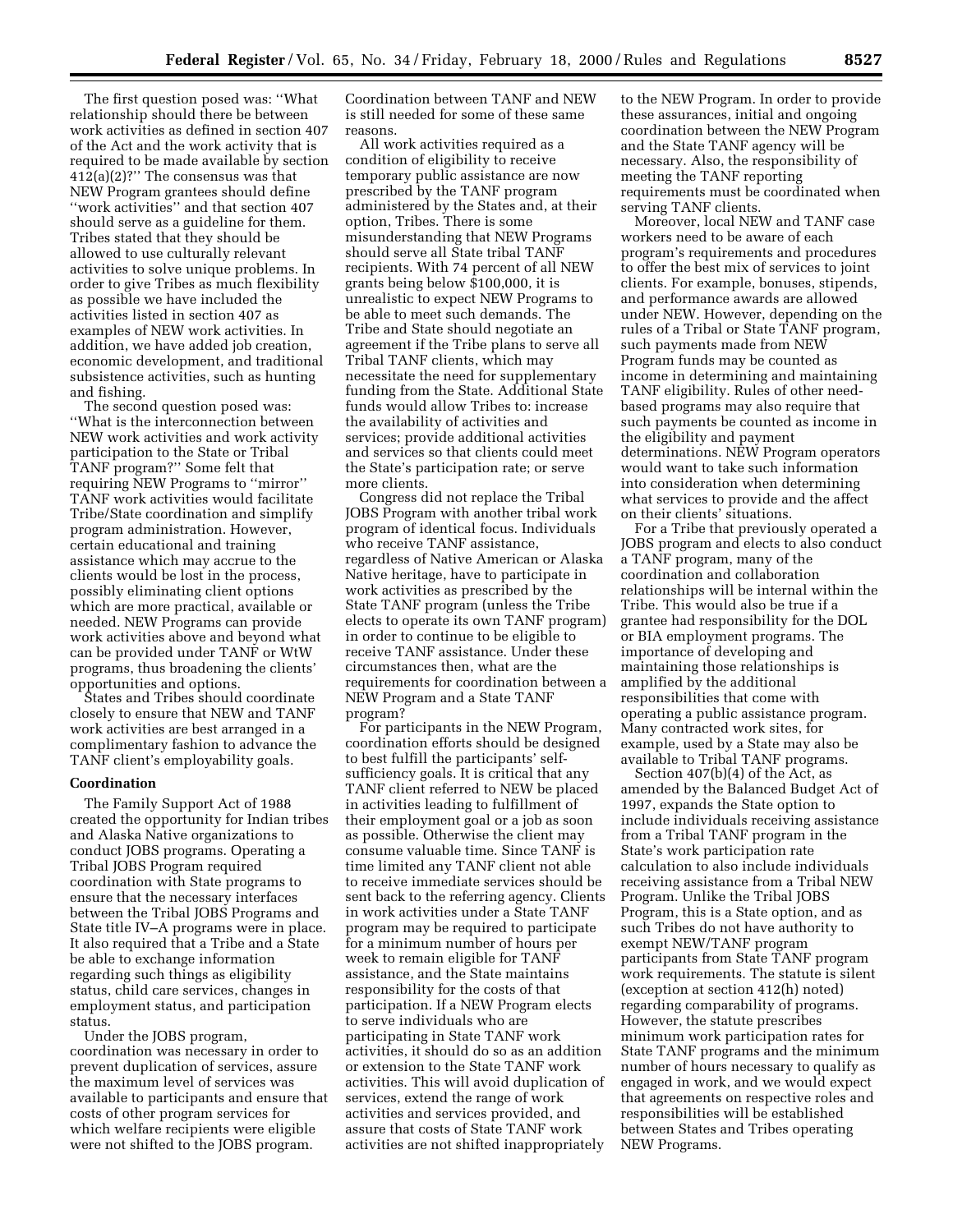The first question posed was: ''What relationship should there be between work activities as defined in section 407 of the Act and the work activity that is required to be made available by section 412(a)(2)?'' The consensus was that NEW Program grantees should define ''work activities'' and that section 407 should serve as a guideline for them. Tribes stated that they should be allowed to use culturally relevant activities to solve unique problems. In order to give Tribes as much flexibility as possible we have included the activities listed in section 407 as examples of NEW work activities. In addition, we have added job creation, economic development, and traditional subsistence activities, such as hunting and fishing.

The second question posed was: ''What is the interconnection between NEW work activities and work activity participation to the State or Tribal TANF program?'' Some felt that requiring NEW Programs to ''mirror'' TANF work activities would facilitate Tribe/State coordination and simplify program administration. However, certain educational and training assistance which may accrue to the clients would be lost in the process, possibly eliminating client options which are more practical, available or needed. NEW Programs can provide work activities above and beyond what can be provided under TANF or WtW programs, thus broadening the clients' opportunities and options.

States and Tribes should coordinate closely to ensure that NEW and TANF work activities are best arranged in a complimentary fashion to advance the TANF client's employability goals.

#### **Coordination**

The Family Support Act of 1988 created the opportunity for Indian tribes and Alaska Native organizations to conduct JOBS programs. Operating a Tribal JOBS Program required coordination with State programs to ensure that the necessary interfaces between the Tribal JOBS Programs and State title IV–A programs were in place. It also required that a Tribe and a State be able to exchange information regarding such things as eligibility status, child care services, changes in employment status, and participation status.

Under the JOBS program, coordination was necessary in order to prevent duplication of services, assure the maximum level of services was available to participants and ensure that costs of other program services for which welfare recipients were eligible were not shifted to the JOBS program.

Coordination between TANF and NEW is still needed for some of these same reasons.

All work activities required as a condition of eligibility to receive temporary public assistance are now prescribed by the TANF program administered by the States and, at their option, Tribes. There is some misunderstanding that NEW Programs should serve all State tribal TANF recipients. With 74 percent of all NEW grants being below \$100,000, it is unrealistic to expect NEW Programs to be able to meet such demands. The Tribe and State should negotiate an agreement if the Tribe plans to serve all Tribal TANF clients, which may necessitate the need for supplementary funding from the State. Additional State funds would allow Tribes to: increase the availability of activities and services; provide additional activities and services so that clients could meet the State's participation rate; or serve more clients.

Congress did not replace the Tribal JOBS Program with another tribal work program of identical focus. Individuals who receive TANF assistance, regardless of Native American or Alaska Native heritage, have to participate in work activities as prescribed by the State TANF program (unless the Tribe elects to operate its own TANF program) in order to continue to be eligible to receive TANF assistance. Under these circumstances then, what are the requirements for coordination between a NEW Program and a State TANF program?

For participants in the NEW Program, coordination efforts should be designed to best fulfill the participants' selfsufficiency goals. It is critical that any TANF client referred to NEW be placed in activities leading to fulfillment of their employment goal or a job as soon as possible. Otherwise the client may consume valuable time. Since TANF is time limited any TANF client not able to receive immediate services should be sent back to the referring agency. Clients in work activities under a State TANF program may be required to participate for a minimum number of hours per week to remain eligible for TANF assistance, and the State maintains responsibility for the costs of that participation. If a NEW Program elects to serve individuals who are participating in State TANF work activities, it should do so as an addition or extension to the State TANF work activities. This will avoid duplication of services, extend the range of work activities and services provided, and assure that costs of State TANF work activities are not shifted inappropriately

to the NEW Program. In order to provide these assurances, initial and ongoing coordination between the NEW Program and the State TANF agency will be necessary. Also, the responsibility of meeting the TANF reporting requirements must be coordinated when serving TANF clients.

Moreover, local NEW and TANF case workers need to be aware of each program's requirements and procedures to offer the best mix of services to joint clients. For example, bonuses, stipends, and performance awards are allowed under NEW. However, depending on the rules of a Tribal or State TANF program, such payments made from NEW Program funds may be counted as income in determining and maintaining TANF eligibility. Rules of other needbased programs may also require that such payments be counted as income in the eligibility and payment determinations. NEW Program operators would want to take such information into consideration when determining what services to provide and the affect on their clients' situations.

For a Tribe that previously operated a JOBS program and elects to also conduct a TANF program, many of the coordination and collaboration relationships will be internal within the Tribe. This would also be true if a grantee had responsibility for the DOL or BIA employment programs. The importance of developing and maintaining those relationships is amplified by the additional responsibilities that come with operating a public assistance program. Many contracted work sites, for example, used by a State may also be available to Tribal TANF programs.

Section 407(b)(4) of the Act, as amended by the Balanced Budget Act of 1997, expands the State option to include individuals receiving assistance from a Tribal TANF program in the State's work participation rate calculation to also include individuals receiving assistance from a Tribal NEW Program. Unlike the Tribal JOBS Program, this is a State option, and as such Tribes do not have authority to exempt NEW/TANF program participants from State TANF program work requirements. The statute is silent (exception at section 412(h) noted) regarding comparability of programs. However, the statute prescribes minimum work participation rates for State TANF programs and the minimum number of hours necessary to qualify as engaged in work, and we would expect that agreements on respective roles and responsibilities will be established between States and Tribes operating NEW Programs.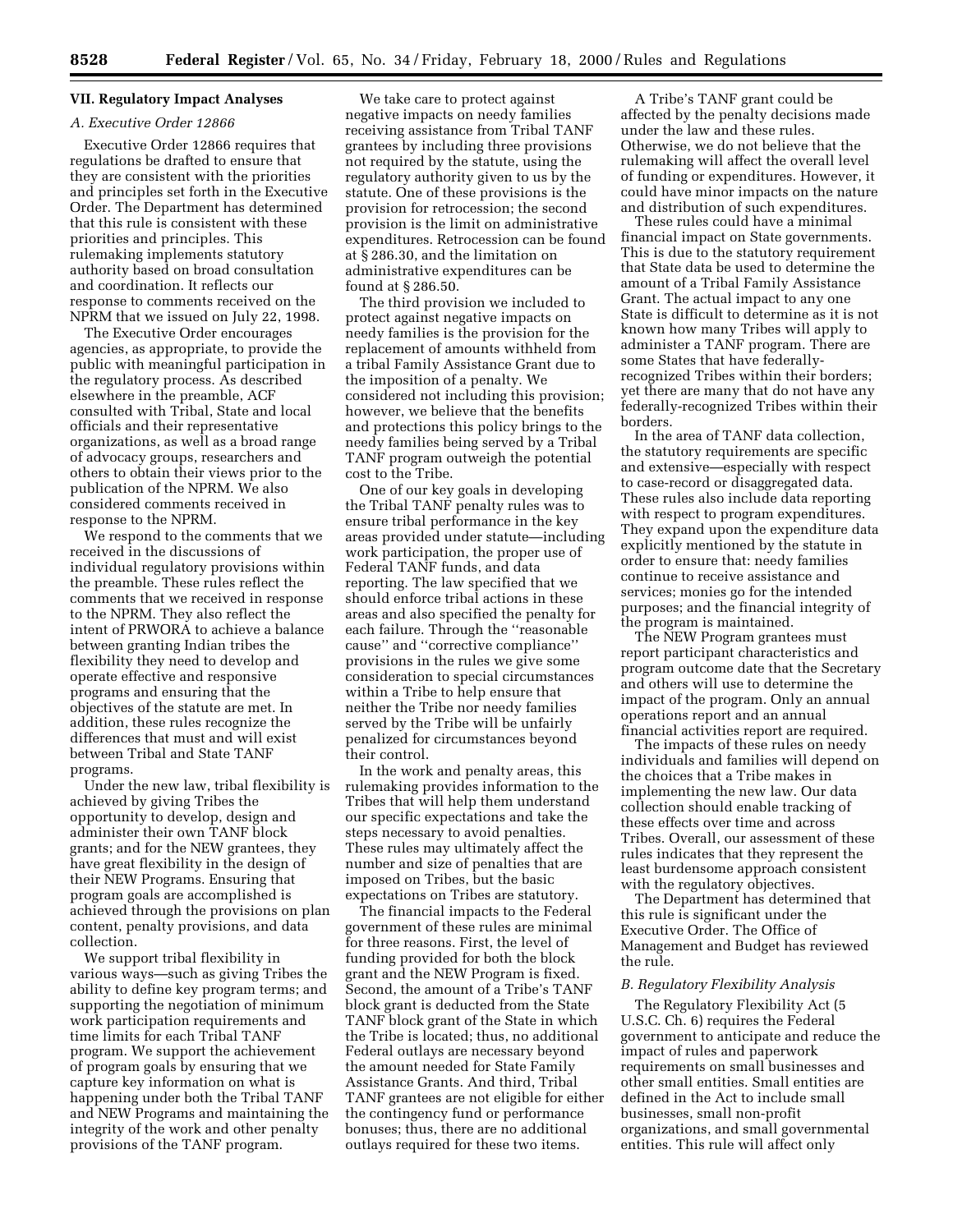# **VII. Regulatory Impact Analyses**

#### *A. Executive Order 12866*

Executive Order 12866 requires that regulations be drafted to ensure that they are consistent with the priorities and principles set forth in the Executive Order. The Department has determined that this rule is consistent with these priorities and principles. This rulemaking implements statutory authority based on broad consultation and coordination. It reflects our response to comments received on the NPRM that we issued on July 22, 1998.

The Executive Order encourages agencies, as appropriate, to provide the public with meaningful participation in the regulatory process. As described elsewhere in the preamble, ACF consulted with Tribal, State and local officials and their representative organizations, as well as a broad range of advocacy groups, researchers and others to obtain their views prior to the publication of the NPRM. We also considered comments received in response to the NPRM.

We respond to the comments that we received in the discussions of individual regulatory provisions within the preamble. These rules reflect the comments that we received in response to the NPRM. They also reflect the intent of PRWORA to achieve a balance between granting Indian tribes the flexibility they need to develop and operate effective and responsive programs and ensuring that the objectives of the statute are met. In addition, these rules recognize the differences that must and will exist between Tribal and State TANF programs.

Under the new law, tribal flexibility is achieved by giving Tribes the opportunity to develop, design and administer their own TANF block grants; and for the NEW grantees, they have great flexibility in the design of their NEW Programs. Ensuring that program goals are accomplished is achieved through the provisions on plan content, penalty provisions, and data collection.

We support tribal flexibility in various ways—such as giving Tribes the ability to define key program terms; and supporting the negotiation of minimum work participation requirements and time limits for each Tribal TANF program. We support the achievement of program goals by ensuring that we capture key information on what is happening under both the Tribal TANF and NEW Programs and maintaining the integrity of the work and other penalty provisions of the TANF program.

We take care to protect against negative impacts on needy families receiving assistance from Tribal TANF grantees by including three provisions not required by the statute, using the regulatory authority given to us by the statute. One of these provisions is the provision for retrocession; the second provision is the limit on administrative expenditures. Retrocession can be found at § 286.30, and the limitation on administrative expenditures can be found at § 286.50.

The third provision we included to protect against negative impacts on needy families is the provision for the replacement of amounts withheld from a tribal Family Assistance Grant due to the imposition of a penalty. We considered not including this provision; however, we believe that the benefits and protections this policy brings to the needy families being served by a Tribal TANF program outweigh the potential cost to the Tribe.

One of our key goals in developing the Tribal TANF penalty rules was to ensure tribal performance in the key areas provided under statute—including work participation, the proper use of Federal TANF funds, and data reporting. The law specified that we should enforce tribal actions in these areas and also specified the penalty for each failure. Through the ''reasonable cause'' and ''corrective compliance'' provisions in the rules we give some consideration to special circumstances within a Tribe to help ensure that neither the Tribe nor needy families served by the Tribe will be unfairly penalized for circumstances beyond their control.

In the work and penalty areas, this rulemaking provides information to the Tribes that will help them understand our specific expectations and take the steps necessary to avoid penalties. These rules may ultimately affect the number and size of penalties that are imposed on Tribes, but the basic expectations on Tribes are statutory.

The financial impacts to the Federal government of these rules are minimal for three reasons. First, the level of funding provided for both the block grant and the NEW Program is fixed. Second, the amount of a Tribe's TANF block grant is deducted from the State TANF block grant of the State in which the Tribe is located; thus, no additional Federal outlays are necessary beyond the amount needed for State Family Assistance Grants. And third, Tribal TANF grantees are not eligible for either the contingency fund or performance bonuses; thus, there are no additional outlays required for these two items.

A Tribe's TANF grant could be affected by the penalty decisions made under the law and these rules. Otherwise, we do not believe that the rulemaking will affect the overall level of funding or expenditures. However, it could have minor impacts on the nature and distribution of such expenditures.

These rules could have a minimal financial impact on State governments. This is due to the statutory requirement that State data be used to determine the amount of a Tribal Family Assistance Grant. The actual impact to any one State is difficult to determine as it is not known how many Tribes will apply to administer a TANF program. There are some States that have federallyrecognized Tribes within their borders; yet there are many that do not have any federally-recognized Tribes within their borders.

In the area of TANF data collection, the statutory requirements are specific and extensive—especially with respect to case-record or disaggregated data. These rules also include data reporting with respect to program expenditures. They expand upon the expenditure data explicitly mentioned by the statute in order to ensure that: needy families continue to receive assistance and services; monies go for the intended purposes; and the financial integrity of the program is maintained.

The NEW Program grantees must report participant characteristics and program outcome date that the Secretary and others will use to determine the impact of the program. Only an annual operations report and an annual financial activities report are required.

The impacts of these rules on needy individuals and families will depend on the choices that a Tribe makes in implementing the new law. Our data collection should enable tracking of these effects over time and across Tribes. Overall, our assessment of these rules indicates that they represent the least burdensome approach consistent with the regulatory objectives.

The Department has determined that this rule is significant under the Executive Order. The Office of Management and Budget has reviewed the rule.

#### *B. Regulatory Flexibility Analysis*

The Regulatory Flexibility Act (5 U.S.C. Ch. 6) requires the Federal government to anticipate and reduce the impact of rules and paperwork requirements on small businesses and other small entities. Small entities are defined in the Act to include small businesses, small non-profit organizations, and small governmental entities. This rule will affect only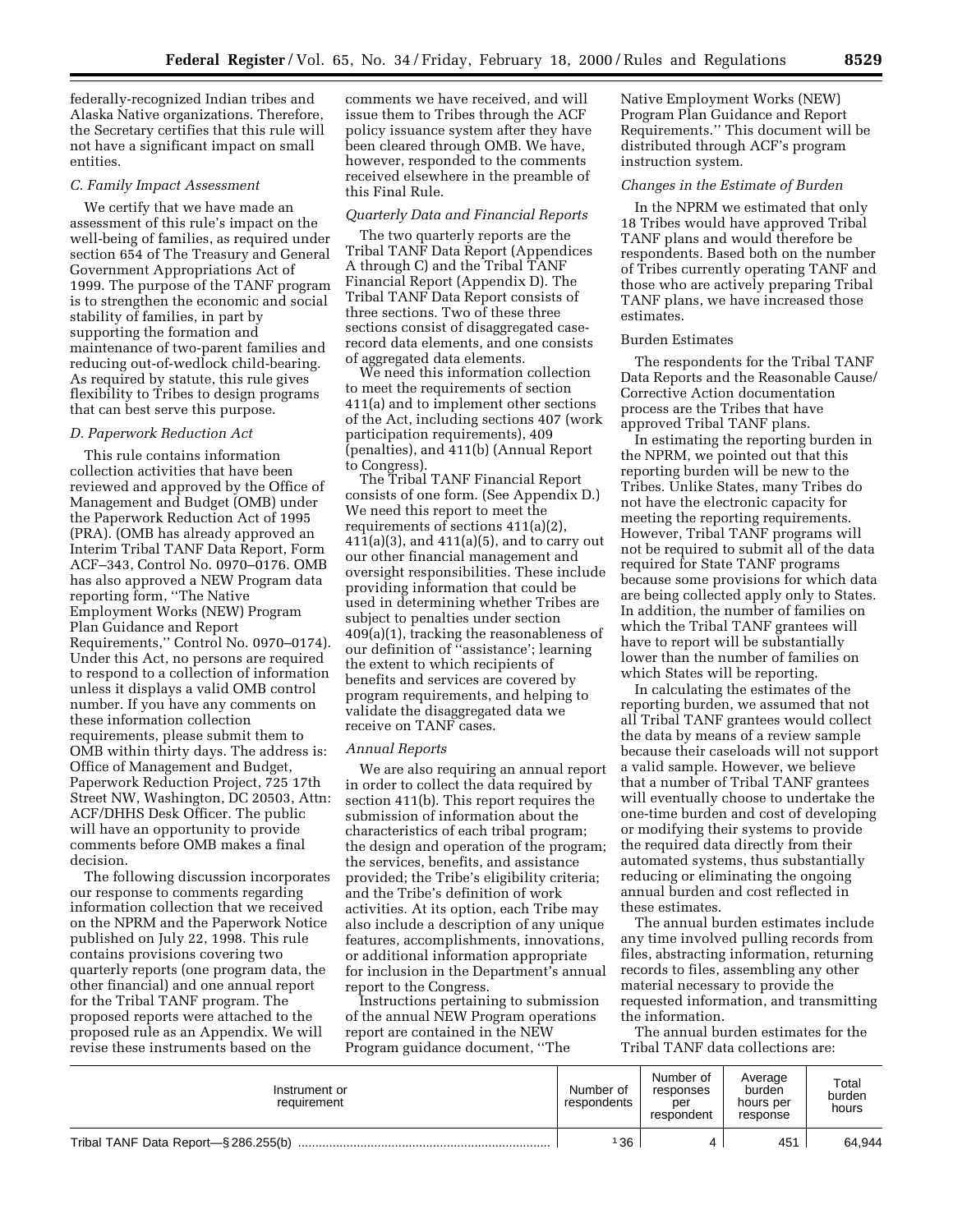federally-recognized Indian tribes and Alaska Native organizations. Therefore, the Secretary certifies that this rule will not have a significant impact on small entities.

## *C. Family Impact Assessment*

We certify that we have made an assessment of this rule's impact on the well-being of families, as required under section 654 of The Treasury and General Government Appropriations Act of 1999. The purpose of the TANF program is to strengthen the economic and social stability of families, in part by supporting the formation and maintenance of two-parent families and reducing out-of-wedlock child-bearing. As required by statute, this rule gives flexibility to Tribes to design programs that can best serve this purpose.

## *D. Paperwork Reduction Act*

This rule contains information collection activities that have been reviewed and approved by the Office of Management and Budget (OMB) under the Paperwork Reduction Act of 1995 (PRA). (OMB has already approved an Interim Tribal TANF Data Report, Form ACF–343, Control No. 0970–0176. OMB has also approved a NEW Program data reporting form, ''The Native Employment Works (NEW) Program Plan Guidance and Report Requirements,'' Control No. 0970–0174). Under this Act, no persons are required to respond to a collection of information unless it displays a valid OMB control number. If you have any comments on these information collection requirements, please submit them to OMB within thirty days. The address is: Office of Management and Budget, Paperwork Reduction Project, 725 17th Street NW, Washington, DC 20503, Attn: ACF/DHHS Desk Officer. The public will have an opportunity to provide comments before OMB makes a final decision.

The following discussion incorporates our response to comments regarding information collection that we received on the NPRM and the Paperwork Notice published on July 22, 1998. This rule contains provisions covering two quarterly reports (one program data, the other financial) and one annual report for the Tribal TANF program. The proposed reports were attached to the proposed rule as an Appendix. We will revise these instruments based on the

comments we have received, and will issue them to Tribes through the ACF policy issuance system after they have been cleared through OMB. We have, however, responded to the comments received elsewhere in the preamble of this Final Rule.

#### *Quarterly Data and Financial Reports*

The two quarterly reports are the Tribal TANF Data Report (Appendices A through C) and the Tribal TANF Financial Report (Appendix D). The Tribal TANF Data Report consists of three sections. Two of these three sections consist of disaggregated caserecord data elements, and one consists of aggregated data elements.

We need this information collection to meet the requirements of section 411(a) and to implement other sections of the Act, including sections 407 (work participation requirements), 409 (penalties), and 411(b) (Annual Report to Congress).

The Tribal TANF Financial Report consists of one form. (See Appendix D.) We need this report to meet the requirements of sections 411(a)(2), 411(a)(3), and 411(a)(5), and to carry out our other financial management and oversight responsibilities. These include providing information that could be used in determining whether Tribes are subject to penalties under section 409(a)(1), tracking the reasonableness of our definition of ''assistance'; learning the extent to which recipients of benefits and services are covered by program requirements, and helping to validate the disaggregated data we receive on TANF cases.

#### *Annual Reports*

We are also requiring an annual report in order to collect the data required by section 411(b). This report requires the submission of information about the characteristics of each tribal program; the design and operation of the program; the services, benefits, and assistance provided; the Tribe's eligibility criteria; and the Tribe's definition of work activities. At its option, each Tribe may also include a description of any unique features, accomplishments, innovations, or additional information appropriate for inclusion in the Department's annual report to the Congress.

Instructions pertaining to submission of the annual NEW Program operations report are contained in the NEW Program guidance document, ''The

Native Employment Works (NEW) Program Plan Guidance and Report Requirements.'' This document will be distributed through ACF's program instruction system.

## *Changes in the Estimate of Burden*

In the NPRM we estimated that only 18 Tribes would have approved Tribal TANF plans and would therefore be respondents. Based both on the number of Tribes currently operating TANF and those who are actively preparing Tribal TANF plans, we have increased those estimates.

## Burden Estimates

The respondents for the Tribal TANF Data Reports and the Reasonable Cause/ Corrective Action documentation process are the Tribes that have approved Tribal TANF plans.

In estimating the reporting burden in the NPRM, we pointed out that this reporting burden will be new to the Tribes. Unlike States, many Tribes do not have the electronic capacity for meeting the reporting requirements. However, Tribal TANF programs will not be required to submit all of the data required for State TANF programs because some provisions for which data are being collected apply only to States. In addition, the number of families on which the Tribal TANF grantees will have to report will be substantially lower than the number of families on which States will be reporting.

In calculating the estimates of the reporting burden, we assumed that not all Tribal TANF grantees would collect the data by means of a review sample because their caseloads will not support a valid sample. However, we believe that a number of Tribal TANF grantees will eventually choose to undertake the one-time burden and cost of developing or modifying their systems to provide the required data directly from their automated systems, thus substantially reducing or eliminating the ongoing annual burden and cost reflected in these estimates.

The annual burden estimates include any time involved pulling records from files, abstracting information, returning records to files, assembling any other material necessary to provide the requested information, and transmitting the information.

The annual burden estimates for the Tribal TANF data collections are:

| Instrument or<br>requirement         | Number of<br>respondents | Number of<br>responses<br>per<br>respondent | Average<br>burden<br>hours per<br>response | Total<br>burden<br>hours |
|--------------------------------------|--------------------------|---------------------------------------------|--------------------------------------------|--------------------------|
| Tribal TANF Data Report-\$286.255(b) | 136                      |                                             | 451                                        | 64.944                   |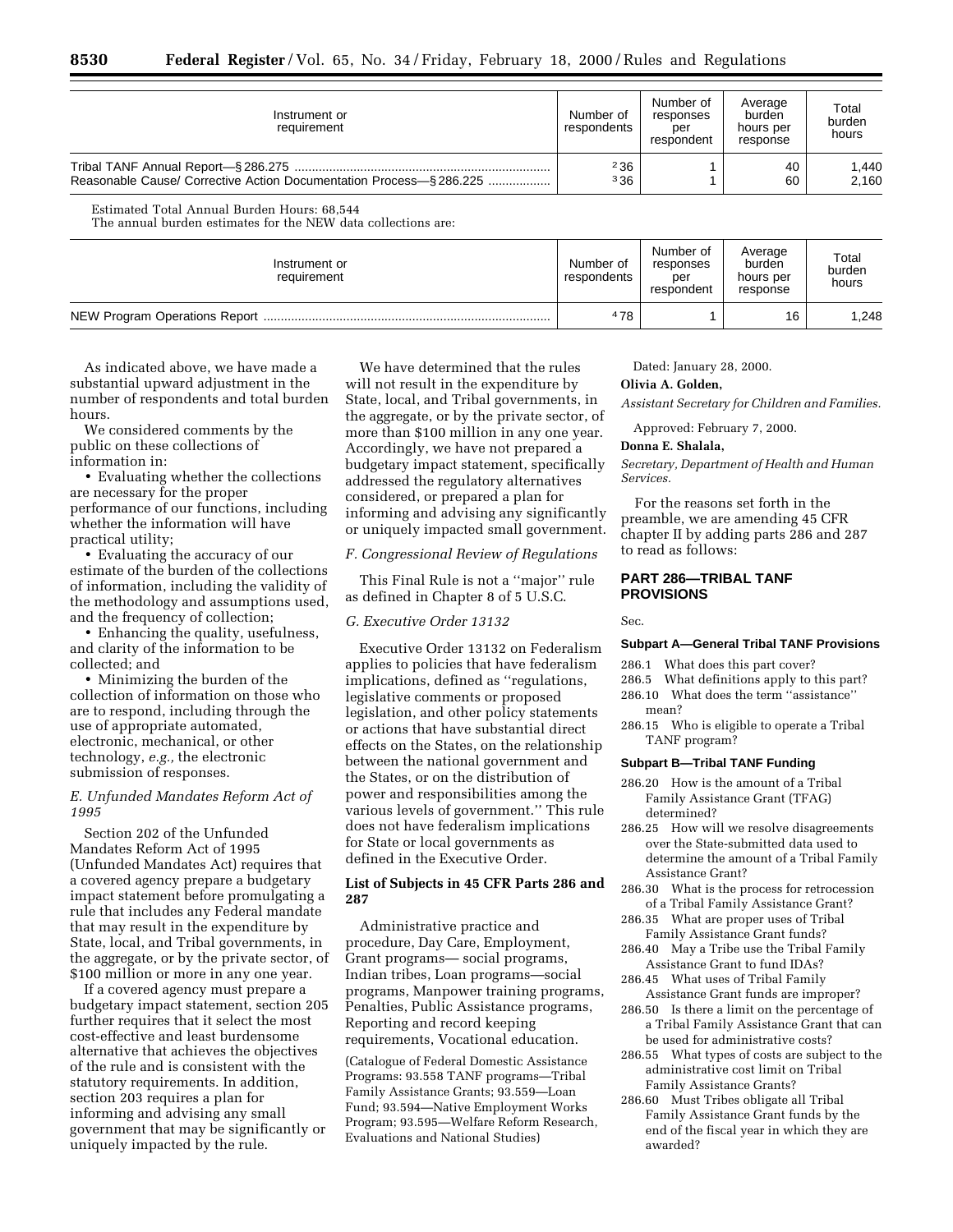| Instrument or<br>requirement                                       | Number of<br>respondents | Number of<br>responses<br>per<br>respondent | Average<br>burden<br>hours per<br>response | Total<br>burden<br>hours |
|--------------------------------------------------------------------|--------------------------|---------------------------------------------|--------------------------------------------|--------------------------|
|                                                                    | 236                      |                                             | 40                                         | 1,440                    |
| Reasonable Cause/ Corrective Action Documentation Process-§286.225 | 336                      |                                             | 60                                         | 2.160                    |

Estimated Total Annual Burden Hours: 68,544 The annual burden estimates for the NEW data collections are:

Instrument or requirement Number of respondents Number of responses per respondent Average burden hours per response Total burden hours NEW Program Operations Report ................................................................................... 4 78 1 16 1,248

As indicated above, we have made a substantial upward adjustment in the number of respondents and total burden hours.

We considered comments by the public on these collections of information in:

• Evaluating whether the collections are necessary for the proper performance of our functions, including whether the information will have practical utility;

• Evaluating the accuracy of our estimate of the burden of the collections of information, including the validity of the methodology and assumptions used, and the frequency of collection;

• Enhancing the quality, usefulness, and clarity of the information to be collected; and

• Minimizing the burden of the collection of information on those who are to respond, including through the use of appropriate automated, electronic, mechanical, or other technology, *e.g.,* the electronic submission of responses.

## *E. Unfunded Mandates Reform Act of 1995*

Section 202 of the Unfunded Mandates Reform Act of 1995 (Unfunded Mandates Act) requires that a covered agency prepare a budgetary impact statement before promulgating a rule that includes any Federal mandate that may result in the expenditure by State, local, and Tribal governments, in the aggregate, or by the private sector, of \$100 million or more in any one year.

If a covered agency must prepare a budgetary impact statement, section 205 further requires that it select the most cost-effective and least burdensome alternative that achieves the objectives of the rule and is consistent with the statutory requirements. In addition, section 203 requires a plan for informing and advising any small government that may be significantly or uniquely impacted by the rule.

We have determined that the rules will not result in the expenditure by State, local, and Tribal governments, in the aggregate, or by the private sector, of more than \$100 million in any one year. Accordingly, we have not prepared a budgetary impact statement, specifically addressed the regulatory alternatives considered, or prepared a plan for informing and advising any significantly or uniquely impacted small government.

*F. Congressional Review of Regulations*

This Final Rule is not a ''major'' rule as defined in Chapter 8 of 5 U.S.C.

## *G. Executive Order 13132*

Executive Order 13132 on Federalism applies to policies that have federalism implications, defined as ''regulations, legislative comments or proposed legislation, and other policy statements or actions that have substantial direct effects on the States, on the relationship between the national government and the States, or on the distribution of power and responsibilities among the various levels of government.'' This rule does not have federalism implications for State or local governments as defined in the Executive Order.

# **List of Subjects in 45 CFR Parts 286 and 287**

Administrative practice and procedure, Day Care, Employment, Grant programs— social programs, Indian tribes, Loan programs—social programs, Manpower training programs, Penalties, Public Assistance programs, Reporting and record keeping requirements, Vocational education.

(Catalogue of Federal Domestic Assistance Programs: 93.558 TANF programs—Tribal Family Assistance Grants; 93.559—Loan Fund; 93.594—Native Employment Works Program; 93.595—Welfare Reform Research, Evaluations and National Studies)

Dated: January 28, 2000.

## **Olivia A. Golden,**

*Assistant Secretary for Children and Families.*

Approved: February 7, 2000.

#### **Donna E. Shalala,**

*Secretary, Department of Health and Human Services.*

For the reasons set forth in the preamble, we are amending 45 CFR chapter II by adding parts 286 and 287 to read as follows:

# **PART 286—TRIBAL TANF PROVISIONS**

Sec.

## **Subpart A—General Tribal TANF Provisions**

286.1 What does this part cover?

- 286.5 What definitions apply to this part? 286.10 What does the term ''assistance''
- mean?
- 286.15 Who is eligible to operate a Tribal TANF program?

#### **Subpart B—Tribal TANF Funding**

- 286.20 How is the amount of a Tribal Family Assistance Grant (TFAG) determined?
- 286.25 How will we resolve disagreements over the State-submitted data used to determine the amount of a Tribal Family Assistance Grant?
- 286.30 What is the process for retrocession of a Tribal Family Assistance Grant?
- 286.35 What are proper uses of Tribal Family Assistance Grant funds?
- 286.40 May a Tribe use the Tribal Family Assistance Grant to fund IDAs?
- 286.45 What uses of Tribal Family Assistance Grant funds are improper?
- 286.50 Is there a limit on the percentage of a Tribal Family Assistance Grant that can be used for administrative costs?
- 286.55 What types of costs are subject to the administrative cost limit on Tribal Family Assistance Grants?
- 286.60 Must Tribes obligate all Tribal Family Assistance Grant funds by the end of the fiscal year in which they are awarded?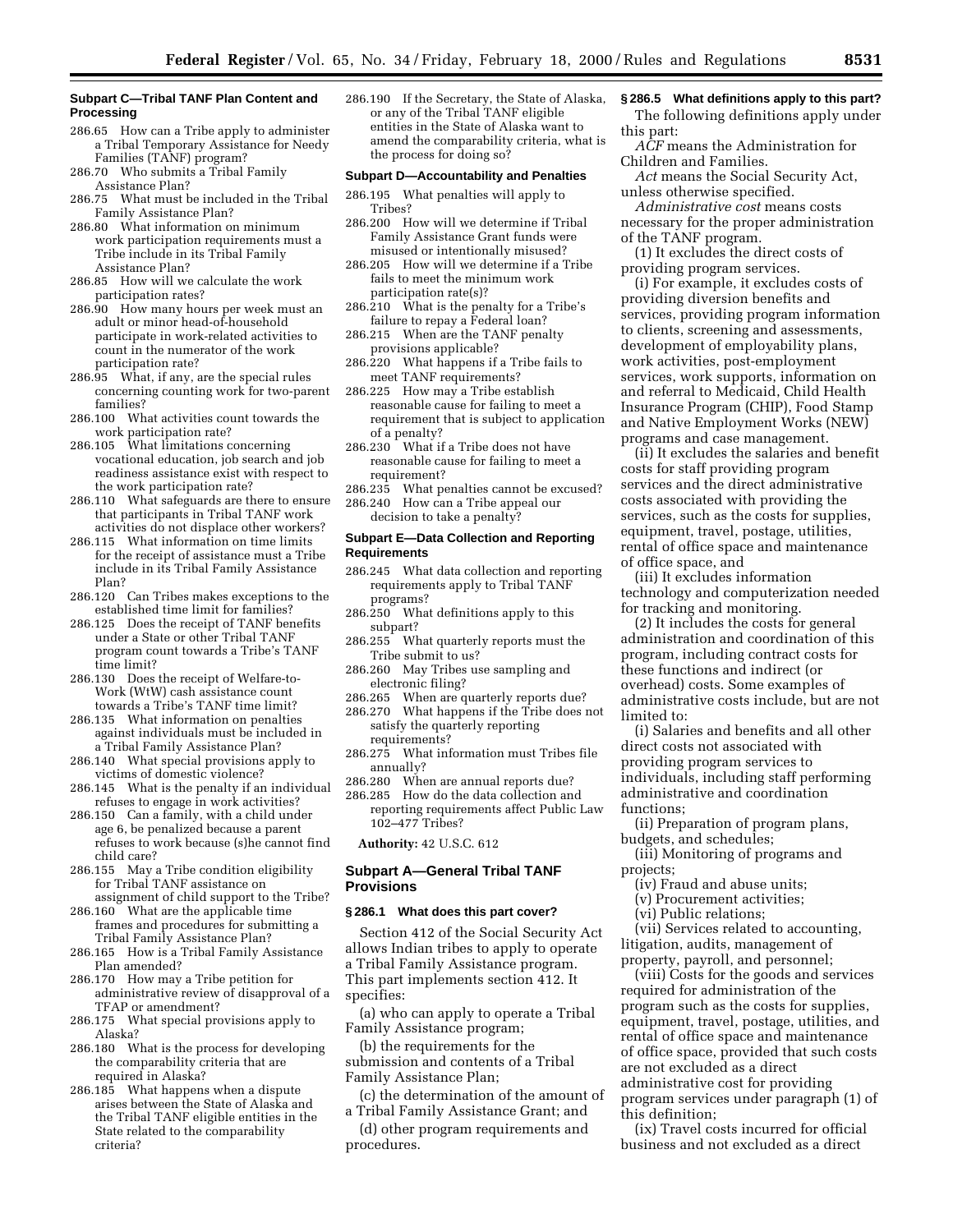## **Subpart C—Tribal TANF Plan Content and Processing**

- 286.65 How can a Tribe apply to administer a Tribal Temporary Assistance for Needy Families (TANF) program?
- 286.70 Who submits a Tribal Family
- Assistance Plan? 286.75 What must be included in the Tribal Family Assistance Plan?
- 286.80 What information on minimum work participation requirements must a Tribe include in its Tribal Family Assistance Plan?
- 286.85 How will we calculate the work participation rates?
- 286.90 How many hours per week must an adult or minor head-of-household participate in work-related activities to count in the numerator of the work participation rate?
- 286.95 What, if any, are the special rules concerning counting work for two-parent families?
- 286.100 What activities count towards the work participation rate?
- 286.105 What limitations concerning vocational education, job search and job readiness assistance exist with respect to the work participation rate?
- 286.110 What safeguards are there to ensure that participants in Tribal TANF work activities do not displace other workers?
- 286.115 What information on time limits for the receipt of assistance must a Tribe include in its Tribal Family Assistance Plan?
- 286.120 Can Tribes makes exceptions to the established time limit for families?
- 286.125 Does the receipt of TANF benefits under a State or other Tribal TANF program count towards a Tribe's TANF time limit?
- 286.130 Does the receipt of Welfare-to-Work (WtW) cash assistance count towards a Tribe's TANF time limit?
- 286.135 What information on penalties against individuals must be included in a Tribal Family Assistance Plan?
- 286.140 What special provisions apply to victims of domestic violence?
- 286.145 What is the penalty if an individual refuses to engage in work activities?
- 286.150 Can a family, with a child under age 6, be penalized because a parent refuses to work because (s)he cannot find child care?
- 286.155 May a Tribe condition eligibility for Tribal TANF assistance on assignment of child support to the Tribe?
- 286.160 What are the applicable time frames and procedures for submitting a Tribal Family Assistance Plan?
- 286.165 How is a Tribal Family Assistance Plan amended?
- 286.170 How may a Tribe petition for administrative review of disapproval of a TFAP or amendment?
- 286.175 What special provisions apply to Alaska?
- 286.180 What is the process for developing the comparability criteria that are required in Alaska?
- 286.185 What happens when a dispute arises between the State of Alaska and the Tribal TANF eligible entities in the State related to the comparability criteria?

286.190 If the Secretary, the State of Alaska, or any of the Tribal TANF eligible entities in the State of Alaska want to amend the comparability criteria, what is the process for doing so?

#### **Subpart D—Accountability and Penalties**

- 286.195 What penalties will apply to Tribes?
- 286.200 How will we determine if Tribal Family Assistance Grant funds were misused or intentionally misused?
- 286.205 How will we determine if a Tribe fails to meet the minimum work participation rate(s)?
- 286.210 What is the penalty for a Tribe's failure to repay a Federal loan?
- 286.215 When are the TANF penalty provisions applicable?
- 286.220 What happens if a Tribe fails to meet TANF requirements?
- 286.225 How may a Tribe establish reasonable cause for failing to meet a requirement that is subject to application of a penalty?
- 286.230 What if a Tribe does not have reasonable cause for failing to meet a requirement?
- 286.235 What penalties cannot be excused?
- 286.240 How can a Tribe appeal our decision to take a penalty?

#### **Subpart E—Data Collection and Reporting Requirements**

- 286.245 What data collection and reporting requirements apply to Tribal TANF programs?
- 286.250 What definitions apply to this subpart?
- 286.255 What quarterly reports must the Tribe submit to us?
- 286.260 May Tribes use sampling and electronic filing?
- 286.265 When are quarterly reports due?
- 286.270 What happens if the Tribe does not satisfy the quarterly reporting requirements?
- 286.275 What information must Tribes file annually?
- 286.280 When are annual reports due?
- 286.285 How do the data collection and reporting requirements affect Public Law 102–477 Tribes?

**Authority:** 42 U.S.C. 612

## **Subpart A—General Tribal TANF Provisions**

**§ 286.1 What does this part cover?** Section 412 of the Social Security Act allows Indian tribes to apply to operate

a Tribal Family Assistance program. This part implements section 412. It specifies:

(a) who can apply to operate a Tribal Family Assistance program;

(b) the requirements for the submission and contents of a Tribal Family Assistance Plan;

- (c) the determination of the amount of a Tribal Family Assistance Grant; and
- (d) other program requirements and procedures.

## **§ 286.5 What definitions apply to this part?**

The following definitions apply under this part:

*ACF* means the Administration for Children and Families.

*Act* means the Social Security Act, unless otherwise specified.

*Administrative cost* means costs necessary for the proper administration of the TANF program.

(1) It excludes the direct costs of providing program services.

(i) For example, it excludes costs of providing diversion benefits and services, providing program information to clients, screening and assessments, development of employability plans, work activities, post-employment services, work supports, information on and referral to Medicaid, Child Health Insurance Program (CHIP), Food Stamp and Native Employment Works (NEW) programs and case management.

(ii) It excludes the salaries and benefit costs for staff providing program services and the direct administrative costs associated with providing the services, such as the costs for supplies, equipment, travel, postage, utilities, rental of office space and maintenance of office space, and

(iii) It excludes information technology and computerization needed for tracking and monitoring.

(2) It includes the costs for general administration and coordination of this program, including contract costs for these functions and indirect (or overhead) costs. Some examples of administrative costs include, but are not limited to:

(i) Salaries and benefits and all other direct costs not associated with providing program services to individuals, including staff performing administrative and coordination functions;

(ii) Preparation of program plans, budgets, and schedules;

- (iii) Monitoring of programs and projects;
	- (iv) Fraud and abuse units;
	- (v) Procurement activities;
	- (vi) Public relations;

(vii) Services related to accounting, litigation, audits, management of property, payroll, and personnel;

(viii) Costs for the goods and services required for administration of the program such as the costs for supplies, equipment, travel, postage, utilities, and rental of office space and maintenance of office space, provided that such costs are not excluded as a direct administrative cost for providing program services under paragraph (1) of this definition;

(ix) Travel costs incurred for official business and not excluded as a direct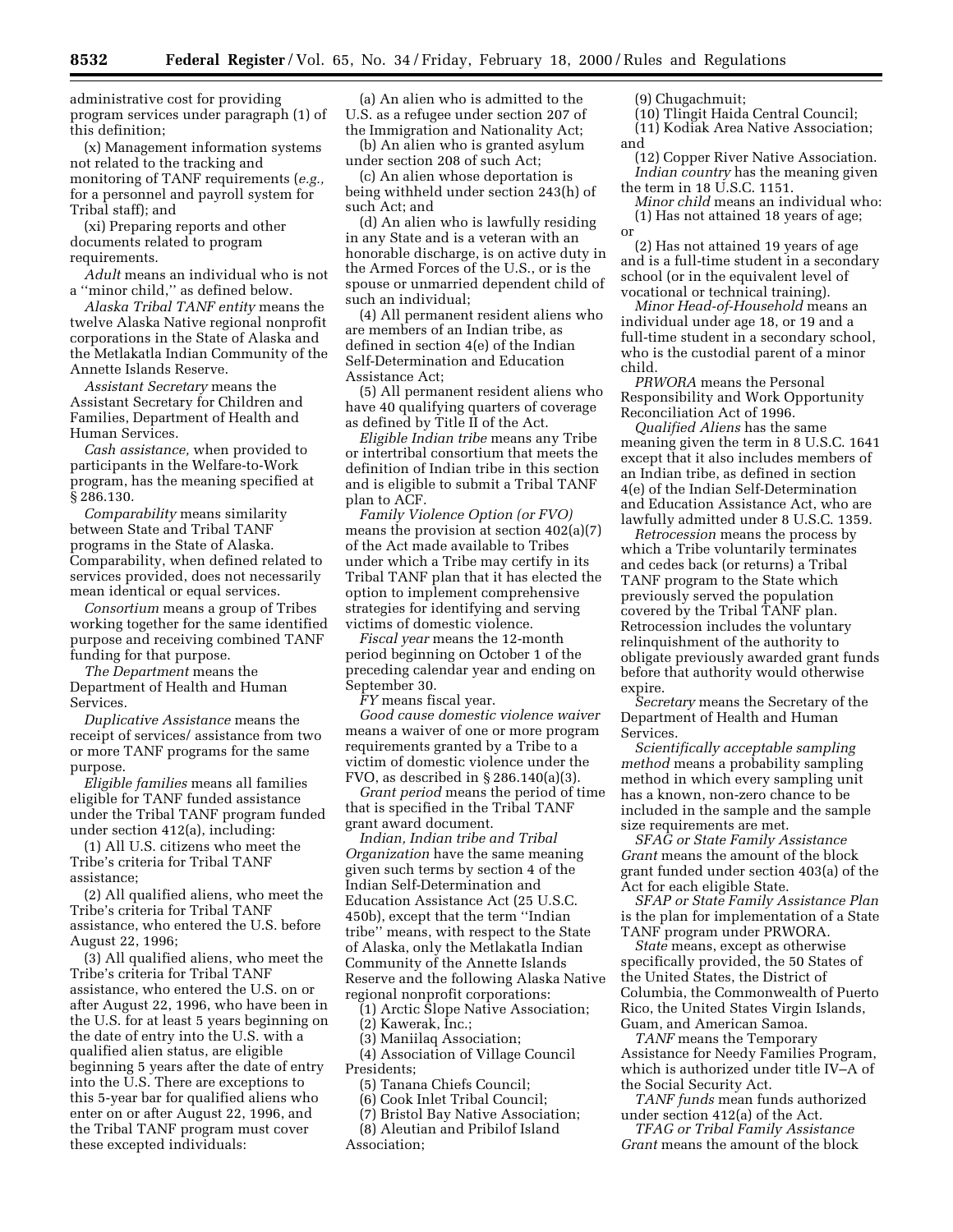administrative cost for providing program services under paragraph (1) of this definition;

(x) Management information systems not related to the tracking and monitoring of TANF requirements (*e.g.,* for a personnel and payroll system for Tribal staff); and

(xi) Preparing reports and other documents related to program requirements.

*Adult* means an individual who is not a ''minor child,'' as defined below.

*Alaska Tribal TANF entity* means the twelve Alaska Native regional nonprofit corporations in the State of Alaska and the Metlakatla Indian Community of the Annette Islands Reserve.

*Assistant Secretary* means the Assistant Secretary for Children and Families, Department of Health and Human Services.

*Cash assistance,* when provided to participants in the Welfare-to-Work program, has the meaning specified at § 286.130.

*Comparability* means similarity between State and Tribal TANF programs in the State of Alaska. Comparability, when defined related to services provided, does not necessarily mean identical or equal services.

*Consortium* means a group of Tribes working together for the same identified purpose and receiving combined TANF funding for that purpose.

*The Department* means the Department of Health and Human Services.

*Duplicative Assistance* means the receipt of services/ assistance from two or more TANF programs for the same purpose.

*Eligible families* means all families eligible for TANF funded assistance under the Tribal TANF program funded under section 412(a), including:

(1) All U.S. citizens who meet the Tribe's criteria for Tribal TANF assistance;

(2) All qualified aliens, who meet the Tribe's criteria for Tribal TANF assistance, who entered the U.S. before August 22, 1996;

(3) All qualified aliens, who meet the Tribe's criteria for Tribal TANF assistance, who entered the U.S. on or after August 22, 1996, who have been in the U.S. for at least 5 years beginning on the date of entry into the U.S. with a qualified alien status, are eligible beginning 5 years after the date of entry into the U.S. There are exceptions to this 5-year bar for qualified aliens who enter on or after August 22, 1996, and the Tribal TANF program must cover these excepted individuals:

(a) An alien who is admitted to the U.S. as a refugee under section 207 of the Immigration and Nationality Act;

(b) An alien who is granted asylum under section 208 of such Act;

(c) An alien whose deportation is being withheld under section 243(h) of such Act; and

(d) An alien who is lawfully residing in any State and is a veteran with an honorable discharge, is on active duty in the Armed Forces of the U.S., or is the spouse or unmarried dependent child of such an individual;

(4) All permanent resident aliens who are members of an Indian tribe, as defined in section 4(e) of the Indian Self-Determination and Education Assistance Act;

(5) All permanent resident aliens who have 40 qualifying quarters of coverage as defined by Title II of the Act.

*Eligible Indian tribe* means any Tribe or intertribal consortium that meets the definition of Indian tribe in this section and is eligible to submit a Tribal TANF plan to ACF.

*Family Violence Option (or FVO)* means the provision at section 402(a)(7) of the Act made available to Tribes under which a Tribe may certify in its Tribal TANF plan that it has elected the option to implement comprehensive strategies for identifying and serving victims of domestic violence.

*Fiscal year* means the 12-month period beginning on October 1 of the preceding calendar year and ending on September 30.

*FY* means fiscal year.

*Good cause domestic violence waiver* means a waiver of one or more program requirements granted by a Tribe to a victim of domestic violence under the FVO, as described in § 286.140(a)(3).

*Grant period* means the period of time that is specified in the Tribal TANF grant award document.

*Indian, Indian tribe and Tribal Organization* have the same meaning given such terms by section 4 of the Indian Self-Determination and Education Assistance Act (25 U.S.C. 450b), except that the term ''Indian tribe'' means, with respect to the State of Alaska, only the Metlakatla Indian Community of the Annette Islands Reserve and the following Alaska Native regional nonprofit corporations:

(1) Arctic Slope Native Association;

(2) Kawerak, Inc.;

(3) Maniilaq Association;

(4) Association of Village Council Presidents;

(5) Tanana Chiefs Council;

(6) Cook Inlet Tribal Council;

(7) Bristol Bay Native Association;

(8) Aleutian and Pribilof Island Association;

(9) Chugachmuit;

- (10) Tlingit Haida Central Council; (11) Kodiak Area Native Association;
- and
- (12) Copper River Native Association. *Indian country* has the meaning given the term in 18 U.S.C. 1151.

*Minor child* means an individual who: (1) Has not attained 18 years of age; or

(2) Has not attained 19 years of age and is a full-time student in a secondary school (or in the equivalent level of vocational or technical training).

*Minor Head-of-Household* means an individual under age 18, or 19 and a full-time student in a secondary school, who is the custodial parent of a minor child.

*PRWORA* means the Personal Responsibility and Work Opportunity Reconciliation Act of 1996.

*Qualified Aliens* has the same meaning given the term in 8 U.S.C. 1641 except that it also includes members of an Indian tribe, as defined in section 4(e) of the Indian Self-Determination and Education Assistance Act, who are lawfully admitted under 8 U.S.C. 1359.

*Retrocession* means the process by which a Tribe voluntarily terminates and cedes back (or returns) a Tribal TANF program to the State which previously served the population covered by the Tribal TANF plan. Retrocession includes the voluntary relinquishment of the authority to obligate previously awarded grant funds before that authority would otherwise expire.

*Secretary* means the Secretary of the Department of Health and Human Services.

*Scientifically acceptable sampling method* means a probability sampling method in which every sampling unit has a known, non-zero chance to be included in the sample and the sample size requirements are met.

*SFAG or State Family Assistance Grant* means the amount of the block grant funded under section 403(a) of the Act for each eligible State.

*SFAP or State Family Assistance Plan* is the plan for implementation of a State TANF program under PRWORA.

*State* means, except as otherwise specifically provided, the 50 States of the United States, the District of Columbia, the Commonwealth of Puerto Rico, the United States Virgin Islands, Guam, and American Samoa.

*TANF* means the Temporary Assistance for Needy Families Program, which is authorized under title IV–A of the Social Security Act.

*TANF funds* mean funds authorized under section 412(a) of the Act.

*TFAG or Tribal Family Assistance Grant* means the amount of the block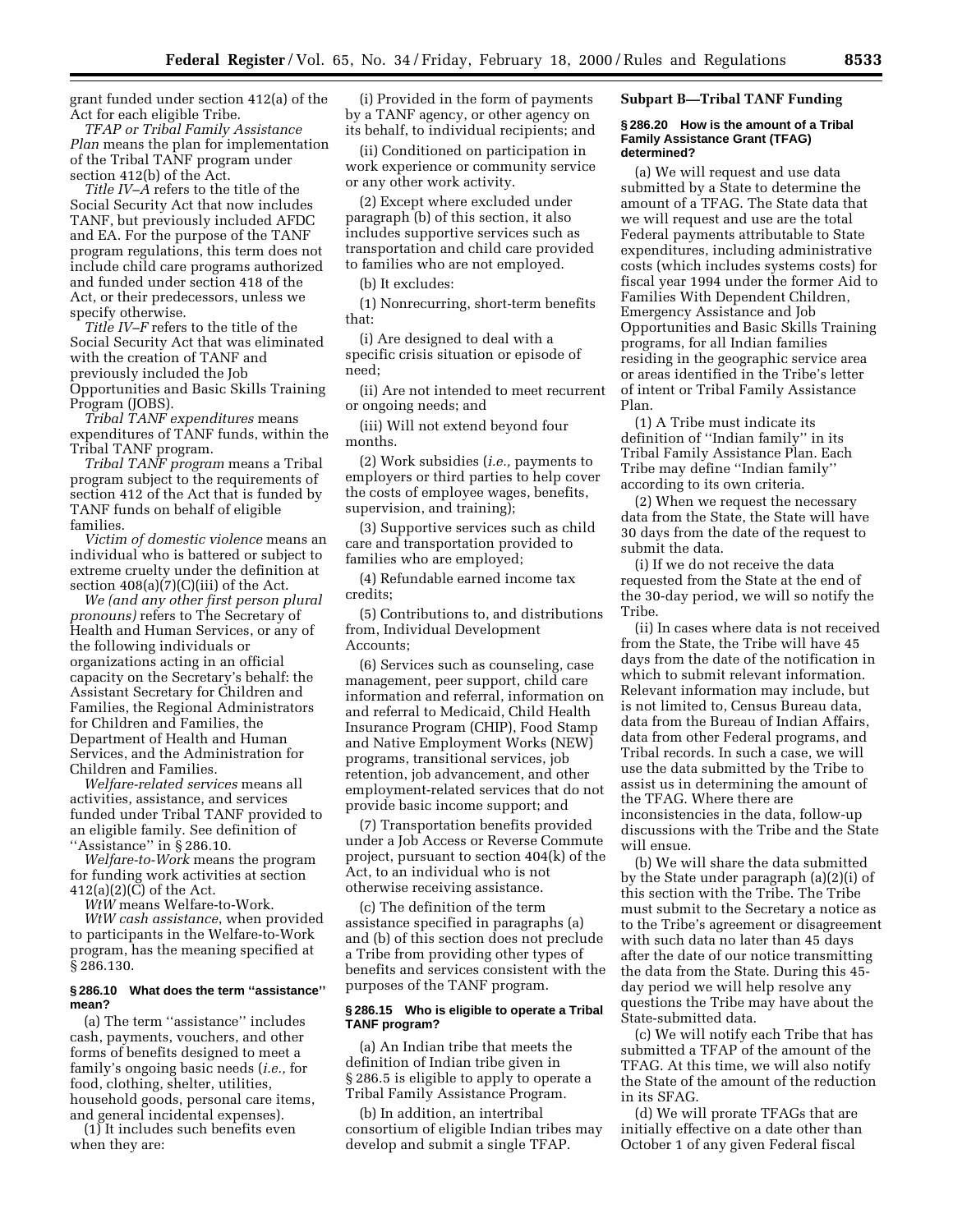grant funded under section 412(a) of the Act for each eligible Tribe.

*TFAP or Tribal Family Assistance Plan* means the plan for implementation of the Tribal TANF program under section 412(b) of the Act.

*Title IV–A* refers to the title of the Social Security Act that now includes TANF, but previously included AFDC and EA. For the purpose of the TANF program regulations, this term does not include child care programs authorized and funded under section 418 of the Act, or their predecessors, unless we specify otherwise.

*Title IV–F* refers to the title of the Social Security Act that was eliminated with the creation of TANF and previously included the Job Opportunities and Basic Skills Training Program (JOBS).

*Tribal TANF expenditures* means expenditures of TANF funds, within the Tribal TANF program.

*Tribal TANF program* means a Tribal program subject to the requirements of section 412 of the Act that is funded by TANF funds on behalf of eligible families.

*Victim of domestic violence* means an individual who is battered or subject to extreme cruelty under the definition at section  $408(a)(7)(C)(iii)$  of the Act.

*We (and any other first person plural pronouns)* refers to The Secretary of Health and Human Services, or any of the following individuals or organizations acting in an official capacity on the Secretary's behalf: the Assistant Secretary for Children and Families, the Regional Administrators for Children and Families, the Department of Health and Human Services, and the Administration for Children and Families.

*Welfare-related services* means all activities, assistance, and services funded under Tribal TANF provided to an eligible family. See definition of "Assistance" in § 286.10.

*Welfare-to-Work* means the program for funding work activities at section 412(a)(2)(C) of the Act.

*WtW* means Welfare-to-Work.

*WtW cash assistance*, when provided to participants in the Welfare-to-Work program, has the meaning specified at § 286.130.

## **§ 286.10 What does the term ''assistance'' mean?**

(a) The term ''assistance'' includes cash, payments, vouchers, and other forms of benefits designed to meet a family's ongoing basic needs (*i.e.,* for food, clothing, shelter, utilities, household goods, personal care items, and general incidental expenses).

(1) It includes such benefits even when they are:

(i) Provided in the form of payments by a TANF agency, or other agency on its behalf, to individual recipients; and

(ii) Conditioned on participation in work experience or community service or any other work activity.

(2) Except where excluded under paragraph (b) of this section, it also includes supportive services such as transportation and child care provided to families who are not employed.

(b) It excludes:

(1) Nonrecurring, short-term benefits that:

(i) Are designed to deal with a specific crisis situation or episode of need;

(ii) Are not intended to meet recurrent or ongoing needs; and

(iii) Will not extend beyond four months.

(2) Work subsidies (*i.e.,* payments to employers or third parties to help cover the costs of employee wages, benefits, supervision, and training);

(3) Supportive services such as child care and transportation provided to families who are employed;

(4) Refundable earned income tax credits;

(5) Contributions to, and distributions from, Individual Development Accounts;

(6) Services such as counseling, case management, peer support, child care information and referral, information on and referral to Medicaid, Child Health Insurance Program (CHIP), Food Stamp and Native Employment Works (NEW) programs, transitional services, job retention, job advancement, and other employment-related services that do not provide basic income support; and

(7) Transportation benefits provided under a Job Access or Reverse Commute project, pursuant to section 404(k) of the Act, to an individual who is not otherwise receiving assistance.

(c) The definition of the term assistance specified in paragraphs (a) and (b) of this section does not preclude a Tribe from providing other types of benefits and services consistent with the purposes of the TANF program.

## **§ 286.15 Who is eligible to operate a Tribal TANF program?**

(a) An Indian tribe that meets the definition of Indian tribe given in § 286.5 is eligible to apply to operate a Tribal Family Assistance Program.

(b) In addition, an intertribal consortium of eligible Indian tribes may develop and submit a single TFAP.

**Subpart B—Tribal TANF Funding**

#### **§ 286.20 How is the amount of a Tribal Family Assistance Grant (TFAG) determined?**

(a) We will request and use data submitted by a State to determine the amount of a TFAG. The State data that we will request and use are the total Federal payments attributable to State expenditures, including administrative costs (which includes systems costs) for fiscal year 1994 under the former Aid to Families With Dependent Children, Emergency Assistance and Job Opportunities and Basic Skills Training programs, for all Indian families residing in the geographic service area or areas identified in the Tribe's letter of intent or Tribal Family Assistance Plan.

(1) A Tribe must indicate its definition of ''Indian family'' in its Tribal Family Assistance Plan. Each Tribe may define ''Indian family'' according to its own criteria.

(2) When we request the necessary data from the State, the State will have 30 days from the date of the request to submit the data.

(i) If we do not receive the data requested from the State at the end of the 30-day period, we will so notify the Tribe.

(ii) In cases where data is not received from the State, the Tribe will have 45 days from the date of the notification in which to submit relevant information. Relevant information may include, but is not limited to, Census Bureau data, data from the Bureau of Indian Affairs, data from other Federal programs, and Tribal records. In such a case, we will use the data submitted by the Tribe to assist us in determining the amount of the TFAG. Where there are inconsistencies in the data, follow-up discussions with the Tribe and the State will ensue.

(b) We will share the data submitted by the State under paragraph (a)(2)(i) of this section with the Tribe. The Tribe must submit to the Secretary a notice as to the Tribe's agreement or disagreement with such data no later than 45 days after the date of our notice transmitting the data from the State. During this 45 day period we will help resolve any questions the Tribe may have about the State-submitted data.

(c) We will notify each Tribe that has submitted a TFAP of the amount of the TFAG. At this time, we will also notify the State of the amount of the reduction in its SFAG.

(d) We will prorate TFAGs that are initially effective on a date other than October 1 of any given Federal fiscal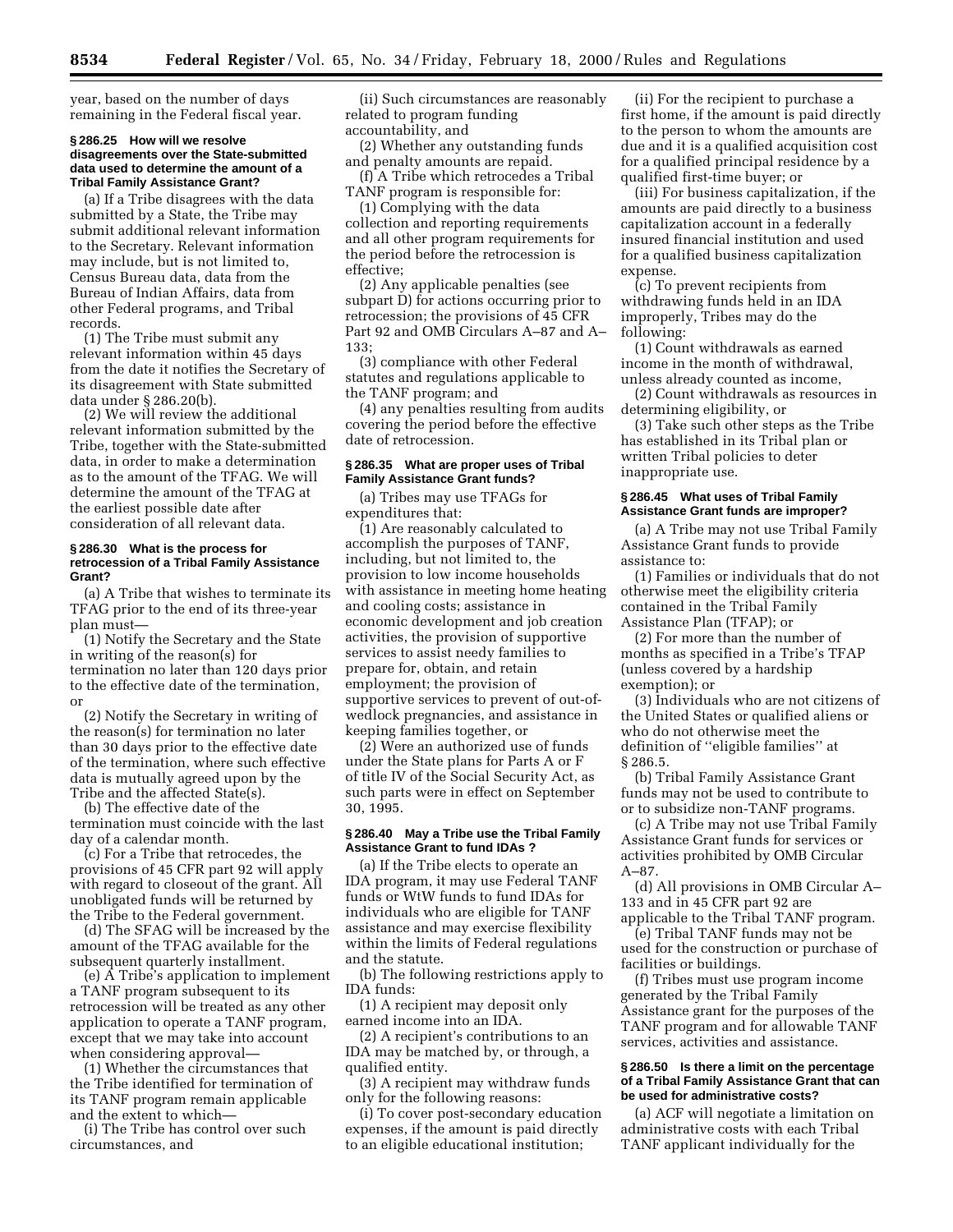year, based on the number of days remaining in the Federal fiscal year.

#### **§ 286.25 How will we resolve disagreements over the State-submitted data used to determine the amount of a Tribal Family Assistance Grant?**

(a) If a Tribe disagrees with the data submitted by a State, the Tribe may submit additional relevant information to the Secretary. Relevant information may include, but is not limited to, Census Bureau data, data from the Bureau of Indian Affairs, data from other Federal programs, and Tribal records.

(1) The Tribe must submit any relevant information within 45 days from the date it notifies the Secretary of its disagreement with State submitted data under § 286.20(b).

(2) We will review the additional relevant information submitted by the Tribe, together with the State-submitted data, in order to make a determination as to the amount of the TFAG. We will determine the amount of the TFAG at the earliest possible date after consideration of all relevant data.

#### **§ 286.30 What is the process for retrocession of a Tribal Family Assistance Grant?**

(a) A Tribe that wishes to terminate its TFAG prior to the end of its three-year plan must—

(1) Notify the Secretary and the State in writing of the reason(s) for termination no later than 120 days prior to the effective date of the termination, or

(2) Notify the Secretary in writing of the reason(s) for termination no later than 30 days prior to the effective date of the termination, where such effective data is mutually agreed upon by the Tribe and the affected State(s).

(b) The effective date of the termination must coincide with the last day of a calendar month.

(c) For a Tribe that retrocedes, the provisions of 45 CFR part 92 will apply with regard to closeout of the grant. All unobligated funds will be returned by the Tribe to the Federal government.

(d) The SFAG will be increased by the amount of the TFAG available for the subsequent quarterly installment.

(e) A Tribe's application to implement a TANF program subsequent to its retrocession will be treated as any other application to operate a TANF program, except that we may take into account when considering approval—

(1) Whether the circumstances that the Tribe identified for termination of its TANF program remain applicable and the extent to which—

(i) The Tribe has control over such circumstances, and

(ii) Such circumstances are reasonably related to program funding accountability, and

(2) Whether any outstanding funds and penalty amounts are repaid.

(f) A Tribe which retrocedes a Tribal TANF program is responsible for:

(1) Complying with the data collection and reporting requirements and all other program requirements for the period before the retrocession is effective;

(2) Any applicable penalties (see subpart D) for actions occurring prior to retrocession; the provisions of 45 CFR Part 92 and OMB Circulars A–87 and A– 133;

(3) compliance with other Federal statutes and regulations applicable to the TANF program; and

(4) any penalties resulting from audits covering the period before the effective date of retrocession.

## **§ 286.35 What are proper uses of Tribal Family Assistance Grant funds?**

(a) Tribes may use TFAGs for expenditures that:

(1) Are reasonably calculated to accomplish the purposes of TANF, including, but not limited to, the provision to low income households with assistance in meeting home heating and cooling costs; assistance in economic development and job creation activities, the provision of supportive services to assist needy families to prepare for, obtain, and retain employment; the provision of supportive services to prevent of out-ofwedlock pregnancies, and assistance in keeping families together, or

(2) Were an authorized use of funds under the State plans for Parts A or F of title IV of the Social Security Act, as such parts were in effect on September 30, 1995.

## **§ 286.40 May a Tribe use the Tribal Family Assistance Grant to fund IDAs ?**

(a) If the Tribe elects to operate an IDA program, it may use Federal TANF funds or WtW funds to fund IDAs for individuals who are eligible for TANF assistance and may exercise flexibility within the limits of Federal regulations and the statute.

(b) The following restrictions apply to IDA funds:

(1) A recipient may deposit only earned income into an IDA.

(2) A recipient's contributions to an IDA may be matched by, or through, a qualified entity.

(3) A recipient may withdraw funds only for the following reasons:

(i) To cover post-secondary education expenses, if the amount is paid directly to an eligible educational institution;

(ii) For the recipient to purchase a first home, if the amount is paid directly to the person to whom the amounts are due and it is a qualified acquisition cost for a qualified principal residence by a qualified first-time buyer; or

(iii) For business capitalization, if the amounts are paid directly to a business capitalization account in a federally insured financial institution and used for a qualified business capitalization expense.

(c) To prevent recipients from withdrawing funds held in an IDA improperly, Tribes may do the following:

(1) Count withdrawals as earned income in the month of withdrawal, unless already counted as income,

(2) Count withdrawals as resources in determining eligibility, or

(3) Take such other steps as the Tribe has established in its Tribal plan or written Tribal policies to deter inappropriate use.

## **§ 286.45 What uses of Tribal Family Assistance Grant funds are improper?**

(a) A Tribe may not use Tribal Family Assistance Grant funds to provide assistance to:

(1) Families or individuals that do not otherwise meet the eligibility criteria contained in the Tribal Family Assistance Plan (TFAP); or

(2) For more than the number of months as specified in a Tribe's TFAP (unless covered by a hardship exemption); or

(3) Individuals who are not citizens of the United States or qualified aliens or who do not otherwise meet the definition of ''eligible families'' at § 286.5.

(b) Tribal Family Assistance Grant funds may not be used to contribute to or to subsidize non-TANF programs.

(c) A Tribe may not use Tribal Family Assistance Grant funds for services or activities prohibited by OMB Circular A–87.

(d) All provisions in OMB Circular A– 133 and in 45 CFR part 92 are

applicable to the Tribal TANF program. (e) Tribal TANF funds may not be used for the construction or purchase of

facilities or buildings.

(f) Tribes must use program income generated by the Tribal Family Assistance grant for the purposes of the TANF program and for allowable TANF services, activities and assistance.

## **§ 286.50 Is there a limit on the percentage of a Tribal Family Assistance Grant that can be used for administrative costs?**

(a) ACF will negotiate a limitation on administrative costs with each Tribal TANF applicant individually for the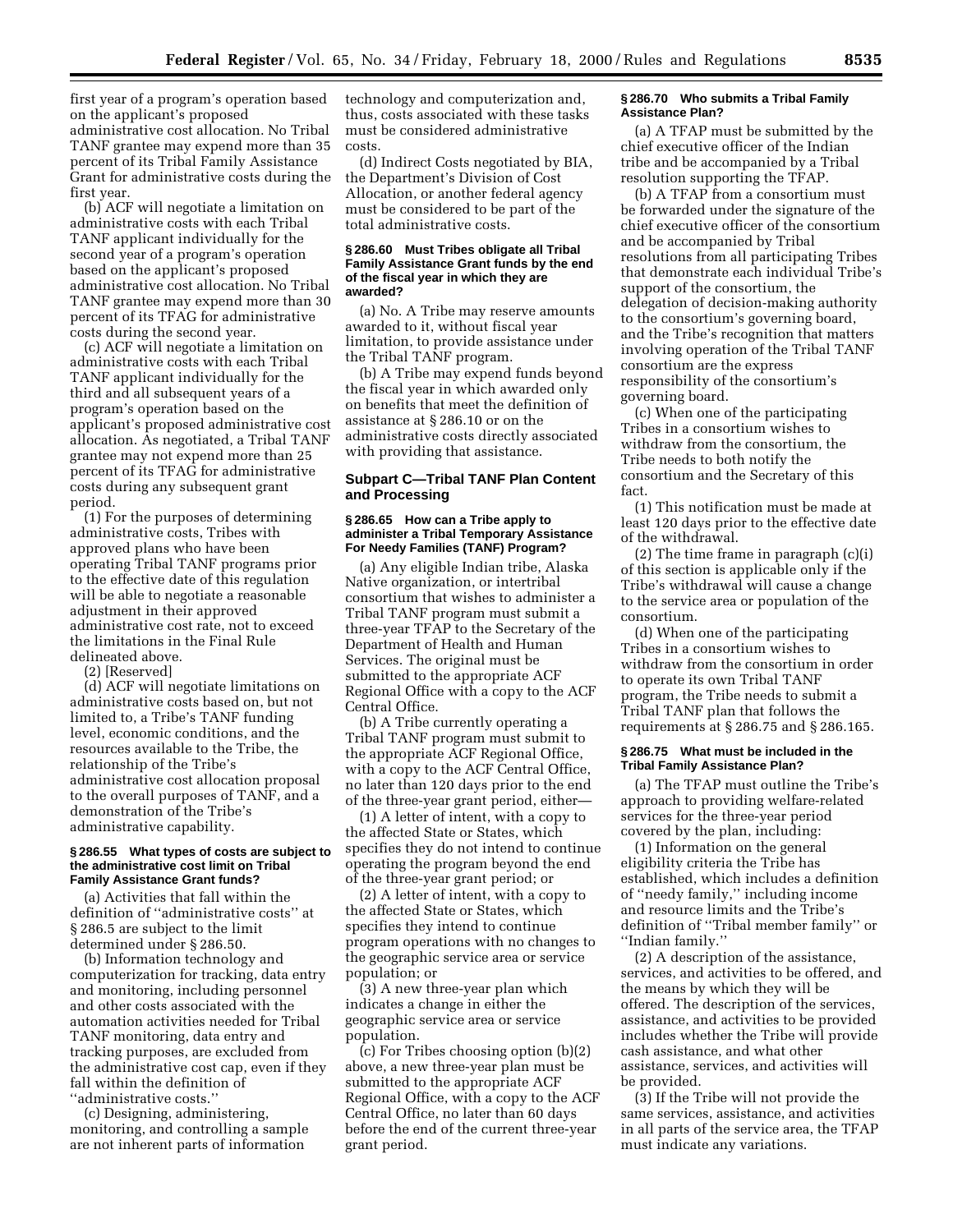first year of a program's operation based on the applicant's proposed administrative cost allocation. No Tribal TANF grantee may expend more than 35 percent of its Tribal Family Assistance Grant for administrative costs during the first year.

(b) ACF will negotiate a limitation on administrative costs with each Tribal TANF applicant individually for the second year of a program's operation based on the applicant's proposed administrative cost allocation. No Tribal TANF grantee may expend more than 30 percent of its TFAG for administrative costs during the second year.

(c) ACF will negotiate a limitation on administrative costs with each Tribal TANF applicant individually for the third and all subsequent years of a program's operation based on the applicant's proposed administrative cost allocation. As negotiated, a Tribal TANF grantee may not expend more than 25 percent of its TFAG for administrative costs during any subsequent grant period.

(1) For the purposes of determining administrative costs, Tribes with approved plans who have been operating Tribal TANF programs prior to the effective date of this regulation will be able to negotiate a reasonable adjustment in their approved administrative cost rate, not to exceed the limitations in the Final Rule delineated above.

(2) [Reserved]

(d) ACF will negotiate limitations on administrative costs based on, but not limited to, a Tribe's TANF funding level, economic conditions, and the resources available to the Tribe, the relationship of the Tribe's administrative cost allocation proposal to the overall purposes of TANF, and a demonstration of the Tribe's administrative capability.

## **§ 286.55 What types of costs are subject to the administrative cost limit on Tribal Family Assistance Grant funds?**

(a) Activities that fall within the definition of ''administrative costs'' at § 286.5 are subject to the limit determined under § 286.50.

(b) Information technology and computerization for tracking, data entry and monitoring, including personnel and other costs associated with the automation activities needed for Tribal TANF monitoring, data entry and tracking purposes, are excluded from the administrative cost cap, even if they fall within the definition of ''administrative costs.''

(c) Designing, administering, monitoring, and controlling a sample are not inherent parts of information

technology and computerization and, thus, costs associated with these tasks must be considered administrative costs.

(d) Indirect Costs negotiated by BIA, the Department's Division of Cost Allocation, or another federal agency must be considered to be part of the total administrative costs.

#### **§ 286.60 Must Tribes obligate all Tribal Family Assistance Grant funds by the end of the fiscal year in which they are awarded?**

(a) No. A Tribe may reserve amounts awarded to it, without fiscal year limitation, to provide assistance under the Tribal TANF program.

(b) A Tribe may expend funds beyond the fiscal year in which awarded only on benefits that meet the definition of assistance at § 286.10 or on the administrative costs directly associated with providing that assistance.

## **Subpart C—Tribal TANF Plan Content and Processing**

#### **§ 286.65 How can a Tribe apply to administer a Tribal Temporary Assistance For Needy Families (TANF) Program?**

(a) Any eligible Indian tribe, Alaska Native organization, or intertribal consortium that wishes to administer a Tribal TANF program must submit a three-year TFAP to the Secretary of the Department of Health and Human Services. The original must be submitted to the appropriate ACF Regional Office with a copy to the ACF Central Office.

(b) A Tribe currently operating a Tribal TANF program must submit to the appropriate ACF Regional Office, with a copy to the ACF Central Office, no later than 120 days prior to the end of the three-year grant period, either—

(1) A letter of intent, with a copy to the affected State or States, which specifies they do not intend to continue operating the program beyond the end of the three-year grant period; or

(2) A letter of intent, with a copy to the affected State or States, which specifies they intend to continue program operations with no changes to the geographic service area or service population; or

(3) A new three-year plan which indicates a change in either the geographic service area or service population.

(c) For Tribes choosing option (b)(2) above, a new three-year plan must be submitted to the appropriate ACF Regional Office, with a copy to the ACF Central Office, no later than 60 days before the end of the current three-year grant period.

#### **§ 286.70 Who submits a Tribal Family Assistance Plan?**

(a) A TFAP must be submitted by the chief executive officer of the Indian tribe and be accompanied by a Tribal resolution supporting the TFAP.

(b) A TFAP from a consortium must be forwarded under the signature of the chief executive officer of the consortium and be accompanied by Tribal resolutions from all participating Tribes that demonstrate each individual Tribe's support of the consortium, the delegation of decision-making authority to the consortium's governing board, and the Tribe's recognition that matters involving operation of the Tribal TANF consortium are the express responsibility of the consortium's governing board.

(c) When one of the participating Tribes in a consortium wishes to withdraw from the consortium, the Tribe needs to both notify the consortium and the Secretary of this fact.

(1) This notification must be made at least 120 days prior to the effective date of the withdrawal.

(2) The time frame in paragraph (c)(i) of this section is applicable only if the Tribe's withdrawal will cause a change to the service area or population of the consortium.

(d) When one of the participating Tribes in a consortium wishes to withdraw from the consortium in order to operate its own Tribal TANF program, the Tribe needs to submit a Tribal TANF plan that follows the requirements at § 286.75 and § 286.165.

## **§ 286.75 What must be included in the Tribal Family Assistance Plan?**

(a) The TFAP must outline the Tribe's approach to providing welfare-related services for the three-year period covered by the plan, including:

(1) Information on the general eligibility criteria the Tribe has established, which includes a definition of ''needy family,'' including income and resource limits and the Tribe's definition of ''Tribal member family'' or ''Indian family.''

(2) A description of the assistance, services, and activities to be offered, and the means by which they will be offered. The description of the services, assistance, and activities to be provided includes whether the Tribe will provide cash assistance, and what other assistance, services, and activities will be provided.

(3) If the Tribe will not provide the same services, assistance, and activities in all parts of the service area, the TFAP must indicate any variations.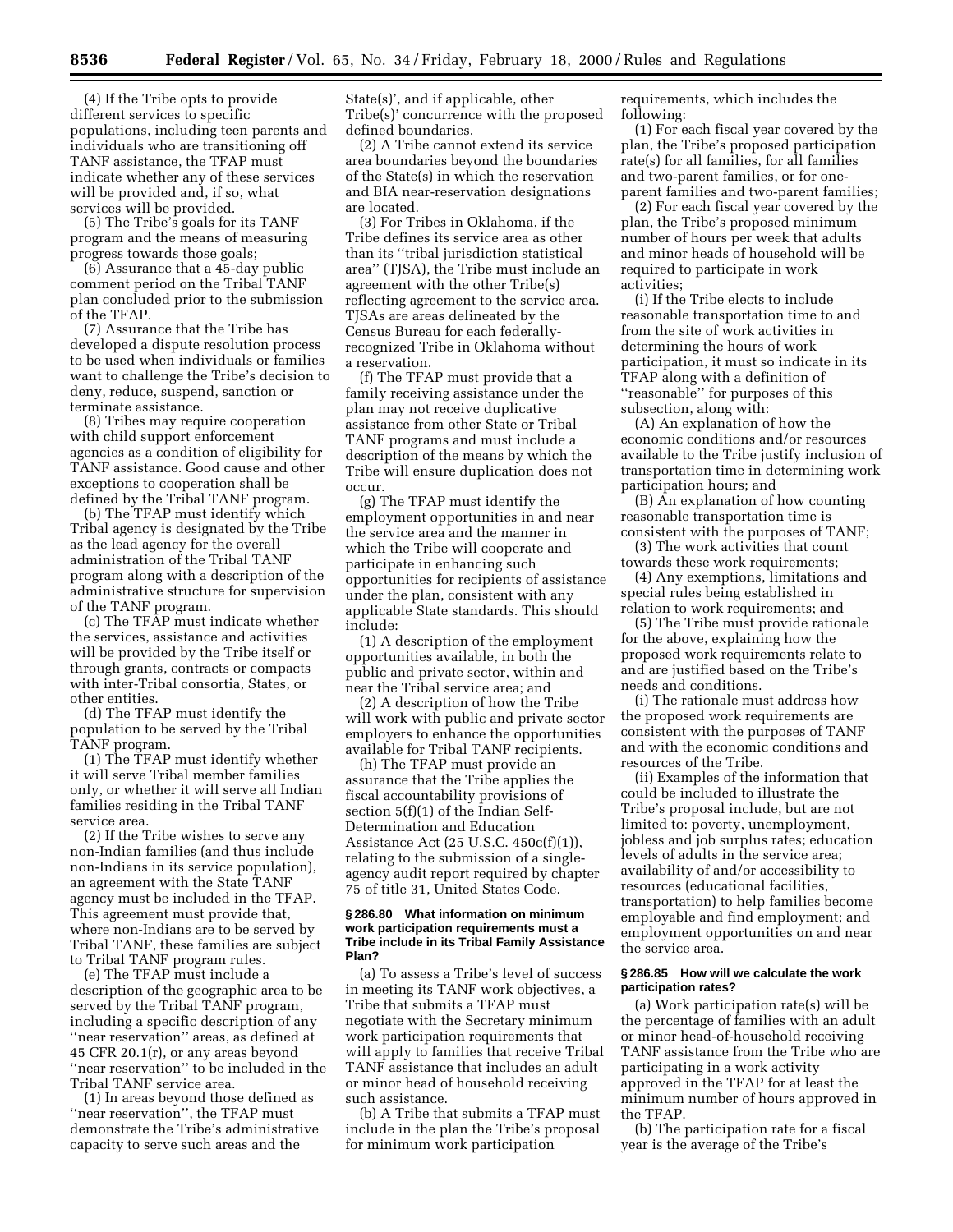(4) If the Tribe opts to provide different services to specific populations, including teen parents and individuals who are transitioning off TANF assistance, the TFAP must indicate whether any of these services will be provided and, if so, what services will be provided.

(5) The Tribe's goals for its TANF program and the means of measuring progress towards those goals;

(6) Assurance that a 45-day public comment period on the Tribal TANF plan concluded prior to the submission of the TFAP.

(7) Assurance that the Tribe has developed a dispute resolution process to be used when individuals or families want to challenge the Tribe's decision to deny, reduce, suspend, sanction or terminate assistance.

(8) Tribes may require cooperation with child support enforcement agencies as a condition of eligibility for TANF assistance. Good cause and other exceptions to cooperation shall be defined by the Tribal TANF program.

(b) The TFAP must identify which Tribal agency is designated by the Tribe as the lead agency for the overall administration of the Tribal TANF program along with a description of the administrative structure for supervision of the TANF program.

(c) The TFAP must indicate whether the services, assistance and activities will be provided by the Tribe itself or through grants, contracts or compacts with inter-Tribal consortia, States, or other entities.

(d) The TFAP must identify the population to be served by the Tribal TANF program.

(1) The TFAP must identify whether it will serve Tribal member families only, or whether it will serve all Indian families residing in the Tribal TANF service area.

(2) If the Tribe wishes to serve any non-Indian families (and thus include non-Indians in its service population), an agreement with the State TANF agency must be included in the TFAP. This agreement must provide that, where non-Indians are to be served by Tribal TANF, these families are subject to Tribal TANF program rules.

(e) The TFAP must include a description of the geographic area to be served by the Tribal TANF program, including a specific description of any ''near reservation'' areas, as defined at 45 CFR 20.1(r), or any areas beyond ''near reservation'' to be included in the Tribal TANF service area.

(1) In areas beyond those defined as ''near reservation'', the TFAP must demonstrate the Tribe's administrative capacity to serve such areas and the

State(s)', and if applicable, other Tribe(s)' concurrence with the proposed defined boundaries.

(2) A Tribe cannot extend its service area boundaries beyond the boundaries of the State(s) in which the reservation and BIA near-reservation designations are located.

(3) For Tribes in Oklahoma, if the Tribe defines its service area as other than its ''tribal jurisdiction statistical area'' (TJSA), the Tribe must include an agreement with the other Tribe(s) reflecting agreement to the service area. TJSAs are areas delineated by the Census Bureau for each federallyrecognized Tribe in Oklahoma without a reservation.

(f) The TFAP must provide that a family receiving assistance under the plan may not receive duplicative assistance from other State or Tribal TANF programs and must include a description of the means by which the Tribe will ensure duplication does not occur.

(g) The TFAP must identify the employment opportunities in and near the service area and the manner in which the Tribe will cooperate and participate in enhancing such opportunities for recipients of assistance under the plan, consistent with any applicable State standards. This should include:

(1) A description of the employment opportunities available, in both the public and private sector, within and near the Tribal service area; and

(2) A description of how the Tribe will work with public and private sector employers to enhance the opportunities available for Tribal TANF recipients.

(h) The TFAP must provide an assurance that the Tribe applies the fiscal accountability provisions of section 5(f)(1) of the Indian Self-Determination and Education Assistance Act (25 U.S.C. 450c(f)(1)), relating to the submission of a singleagency audit report required by chapter 75 of title 31, United States Code.

#### **§ 286.80 What information on minimum work participation requirements must a Tribe include in its Tribal Family Assistance Plan?**

(a) To assess a Tribe's level of success in meeting its TANF work objectives, a Tribe that submits a TFAP must negotiate with the Secretary minimum work participation requirements that will apply to families that receive Tribal TANF assistance that includes an adult or minor head of household receiving such assistance.

(b) A Tribe that submits a TFAP must include in the plan the Tribe's proposal for minimum work participation

requirements, which includes the following:

(1) For each fiscal year covered by the plan, the Tribe's proposed participation rate(s) for all families, for all families and two-parent families, or for oneparent families and two-parent families;

(2) For each fiscal year covered by the plan, the Tribe's proposed minimum number of hours per week that adults and minor heads of household will be required to participate in work activities;

(i) If the Tribe elects to include reasonable transportation time to and from the site of work activities in determining the hours of work participation, it must so indicate in its TFAP along with a definition of ''reasonable'' for purposes of this subsection, along with:

(A) An explanation of how the economic conditions and/or resources available to the Tribe justify inclusion of transportation time in determining work participation hours; and

(B) An explanation of how counting reasonable transportation time is consistent with the purposes of TANF;

(3) The work activities that count towards these work requirements;

(4) Any exemptions, limitations and special rules being established in relation to work requirements; and

(5) The Tribe must provide rationale for the above, explaining how the proposed work requirements relate to and are justified based on the Tribe's needs and conditions.

(i) The rationale must address how the proposed work requirements are consistent with the purposes of TANF and with the economic conditions and resources of the Tribe.

(ii) Examples of the information that could be included to illustrate the Tribe's proposal include, but are not limited to: poverty, unemployment, jobless and job surplus rates; education levels of adults in the service area; availability of and/or accessibility to resources (educational facilities, transportation) to help families become employable and find employment; and employment opportunities on and near the service area.

## **§ 286.85 How will we calculate the work participation rates?**

(a) Work participation rate(s) will be the percentage of families with an adult or minor head-of-household receiving TANF assistance from the Tribe who are participating in a work activity approved in the TFAP for at least the minimum number of hours approved in the TFAP.

(b) The participation rate for a fiscal year is the average of the Tribe's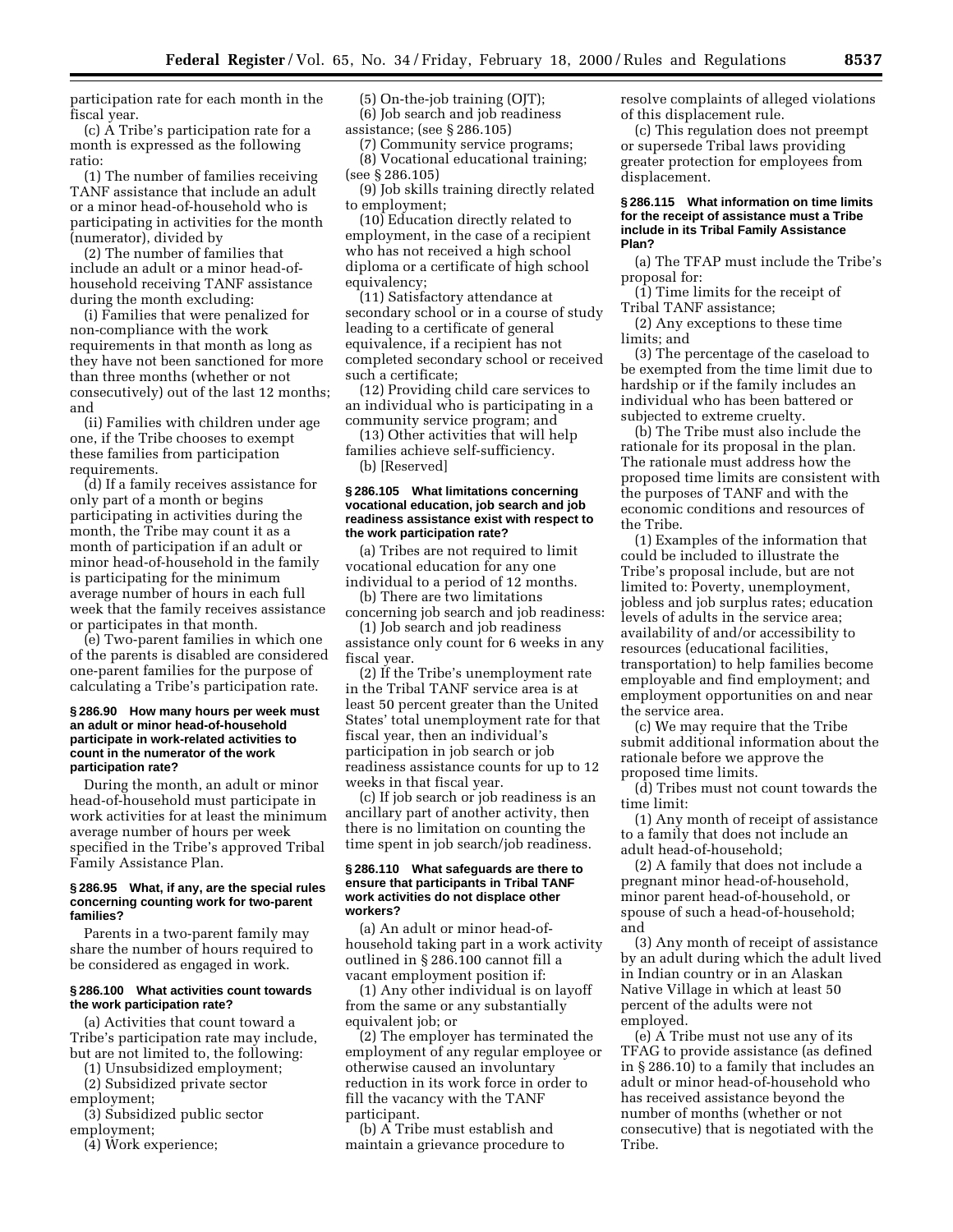participation rate for each month in the fiscal year.

(c) A Tribe's participation rate for a month is expressed as the following ratio:

(1) The number of families receiving TANF assistance that include an adult or a minor head-of-household who is participating in activities for the month (numerator), divided by

(2) The number of families that include an adult or a minor head-ofhousehold receiving TANF assistance during the month excluding:

(i) Families that were penalized for non-compliance with the work requirements in that month as long as they have not been sanctioned for more than three months (whether or not consecutively) out of the last 12 months; and

(ii) Families with children under age one, if the Tribe chooses to exempt these families from participation requirements.

(d) If a family receives assistance for only part of a month or begins participating in activities during the month, the Tribe may count it as a month of participation if an adult or minor head-of-household in the family is participating for the minimum average number of hours in each full week that the family receives assistance or participates in that month.

(e) Two-parent families in which one of the parents is disabled are considered one-parent families for the purpose of calculating a Tribe's participation rate.

#### **§ 286.90 How many hours per week must an adult or minor head-of-household participate in work-related activities to count in the numerator of the work participation rate?**

During the month, an adult or minor head-of-household must participate in work activities for at least the minimum average number of hours per week specified in the Tribe's approved Tribal Family Assistance Plan.

#### **§ 286.95 What, if any, are the special rules concerning counting work for two-parent families?**

Parents in a two-parent family may share the number of hours required to be considered as engaged in work.

# **§ 286.100 What activities count towards the work participation rate?**

(a) Activities that count toward a Tribe's participation rate may include, but are not limited to, the following:

(1) Unsubsidized employment; (2) Subsidized private sector

employment;

(3) Subsidized public sector employment;

(4) Work experience;

(5) On-the-job training (OJT); (6) Job search and job readiness assistance; (see § 286.105)

(7) Community service programs; (8) Vocational educational training; (see § 286.105)

(9) Job skills training directly related to employment;

(10) Education directly related to employment, in the case of a recipient who has not received a high school diploma or a certificate of high school equivalency;

(11) Satisfactory attendance at secondary school or in a course of study leading to a certificate of general equivalence, if a recipient has not completed secondary school or received such a certificate;

(12) Providing child care services to an individual who is participating in a community service program; and

(13) Other activities that will help families achieve self-sufficiency.

(b) [Reserved]

#### **§ 286.105 What limitations concerning vocational education, job search and job readiness assistance exist with respect to the work participation rate?**

(a) Tribes are not required to limit vocational education for any one individual to a period of 12 months.

(b) There are two limitations concerning job search and job readiness:

(1) Job search and job readiness assistance only count for 6 weeks in any fiscal year.

(2) If the Tribe's unemployment rate in the Tribal TANF service area is at least 50 percent greater than the United States' total unemployment rate for that fiscal year, then an individual's participation in job search or job readiness assistance counts for up to 12 weeks in that fiscal year.

(c) If job search or job readiness is an ancillary part of another activity, then there is no limitation on counting the time spent in job search/job readiness.

#### **§ 286.110 What safeguards are there to ensure that participants in Tribal TANF work activities do not displace other workers?**

(a) An adult or minor head-ofhousehold taking part in a work activity outlined in § 286.100 cannot fill a vacant employment position if:

(1) Any other individual is on layoff from the same or any substantially equivalent job; or

(2) The employer has terminated the employment of any regular employee or otherwise caused an involuntary reduction in its work force in order to fill the vacancy with the TANF participant.

(b) A Tribe must establish and maintain a grievance procedure to resolve complaints of alleged violations of this displacement rule.

(c) This regulation does not preempt or supersede Tribal laws providing greater protection for employees from displacement.

#### **§ 286.115 What information on time limits for the receipt of assistance must a Tribe include in its Tribal Family Assistance Plan?**

(a) The TFAP must include the Tribe's proposal for:

(1) Time limits for the receipt of Tribal TANF assistance;

(2) Any exceptions to these time limits; and

(3) The percentage of the caseload to be exempted from the time limit due to hardship or if the family includes an individual who has been battered or subjected to extreme cruelty.

(b) The Tribe must also include the rationale for its proposal in the plan. The rationale must address how the proposed time limits are consistent with the purposes of TANF and with the economic conditions and resources of the Tribe.

(1) Examples of the information that could be included to illustrate the Tribe's proposal include, but are not limited to: Poverty, unemployment, jobless and job surplus rates; education levels of adults in the service area; availability of and/or accessibility to resources (educational facilities, transportation) to help families become employable and find employment; and employment opportunities on and near the service area.

(c) We may require that the Tribe submit additional information about the rationale before we approve the proposed time limits.

(d) Tribes must not count towards the time limit:

(1) Any month of receipt of assistance to a family that does not include an adult head-of-household;

(2) A family that does not include a pregnant minor head-of-household, minor parent head-of-household, or spouse of such a head-of-household; and

(3) Any month of receipt of assistance by an adult during which the adult lived in Indian country or in an Alaskan Native Village in which at least 50 percent of the adults were not employed.

(e) A Tribe must not use any of its TFAG to provide assistance (as defined in § 286.10) to a family that includes an adult or minor head-of-household who has received assistance beyond the number of months (whether or not consecutive) that is negotiated with the Tribe.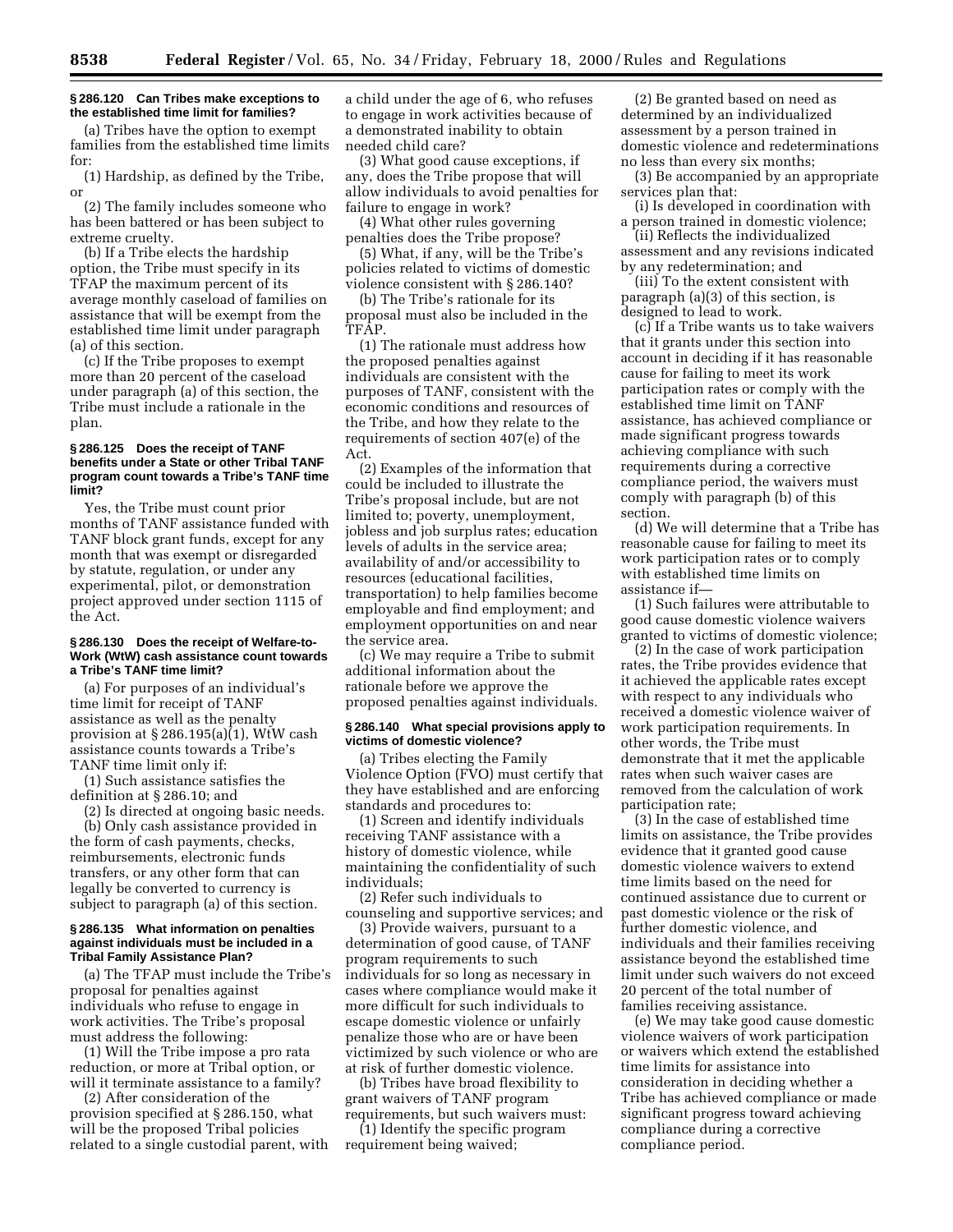# **§ 286.120 Can Tribes make exceptions to the established time limit for families?**

(a) Tribes have the option to exempt families from the established time limits for:

(1) Hardship, as defined by the Tribe, or

(2) The family includes someone who has been battered or has been subject to extreme cruelty.

(b) If a Tribe elects the hardship option, the Tribe must specify in its TFAP the maximum percent of its average monthly caseload of families on assistance that will be exempt from the established time limit under paragraph (a) of this section.

(c) If the Tribe proposes to exempt more than 20 percent of the caseload under paragraph (a) of this section, the Tribe must include a rationale in the plan.

## **§ 286.125 Does the receipt of TANF benefits under a State or other Tribal TANF program count towards a Tribe's TANF time limit?**

Yes, the Tribe must count prior months of TANF assistance funded with TANF block grant funds, except for any month that was exempt or disregarded by statute, regulation, or under any experimental, pilot, or demonstration project approved under section 1115 of the Act.

#### **§ 286.130 Does the receipt of Welfare-to-Work (WtW) cash assistance count towards a Tribe's TANF time limit?**

(a) For purposes of an individual's time limit for receipt of TANF assistance as well as the penalty provision at § 286.195(a)(1), WtW cash assistance counts towards a Tribe's TANF time limit only if:

(1) Such assistance satisfies the definition at § 286.10; and

(2) Is directed at ongoing basic needs. (b) Only cash assistance provided in

the form of cash payments, checks, reimbursements, electronic funds transfers, or any other form that can legally be converted to currency is subject to paragraph (a) of this section.

#### **§ 286.135 What information on penalties against individuals must be included in a Tribal Family Assistance Plan?**

(a) The TFAP must include the Tribe's proposal for penalties against individuals who refuse to engage in work activities. The Tribe's proposal must address the following:

(1) Will the Tribe impose a pro rata reduction, or more at Tribal option, or will it terminate assistance to a family?

(2) After consideration of the provision specified at § 286.150, what will be the proposed Tribal policies related to a single custodial parent, with

a child under the age of 6, who refuses to engage in work activities because of a demonstrated inability to obtain needed child care?

(3) What good cause exceptions, if any, does the Tribe propose that will allow individuals to avoid penalties for failure to engage in work?

(4) What other rules governing penalties does the Tribe propose?

(5) What, if any, will be the Tribe's policies related to victims of domestic violence consistent with § 286.140?

(b) The Tribe's rationale for its proposal must also be included in the TFAP.

(1) The rationale must address how the proposed penalties against individuals are consistent with the purposes of TANF, consistent with the economic conditions and resources of the Tribe, and how they relate to the requirements of section 407(e) of the Act.

(2) Examples of the information that could be included to illustrate the Tribe's proposal include, but are not limited to; poverty, unemployment, jobless and job surplus rates; education levels of adults in the service area; availability of and/or accessibility to resources (educational facilities, transportation) to help families become employable and find employment; and employment opportunities on and near the service area.

(c) We may require a Tribe to submit additional information about the rationale before we approve the proposed penalties against individuals.

## **§ 286.140 What special provisions apply to victims of domestic violence?**

(a) Tribes electing the Family Violence Option (FVO) must certify that they have established and are enforcing standards and procedures to:

(1) Screen and identify individuals receiving TANF assistance with a history of domestic violence, while maintaining the confidentiality of such individuals;

(2) Refer such individuals to counseling and supportive services; and

(3) Provide waivers, pursuant to a determination of good cause, of TANF program requirements to such individuals for so long as necessary in cases where compliance would make it more difficult for such individuals to escape domestic violence or unfairly penalize those who are or have been victimized by such violence or who are at risk of further domestic violence.

(b) Tribes have broad flexibility to grant waivers of TANF program requirements, but such waivers must:

(1) Identify the specific program requirement being waived;

(2) Be granted based on need as determined by an individualized assessment by a person trained in domestic violence and redeterminations no less than every six months;

(3) Be accompanied by an appropriate services plan that:

(i) Is developed in coordination with a person trained in domestic violence;

(ii) Reflects the individualized assessment and any revisions indicated by any redetermination; and

(iii) To the extent consistent with paragraph (a)(3) of this section, is designed to lead to work.

(c) If a Tribe wants us to take waivers that it grants under this section into account in deciding if it has reasonable cause for failing to meet its work participation rates or comply with the established time limit on TANF assistance, has achieved compliance or made significant progress towards achieving compliance with such requirements during a corrective compliance period, the waivers must comply with paragraph (b) of this section.

(d) We will determine that a Tribe has reasonable cause for failing to meet its work participation rates or to comply with established time limits on assistance if—

(1) Such failures were attributable to good cause domestic violence waivers granted to victims of domestic violence;

(2) In the case of work participation rates, the Tribe provides evidence that it achieved the applicable rates except with respect to any individuals who received a domestic violence waiver of work participation requirements. In other words, the Tribe must demonstrate that it met the applicable rates when such waiver cases are removed from the calculation of work participation rate;

(3) In the case of established time limits on assistance, the Tribe provides evidence that it granted good cause domestic violence waivers to extend time limits based on the need for continued assistance due to current or past domestic violence or the risk of further domestic violence, and individuals and their families receiving assistance beyond the established time limit under such waivers do not exceed 20 percent of the total number of families receiving assistance.

(e) We may take good cause domestic violence waivers of work participation or waivers which extend the established time limits for assistance into consideration in deciding whether a Tribe has achieved compliance or made significant progress toward achieving compliance during a corrective compliance period.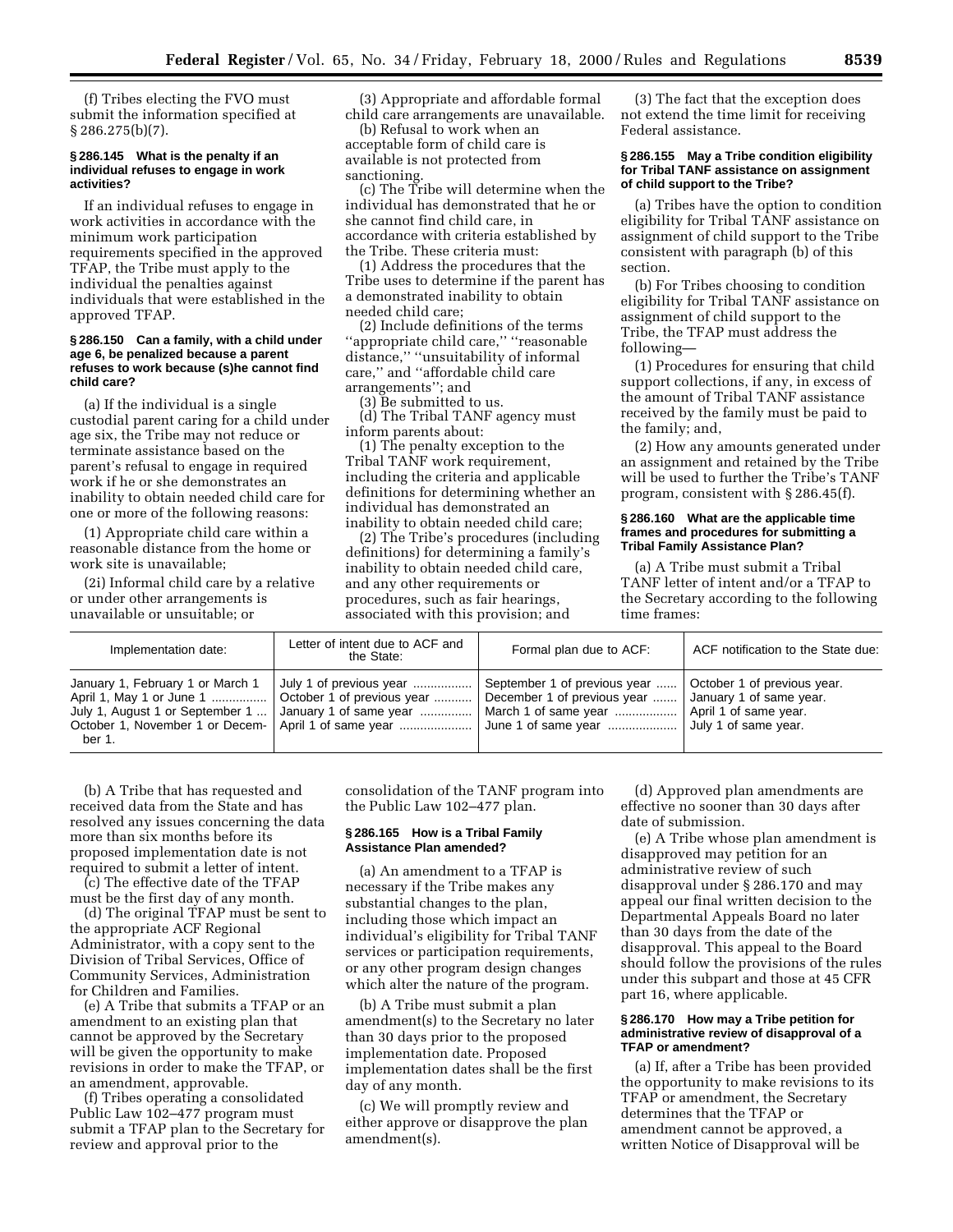(f) Tribes electing the FVO must submit the information specified at  $\S 286.275(b)(7)$ .

#### **§ 286.145 What is the penalty if an individual refuses to engage in work activities?**

If an individual refuses to engage in work activities in accordance with the minimum work participation requirements specified in the approved TFAP, the Tribe must apply to the individual the penalties against individuals that were established in the approved TFAP.

## **§ 286.150 Can a family, with a child under age 6, be penalized because a parent refuses to work because (s)he cannot find child care?**

(a) If the individual is a single custodial parent caring for a child under age six, the Tribe may not reduce or terminate assistance based on the parent's refusal to engage in required work if he or she demonstrates an inability to obtain needed child care for one or more of the following reasons:

(1) Appropriate child care within a reasonable distance from the home or work site is unavailable;

(2i) Informal child care by a relative or under other arrangements is unavailable or unsuitable; or

(3) Appropriate and affordable formal child care arrangements are unavailable.

(b) Refusal to work when an acceptable form of child care is available is not protected from sanctioning.

(c) The Tribe will determine when the individual has demonstrated that he or she cannot find child care, in accordance with criteria established by the Tribe. These criteria must:

(1) Address the procedures that the Tribe uses to determine if the parent has a demonstrated inability to obtain needed child care;

(2) Include definitions of the terms ''appropriate child care,'' ''reasonable distance,'' ''unsuitability of informal care,'' and ''affordable child care arrangements''; and

(3) Be submitted to us.

(d) The Tribal TANF agency must inform parents about:

(1) The penalty exception to the Tribal TANF work requirement, including the criteria and applicable definitions for determining whether an individual has demonstrated an inability to obtain needed child care;

(2) The Tribe's procedures (including definitions) for determining a family's inability to obtain needed child care, and any other requirements or procedures, such as fair hearings, associated with this provision; and

(3) The fact that the exception does not extend the time limit for receiving Federal assistance.

## **§ 286.155 May a Tribe condition eligibility for Tribal TANF assistance on assignment of child support to the Tribe?**

(a) Tribes have the option to condition eligibility for Tribal TANF assistance on assignment of child support to the Tribe consistent with paragraph (b) of this section.

(b) For Tribes choosing to condition eligibility for Tribal TANF assistance on assignment of child support to the Tribe, the TFAP must address the following—

(1) Procedures for ensuring that child support collections, if any, in excess of the amount of Tribal TANF assistance received by the family must be paid to the family; and,

(2) How any amounts generated under an assignment and retained by the Tribe will be used to further the Tribe's TANF program, consistent with § 286.45(f).

#### **§ 286.160 What are the applicable time frames and procedures for submitting a Tribal Family Assistance Plan?**

(a) A Tribe must submit a Tribal TANF letter of intent and/or a TFAP to the Secretary according to the following time frames:

| Implementation date:                                                          | Letter of intent due to ACF and<br>the State:                                                                                          | Formal plan due to ACF:                                                             | ACF notification to the State due:                                       |
|-------------------------------------------------------------------------------|----------------------------------------------------------------------------------------------------------------------------------------|-------------------------------------------------------------------------------------|--------------------------------------------------------------------------|
| January 1, February 1 or March 1<br>July 1, August 1 or September 1<br>ber 1. | July 1 of previous year<br>April 1, May 1 or June 1  Cctober 1 of previous year  December 1 of previous year<br>January 1 of same year | September 1 of previous year    October 1 of previous year.<br>March 1 of same year | January 1 of same year.<br>April 1 of same year.<br>July 1 of same year. |

(b) A Tribe that has requested and received data from the State and has resolved any issues concerning the data more than six months before its proposed implementation date is not required to submit a letter of intent.

(c) The effective date of the TFAP must be the first day of any month.

(d) The original TFAP must be sent to the appropriate ACF Regional Administrator, with a copy sent to the Division of Tribal Services, Office of Community Services, Administration for Children and Families.

(e) A Tribe that submits a TFAP or an amendment to an existing plan that cannot be approved by the Secretary will be given the opportunity to make revisions in order to make the TFAP, or an amendment, approvable.

(f) Tribes operating a consolidated Public Law 102–477 program must submit a TFAP plan to the Secretary for review and approval prior to the

consolidation of the TANF program into the Public Law 102–477 plan.

## **§ 286.165 How is a Tribal Family Assistance Plan amended?**

(a) An amendment to a TFAP is necessary if the Tribe makes any substantial changes to the plan, including those which impact an individual's eligibility for Tribal TANF services or participation requirements, or any other program design changes which alter the nature of the program.

(b) A Tribe must submit a plan amendment(s) to the Secretary no later than 30 days prior to the proposed implementation date. Proposed implementation dates shall be the first day of any month.

(c) We will promptly review and either approve or disapprove the plan amendment(s).

(d) Approved plan amendments are effective no sooner than 30 days after date of submission.

(e) A Tribe whose plan amendment is disapproved may petition for an administrative review of such disapproval under § 286.170 and may appeal our final written decision to the Departmental Appeals Board no later than 30 days from the date of the disapproval. This appeal to the Board should follow the provisions of the rules under this subpart and those at 45 CFR part 16, where applicable.

#### **§ 286.170 How may a Tribe petition for administrative review of disapproval of a TFAP or amendment?**

(a) If, after a Tribe has been provided the opportunity to make revisions to its TFAP or amendment, the Secretary determines that the TFAP or amendment cannot be approved, a written Notice of Disapproval will be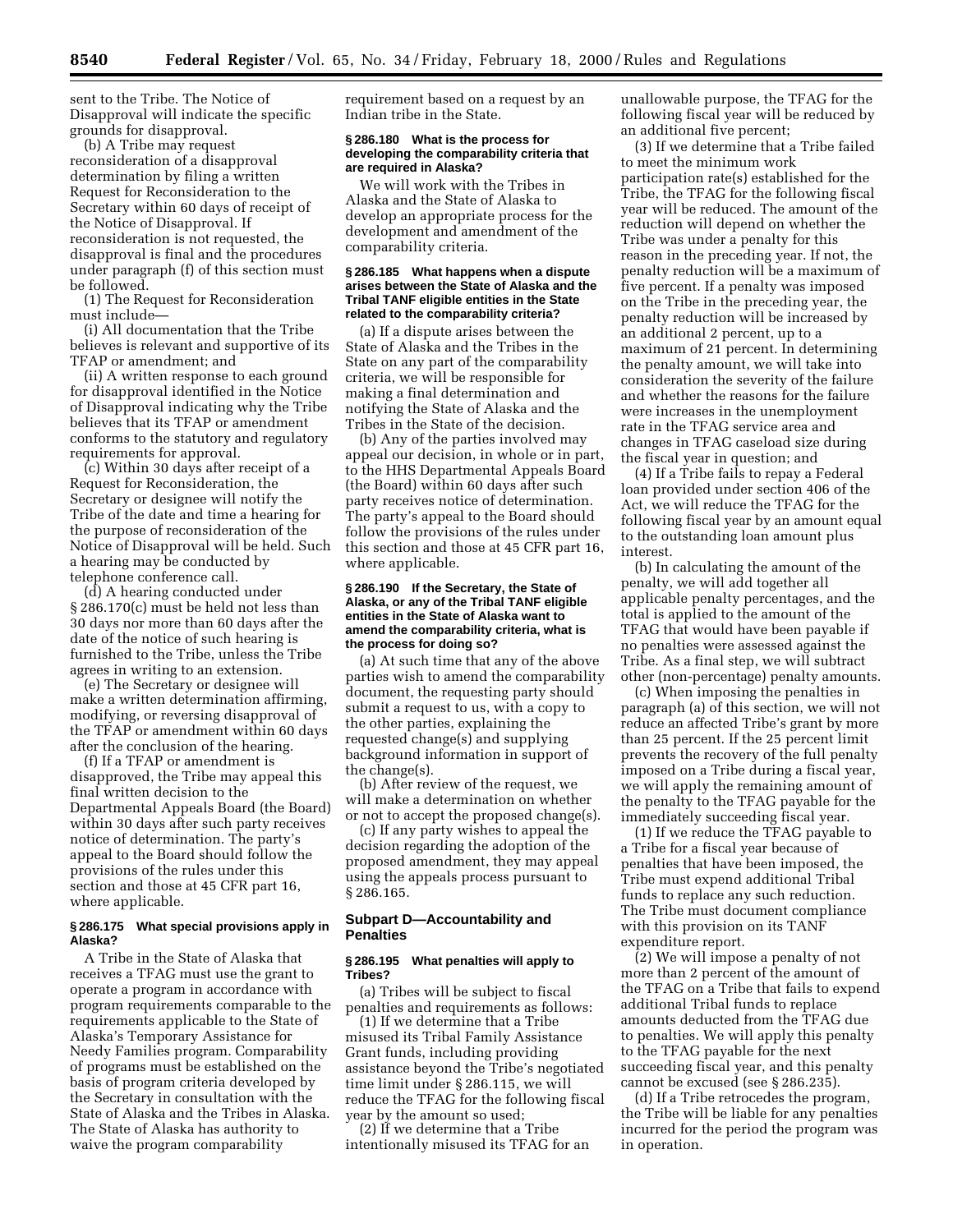sent to the Tribe. The Notice of Disapproval will indicate the specific grounds for disapproval.

(b) A Tribe may request reconsideration of a disapproval determination by filing a written Request for Reconsideration to the Secretary within 60 days of receipt of the Notice of Disapproval. If reconsideration is not requested, the disapproval is final and the procedures under paragraph (f) of this section must be followed.

(1) The Request for Reconsideration must include—

(i) All documentation that the Tribe believes is relevant and supportive of its TFAP or amendment; and

(ii) A written response to each ground for disapproval identified in the Notice of Disapproval indicating why the Tribe believes that its TFAP or amendment conforms to the statutory and regulatory requirements for approval.

(c) Within 30 days after receipt of a Request for Reconsideration, the Secretary or designee will notify the Tribe of the date and time a hearing for the purpose of reconsideration of the Notice of Disapproval will be held. Such a hearing may be conducted by telephone conference call.

(d) A hearing conducted under § 286.170(c) must be held not less than 30 days nor more than 60 days after the date of the notice of such hearing is furnished to the Tribe, unless the Tribe agrees in writing to an extension.

(e) The Secretary or designee will make a written determination affirming, modifying, or reversing disapproval of the TFAP or amendment within 60 days after the conclusion of the hearing.

(f) If a TFAP or amendment is disapproved, the Tribe may appeal this final written decision to the Departmental Appeals Board (the Board) within 30 days after such party receives notice of determination. The party's appeal to the Board should follow the provisions of the rules under this section and those at 45 CFR part 16, where applicable.

#### **§ 286.175 What special provisions apply in Alaska?**

A Tribe in the State of Alaska that receives a TFAG must use the grant to operate a program in accordance with program requirements comparable to the requirements applicable to the State of Alaska's Temporary Assistance for Needy Families program. Comparability of programs must be established on the basis of program criteria developed by the Secretary in consultation with the State of Alaska and the Tribes in Alaska. The State of Alaska has authority to waive the program comparability

requirement based on a request by an Indian tribe in the State.

#### **§ 286.180 What is the process for developing the comparability criteria that are required in Alaska?**

We will work with the Tribes in Alaska and the State of Alaska to develop an appropriate process for the development and amendment of the comparability criteria.

#### **§ 286.185 What happens when a dispute arises between the State of Alaska and the Tribal TANF eligible entities in the State related to the comparability criteria?**

(a) If a dispute arises between the State of Alaska and the Tribes in the State on any part of the comparability criteria, we will be responsible for making a final determination and notifying the State of Alaska and the Tribes in the State of the decision.

(b) Any of the parties involved may appeal our decision, in whole or in part, to the HHS Departmental Appeals Board (the Board) within 60 days after such party receives notice of determination. The party's appeal to the Board should follow the provisions of the rules under this section and those at 45 CFR part 16, where applicable.

## **§ 286.190 If the Secretary, the State of Alaska, or any of the Tribal TANF eligible entities in the State of Alaska want to amend the comparability criteria, what is the process for doing so?**

(a) At such time that any of the above parties wish to amend the comparability document, the requesting party should submit a request to us, with a copy to the other parties, explaining the requested change(s) and supplying background information in support of the change(s).

(b) After review of the request, we will make a determination on whether or not to accept the proposed change(s).

(c) If any party wishes to appeal the decision regarding the adoption of the proposed amendment, they may appeal using the appeals process pursuant to § 286.165.

# **Subpart D—Accountability and Penalties**

#### **§ 286.195 What penalties will apply to Tribes?**

(a) Tribes will be subject to fiscal penalties and requirements as follows:

(1) If we determine that a Tribe misused its Tribal Family Assistance Grant funds, including providing assistance beyond the Tribe's negotiated time limit under § 286.115, we will reduce the TFAG for the following fiscal year by the amount so used;

(2) If we determine that a Tribe intentionally misused its TFAG for an unallowable purpose, the TFAG for the following fiscal year will be reduced by an additional five percent;

(3) If we determine that a Tribe failed to meet the minimum work participation rate(s) established for the Tribe, the TFAG for the following fiscal year will be reduced. The amount of the reduction will depend on whether the Tribe was under a penalty for this reason in the preceding year. If not, the penalty reduction will be a maximum of five percent. If a penalty was imposed on the Tribe in the preceding year, the penalty reduction will be increased by an additional 2 percent, up to a maximum of 21 percent. In determining the penalty amount, we will take into consideration the severity of the failure and whether the reasons for the failure were increases in the unemployment rate in the TFAG service area and changes in TFAG caseload size during the fiscal year in question; and

(4) If a Tribe fails to repay a Federal loan provided under section 406 of the Act, we will reduce the TFAG for the following fiscal year by an amount equal to the outstanding loan amount plus interest.

(b) In calculating the amount of the penalty, we will add together all applicable penalty percentages, and the total is applied to the amount of the TFAG that would have been payable if no penalties were assessed against the Tribe. As a final step, we will subtract other (non-percentage) penalty amounts.

(c) When imposing the penalties in paragraph (a) of this section, we will not reduce an affected Tribe's grant by more than 25 percent. If the 25 percent limit prevents the recovery of the full penalty imposed on a Tribe during a fiscal year, we will apply the remaining amount of the penalty to the TFAG payable for the immediately succeeding fiscal year.

(1) If we reduce the TFAG payable to a Tribe for a fiscal year because of penalties that have been imposed, the Tribe must expend additional Tribal funds to replace any such reduction. The Tribe must document compliance with this provision on its TANF expenditure report.

(2) We will impose a penalty of not more than 2 percent of the amount of the TFAG on a Tribe that fails to expend additional Tribal funds to replace amounts deducted from the TFAG due to penalties. We will apply this penalty to the TFAG payable for the next succeeding fiscal year, and this penalty cannot be excused (see § 286.235).

(d) If a Tribe retrocedes the program, the Tribe will be liable for any penalties incurred for the period the program was in operation.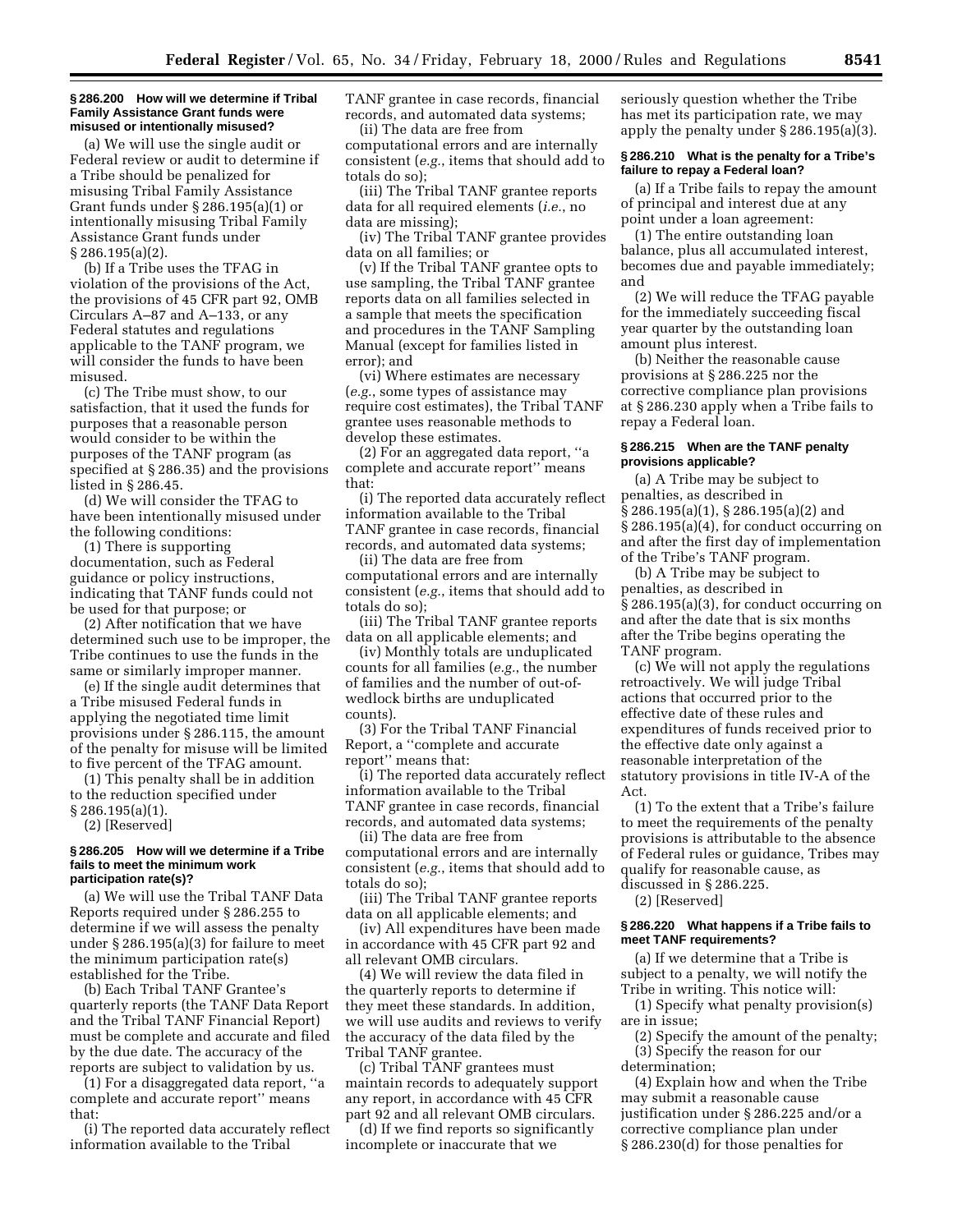#### **§ 286.200 How will we determine if Tribal Family Assistance Grant funds were misused or intentionally misused?**

(a) We will use the single audit or Federal review or audit to determine if a Tribe should be penalized for misusing Tribal Family Assistance Grant funds under § 286.195(a)(1) or intentionally misusing Tribal Family Assistance Grant funds under § 286.195(a)(2).

(b) If a Tribe uses the TFAG in violation of the provisions of the Act, the provisions of 45 CFR part 92, OMB Circulars A–87 and A–133, or any Federal statutes and regulations applicable to the TANF program, we will consider the funds to have been misused.

(c) The Tribe must show, to our satisfaction, that it used the funds for purposes that a reasonable person would consider to be within the purposes of the TANF program (as specified at § 286.35) and the provisions listed in § 286.45.

(d) We will consider the TFAG to have been intentionally misused under the following conditions:

(1) There is supporting documentation, such as Federal guidance or policy instructions, indicating that TANF funds could not be used for that purpose; or

(2) After notification that we have determined such use to be improper, the Tribe continues to use the funds in the same or similarly improper manner.

(e) If the single audit determines that a Tribe misused Federal funds in applying the negotiated time limit provisions under § 286.115, the amount of the penalty for misuse will be limited to five percent of the TFAG amount.

(1) This penalty shall be in addition to the reduction specified under § 286.195(a)(1).

(2) [Reserved]

#### **§ 286.205 How will we determine if a Tribe fails to meet the minimum work participation rate(s)?**

(a) We will use the Tribal TANF Data Reports required under § 286.255 to determine if we will assess the penalty under § 286.195(a)(3) for failure to meet the minimum participation rate(s) established for the Tribe.

(b) Each Tribal TANF Grantee's quarterly reports (the TANF Data Report and the Tribal TANF Financial Report) must be complete and accurate and filed by the due date. The accuracy of the reports are subject to validation by us.

(1) For a disaggregated data report, ''a complete and accurate report'' means that:

(i) The reported data accurately reflect information available to the Tribal

TANF grantee in case records, financial records, and automated data systems; (ii) The data are free from

computational errors and are internally consistent (*e.g.*, items that should add to totals do so);

(iii) The Tribal TANF grantee reports data for all required elements (*i.e.*, no data are missing);

(iv) The Tribal TANF grantee provides data on all families; or

(v) If the Tribal TANF grantee opts to use sampling, the Tribal TANF grantee reports data on all families selected in a sample that meets the specification and procedures in the TANF Sampling Manual (except for families listed in error); and

(vi) Where estimates are necessary (*e.g.*, some types of assistance may require cost estimates), the Tribal TANF grantee uses reasonable methods to develop these estimates.

(2) For an aggregated data report, ''a complete and accurate report'' means that:

(i) The reported data accurately reflect information available to the Tribal TANF grantee in case records, financial records, and automated data systems;

(ii) The data are free from computational errors and are internally consistent (*e.g.*, items that should add to totals do so);

(iii) The Tribal TANF grantee reports data on all applicable elements; and

(iv) Monthly totals are unduplicated counts for all families (*e.g.*, the number of families and the number of out-ofwedlock births are unduplicated counts).

(3) For the Tribal TANF Financial Report, a ''complete and accurate report'' means that:

(i) The reported data accurately reflect information available to the Tribal TANF grantee in case records, financial records, and automated data systems;

(ii) The data are free from computational errors and are internally consistent (*e.g.*, items that should add to totals do so);

(iii) The Tribal TANF grantee reports data on all applicable elements; and

(iv) All expenditures have been made in accordance with 45 CFR part 92 and all relevant OMB circulars.

(4) We will review the data filed in the quarterly reports to determine if they meet these standards. In addition, we will use audits and reviews to verify the accuracy of the data filed by the Tribal TANF grantee.

(c) Tribal TANF grantees must maintain records to adequately support any report, in accordance with 45 CFR part 92 and all relevant OMB circulars.

(d) If we find reports so significantly incomplete or inaccurate that we

seriously question whether the Tribe has met its participation rate, we may apply the penalty under § 286.195(a)(3).

#### **§ 286.210 What is the penalty for a Tribe's failure to repay a Federal loan?**

(a) If a Tribe fails to repay the amount of principal and interest due at any point under a loan agreement:

(1) The entire outstanding loan balance, plus all accumulated interest, becomes due and payable immediately; and

(2) We will reduce the TFAG payable for the immediately succeeding fiscal year quarter by the outstanding loan amount plus interest.

(b) Neither the reasonable cause provisions at § 286.225 nor the corrective compliance plan provisions at § 286.230 apply when a Tribe fails to repay a Federal loan.

## **§ 286.215 When are the TANF penalty provisions applicable?**

(a) A Tribe may be subject to penalties, as described in § 286.195(a)(1), § 286.195(a)(2) and § 286.195(a)(4), for conduct occurring on and after the first day of implementation of the Tribe's TANF program.

(b) A Tribe may be subject to penalties, as described in § 286.195(a)(3), for conduct occurring on and after the date that is six months after the Tribe begins operating the TANF program.

(c) We will not apply the regulations retroactively. We will judge Tribal actions that occurred prior to the effective date of these rules and expenditures of funds received prior to the effective date only against a reasonable interpretation of the statutory provisions in title IV-A of the Act.

(1) To the extent that a Tribe's failure to meet the requirements of the penalty provisions is attributable to the absence of Federal rules or guidance, Tribes may qualify for reasonable cause, as discussed in § 286.225.

(2) [Reserved]

## **§ 286.220 What happens if a Tribe fails to meet TANF requirements?**

(a) If we determine that a Tribe is subject to a penalty, we will notify the Tribe in writing. This notice will:

(1) Specify what penalty provision(s) are in issue;

(2) Specify the amount of the penalty; (3) Specify the reason for our

determination;

(4) Explain how and when the Tribe may submit a reasonable cause justification under § 286.225 and/or a corrective compliance plan under § 286.230(d) for those penalties for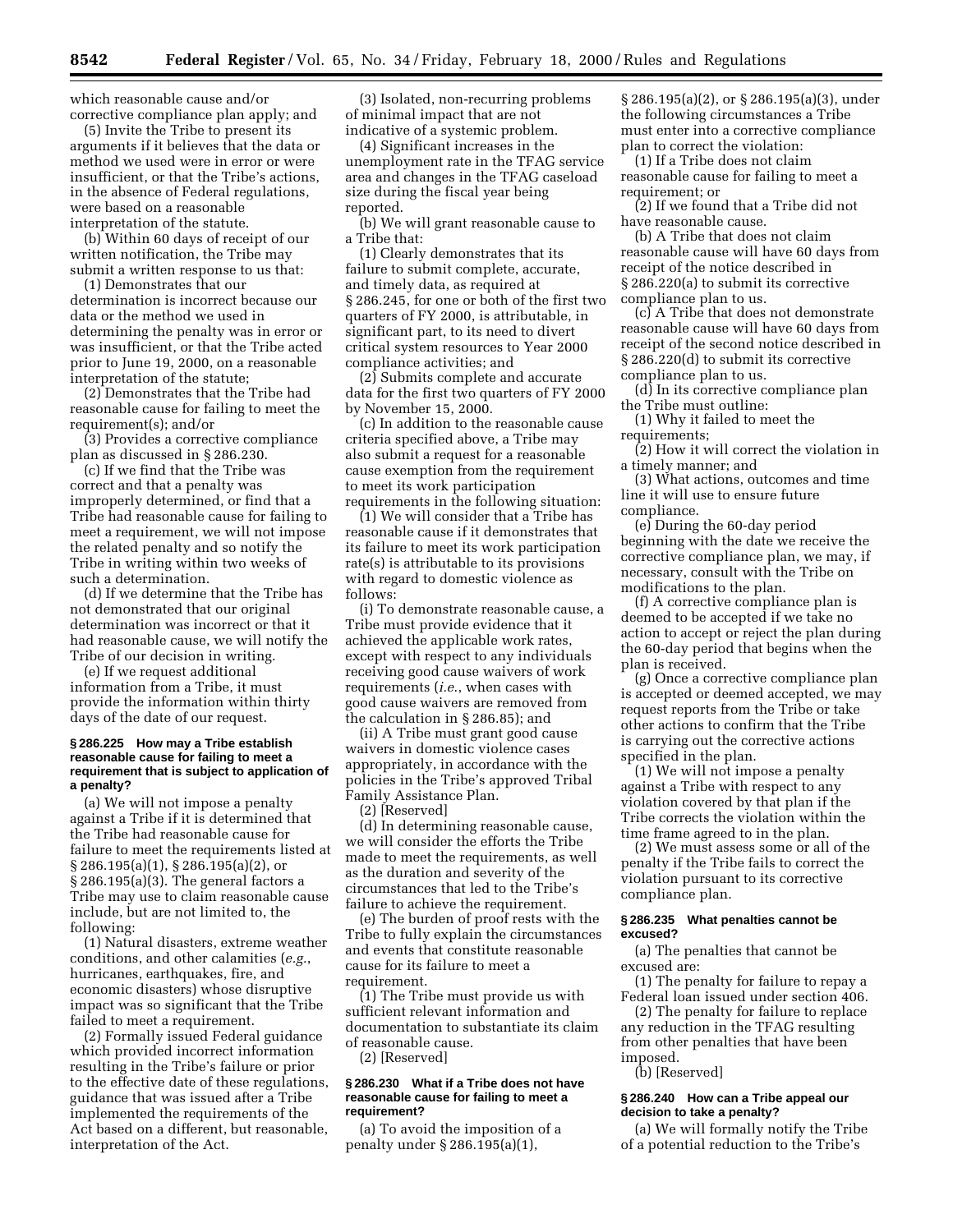which reasonable cause and/or corrective compliance plan apply; and

(5) Invite the Tribe to present its arguments if it believes that the data or method we used were in error or were insufficient, or that the Tribe's actions, in the absence of Federal regulations, were based on a reasonable interpretation of the statute.

(b) Within 60 days of receipt of our written notification, the Tribe may submit a written response to us that:

(1) Demonstrates that our determination is incorrect because our data or the method we used in determining the penalty was in error or was insufficient, or that the Tribe acted prior to June 19, 2000, on a reasonable interpretation of the statute;

(2) Demonstrates that the Tribe had reasonable cause for failing to meet the requirement(s); and/or

(3) Provides a corrective compliance plan as discussed in § 286.230.

(c) If we find that the Tribe was correct and that a penalty was improperly determined, or find that a Tribe had reasonable cause for failing to meet a requirement, we will not impose the related penalty and so notify the Tribe in writing within two weeks of such a determination.

(d) If we determine that the Tribe has not demonstrated that our original determination was incorrect or that it had reasonable cause, we will notify the Tribe of our decision in writing.

(e) If we request additional information from a Tribe, it must provide the information within thirty days of the date of our request.

## **§ 286.225 How may a Tribe establish reasonable cause for failing to meet a requirement that is subject to application of a penalty?**

(a) We will not impose a penalty against a Tribe if it is determined that the Tribe had reasonable cause for failure to meet the requirements listed at § 286.195(a)(1), § 286.195(a)(2), or § 286.195(a)(3). The general factors a Tribe may use to claim reasonable cause include, but are not limited to, the following:

(1) Natural disasters, extreme weather conditions, and other calamities (*e.g.*, hurricanes, earthquakes, fire, and economic disasters) whose disruptive impact was so significant that the Tribe failed to meet a requirement.

(2) Formally issued Federal guidance which provided incorrect information resulting in the Tribe's failure or prior to the effective date of these regulations, guidance that was issued after a Tribe implemented the requirements of the Act based on a different, but reasonable, interpretation of the Act.

(3) Isolated, non-recurring problems of minimal impact that are not indicative of a systemic problem.

(4) Significant increases in the unemployment rate in the TFAG service area and changes in the TFAG caseload size during the fiscal year being reported.

(b) We will grant reasonable cause to a Tribe that:

(1) Clearly demonstrates that its failure to submit complete, accurate, and timely data, as required at § 286.245, for one or both of the first two quarters of FY 2000, is attributable, in significant part, to its need to divert critical system resources to Year 2000 compliance activities; and

(2) Submits complete and accurate data for the first two quarters of FY 2000 by November 15, 2000.

(c) In addition to the reasonable cause criteria specified above, a Tribe may also submit a request for a reasonable cause exemption from the requirement to meet its work participation requirements in the following situation:

(1) We will consider that a Tribe has reasonable cause if it demonstrates that its failure to meet its work participation rate(s) is attributable to its provisions with regard to domestic violence as follows:

(i) To demonstrate reasonable cause, a Tribe must provide evidence that it achieved the applicable work rates, except with respect to any individuals receiving good cause waivers of work requirements (*i.e*., when cases with good cause waivers are removed from the calculation in § 286.85); and

(ii) A Tribe must grant good cause waivers in domestic violence cases appropriately, in accordance with the policies in the Tribe's approved Tribal Family Assistance Plan.

(2) [Reserved]

(d) In determining reasonable cause, we will consider the efforts the Tribe made to meet the requirements, as well as the duration and severity of the circumstances that led to the Tribe's failure to achieve the requirement.

(e) The burden of proof rests with the Tribe to fully explain the circumstances and events that constitute reasonable cause for its failure to meet a requirement.

(1) The Tribe must provide us with sufficient relevant information and documentation to substantiate its claim of reasonable cause.

(2) [Reserved]

#### **§ 286.230 What if a Tribe does not have reasonable cause for failing to meet a requirement?**

(a) To avoid the imposition of a penalty under § 286.195(a)(1),

§ 286.195(a)(2), or § 286.195(a)(3), under the following circumstances a Tribe must enter into a corrective compliance plan to correct the violation:

(1) If a Tribe does not claim reasonable cause for failing to meet a requirement; or

(2) If we found that a Tribe did not have reasonable cause.

(b) A Tribe that does not claim reasonable cause will have 60 days from receipt of the notice described in § 286.220(a) to submit its corrective compliance plan to us.

(c) A Tribe that does not demonstrate reasonable cause will have 60 days from receipt of the second notice described in § 286.220(d) to submit its corrective compliance plan to us.

(d) In its corrective compliance plan the Tribe must outline:

(1) Why it failed to meet the requirements;

(2) How it will correct the violation in a timely manner; and

(3) What actions, outcomes and time line it will use to ensure future compliance.

(e) During the 60-day period beginning with the date we receive the corrective compliance plan, we may, if necessary, consult with the Tribe on modifications to the plan.

(f) A corrective compliance plan is deemed to be accepted if we take no action to accept or reject the plan during the 60-day period that begins when the plan is received.

(g) Once a corrective compliance plan is accepted or deemed accepted, we may request reports from the Tribe or take other actions to confirm that the Tribe is carrying out the corrective actions specified in the plan.

(1) We will not impose a penalty against a Tribe with respect to any violation covered by that plan if the Tribe corrects the violation within the time frame agreed to in the plan.

(2) We must assess some or all of the penalty if the Tribe fails to correct the violation pursuant to its corrective compliance plan.

## **§ 286.235 What penalties cannot be excused?**

(a) The penalties that cannot be excused are:

(1) The penalty for failure to repay a Federal loan issued under section 406.

(2) The penalty for failure to replace any reduction in the TFAG resulting from other penalties that have been imposed.

(b) [Reserved]

## **§ 286.240 How can a Tribe appeal our decision to take a penalty?**

(a) We will formally notify the Tribe of a potential reduction to the Tribe's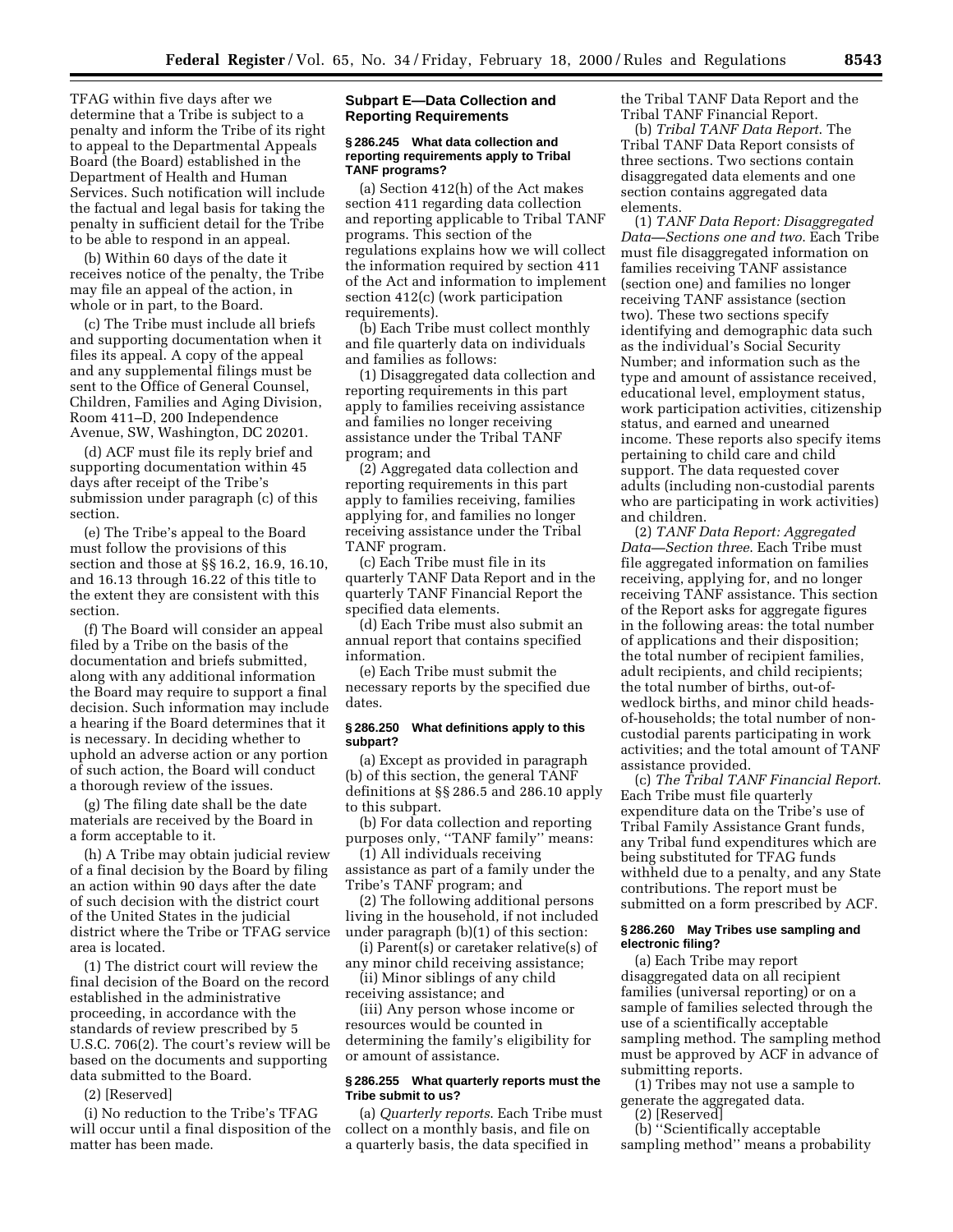TFAG within five days after we determine that a Tribe is subject to a penalty and inform the Tribe of its right to appeal to the Departmental Appeals Board (the Board) established in the Department of Health and Human Services. Such notification will include the factual and legal basis for taking the penalty in sufficient detail for the Tribe to be able to respond in an appeal.

(b) Within 60 days of the date it receives notice of the penalty, the Tribe may file an appeal of the action, in whole or in part, to the Board.

(c) The Tribe must include all briefs and supporting documentation when it files its appeal. A copy of the appeal and any supplemental filings must be sent to the Office of General Counsel, Children, Families and Aging Division, Room 411–D, 200 Independence Avenue, SW, Washington, DC 20201.

(d) ACF must file its reply brief and supporting documentation within 45 days after receipt of the Tribe's submission under paragraph (c) of this section.

(e) The Tribe's appeal to the Board must follow the provisions of this section and those at §§ 16.2, 16.9, 16.10, and 16.13 through 16.22 of this title to the extent they are consistent with this section.

(f) The Board will consider an appeal filed by a Tribe on the basis of the documentation and briefs submitted, along with any additional information the Board may require to support a final decision. Such information may include a hearing if the Board determines that it is necessary. In deciding whether to uphold an adverse action or any portion of such action, the Board will conduct a thorough review of the issues.

(g) The filing date shall be the date materials are received by the Board in a form acceptable to it.

(h) A Tribe may obtain judicial review of a final decision by the Board by filing an action within 90 days after the date of such decision with the district court of the United States in the judicial district where the Tribe or TFAG service area is located.

(1) The district court will review the final decision of the Board on the record established in the administrative proceeding, in accordance with the standards of review prescribed by 5 U.S.C. 706(2). The court's review will be based on the documents and supporting data submitted to the Board.

(2) [Reserved]

(i) No reduction to the Tribe's TFAG will occur until a final disposition of the matter has been made.

## **Subpart E—Data Collection and Reporting Requirements**

#### **§ 286.245 What data collection and reporting requirements apply to Tribal TANF programs?**

(a) Section 412(h) of the Act makes section 411 regarding data collection and reporting applicable to Tribal TANF programs. This section of the regulations explains how we will collect the information required by section 411 of the Act and information to implement section 412(c) (work participation requirements).

(b) Each Tribe must collect monthly and file quarterly data on individuals and families as follows:

(1) Disaggregated data collection and reporting requirements in this part apply to families receiving assistance and families no longer receiving assistance under the Tribal TANF program; and

(2) Aggregated data collection and reporting requirements in this part apply to families receiving, families applying for, and families no longer receiving assistance under the Tribal TANF program.

(c) Each Tribe must file in its quarterly TANF Data Report and in the quarterly TANF Financial Report the specified data elements.

(d) Each Tribe must also submit an annual report that contains specified information.

(e) Each Tribe must submit the necessary reports by the specified due dates.

## **§ 286.250 What definitions apply to this subpart?**

(a) Except as provided in paragraph (b) of this section, the general TANF definitions at §§ 286.5 and 286.10 apply to this subpart.

(b) For data collection and reporting purposes only, ''TANF family'' means:

(1) All individuals receiving assistance as part of a family under the Tribe's TANF program; and

(2) The following additional persons living in the household, if not included under paragraph (b)(1) of this section:

(i) Parent(s) or caretaker relative(s) of any minor child receiving assistance;

(ii) Minor siblings of any child receiving assistance; and

(iii) Any person whose income or resources would be counted in determining the family's eligibility for or amount of assistance.

## **§ 286.255 What quarterly reports must the Tribe submit to us?**

(a) *Quarterly reports*. Each Tribe must collect on a monthly basis, and file on a quarterly basis, the data specified in

the Tribal TANF Data Report and the Tribal TANF Financial Report.

(b) *Tribal TANF Data Report*. The Tribal TANF Data Report consists of three sections. Two sections contain disaggregated data elements and one section contains aggregated data elements.

(1) *TANF Data Report: Disaggregated Data—Sections one and two*. Each Tribe must file disaggregated information on families receiving TANF assistance (section one) and families no longer receiving TANF assistance (section two). These two sections specify identifying and demographic data such as the individual's Social Security Number; and information such as the type and amount of assistance received, educational level, employment status, work participation activities, citizenship status, and earned and unearned income. These reports also specify items pertaining to child care and child support. The data requested cover adults (including non-custodial parents who are participating in work activities) and children.

(2) *TANF Data Report: Aggregated Data—Section three*. Each Tribe must file aggregated information on families receiving, applying for, and no longer receiving TANF assistance. This section of the Report asks for aggregate figures in the following areas: the total number of applications and their disposition; the total number of recipient families, adult recipients, and child recipients; the total number of births, out-ofwedlock births, and minor child headsof-households; the total number of noncustodial parents participating in work activities; and the total amount of TANF assistance provided.

(c) *The Tribal TANF Financial Report*. Each Tribe must file quarterly expenditure data on the Tribe's use of Tribal Family Assistance Grant funds, any Tribal fund expenditures which are being substituted for TFAG funds withheld due to a penalty, and any State contributions. The report must be submitted on a form prescribed by ACF.

## **§ 286.260 May Tribes use sampling and electronic filing?**

(a) Each Tribe may report disaggregated data on all recipient families (universal reporting) or on a sample of families selected through the use of a scientifically acceptable sampling method. The sampling method must be approved by ACF in advance of submitting reports.

(1) Tribes may not use a sample to generate the aggregated data.

(2) [Reserved]

(b) ''Scientifically acceptable sampling method'' means a probability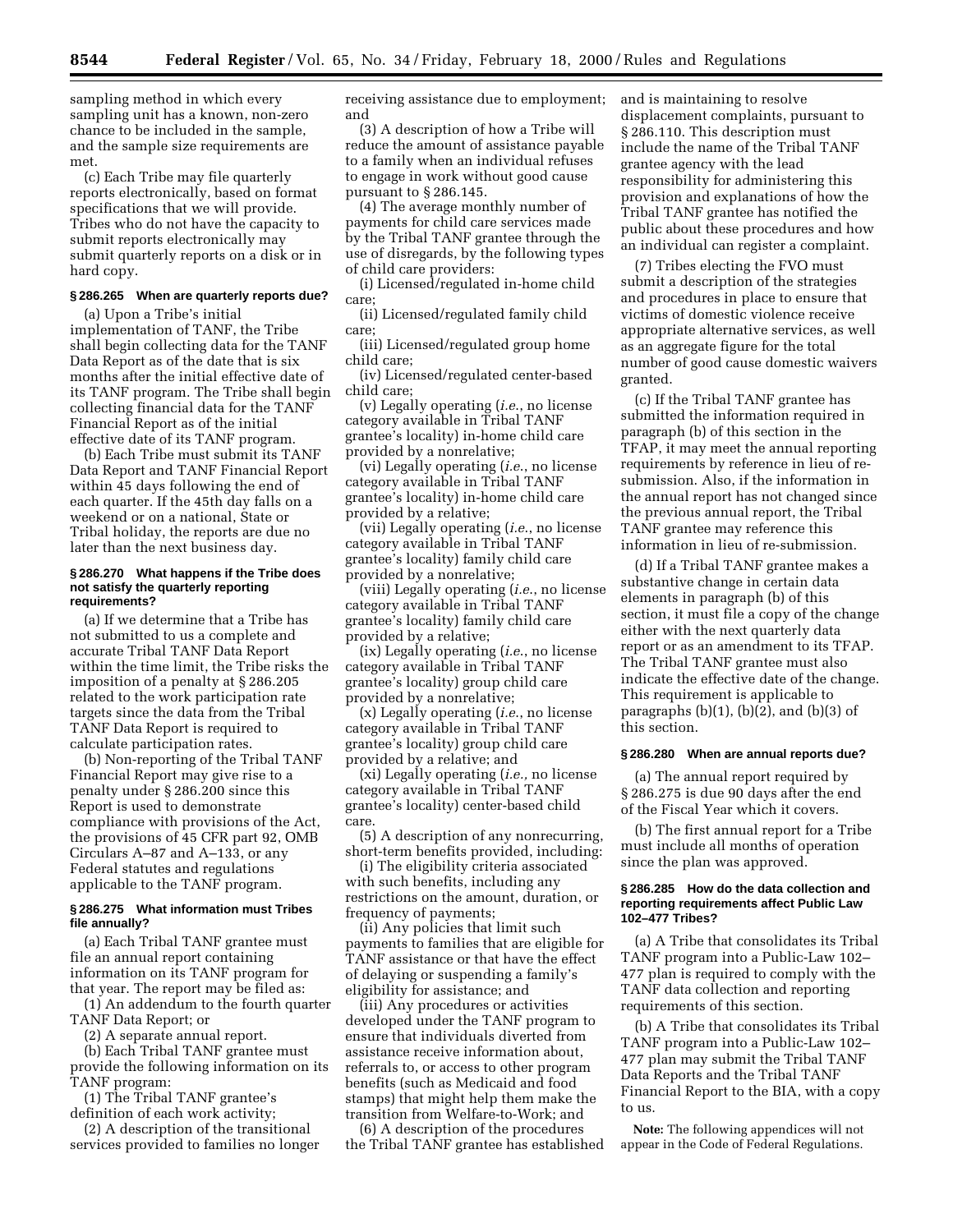sampling method in which every sampling unit has a known, non-zero chance to be included in the sample, and the sample size requirements are met.

(c) Each Tribe may file quarterly reports electronically, based on format specifications that we will provide. Tribes who do not have the capacity to submit reports electronically may submit quarterly reports on a disk or in hard copy.

## **§ 286.265 When are quarterly reports due?**

(a) Upon a Tribe's initial implementation of TANF, the Tribe shall begin collecting data for the TANF Data Report as of the date that is six months after the initial effective date of its TANF program. The Tribe shall begin collecting financial data for the TANF Financial Report as of the initial effective date of its TANF program.

(b) Each Tribe must submit its TANF Data Report and TANF Financial Report within 45 days following the end of each quarter. If the 45th day falls on a weekend or on a national, State or Tribal holiday, the reports are due no later than the next business day.

#### **§ 286.270 What happens if the Tribe does not satisfy the quarterly reporting requirements?**

(a) If we determine that a Tribe has not submitted to us a complete and accurate Tribal TANF Data Report within the time limit, the Tribe risks the imposition of a penalty at § 286.205 related to the work participation rate targets since the data from the Tribal TANF Data Report is required to calculate participation rates.

(b) Non-reporting of the Tribal TANF Financial Report may give rise to a penalty under § 286.200 since this Report is used to demonstrate compliance with provisions of the Act, the provisions of 45 CFR part 92, OMB Circulars A–87 and A–133, or any Federal statutes and regulations applicable to the TANF program.

## **§ 286.275 What information must Tribes file annually?**

(a) Each Tribal TANF grantee must file an annual report containing information on its TANF program for that year. The report may be filed as:

(1) An addendum to the fourth quarter TANF Data Report; or

(2) A separate annual report.

(b) Each Tribal TANF grantee must provide the following information on its TANF program:

(1) The Tribal TANF grantee's definition of each work activity;

(2) A description of the transitional services provided to families no longer receiving assistance due to employment; and

(3) A description of how a Tribe will reduce the amount of assistance payable to a family when an individual refuses to engage in work without good cause pursuant to § 286.145.

(4) The average monthly number of payments for child care services made by the Tribal TANF grantee through the use of disregards, by the following types of child care providers:

(i) Licensed/regulated in-home child care;

(ii) Licensed/regulated family child care;

(iii) Licensed/regulated group home child care;

(iv) Licensed/regulated center-based child care;

(v) Legally operating (*i.e*., no license category available in Tribal TANF grantee's locality) in-home child care provided by a nonrelative;

(vi) Legally operating (*i.e*., no license category available in Tribal TANF grantee's locality) in-home child care provided by a relative;

(vii) Legally operating (*i.e*., no license category available in Tribal TANF grantee's locality) family child care provided by a nonrelative;

(viii) Legally operating (*i.e*., no license category available in Tribal TANF grantee's locality) family child care provided by a relative;

(ix) Legally operating (*i.e*., no license category available in Tribal TANF grantee's locality) group child care provided by a nonrelative;

(x) Legally operating (*i.e*., no license category available in Tribal TANF grantee's locality) group child care provided by a relative; and

(xi) Legally operating (*i.e.,* no license category available in Tribal TANF grantee's locality) center-based child care.

(5) A description of any nonrecurring, short-term benefits provided, including:

(i) The eligibility criteria associated with such benefits, including any restrictions on the amount, duration, or frequency of payments;

(ii) Any policies that limit such payments to families that are eligible for TANF assistance or that have the effect of delaying or suspending a family's eligibility for assistance; and

(iii) Any procedures or activities developed under the TANF program to ensure that individuals diverted from assistance receive information about, referrals to, or access to other program benefits (such as Medicaid and food stamps) that might help them make the transition from Welfare-to-Work; and

(6) A description of the procedures the Tribal TANF grantee has established and is maintaining to resolve displacement complaints, pursuant to § 286.110. This description must include the name of the Tribal TANF grantee agency with the lead responsibility for administering this provision and explanations of how the Tribal TANF grantee has notified the public about these procedures and how an individual can register a complaint.

(7) Tribes electing the FVO must submit a description of the strategies and procedures in place to ensure that victims of domestic violence receive appropriate alternative services, as well as an aggregate figure for the total number of good cause domestic waivers granted.

(c) If the Tribal TANF grantee has submitted the information required in paragraph (b) of this section in the TFAP, it may meet the annual reporting requirements by reference in lieu of resubmission. Also, if the information in the annual report has not changed since the previous annual report, the Tribal TANF grantee may reference this information in lieu of re-submission.

(d) If a Tribal TANF grantee makes a substantive change in certain data elements in paragraph (b) of this section, it must file a copy of the change either with the next quarterly data report or as an amendment to its TFAP. The Tribal TANF grantee must also indicate the effective date of the change. This requirement is applicable to paragraphs  $(b)(1)$ ,  $(b)(2)$ , and  $(b)(3)$  of this section.

#### **§ 286.280 When are annual reports due?**

(a) The annual report required by § 286.275 is due 90 days after the end of the Fiscal Year which it covers.

(b) The first annual report for a Tribe must include all months of operation since the plan was approved.

#### **§ 286.285 How do the data collection and reporting requirements affect Public Law 102–477 Tribes?**

(a) A Tribe that consolidates its Tribal TANF program into a Public-Law 102– 477 plan is required to comply with the TANF data collection and reporting requirements of this section.

(b) A Tribe that consolidates its Tribal TANF program into a Public-Law 102– 477 plan may submit the Tribal TANF Data Reports and the Tribal TANF Financial Report to the BIA, with a copy to us.

**Note:** The following appendices will not appear in the Code of Federal Regulations.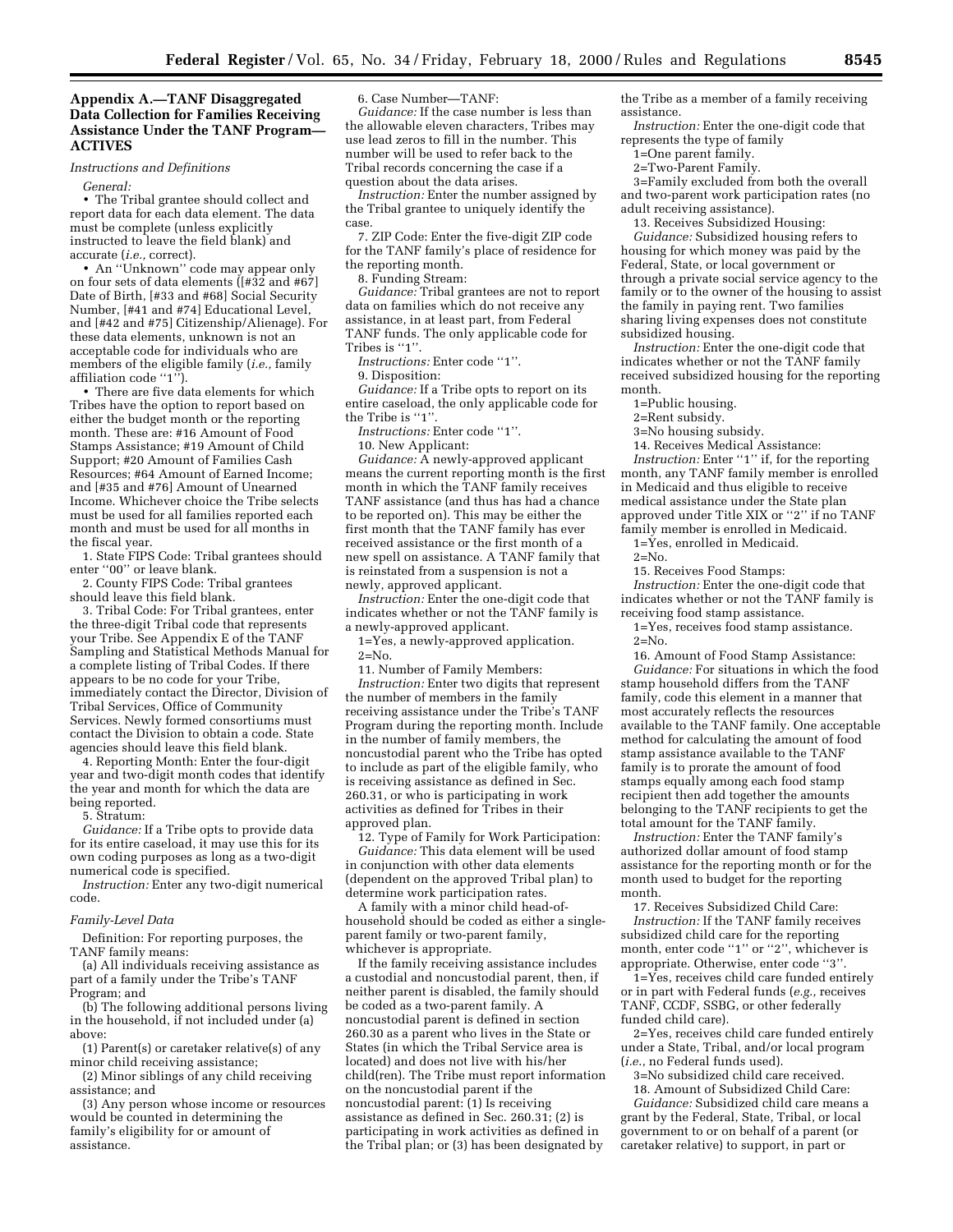# **Appendix A.—TANF Disaggregated Data Collection for Families Receiving Assistance Under the TANF Program— ACTIVES**

*Instructions and Definitions*

*General:*

• The Tribal grantee should collect and report data for each data element. The data must be complete (unless explicitly instructed to leave the field blank) and accurate (*i.e.,* correct).

• An ''Unknown'' code may appear only on four sets of data elements ( $[#32$  and  $#67]$ Date of Birth, [#33 and #68] Social Security Number, [#41 and #74] Educational Level, and [#42 and #75] Citizenship/Alienage). For these data elements, unknown is not an acceptable code for individuals who are members of the eligible family (*i.e.,* family affiliation code "1").

• There are five data elements for which Tribes have the option to report based on either the budget month or the reporting month. These are: #16 Amount of Food Stamps Assistance; #19 Amount of Child Support; #20 Amount of Families Cash Resources; #64 Amount of Earned Income; and [#35 and #76] Amount of Unearned Income. Whichever choice the Tribe selects must be used for all families reported each month and must be used for all months in the fiscal year.

1. State FIPS Code: Tribal grantees should enter ''00'' or leave blank.

2. County FIPS Code: Tribal grantees should leave this field blank.

3. Tribal Code: For Tribal grantees, enter the three-digit Tribal code that represents your Tribe. See Appendix E of the TANF Sampling and Statistical Methods Manual for a complete listing of Tribal Codes. If there appears to be no code for your Tribe, immediately contact the Director, Division of Tribal Services, Office of Community Services. Newly formed consortiums must contact the Division to obtain a code. State agencies should leave this field blank.

4. Reporting Month: Enter the four-digit year and two-digit month codes that identify the year and month for which the data are being reported.

5. Stratum:

*Guidance:* If a Tribe opts to provide data for its entire caseload, it may use this for its own coding purposes as long as a two-digit numerical code is specified.

*Instruction:* Enter any two-digit numerical code.

#### *Family-Level Data*

Definition: For reporting purposes, the TANF family means:

(a) All individuals receiving assistance as part of a family under the Tribe's TANF Program; and

(b) The following additional persons living in the household, if not included under (a) above:

(1) Parent(s) or caretaker relative(s) of any minor child receiving assistance;

(2) Minor siblings of any child receiving assistance; and

(3) Any person whose income or resources would be counted in determining the family's eligibility for or amount of assistance.

6. Case Number—TANF:

*Guidance:* If the case number is less than the allowable eleven characters, Tribes may use lead zeros to fill in the number. This number will be used to refer back to the Tribal records concerning the case if a question about the data arises.

*Instruction:* Enter the number assigned by the Tribal grantee to uniquely identify the case.

7. ZIP Code: Enter the five-digit ZIP code for the TANF family's place of residence for the reporting month.

8. Funding Stream:

*Guidance:* Tribal grantees are not to report data on families which do not receive any assistance, in at least part, from Federal TANF funds. The only applicable code for Tribes is "1".

*Instructions:* Enter code ''1''.

9. Disposition:

*Guidance:* If a Tribe opts to report on its entire caseload, the only applicable code for the Tribe is "1"

*Instructions:* Enter code ''1''.

10. New Applicant:

*Guidance:* A newly-approved applicant means the current reporting month is the first month in which the TANF family receives TANF assistance (and thus has had a chance to be reported on). This may be either the first month that the TANF family has ever received assistance or the first month of a new spell on assistance. A TANF family that is reinstated from a suspension is not a newly, approved applicant.

*Instruction:* Enter the one-digit code that indicates whether or not the TANF family is a newly-approved applicant.

1=Yes, a newly-approved application.  $2=N_0$ 

11. Number of Family Members:

*Instruction:* Enter two digits that represent the number of members in the family receiving assistance under the Tribe's TANF Program during the reporting month. Include in the number of family members, the noncustodial parent who the Tribe has opted to include as part of the eligible family, who is receiving assistance as defined in Sec. 260.31, or who is participating in work activities as defined for Tribes in their approved plan.

12. Type of Family for Work Participation: *Guidance:* This data element will be used in conjunction with other data elements (dependent on the approved Tribal plan) to determine work participation rates.

A family with a minor child head-ofhousehold should be coded as either a singleparent family or two-parent family, whichever is appropriate.

If the family receiving assistance includes a custodial and noncustodial parent, then, if neither parent is disabled, the family should be coded as a two-parent family. A noncustodial parent is defined in section 260.30 as a parent who lives in the State or States (in which the Tribal Service area is located) and does not live with his/her child(ren). The Tribe must report information on the noncustodial parent if the noncustodial parent: (1) Is receiving assistance as defined in Sec. 260.31; (2) is participating in work activities as defined in the Tribal plan; or (3) has been designated by

the Tribe as a member of a family receiving assistance.

*Instruction:* Enter the one-digit code that represents the type of family

1=One parent family.

2=Two-Parent Family.

3=Family excluded from both the overall and two-parent work participation rates (no adult receiving assistance).

13. Receives Subsidized Housing:

*Guidance:* Subsidized housing refers to housing for which money was paid by the Federal, State, or local government or through a private social service agency to the family or to the owner of the housing to assist the family in paying rent. Two families sharing living expenses does not constitute subsidized housing.

*Instruction:* Enter the one-digit code that indicates whether or not the TANF family received subsidized housing for the reporting month.

1=Public housing.

2=Rent subsidy.

3=No housing subsidy.

14. Receives Medical Assistance:

*Instruction:* Enter ''1'' if, for the reporting month, any TANF family member is enrolled in Medicaid and thus eligible to receive medical assistance under the State plan approved under Title XIX or "2" if no TANF family member is enrolled in Medicaid.

1=Yes, enrolled in Medicaid.  $2 = No.$ 

15. Receives Food Stamps:

*Instruction:* Enter the one-digit code that indicates whether or not the TANF family is receiving food stamp assistance.

1=Yes, receives food stamp assistance.  $2=N<sub>0</sub>$ .

16. Amount of Food Stamp Assistance: *Guidance:* For situations in which the food stamp household differs from the TANF family, code this element in a manner that most accurately reflects the resources available to the TANF family. One acceptable method for calculating the amount of food stamp assistance available to the TANF family is to prorate the amount of food stamps equally among each food stamp recipient then add together the amounts belonging to the TANF recipients to get the total amount for the TANF family.

*Instruction:* Enter the TANF family's authorized dollar amount of food stamp assistance for the reporting month or for the month used to budget for the reporting month.

17. Receives Subsidized Child Care: *Instruction:* If the TANF family receives subsidized child care for the reporting month, enter code "1" or "2", whichever is appropriate. Otherwise, enter code ''3''.

1=Yes, receives child care funded entirely or in part with Federal funds (*e.g.,* receives TANF, CCDF, SSBG, or other federally funded child care).

2=Yes, receives child care funded entirely under a State, Tribal, and/or local program (*i.e*., no Federal funds used).

3=No subsidized child care received.

18. Amount of Subsidized Child Care: *Guidance:* Subsidized child care means a grant by the Federal, State, Tribal, or local government to or on behalf of a parent (or caretaker relative) to support, in part or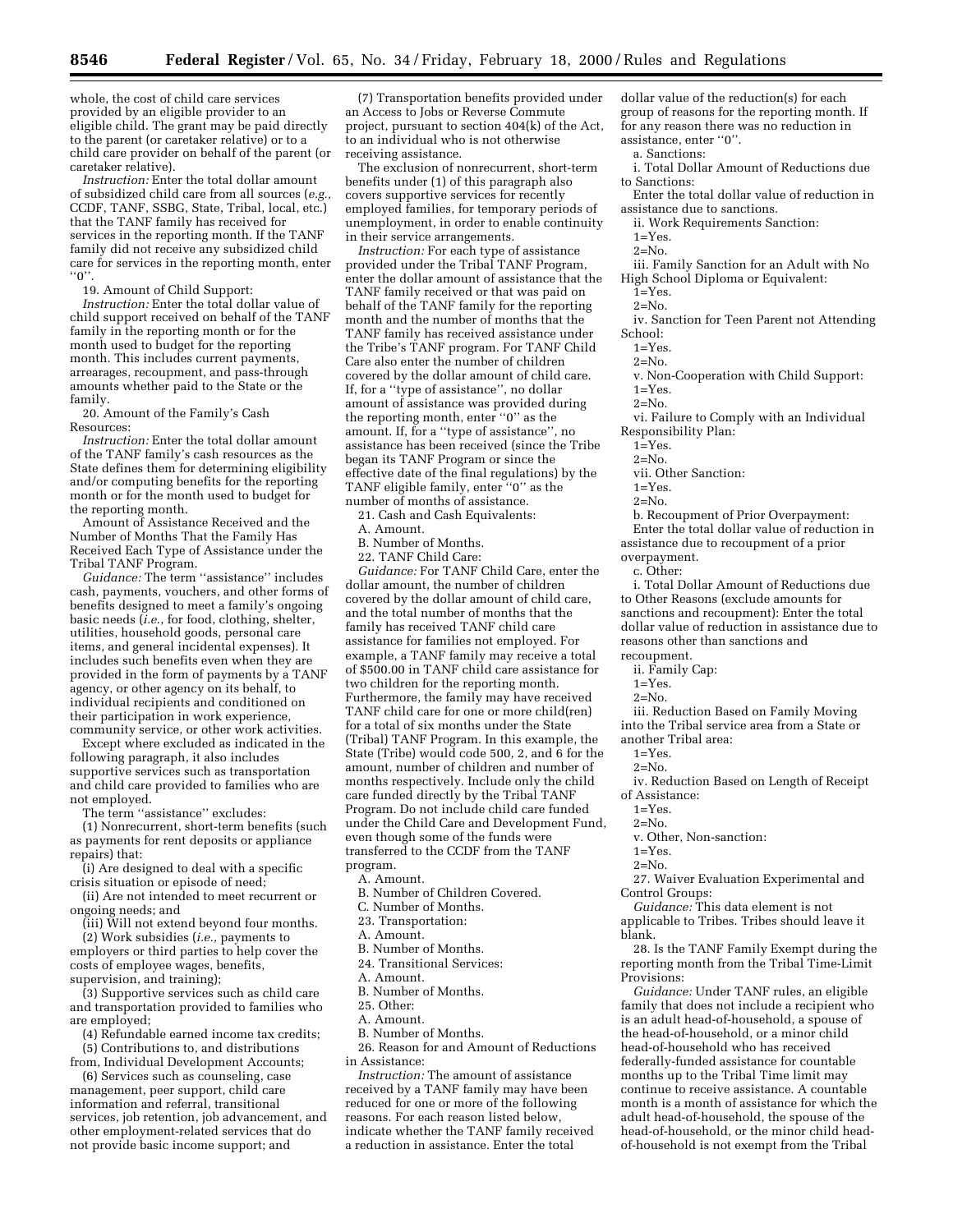whole, the cost of child care services provided by an eligible provider to an eligible child. The grant may be paid directly to the parent (or caretaker relative) or to a child care provider on behalf of the parent (or caretaker relative).

*Instruction:* Enter the total dollar amount of subsidized child care from all sources (*e.g.,* CCDF, TANF, SSBG, State, Tribal, local, etc.) that the TANF family has received for services in the reporting month. If the TANF family did not receive any subsidized child care for services in the reporting month, enter  $"0"$ 

19. Amount of Child Support:

*Instruction:* Enter the total dollar value of child support received on behalf of the TANF family in the reporting month or for the month used to budget for the reporting month. This includes current payments, arrearages, recoupment, and pass-through amounts whether paid to the State or the family.

20. Amount of the Family's Cash Resources:

*Instruction:* Enter the total dollar amount of the TANF family's cash resources as the State defines them for determining eligibility and/or computing benefits for the reporting month or for the month used to budget for the reporting month.

Amount of Assistance Received and the Number of Months That the Family Has Received Each Type of Assistance under the Tribal TANF Program.

*Guidance:* The term ''assistance'' includes cash, payments, vouchers, and other forms of benefits designed to meet a family's ongoing basic needs (*i.e*., for food, clothing, shelter, utilities, household goods, personal care items, and general incidental expenses). It includes such benefits even when they are provided in the form of payments by a TANF agency, or other agency on its behalf, to individual recipients and conditioned on their participation in work experience, community service, or other work activities.

Except where excluded as indicated in the following paragraph, it also includes supportive services such as transportation and child care provided to families who are not employed.

The term "assistance" excludes:

(1) Nonrecurrent, short-term benefits (such as payments for rent deposits or appliance repairs) that:

(i) Are designed to deal with a specific crisis situation or episode of need;

(ii) Are not intended to meet recurrent or ongoing needs; and

(iii) Will not extend beyond four months.

(2) Work subsidies (*i.e.,* payments to employers or third parties to help cover the costs of employee wages, benefits, supervision, and training);

(3) Supportive services such as child care and transportation provided to families who are employed;

(4) Refundable earned income tax credits;

not provide basic income support; and

(5) Contributions to, and distributions

from, Individual Development Accounts; (6) Services such as counseling, case management, peer support, child care information and referral, transitional services, job retention, job advancement, and other employment-related services that do

(7) Transportation benefits provided under an Access to Jobs or Reverse Commute project, pursuant to section 404(k) of the Act, to an individual who is not otherwise receiving assistance.

The exclusion of nonrecurrent, short-term benefits under (1) of this paragraph also covers supportive services for recently employed families, for temporary periods of unemployment, in order to enable continuity in their service arrangements.

*Instruction:* For each type of assistance provided under the Tribal TANF Program, enter the dollar amount of assistance that the TANF family received or that was paid on behalf of the TANF family for the reporting month and the number of months that the TANF family has received assistance under the Tribe's TANF program. For TANF Child Care also enter the number of children covered by the dollar amount of child care. If, for a ''type of assistance'', no dollar amount of assistance was provided during the reporting month, enter ''0'' as the amount. If, for a ''type of assistance'', no assistance has been received (since the Tribe began its TANF Program or since the effective date of the final regulations) by the TANF eligible family, enter ''0'' as the number of months of assistance.

21. Cash and Cash Equivalents:

A. Amount.

B. Number of Months.

22. TANF Child Care:

*Guidance:* For TANF Child Care, enter the dollar amount, the number of children covered by the dollar amount of child care, and the total number of months that the family has received TANF child care assistance for families not employed. For example, a TANF family may receive a total of \$500.00 in TANF child care assistance for two children for the reporting month. Furthermore, the family may have received TANF child care for one or more child(ren) for a total of six months under the State (Tribal) TANF Program. In this example, the State (Tribe) would code 500, 2, and 6 for the amount, number of children and number of months respectively. Include only the child care funded directly by the Tribal TANF Program. Do not include child care funded under the Child Care and Development Fund, even though some of the funds were transferred to the CCDF from the TANF program.

A. Amount.

B. Number of Children Covered.

C. Number of Months.

23. Transportation:

A. Amount.

B. Number of Months.

24. Transitional Services:

A. Amount.

B. Number of Months.

25. Other:

A. Amount.

B. Number of Months.

26. Reason for and Amount of Reductions in Assistance:

*Instruction:* The amount of assistance received by a TANF family may have been reduced for one or more of the following reasons. For each reason listed below, indicate whether the TANF family received a reduction in assistance. Enter the total

dollar value of the reduction(s) for each group of reasons for the reporting month. If for any reason there was no reduction in assistance, enter ''0''.

a. Sanctions:

- i. Total Dollar Amount of Reductions due to Sanctions:
- Enter the total dollar value of reduction in assistance due to sanctions.

ii. Work Requirements Sanction:

 $1 = Yes.$ 

2=No.

iii. Family Sanction for an Adult with No High School Diploma or Equivalent:

 $\bar{1}$ =Yes.

 $2=N<sub>0</sub>$ .

iv. Sanction for Teen Parent not Attending School:

1=Yes.

 $2 = No.$ 

v. Non-Cooperation with Child Support:

1=Yes.  $2=N<sub>0</sub>$ .

vi. Failure to Comply with an Individual Responsibility Plan:

 $1 = Y$ es  $2=N<sub>0</sub>$ .

- vii. Other Sanction:
- $1 = Yes.$

 $2=N_0$ 

b. Recoupment of Prior Overpayment: Enter the total dollar value of reduction in assistance due to recoupment of a prior overpayment.

c. Other:

i. Total Dollar Amount of Reductions due to Other Reasons (exclude amounts for sanctions and recoupment): Enter the total dollar value of reduction in assistance due to reasons other than sanctions and recoupment.

 $1 = Y$ es

 $2=N<sub>0</sub>$ .

iii. Reduction Based on Family Moving into the Tribal service area from a State or another Tribal area:

 $1 = Y$ es

 $2=N<sub>0</sub>$ .

iv. Reduction Based on Length of Receipt of Assistance:

 $1 = Y$ es

 $2 = N_0$ 

v. Other, Non-sanction:

 $1 = Yes.$ 

 $2=N<sub>0</sub>$ .

27. Waiver Evaluation Experimental and Control Groups:

*Guidance:* This data element is not applicable to Tribes. Tribes should leave it blank.

28. Is the TANF Family Exempt during the reporting month from the Tribal Time-Limit Provisions:

*Guidance:* Under TANF rules, an eligible family that does not include a recipient who is an adult head-of-household, a spouse of the head-of-household, or a minor child head-of-household who has received federally-funded assistance for countable months up to the Tribal Time limit may continue to receive assistance. A countable month is a month of assistance for which the adult head-of-household, the spouse of the head-of-household, or the minor child headof-household is not exempt from the Tribal

ii. Family Cap: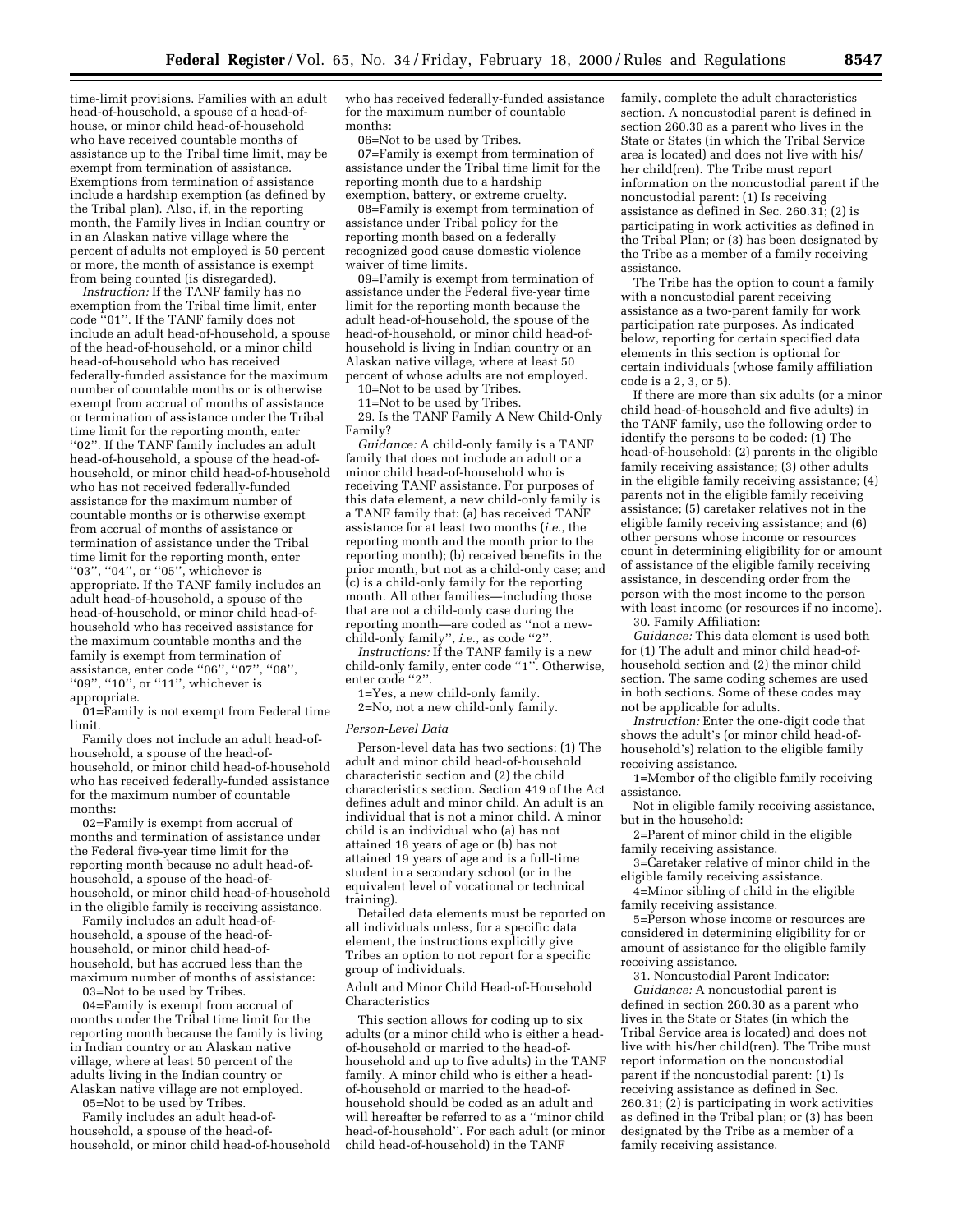time-limit provisions. Families with an adult head-of-household, a spouse of a head-ofhouse, or minor child head-of-household who have received countable months of assistance up to the Tribal time limit, may be exempt from termination of assistance. Exemptions from termination of assistance include a hardship exemption (as defined by the Tribal plan). Also, if, in the reporting month, the Family lives in Indian country or in an Alaskan native village where the percent of adults not employed is 50 percent or more, the month of assistance is exempt from being counted (is disregarded).

*Instruction:* If the TANF family has no exemption from the Tribal time limit, enter code ''01''. If the TANF family does not include an adult head-of-household, a spouse of the head-of-household, or a minor child head-of-household who has received federally-funded assistance for the maximum number of countable months or is otherwise exempt from accrual of months of assistance or termination of assistance under the Tribal time limit for the reporting month, enter ''02''. If the TANF family includes an adult head-of-household, a spouse of the head-ofhousehold, or minor child head-of-household who has not received federally-funded assistance for the maximum number of countable months or is otherwise exempt from accrual of months of assistance or termination of assistance under the Tribal time limit for the reporting month, enter ''03'', ''04'', or ''05'', whichever is appropriate. If the TANF family includes an adult head-of-household, a spouse of the head-of-household, or minor child head-ofhousehold who has received assistance for the maximum countable months and the family is exempt from termination of assistance, enter code ''06'', ''07'', ''08'', "09", "10", or "11", whichever is appropriate.

01=Family is not exempt from Federal time limit.

Family does not include an adult head-ofhousehold, a spouse of the head-ofhousehold, or minor child head-of-household who has received federally-funded assistance for the maximum number of countable months:

02=Family is exempt from accrual of months and termination of assistance under the Federal five-year time limit for the reporting month because no adult head-ofhousehold, a spouse of the head-ofhousehold, or minor child head-of-household in the eligible family is receiving assistance.

Family includes an adult head-ofhousehold, a spouse of the head-ofhousehold, or minor child head-ofhousehold, but has accrued less than the maximum number of months of assistance: 03=Not to be used by Tribes.

04=Family is exempt from accrual of months under the Tribal time limit for the reporting month because the family is living in Indian country or an Alaskan native village, where at least 50 percent of the adults living in the Indian country or Alaskan native village are not employed.

05=Not to be used by Tribes.

Family includes an adult head-ofhousehold, a spouse of the head-ofhousehold, or minor child head-of-household who has received federally-funded assistance for the maximum number of countable months:

06=Not to be used by Tribes.

07=Family is exempt from termination of assistance under the Tribal time limit for the reporting month due to a hardship exemption, battery, or extreme cruelty.

08=Family is exempt from termination of assistance under Tribal policy for the reporting month based on a federally recognized good cause domestic violence waiver of time limits.

09=Family is exempt from termination of assistance under the Federal five-year time limit for the reporting month because the adult head-of-household, the spouse of the head-of-household, or minor child head-ofhousehold is living in Indian country or an Alaskan native village, where at least 50 percent of whose adults are not employed.

10=Not to be used by Tribes. 11=Not to be used by Tribes.

29. Is the TANF Family A New Child-Only Family?

*Guidance:* A child-only family is a TANF family that does not include an adult or a minor child head-of-household who is receiving TANF assistance. For purposes of this data element, a new child-only family is a TANF family that: (a) has received TANF assistance for at least two months (*i.e*., the reporting month and the month prior to the reporting month); (b) received benefits in the prior month, but not as a child-only case; and (c) is a child-only family for the reporting month. All other families—including those that are not a child-only case during the reporting month—are coded as ''not a newchild-only family'', *i.e*., as code ''2''.

*Instructions:* If the TANF family is a new child-only family, enter code ''1''. Otherwise, enter code ''2''.

1=Yes, a new child-only family.

2=No, not a new child-only family.

#### *Person-Level Data*

Person-level data has two sections: (1) The adult and minor child head-of-household characteristic section and (2) the child characteristics section. Section 419 of the Act defines adult and minor child. An adult is an individual that is not a minor child. A minor child is an individual who (a) has not attained 18 years of age or (b) has not attained 19 years of age and is a full-time student in a secondary school (or in the equivalent level of vocational or technical training).

Detailed data elements must be reported on all individuals unless, for a specific data element, the instructions explicitly give Tribes an option to not report for a specific group of individuals.

Adult and Minor Child Head-of-Household **Characteristics** 

This section allows for coding up to six adults (or a minor child who is either a headof-household or married to the head-ofhousehold and up to five adults) in the TANF family. A minor child who is either a headof-household or married to the head-ofhousehold should be coded as an adult and will hereafter be referred to as a ''minor child head-of-household''. For each adult (or minor child head-of-household) in the TANF

family, complete the adult characteristics section. A noncustodial parent is defined in section 260.30 as a parent who lives in the State or States (in which the Tribal Service area is located) and does not live with his/ her child(ren). The Tribe must report information on the noncustodial parent if the noncustodial parent: (1) Is receiving assistance as defined in Sec. 260.31; (2) is participating in work activities as defined in the Tribal Plan; or (3) has been designated by the Tribe as a member of a family receiving assistance.

The Tribe has the option to count a family with a noncustodial parent receiving assistance as a two-parent family for work participation rate purposes. As indicated below, reporting for certain specified data elements in this section is optional for certain individuals (whose family affiliation code is a 2, 3, or 5).

If there are more than six adults (or a minor child head-of-household and five adults) in the TANF family, use the following order to identify the persons to be coded: (1) The head-of-household; (2) parents in the eligible family receiving assistance; (3) other adults in the eligible family receiving assistance; (4) parents not in the eligible family receiving assistance; (5) caretaker relatives not in the eligible family receiving assistance; and (6) other persons whose income or resources count in determining eligibility for or amount of assistance of the eligible family receiving assistance, in descending order from the person with the most income to the person with least income (or resources if no income).

30. Family Affiliation:

*Guidance:* This data element is used both for (1) The adult and minor child head-ofhousehold section and (2) the minor child section. The same coding schemes are used in both sections. Some of these codes may not be applicable for adults.

*Instruction:* Enter the one-digit code that shows the adult's (or minor child head-ofhousehold's) relation to the eligible family receiving assistance.

1=Member of the eligible family receiving assistance.

Not in eligible family receiving assistance, but in the household:

2=Parent of minor child in the eligible family receiving assistance.

3=Caretaker relative of minor child in the eligible family receiving assistance.

4=Minor sibling of child in the eligible family receiving assistance.

5=Person whose income or resources are considered in determining eligibility for or amount of assistance for the eligible family receiving assistance.

31. Noncustodial Parent Indicator:

*Guidance:* A noncustodial parent is defined in section 260.30 as a parent who lives in the State or States (in which the Tribal Service area is located) and does not live with his/her child(ren). The Tribe must report information on the noncustodial parent if the noncustodial parent: (1) Is receiving assistance as defined in Sec. 260.31; (2) is participating in work activities as defined in the Tribal plan; or (3) has been designated by the Tribe as a member of a family receiving assistance.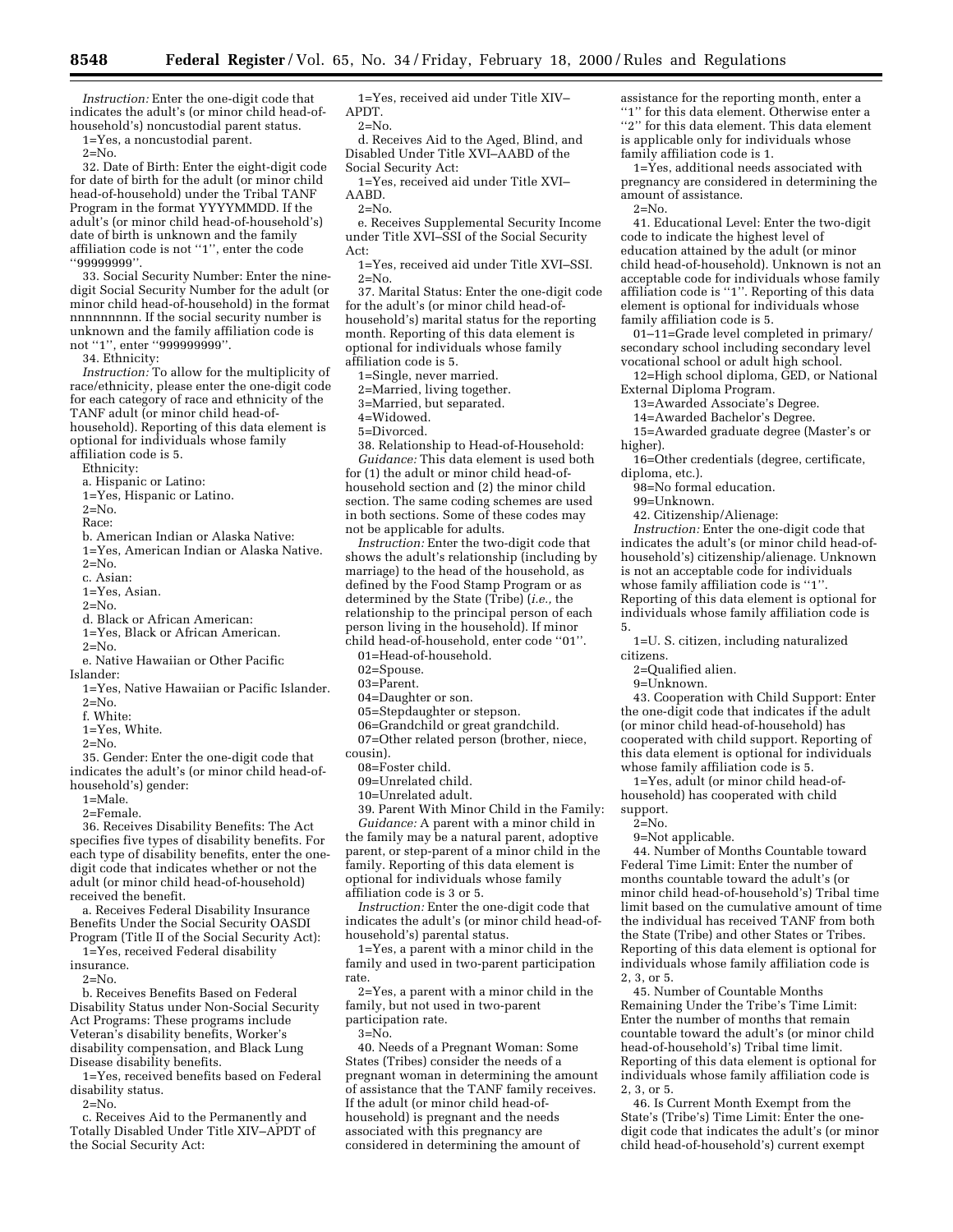*Instruction:* Enter the one-digit code that indicates the adult's (or minor child head-ofhousehold's) noncustodial parent status.

1=Yes, a noncustodial parent.

 $2=N_0$ .

32. Date of Birth: Enter the eight-digit code for date of birth for the adult (or minor child head-of-household) under the Tribal TANF Program in the format YYYYMMDD. If the adult's (or minor child head-of-household's) date of birth is unknown and the family affiliation code is not ''1'', enter the code ''99999999''.

33. Social Security Number: Enter the ninedigit Social Security Number for the adult (or minor child head-of-household) in the format nnnnnnnnn. If the social security number is unknown and the family affiliation code is not ''1'', enter ''999999999''.

34. Ethnicity:

*Instruction:* To allow for the multiplicity of race/ethnicity, please enter the one-digit code for each category of race and ethnicity of the TANF adult (or minor child head-ofhousehold). Reporting of this data element is optional for individuals whose family affiliation code is 5.

Ethnicity:

a. Hispanic or Latino:

1=Yes, Hispanic or Latino.

 $2 = No.$ 

Race:

b. American Indian or Alaska Native: 1=Yes, American Indian or Alaska Native.  $2=N_0$ .

- c. Asian:
- 1=Yes, Asian.

 $2 = No.$ 

- d. Black or African American:
- 1=Yes, Black or African American.  $2=N_0$ .
- e. Native Hawaiian or Other Pacific
- Islander:
- 1=Yes, Native Hawaiian or Pacific Islander.  $2 = No.$

f. White:

1=Yes, White.

2=No.

35. Gender: Enter the one-digit code that indicates the adult's (or minor child head-ofhousehold's) gender:

1=Male.

2=Female.

36. Receives Disability Benefits: The Act specifies five types of disability benefits. For each type of disability benefits, enter the onedigit code that indicates whether or not the adult (or minor child head-of-household) received the benefit.

a. Receives Federal Disability Insurance Benefits Under the Social Security OASDI Program (Title II of the Social Security Act):

1=Yes, received Federal disability insurance.

 $2 = No$ .

b. Receives Benefits Based on Federal Disability Status under Non-Social Security Act Programs: These programs include Veteran's disability benefits, Worker's disability compensation, and Black Lung Disease disability benefits.

1=Yes, received benefits based on Federal disability status.

 $2 = No.$ 

c. Receives Aid to the Permanently and Totally Disabled Under Title XIV–APDT of the Social Security Act:

1=Yes, received aid under Title XIV– APDT.

2=No.

d. Receives Aid to the Aged, Blind, and Disabled Under Title XVI–AABD of the Social Security Act:

1=Yes, received aid under Title XVI– AABD.

 $2=N<sub>0</sub>$ .

e. Receives Supplemental Security Income under Title XVI–SSI of the Social Security Act:

1=Yes, received aid under Title XVI–SSI.  $2 = No$ .

37. Marital Status: Enter the one-digit code for the adult's (or minor child head-ofhousehold's) marital status for the reporting month. Reporting of this data element is optional for individuals whose family affiliation code is 5.

1=Single, never married.

2=Married, living together.

3=Married, but separated.

4=Widowed.

5=Divorced.

38. Relationship to Head-of-Household: *Guidance:* This data element is used both for (1) the adult or minor child head-ofhousehold section and (2) the minor child section. The same coding schemes are used in both sections. Some of these codes may not be applicable for adults.

*Instruction:* Enter the two-digit code that shows the adult's relationship (including by marriage) to the head of the household, as defined by the Food Stamp Program or as determined by the State (Tribe) (*i.e.,* the relationship to the principal person of each person living in the household). If minor child head-of-household, enter code ''01''.

01=Head-of-household.

02=Spouse.

03=Parent.

04=Daughter or son.

05=Stepdaughter or stepson.

06=Grandchild or great grandchild.

07=Other related person (brother, niece,

cousin).

08=Foster child.

09=Unrelated child.

10=Unrelated adult.

39. Parent With Minor Child in the Family:

*Guidance:* A parent with a minor child in the family may be a natural parent, adoptive parent, or step-parent of a minor child in the family. Reporting of this data element is optional for individuals whose family affiliation code is 3 or 5.

*Instruction:* Enter the one-digit code that indicates the adult's (or minor child head-ofhousehold's) parental status.

1=Yes, a parent with a minor child in the family and used in two-parent participation rate.

2=Yes, a parent with a minor child in the family, but not used in two-parent participation rate.

 $3 = N<sub>0</sub>$ .

40. Needs of a Pregnant Woman: Some States (Tribes) consider the needs of a pregnant woman in determining the amount of assistance that the TANF family receives. If the adult (or minor child head-ofhousehold) is pregnant and the needs associated with this pregnancy are considered in determining the amount of

assistance for the reporting month, enter a "1" for this data element. Otherwise enter a "2" for this data element. This data element is applicable only for individuals whose family affiliation code is 1.

1=Yes, additional needs associated with pregnancy are considered in determining the amount of assistance.

 $2=N<sub>0</sub>$ .

41. Educational Level: Enter the two-digit code to indicate the highest level of education attained by the adult (or minor child head-of-household). Unknown is not an acceptable code for individuals whose family affiliation code is "1". Reporting of this data element is optional for individuals whose family affiliation code is 5.

01–11=Grade level completed in primary/ secondary school including secondary level vocational school or adult high school.

12=High school diploma, GED, or National External Diploma Program.

13=Awarded Associate's Degree.

14=Awarded Bachelor's Degree.

15=Awarded graduate degree (Master's or higher).

16=Other credentials (degree, certificate, diploma, etc.).

98=No formal education.

99=Unknown.

42. Citizenship/Alienage:

*Instruction:* Enter the one-digit code that indicates the adult's (or minor child head-ofhousehold's) citizenship/alienage. Unknown is not an acceptable code for individuals whose family affiliation code is "1" Reporting of this data element is optional for individuals whose family affiliation code is 5.

1=U. S. citizen, including naturalized citizens.

2=Qualified alien.

9=Unknown.

43. Cooperation with Child Support: Enter the one-digit code that indicates if the adult (or minor child head-of-household) has cooperated with child support. Reporting of this data element is optional for individuals whose family affiliation code is 5.

1=Yes, adult (or minor child head-ofhousehold) has cooperated with child support.

 $2 = No$ .

9=Not applicable.

44. Number of Months Countable toward Federal Time Limit: Enter the number of months countable toward the adult's (or minor child head-of-household's) Tribal time limit based on the cumulative amount of time the individual has received TANF from both the State (Tribe) and other States or Tribes. Reporting of this data element is optional for individuals whose family affiliation code is 2, 3, or 5.

45. Number of Countable Months Remaining Under the Tribe's Time Limit: Enter the number of months that remain countable toward the adult's (or minor child head-of-household's) Tribal time limit. Reporting of this data element is optional for individuals whose family affiliation code is 2, 3, or 5.

46. Is Current Month Exempt from the State's (Tribe's) Time Limit: Enter the onedigit code that indicates the adult's (or minor child head-of-household's) current exempt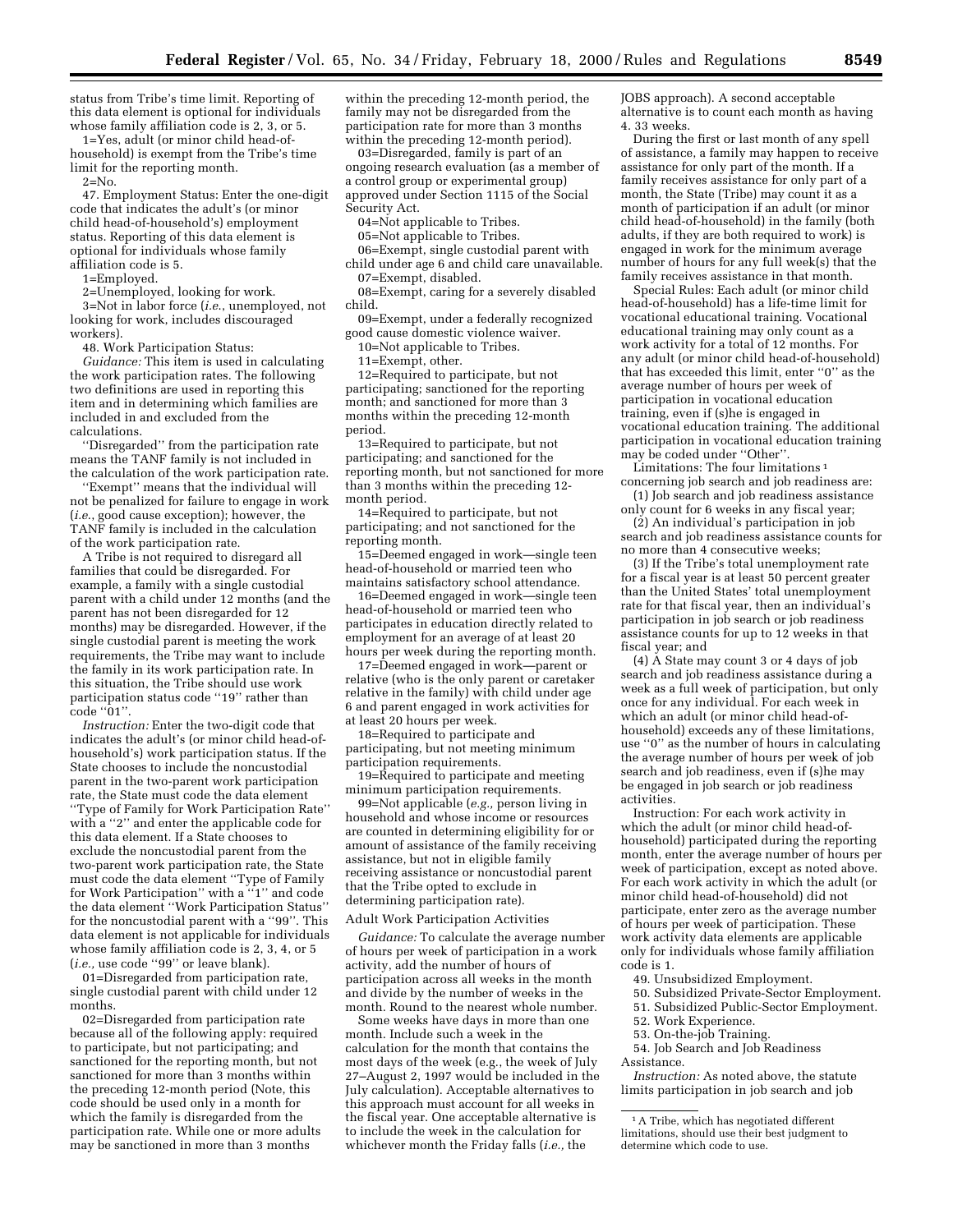status from Tribe's time limit. Reporting of this data element is optional for individuals whose family affiliation code is 2, 3, or 5.

1=Yes, adult (or minor child head-ofhousehold) is exempt from the Tribe's time limit for the reporting month.

 $2 = No.$ 

47. Employment Status: Enter the one-digit code that indicates the adult's (or minor child head-of-household's) employment status. Reporting of this data element is optional for individuals whose family affiliation code is 5.

1=Employed.

2=Unemployed, looking for work.

3=Not in labor force (*i.e*., unemployed, not looking for work, includes discouraged workers).

48. Work Participation Status:

*Guidance:* This item is used in calculating the work participation rates. The following two definitions are used in reporting this item and in determining which families are included in and excluded from the calculations.

''Disregarded'' from the participation rate means the TANF family is not included in the calculation of the work participation rate.

"Exempt" means that the individual will not be penalized for failure to engage in work (*i.e*., good cause exception); however, the TANF family is included in the calculation of the work participation rate.

A Tribe is not required to disregard all families that could be disregarded. For example, a family with a single custodial parent with a child under 12 months (and the parent has not been disregarded for 12 months) may be disregarded. However, if the single custodial parent is meeting the work requirements, the Tribe may want to include the family in its work participation rate. In this situation, the Tribe should use work participation status code ''19'' rather than  $\overline{\text{code}}$  " $\overline{01"}$ .

*Instruction:* Enter the two-digit code that indicates the adult's (or minor child head-ofhousehold's) work participation status. If the State chooses to include the noncustodial parent in the two-parent work participation rate, the State must code the data element

''Type of Family for Work Participation Rate'' with a ''2'' and enter the applicable code for this data element. If a State chooses to exclude the noncustodial parent from the two-parent work participation rate, the State must code the data element ''Type of Family for Work Participation'' with a ''1'' and code the data element ''Work Participation Status'' for the noncustodial parent with a ''99''. This data element is not applicable for individuals whose family affiliation code is 2, 3, 4, or 5 (*i.e.,* use code ''99'' or leave blank).

01=Disregarded from participation rate, single custodial parent with child under 12 months.

02=Disregarded from participation rate because all of the following apply: required to participate, but not participating; and sanctioned for the reporting month, but not sanctioned for more than 3 months within the preceding 12-month period (Note, this code should be used only in a month for which the family is disregarded from the participation rate. While one or more adults may be sanctioned in more than 3 months

within the preceding 12-month period, the family may not be disregarded from the participation rate for more than 3 months within the preceding 12-month period).

03=Disregarded, family is part of an ongoing research evaluation (as a member of a control group or experimental group) approved under Section 1115 of the Social Security Act.

04=Not applicable to Tribes.

05=Not applicable to Tribes.

06=Exempt, single custodial parent with

child under age 6 and child care unavailable. 07=Exempt, disabled.

08=Exempt, caring for a severely disabled child.

09=Exempt, under a federally recognized good cause domestic violence waiver.

10=Not applicable to Tribes.

11=Exempt, other.

12=Required to participate, but not participating; sanctioned for the reporting month; and sanctioned for more than 3 months within the preceding 12-month period.

13=Required to participate, but not participating; and sanctioned for the reporting month, but not sanctioned for more than 3 months within the preceding 12 month period.

14=Required to participate, but not participating; and not sanctioned for the reporting month.

15=Deemed engaged in work—single teen head-of-household or married teen who maintains satisfactory school attendance.

16=Deemed engaged in work—single teen head-of-household or married teen who participates in education directly related to employment for an average of at least 20 hours per week during the reporting month.

17=Deemed engaged in work—parent or relative (who is the only parent or caretaker relative in the family) with child under age 6 and parent engaged in work activities for at least 20 hours per week.

18=Required to participate and participating, but not meeting minimum participation requirements.

19=Required to participate and meeting minimum participation requirements.

99=Not applicable (*e.g.,* person living in household and whose income or resources are counted in determining eligibility for or amount of assistance of the family receiving assistance, but not in eligible family receiving assistance or noncustodial parent that the Tribe opted to exclude in determining participation rate).

Adult Work Participation Activities

*Guidance:* To calculate the average number of hours per week of participation in a work activity, add the number of hours of participation across all weeks in the month and divide by the number of weeks in the month. Round to the nearest whole number.

Some weeks have days in more than one month. Include such a week in the calculation for the month that contains the most days of the week (e.g., the week of July 27–August 2, 1997 would be included in the July calculation). Acceptable alternatives to this approach must account for all weeks in the fiscal year. One acceptable alternative is to include the week in the calculation for whichever month the Friday falls (*i.e.,* the

JOBS approach). A second acceptable alternative is to count each month as having 4. 33 weeks.

During the first or last month of any spell of assistance, a family may happen to receive assistance for only part of the month. If a family receives assistance for only part of a month, the State (Tribe) may count it as a month of participation if an adult (or minor child head-of-household) in the family (both adults, if they are both required to work) is engaged in work for the minimum average number of hours for any full week(s) that the family receives assistance in that month.

Special Rules: Each adult (or minor child head-of-household) has a life-time limit for vocational educational training. Vocational educational training may only count as a work activity for a total of 12 months. For any adult (or minor child head-of-household) that has exceeded this limit, enter ''0'' as the average number of hours per week of participation in vocational education training, even if (s)he is engaged in vocational education training. The additional participation in vocational education training may be coded under ''Other''.

Limitations: The four limitations<sup>1</sup> concerning job search and job readiness are:

(1) Job search and job readiness assistance only count for 6 weeks in any fiscal year;

(2) An individual's participation in job search and job readiness assistance counts for no more than 4 consecutive weeks;

(3) If the Tribe's total unemployment rate for a fiscal year is at least 50 percent greater than the United States' total unemployment rate for that fiscal year, then an individual's participation in job search or job readiness assistance counts for up to 12 weeks in that fiscal year; and

(4) A State may count 3 or 4 days of job search and job readiness assistance during a week as a full week of participation, but only once for any individual. For each week in which an adult (or minor child head-ofhousehold) exceeds any of these limitations, use ''0'' as the number of hours in calculating the average number of hours per week of job search and job readiness, even if (s)he may be engaged in job search or job readiness activities.

Instruction: For each work activity in which the adult (or minor child head-ofhousehold) participated during the reporting month, enter the average number of hours per week of participation, except as noted above. For each work activity in which the adult (or minor child head-of-household) did not participate, enter zero as the average number of hours per week of participation. These work activity data elements are applicable only for individuals whose family affiliation code is 1.

49. Unsubsidized Employment.

- 50. Subsidized Private-Sector Employment.
- 51. Subsidized Public-Sector Employment.
- 52. Work Experience.

53. On-the-job Training.

54. Job Search and Job Readiness

Assistance.

*Instruction:* As noted above, the statute limits participation in job search and job

<sup>1</sup>A Tribe, which has negotiated different limitations, should use their best judgment to determine which code to use.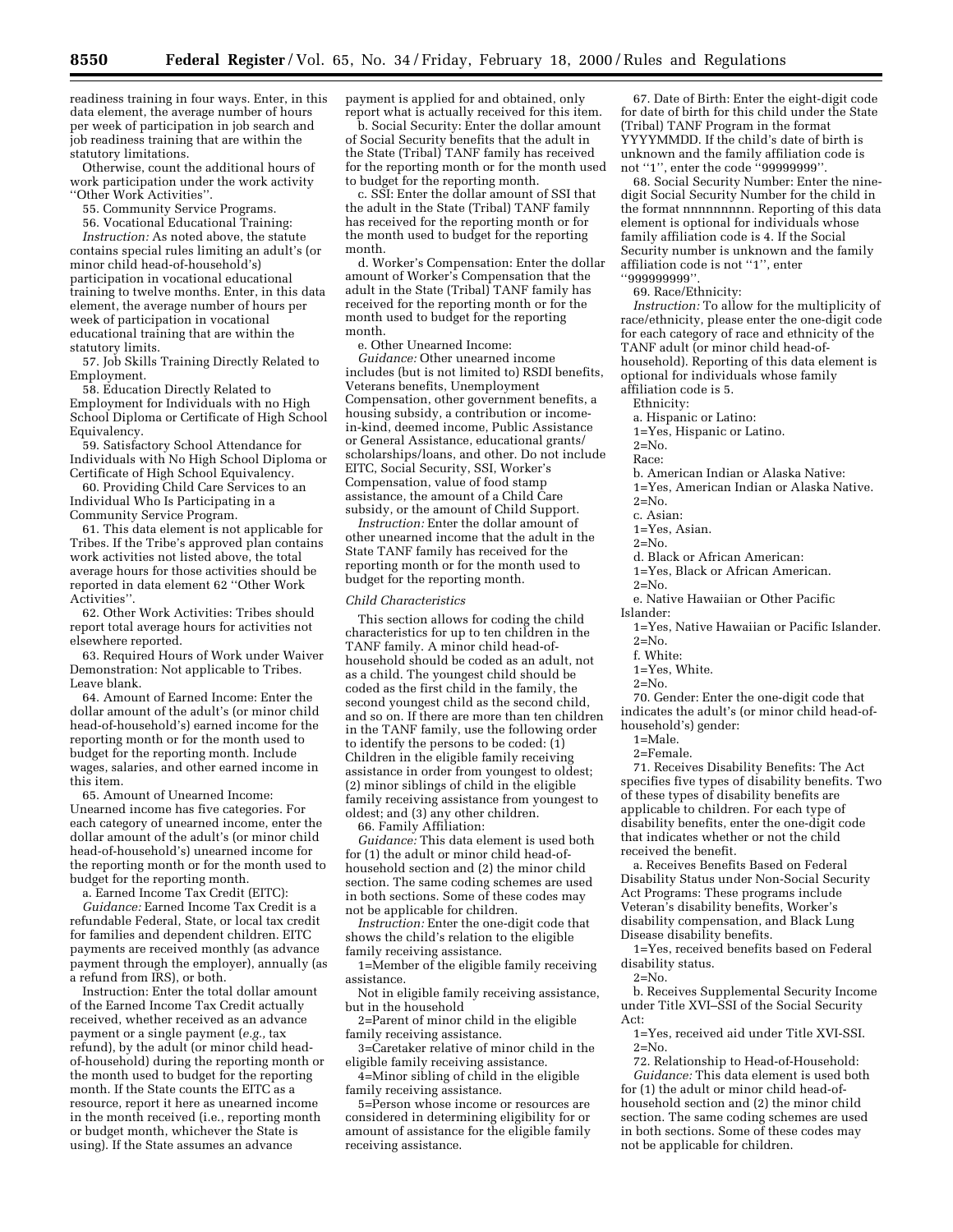readiness training in four ways. Enter, in this data element, the average number of hours per week of participation in job search and job readiness training that are within the statutory limitations.

Otherwise, count the additional hours of work participation under the work activity ''Other Work Activities''.

55. Community Service Programs.

56. Vocational Educational Training:

*Instruction:* As noted above, the statute contains special rules limiting an adult's (or minor child head-of-household's) participation in vocational educational training to twelve months. Enter, in this data element, the average number of hours per week of participation in vocational educational training that are within the statutory limits.

57. Job Skills Training Directly Related to Employment.

58. Education Directly Related to Employment for Individuals with no High School Diploma or Certificate of High School Equivalency.

59. Satisfactory School Attendance for Individuals with No High School Diploma or Certificate of High School Equivalency.

60. Providing Child Care Services to an Individual Who Is Participating in a Community Service Program.

61. This data element is not applicable for Tribes. If the Tribe's approved plan contains work activities not listed above, the total average hours for those activities should be reported in data element 62 ''Other Work Activities''.

62. Other Work Activities: Tribes should report total average hours for activities not elsewhere reported.

63. Required Hours of Work under Waiver Demonstration: Not applicable to Tribes. Leave blank.

64. Amount of Earned Income: Enter the dollar amount of the adult's (or minor child head-of-household's) earned income for the reporting month or for the month used to budget for the reporting month. Include wages, salaries, and other earned income in this item.

65. Amount of Unearned Income: Unearned income has five categories. For each category of unearned income, enter the dollar amount of the adult's (or minor child head-of-household's) unearned income for the reporting month or for the month used to budget for the reporting month.

a. Earned Income Tax Credit (EITC):

*Guidance:* Earned Income Tax Credit is a refundable Federal, State, or local tax credit for families and dependent children. EITC payments are received monthly (as advance payment through the employer), annually (as a refund from IRS), or both.

Instruction: Enter the total dollar amount of the Earned Income Tax Credit actually received, whether received as an advance payment or a single payment (*e.g.,* tax refund), by the adult (or minor child headof-household) during the reporting month or the month used to budget for the reporting month. If the State counts the EITC as a resource, report it here as unearned income in the month received (i.e., reporting month or budget month, whichever the State is using). If the State assumes an advance

payment is applied for and obtained, only report what is actually received for this item.

b. Social Security: Enter the dollar amount of Social Security benefits that the adult in the State (Tribal) TANF family has received for the reporting month or for the month used to budget for the reporting month.

c. SSI: Enter the dollar amount of SSI that the adult in the State (Tribal) TANF family has received for the reporting month or for the month used to budget for the reporting month.

d. Worker's Compensation: Enter the dollar amount of Worker's Compensation that the adult in the State (Tribal) TANF family has received for the reporting month or for the month used to budget for the reporting month.

e. Other Unearned Income:

*Guidance:* Other unearned income includes (but is not limited to) RSDI benefits, Veterans benefits, Unemployment Compensation, other government benefits, a housing subsidy, a contribution or incomein-kind, deemed income, Public Assistance or General Assistance, educational grants/ scholarships/loans, and other. Do not include EITC, Social Security, SSI, Worker's Compensation, value of food stamp assistance, the amount of a Child Care subsidy, or the amount of Child Support.

*Instruction:* Enter the dollar amount of other unearned income that the adult in the State TANF family has received for the reporting month or for the month used to budget for the reporting month.

#### *Child Characteristics*

This section allows for coding the child characteristics for up to ten children in the TANF family. A minor child head-ofhousehold should be coded as an adult, not as a child. The youngest child should be coded as the first child in the family, the second youngest child as the second child, and so on. If there are more than ten children in the TANF family, use the following order to identify the persons to be coded:  $(i)$ Children in the eligible family receiving assistance in order from youngest to oldest; (2) minor siblings of child in the eligible family receiving assistance from youngest to oldest; and (3) any other children. 66. Family Affiliation:

*Guidance:* This data element is used both for (1) the adult or minor child head-ofhousehold section and (2) the minor child section. The same coding schemes are used

in both sections. Some of these codes may not be applicable for children. *Instruction:* Enter the one-digit code that

shows the child's relation to the eligible family receiving assistance.

1=Member of the eligible family receiving assistance.

Not in eligible family receiving assistance, but in the household

2=Parent of minor child in the eligible family receiving assistance.

3=Caretaker relative of minor child in the eligible family receiving assistance.

4=Minor sibling of child in the eligible family receiving assistance.

5=Person whose income or resources are considered in determining eligibility for or amount of assistance for the eligible family receiving assistance.

67. Date of Birth: Enter the eight-digit code for date of birth for this child under the State (Tribal) TANF Program in the format YYYYMMDD. If the child's date of birth is unknown and the family affiliation code is not ''1'', enter the code ''99999999''.

68. Social Security Number: Enter the ninedigit Social Security Number for the child in the format nnnnnnnnn. Reporting of this data element is optional for individuals whose family affiliation code is 4. If the Social Security number is unknown and the family affiliation code is not ''1'', enter ''999999999''.

69. Race/Ethnicity:

*Instruction:* To allow for the multiplicity of race/ethnicity, please enter the one-digit code for each category of race and ethnicity of the TANF adult (or minor child head-ofhousehold). Reporting of this data element is optional for individuals whose family affiliation code is 5.

Ethnicity:

a. Hispanic or Latino:

1=Yes, Hispanic or Latino.

 $2 = N_0$ 

Race:

b. American Indian or Alaska Native:

1=Yes, American Indian or Alaska Native.  $2=N_0$ 

c. Asian:

1=Yes, Asian.

 $2=N<sub>0</sub>$ .

d. Black or African American:

1=Yes, Black or African American.

 $2 = N_0$ e. Native Hawaiian or Other Pacific Islander:

1=Yes, Native Hawaiian or Pacific Islander.  $2=N<sub>0</sub>$ .

f. White:

1=Yes, White.

 $2=N_0$ 

70. Gender: Enter the one-digit code that indicates the adult's (or minor child head-ofhousehold's) gender:

1=Male.

 $2 =$ Female.

71. Receives Disability Benefits: The Act specifies five types of disability benefits. Two of these types of disability benefits are applicable to children. For each type of disability benefits, enter the one-digit code that indicates whether or not the child received the benefit.

a. Receives Benefits Based on Federal Disability Status under Non-Social Security Act Programs: These programs include Veteran's disability benefits, Worker's disability compensation, and Black Lung Disease disability benefits.

1=Yes, received benefits based on Federal disability status.

 $2=N<sub>0</sub>$ .

b. Receives Supplemental Security Income under Title XVI–SSI of the Social Security Act:

1=Yes, received aid under Title XVI-SSI.  $2=N<sub>0</sub>$ .

72. Relationship to Head-of-Household: *Guidance:* This data element is used both

for (1) the adult or minor child head-ofhousehold section and (2) the minor child section. The same coding schemes are used in both sections. Some of these codes may not be applicable for children.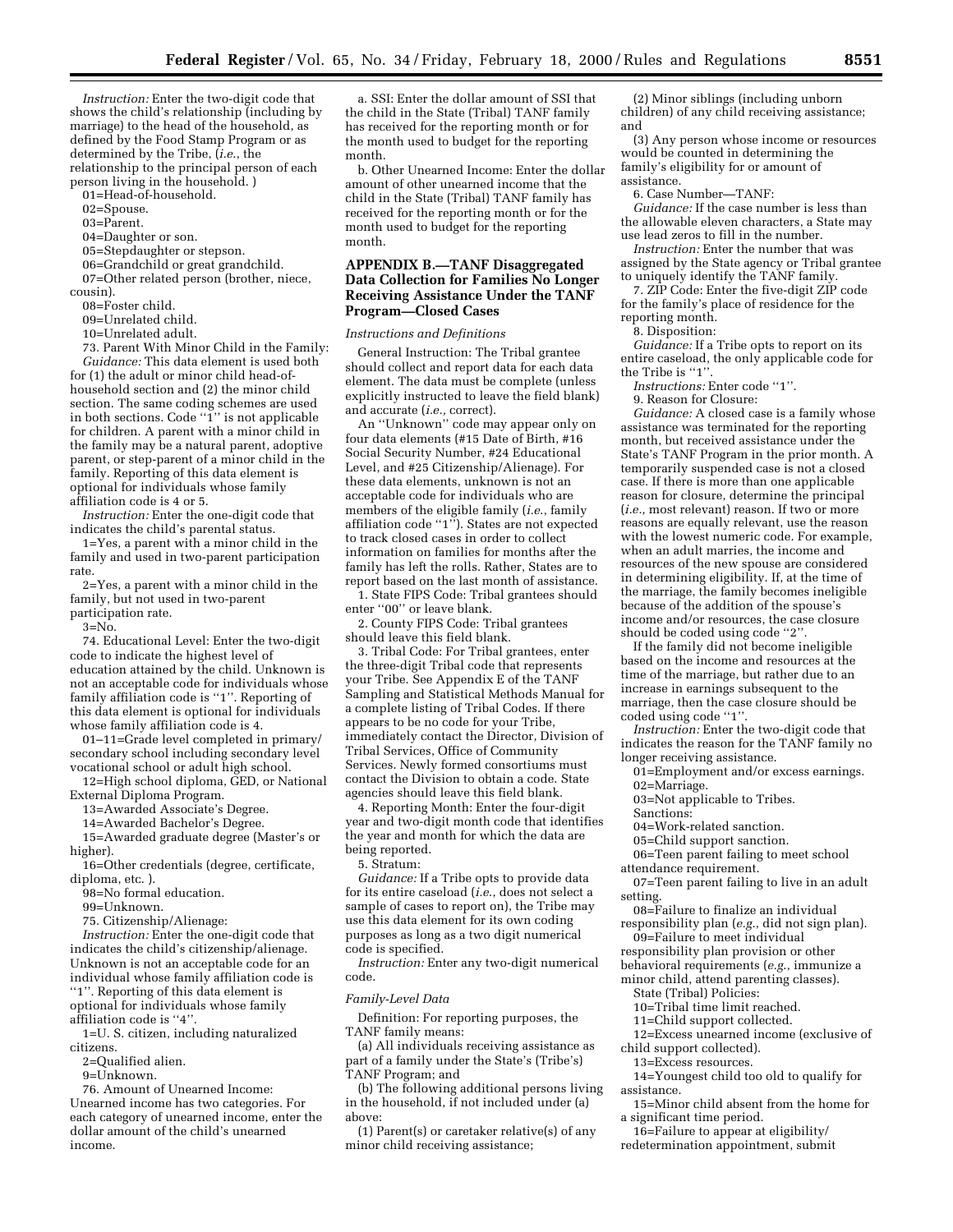*Instruction:* Enter the two-digit code that shows the child's relationship (including by marriage) to the head of the household, as defined by the Food Stamp Program or as determined by the Tribe, (*i.e*., the relationship to the principal person of each person living in the household. )

01=Head-of-household.

02=Spouse.

03=Parent.

04=Daughter or son.

05=Stepdaughter or stepson.

06=Grandchild or great grandchild.

07=Other related person (brother, niece, cousin).

08=Foster child.

- 09=Unrelated child.
- 10=Unrelated adult.

73. Parent With Minor Child in the Family: *Guidance:* This data element is used both for (1) the adult or minor child head-ofhousehold section and (2) the minor child section. The same coding schemes are used in both sections. Code ''1'' is not applicable for children. A parent with a minor child in the family may be a natural parent, adoptive parent, or step-parent of a minor child in the family. Reporting of this data element is optional for individuals whose family affiliation code is 4 or 5.

*Instruction:* Enter the one-digit code that indicates the child's parental status.

1=Yes, a parent with a minor child in the family and used in two-parent participation rate.

2=Yes, a parent with a minor child in the family, but not used in two-parent

participation rate.

 $3 = No.$ 

74. Educational Level: Enter the two-digit code to indicate the highest level of education attained by the child. Unknown is not an acceptable code for individuals whose family affiliation code is "1". Reporting of this data element is optional for individuals whose family affiliation code is 4.

01–11=Grade level completed in primary/ secondary school including secondary level vocational school or adult high school.

12=High school diploma, GED, or National External Diploma Program.

13=Awarded Associate's Degree.

14=Awarded Bachelor's Degree.

15=Awarded graduate degree (Master's or higher).

16=Other credentials (degree, certificate, diploma, etc. ).

98=No formal education.

99=Unknown.

75. Citizenship/Alienage:

*Instruction:* Enter the one-digit code that indicates the child's citizenship/alienage. Unknown is not an acceptable code for an individual whose family affiliation code is ''1''. Reporting of this data element is optional for individuals whose family

affiliation code is ''4''.

1=U. S. citizen, including naturalized citizens.

2=Qualified alien.

9=Unknown.

76. Amount of Unearned Income: Unearned income has two categories. For each category of unearned income, enter the dollar amount of the child's unearned income.

a. SSI: Enter the dollar amount of SSI that the child in the State (Tribal) TANF family has received for the reporting month or for the month used to budget for the reporting month.

b. Other Unearned Income: Enter the dollar amount of other unearned income that the child in the State (Tribal) TANF family has received for the reporting month or for the month used to budget for the reporting month.

# **APPENDIX B.—TANF Disaggregated Data Collection for Families No Longer Receiving Assistance Under the TANF Program—Closed Cases**

### *Instructions and Definitions*

General Instruction: The Tribal grantee should collect and report data for each data element. The data must be complete (unless explicitly instructed to leave the field blank) and accurate (*i.e.,* correct).

An ''Unknown'' code may appear only on four data elements (#15 Date of Birth, #16 Social Security Number, #24 Educational Level, and #25 Citizenship/Alienage). For these data elements, unknown is not an acceptable code for individuals who are members of the eligible family (*i.e*., family affiliation code ''1''). States are not expected to track closed cases in order to collect information on families for months after the family has left the rolls. Rather, States are to report based on the last month of assistance.

1. State FIPS Code: Tribal grantees should enter ''00'' or leave blank.

2. County FIPS Code: Tribal grantees should leave this field blank.

3. Tribal Code: For Tribal grantees, enter the three-digit Tribal code that represents your Tribe. See Appendix E of the TANF Sampling and Statistical Methods Manual for a complete listing of Tribal Codes. If there appears to be no code for your Tribe, immediately contact the Director, Division of Tribal Services, Office of Community Services. Newly formed consortiums must contact the Division to obtain a code. State agencies should leave this field blank.

4. Reporting Month: Enter the four-digit year and two-digit month code that identifies the year and month for which the data are being reported.

5. Stratum:

*Guidance:* If a Tribe opts to provide data for its entire caseload (*i.e*., does not select a sample of cases to report on), the Tribe may use this data element for its own coding purposes as long as a two digit numerical code is specified.

*Instruction:* Enter any two-digit numerical code.

# *Family-Level Data*

Definition: For reporting purposes, the TANF family means:

(a) All individuals receiving assistance as part of a family under the State's (Tribe's) TANF Program; and

(b) The following additional persons living in the household, if not included under (a) above:

(1) Parent(s) or caretaker relative(s) of any minor child receiving assistance;

(2) Minor siblings (including unborn children) of any child receiving assistance; and

(3) Any person whose income or resources would be counted in determining the family's eligibility for or amount of assistance.

6. Case Number—TANF:

*Guidance:* If the case number is less than the allowable eleven characters, a State may use lead zeros to fill in the number.

*Instruction:* Enter the number that was assigned by the State agency or Tribal grantee to uniquely identify the TANF family.

7. ZIP Code: Enter the five-digit ZIP code for the family's place of residence for the reporting month.

8. Disposition:

*Guidance:* If a Tribe opts to report on its entire caseload, the only applicable code for the Tribe is "1"

*Instructions:* Enter code ''1''.

9. Reason for Closure:

*Guidance:* A closed case is a family whose assistance was terminated for the reporting month, but received assistance under the State's TANF Program in the prior month. A temporarily suspended case is not a closed case. If there is more than one applicable reason for closure, determine the principal (*i.e.,* most relevant) reason. If two or more reasons are equally relevant, use the reason with the lowest numeric code. For example, when an adult marries, the income and resources of the new spouse are considered in determining eligibility. If, at the time of the marriage, the family becomes ineligible because of the addition of the spouse's income and/or resources, the case closure should be coded using code ''2''.

If the family did not become ineligible based on the income and resources at the time of the marriage, but rather due to an increase in earnings subsequent to the marriage, then the case closure should be coded using code "1"

*Instruction:* Enter the two-digit code that indicates the reason for the TANF family no longer receiving assistance.

01=Employment and/or excess earnings. 02=Marriage.

03=Not applicable to Tribes.

Sanctions:

04=Work-related sanction.

05=Child support sanction.

06=Teen parent failing to meet school attendance requirement.

07=Teen parent failing to live in an adult setting.

08=Failure to finalize an individual responsibility plan (*e.g*., did not sign plan).

09=Failure to meet individual

responsibility plan provision or other

behavioral requirements (*e.g*., immunize a minor child, attend parenting classes).

State (Tribal) Policies:

10=Tribal time limit reached.

11=Child support collected.

12=Excess unearned income (exclusive of child support collected).

13=Excess resources.

14=Youngest child too old to qualify for assistance.

15=Minor child absent from the home for a significant time period.

16=Failure to appear at eligibility/

redetermination appointment, submit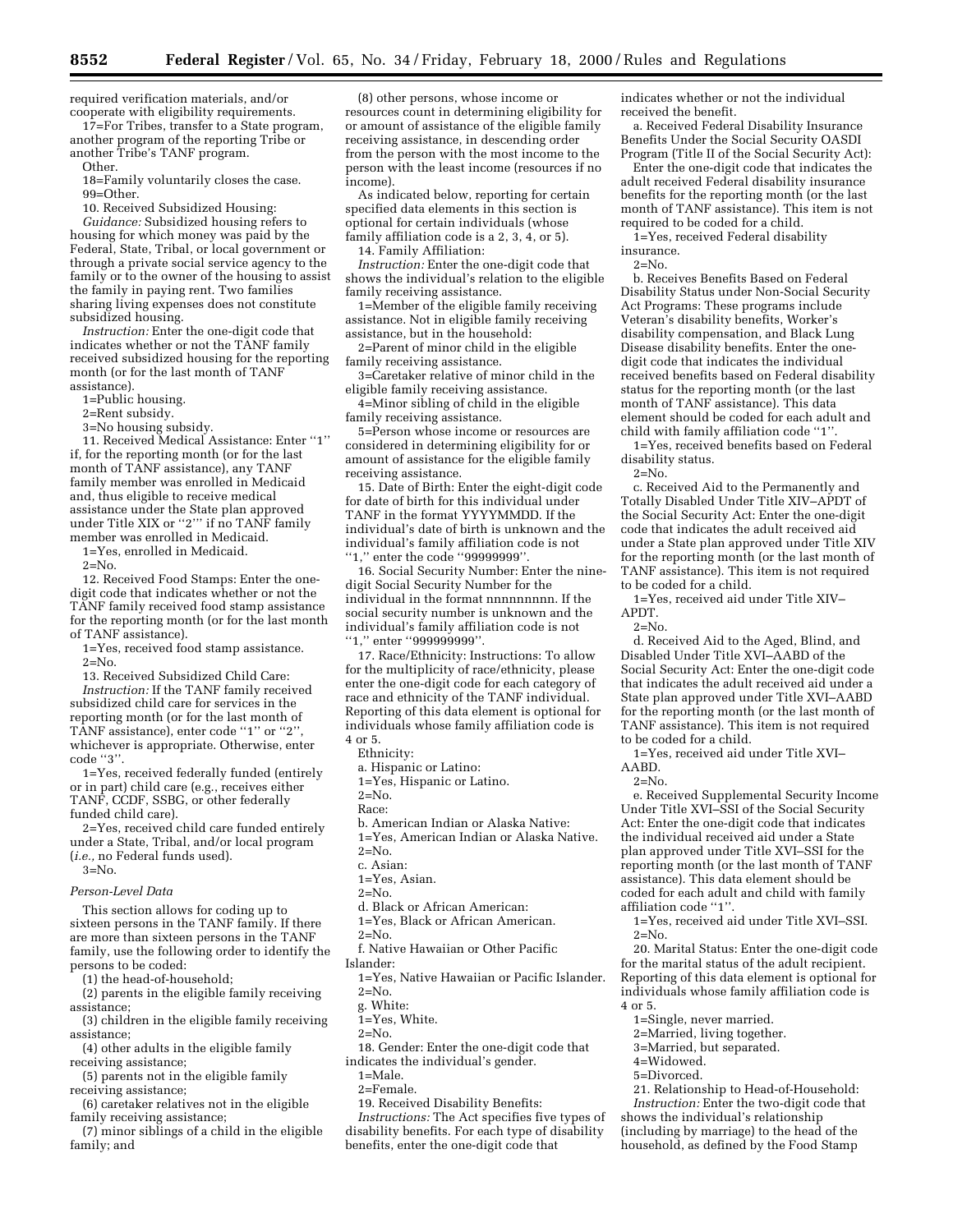required verification materials, and/or cooperate with eligibility requirements.

17=For Tribes, transfer to a State program, another program of the reporting Tribe or another Tribe's TANF program.

Other.

18=Family voluntarily closes the case. 99=Other.

10. Received Subsidized Housing:

*Guidance:* Subsidized housing refers to housing for which money was paid by the Federal, State, Tribal, or local government or through a private social service agency to the family or to the owner of the housing to assist the family in paying rent. Two families sharing living expenses does not constitute subsidized housing.

*Instruction:* Enter the one-digit code that indicates whether or not the TANF family received subsidized housing for the reporting month (or for the last month of TANF assistance).

1=Public housing.

2=Rent subsidy.

3=No housing subsidy.

11. Received Medical Assistance: Enter ''1'' if, for the reporting month (or for the last month of TANF assistance), any TANF family member was enrolled in Medicaid and, thus eligible to receive medical assistance under the State plan approved under Title XIX or "2" if no TANF family member was enrolled in Medicaid.

1=Yes, enrolled in Medicaid.

 $2 = No$ .

12. Received Food Stamps: Enter the onedigit code that indicates whether or not the TANF family received food stamp assistance for the reporting month (or for the last month of TANF assistance).

1=Yes, received food stamp assistance.

 $2 = No.$ 

13. Received Subsidized Child Care:

*Instruction:* If the TANF family received subsidized child care for services in the reporting month (or for the last month of TANF assistance), enter code "1" or "2" whichever is appropriate. Otherwise, enter code ''3''.

1=Yes, received federally funded (entirely or in part) child care (e.g., receives either TANF, CCDF, SSBG, or other federally funded child care).

2=Yes, received child care funded entirely under a State, Tribal, and/or local program (*i.e.,* no Federal funds used).

#### 3=No.

# *Person-Level Data*

This section allows for coding up to sixteen persons in the TANF family. If there are more than sixteen persons in the TANF family, use the following order to identify the persons to be coded:

(1) the head-of-household;

(2) parents in the eligible family receiving

assistance; (3) children in the eligible family receiving assistance;

(4) other adults in the eligible family

receiving assistance; (5) parents not in the eligible family

receiving assistance;

(6) caretaker relatives not in the eligible family receiving assistance;

(7) minor siblings of a child in the eligible family; and

(8) other persons, whose income or resources count in determining eligibility for or amount of assistance of the eligible family receiving assistance, in descending order from the person with the most income to the person with the least income (resources if no income).

As indicated below, reporting for certain specified data elements in this section is optional for certain individuals (whose family affiliation code is a 2, 3, 4, or 5).

14. Family Affiliation:

*Instruction:* Enter the one-digit code that shows the individual's relation to the eligible family receiving assistance.

1=Member of the eligible family receiving assistance. Not in eligible family receiving assistance, but in the household:

2=Parent of minor child in the eligible family receiving assistance.

3=Caretaker relative of minor child in the eligible family receiving assistance.

4=Minor sibling of child in the eligible family receiving assistance.

5=Person whose income or resources are considered in determining eligibility for or amount of assistance for the eligible family receiving assistance.

15. Date of Birth: Enter the eight-digit code for date of birth for this individual under TANF in the format YYYYMMDD. If the individual's date of birth is unknown and the individual's family affiliation code is not ''1,'' enter the code ''99999999''.

16. Social Security Number: Enter the ninedigit Social Security Number for the individual in the format nnnnnnnnn. If the social security number is unknown and the individual's family affiliation code is not ''1,'' enter ''999999999''.

17. Race/Ethnicity: Instructions: To allow for the multiplicity of race/ethnicity, please enter the one-digit code for each category of race and ethnicity of the TANF individual. Reporting of this data element is optional for individuals whose family affiliation code is 4 or 5.

Ethnicity:

a. Hispanic or Latino:

1=Yes, Hispanic or Latino.

 $2=N<sub>0</sub>$ .

Race:

b. American Indian or Alaska Native:

1=Yes, American Indian or Alaska Native.

 $2=N<sub>0</sub>$ .

c. Asian:

1=Yes, Asian.

 $2 = N_0$ 

d. Black or African American:

1=Yes, Black or African American.

 $2=N<sub>0</sub>$ .

f. Native Hawaiian or Other Pacific

Islander:

1=Yes, Native Hawaiian or Pacific Islander.  $2=N_0$ 

g. White:

1=Yes, White.

 $2=N<sub>0</sub>$ .

18. Gender: Enter the one-digit code that indicates the individual's gender.

1=Male.

2=Female. 19. Received Disability Benefits:

*Instructions:* The Act specifies five types of disability benefits. For each type of disability benefits, enter the one-digit code that

indicates whether or not the individual received the benefit.

a. Received Federal Disability Insurance Benefits Under the Social Security OASDI Program (Title II of the Social Security Act):

Enter the one-digit code that indicates the adult received Federal disability insurance benefits for the reporting month (or the last month of TANF assistance). This item is not required to be coded for a child.

1=Yes, received Federal disability insurance.

 $2 = N_0$ 

b. Receives Benefits Based on Federal Disability Status under Non-Social Security Act Programs: These programs include Veteran's disability benefits, Worker's disability compensation, and Black Lung Disease disability benefits. Enter the onedigit code that indicates the individual received benefits based on Federal disability status for the reporting month (or the last month of TANF assistance). This data element should be coded for each adult and child with family affiliation code ''1''.

1=Yes, received benefits based on Federal disability status.

 $2=N<sub>0</sub>$ .

c. Received Aid to the Permanently and Totally Disabled Under Title XIV–APDT of the Social Security Act: Enter the one-digit code that indicates the adult received aid under a State plan approved under Title XIV for the reporting month (or the last month of TANF assistance). This item is not required to be coded for a child.

1=Yes, received aid under Title XIV– APDT.

 $2=N<sub>0</sub>$ .

d. Received Aid to the Aged, Blind, and Disabled Under Title XVI–AABD of the Social Security Act: Enter the one-digit code that indicates the adult received aid under a State plan approved under Title XVI–AABD for the reporting month (or the last month of TANF assistance). This item is not required to be coded for a child.

1=Yes, received aid under Title XVI– AABD.

 $2=N<sub>0</sub>$ .

e. Received Supplemental Security Income Under Title XVI–SSI of the Social Security Act: Enter the one-digit code that indicates the individual received aid under a State plan approved under Title XVI–SSI for the reporting month (or the last month of TANF assistance). This data element should be coded for each adult and child with family affiliation code ''1''.

1=Yes, received aid under Title XVI–SSI.  $2=N<sub>0</sub>$ .

20. Marital Status: Enter the one-digit code for the marital status of the adult recipient. Reporting of this data element is optional for individuals whose family affiliation code is 4 or 5.

1=Single, never married.

2=Married, living together.

- 3=Married, but separated.
- 4=Widowed.
- 5=Divorced.

21. Relationship to Head-of-Household: *Instruction:* Enter the two-digit code that

shows the individual's relationship (including by marriage) to the head of the household, as defined by the Food Stamp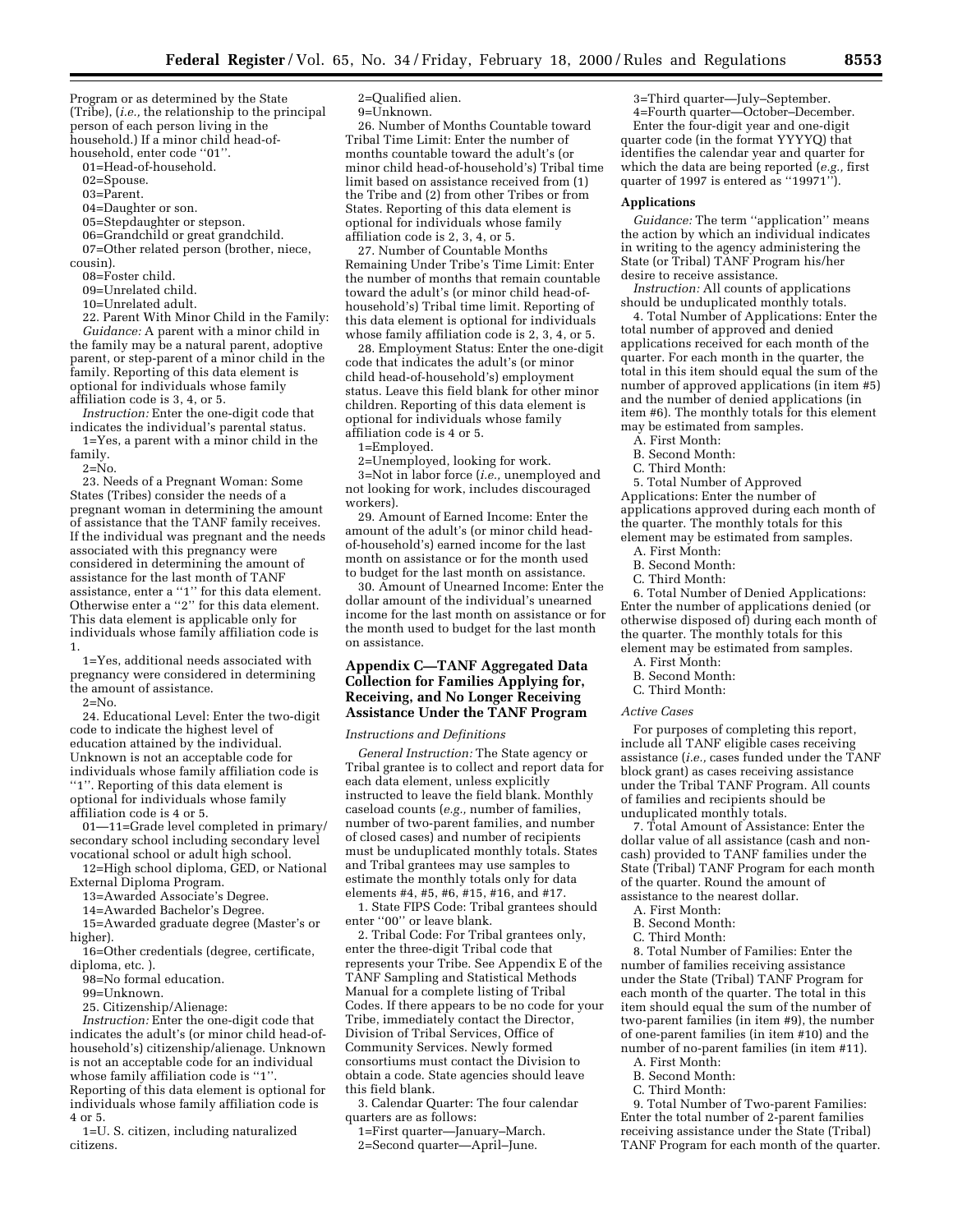Program or as determined by the State (Tribe), (*i.e.,* the relationship to the principal person of each person living in the household.) If a minor child head-ofhousehold, enter code ''01''.

01=Head-of-household.

02=Spouse.

03=Parent.

04=Daughter or son.

05=Stepdaughter or stepson.

06=Grandchild or great grandchild.

07=Other related person (brother, niece,

cousin).

08=Foster child. 09=Unrelated child.

10=Unrelated adult.

22. Parent With Minor Child in the Family: *Guidance:* A parent with a minor child in the family may be a natural parent, adoptive parent, or step-parent of a minor child in the family. Reporting of this data element is optional for individuals whose family affiliation code is 3, 4, or 5.

*Instruction:* Enter the one-digit code that indicates the individual's parental status. 1=Yes, a parent with a minor child in the

family.

 $2 = No$ .

23. Needs of a Pregnant Woman: Some States (Tribes) consider the needs of a pregnant woman in determining the amount of assistance that the TANF family receives. If the individual was pregnant and the needs associated with this pregnancy were considered in determining the amount of assistance for the last month of TANF assistance, enter a ''1'' for this data element. Otherwise enter a ''2'' for this data element. This data element is applicable only for individuals whose family affiliation code is 1.

1=Yes, additional needs associated with pregnancy were considered in determining the amount of assistance.

 $2 = No.$ 

24. Educational Level: Enter the two-digit code to indicate the highest level of education attained by the individual. Unknown is not an acceptable code for individuals whose family affiliation code is ''1''. Reporting of this data element is optional for individuals whose family affiliation code is 4 or 5.

01—11=Grade level completed in primary/ secondary school including secondary level vocational school or adult high school.

12=High school diploma, GED, or National External Diploma Program.

13=Awarded Associate's Degree.

14=Awarded Bachelor's Degree.

15=Awarded graduate degree (Master's or higher).

16=Other credentials (degree, certificate, diploma, etc. ).

98=No formal education.

99=Unknown.

25. Citizenship/Alienage:

*Instruction:* Enter the one-digit code that indicates the adult's (or minor child head-ofhousehold's) citizenship/alienage. Unknown is not an acceptable code for an individual whose family affiliation code is "1" Reporting of this data element is optional for

individuals whose family affiliation code is 4 or 5.

1=U. S. citizen, including naturalized citizens.

2=Qualified alien. 9=Unknown.

26. Number of Months Countable toward Tribal Time Limit: Enter the number of months countable toward the adult's (or minor child head-of-household's) Tribal time limit based on assistance received from (1) the Tribe and (2) from other Tribes or from States. Reporting of this data element is optional for individuals whose family affiliation code is 2, 3, 4, or 5.

27. Number of Countable Months Remaining Under Tribe's Time Limit: Enter the number of months that remain countable toward the adult's (or minor child head-ofhousehold's) Tribal time limit. Reporting of this data element is optional for individuals whose family affiliation code is 2, 3, 4, or 5.

28. Employment Status: Enter the one-digit code that indicates the adult's (or minor child head-of-household's) employment status. Leave this field blank for other minor children. Reporting of this data element is optional for individuals whose family affiliation code is 4 or 5.

1=Employed.

2=Unemployed, looking for work.

3=Not in labor force (*i.e.,* unemployed and not looking for work, includes discouraged workers).

29. Amount of Earned Income: Enter the amount of the adult's (or minor child headof-household's) earned income for the last month on assistance or for the month used to budget for the last month on assistance.

30. Amount of Unearned Income: Enter the dollar amount of the individual's unearned income for the last month on assistance or for the month used to budget for the last month on assistance.

# **Appendix C—TANF Aggregated Data Collection for Families Applying for, Receiving, and No Longer Receiving Assistance Under the TANF Program**

*Instructions and Definitions*

*General Instruction:* The State agency or Tribal grantee is to collect and report data for each data element, unless explicitly instructed to leave the field blank. Monthly caseload counts (*e.g.,* number of families, number of two-parent families, and number of closed cases) and number of recipients must be unduplicated monthly totals. States and Tribal grantees may use samples to estimate the monthly totals only for data elements #4, #5, #6, #15, #16, and #17.

1. State FIPS Code: Tribal grantees should enter ''00'' or leave blank.

2. Tribal Code: For Tribal grantees only, enter the three-digit Tribal code that represents your Tribe. See Appendix E of the TANF Sampling and Statistical Methods Manual for a complete listing of Tribal Codes. If there appears to be no code for your Tribe, immediately contact the Director, Division of Tribal Services, Office of Community Services. Newly formed consortiums must contact the Division to obtain a code. State agencies should leave this field blank.

3. Calendar Quarter: The four calendar quarters are as follows:

1=First quarter—January–March. 2=Second quarter—April–June.

3=Third quarter—July–September. 4=Fourth quarter—October–December.

Enter the four-digit year and one-digit quarter code (in the format YYYYQ) that identifies the calendar year and quarter for which the data are being reported (*e.g.,* first quarter of 1997 is entered as "19971'

# **Applications**

*Guidance:* The term ''application'' means the action by which an individual indicates in writing to the agency administering the State (or Tribal) TANF Program his/her desire to receive assistance.

*Instruction:* All counts of applications should be unduplicated monthly totals.

4. Total Number of Applications: Enter the total number of approved and denied applications received for each month of the quarter. For each month in the quarter, the total in this item should equal the sum of the number of approved applications (in item #5) and the number of denied applications (in item #6). The monthly totals for this element may be estimated from samples.

A. First Month:

- B. Second Month:
- C. Third Month:

5. Total Number of Approved Applications: Enter the number of applications approved during each month of the quarter. The monthly totals for this element may be estimated from samples.

A. First Month:

- B. Second Month:
- C. Third Month:

6. Total Number of Denied Applications: Enter the number of applications denied (or otherwise disposed of) during each month of the quarter. The monthly totals for this element may be estimated from samples.

A. First Month:

- B. Second Month:
- C. Third Month:

*Active Cases*

For purposes of completing this report, include all TANF eligible cases receiving assistance (*i.e.,* cases funded under the TANF block grant) as cases receiving assistance under the Tribal TANF Program. All counts of families and recipients should be unduplicated monthly totals.

7. Total Amount of Assistance: Enter the dollar value of all assistance (cash and noncash) provided to TANF families under the State (Tribal) TANF Program for each month of the quarter. Round the amount of assistance to the nearest dollar.

- A. First Month:
- B. Second Month:
- C. Third Month:

8. Total Number of Families: Enter the number of families receiving assistance under the State (Tribal) TANF Program for each month of the quarter. The total in this item should equal the sum of the number of two-parent families (in item #9), the number of one-parent families (in item #10) and the number of no-parent families (in item #11).

- A. First Month:
- B. Second Month:
- C. Third Month:

9. Total Number of Two-parent Families: Enter the total number of 2-parent families receiving assistance under the State (Tribal) TANF Program for each month of the quarter.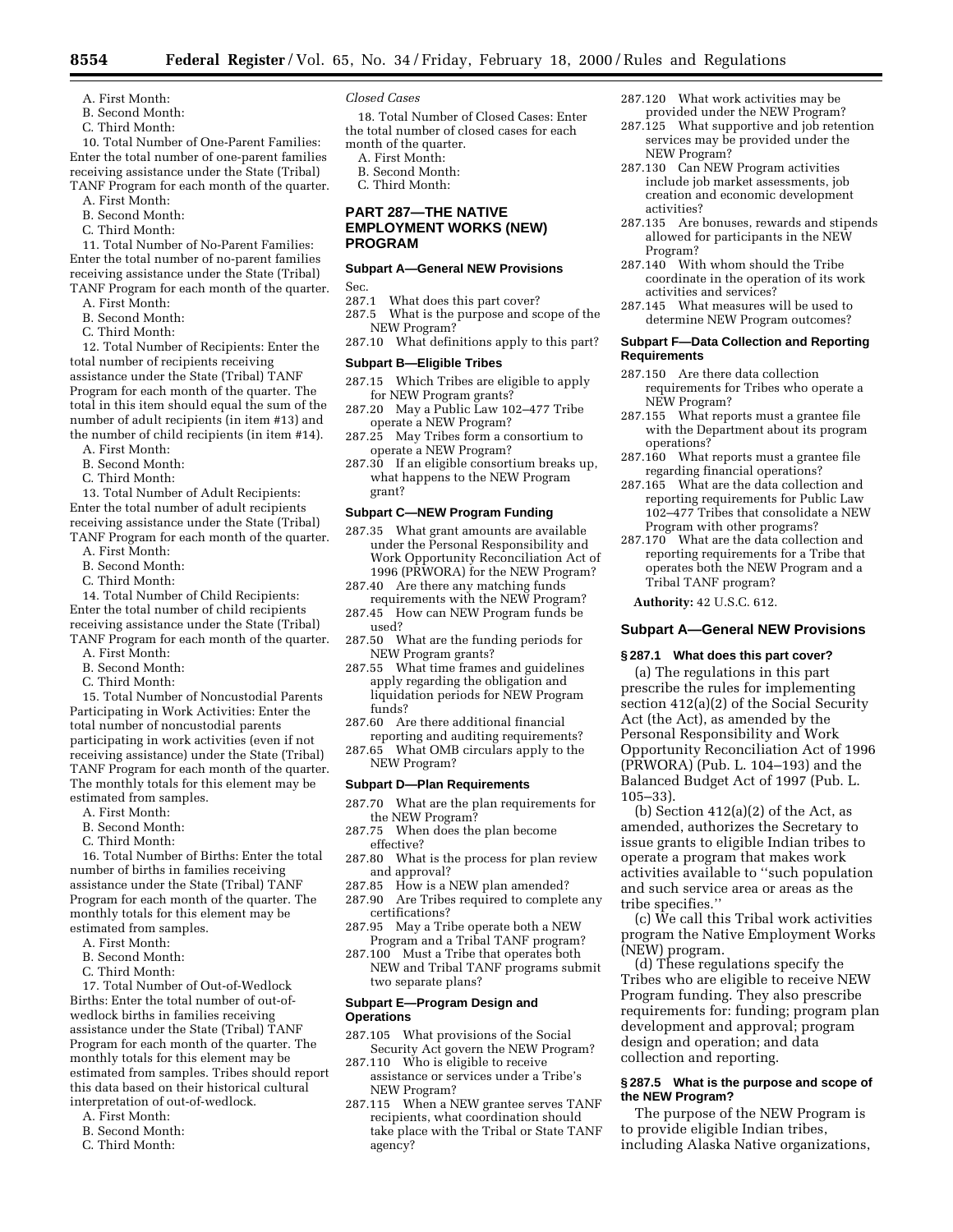- A. First Month:
- B. Second Month:
- C. Third Month:

10. Total Number of One-Parent Families: Enter the total number of one-parent families receiving assistance under the State (Tribal) TANF Program for each month of the quarter.

- A. First Month:
- B. Second Month:
- C. Third Month:

11. Total Number of No-Parent Families: Enter the total number of no-parent families receiving assistance under the State (Tribal) TANF Program for each month of the quarter.

A. First Month:

- B. Second Month:
- C. Third Month:

12. Total Number of Recipients: Enter the total number of recipients receiving assistance under the State (Tribal) TANF Program for each month of the quarter. The total in this item should equal the sum of the number of adult recipients (in item #13) and the number of child recipients (in item #14).

- A. First Month:
- B. Second Month:
- C. Third Month:

13. Total Number of Adult Recipients: Enter the total number of adult recipients receiving assistance under the State (Tribal) TANF Program for each month of the quarter.

- A. First Month:
- B. Second Month:
- C. Third Month:

14. Total Number of Child Recipients: Enter the total number of child recipients receiving assistance under the State (Tribal) TANF Program for each month of the quarter.

- A. First Month:
- B. Second Month:
- C. Third Month:

15. Total Number of Noncustodial Parents Participating in Work Activities: Enter the total number of noncustodial parents participating in work activities (even if not receiving assistance) under the State (Tribal) TANF Program for each month of the quarter. The monthly totals for this element may be estimated from samples.

- A. First Month:
- B. Second Month:
- C. Third Month:

16. Total Number of Births: Enter the total number of births in families receiving assistance under the State (Tribal) TANF Program for each month of the quarter. The monthly totals for this element may be estimated from samples.

- A. First Month:
- B. Second Month:
- C. Third Month:

17. Total Number of Out-of-Wedlock Births: Enter the total number of out-ofwedlock births in families receiving assistance under the State (Tribal) TANF Program for each month of the quarter. The monthly totals for this element may be estimated from samples. Tribes should report this data based on their historical cultural interpretation of out-of-wedlock.

- A. First Month:
- B. Second Month:
- C. Third Month:

# *Closed Cases*

18. Total Number of Closed Cases: Enter the total number of closed cases for each month of the quarter.

- A. First Month:
- B. Second Month:
- C. Third Month:

# **PART 287—THE NATIVE EMPLOYMENT WORKS (NEW) PROGRAM**

# **Subpart A—General NEW Provisions**

Sec.

- 287.1 What does this part cover?
- 287.5 What is the purpose and scope of the NEW Program?
- 287.10 What definitions apply to this part?

#### **Subpart B—Eligible Tribes**

- 287.15 Which Tribes are eligible to apply for NEW Program grants?
- 287.20 May a Public Law 102–477 Tribe operate a NEW Program?
- 287.25 May Tribes form a consortium to operate a NEW Program?
- 287.30 If an eligible consortium breaks up, what happens to the NEW Program grant?

### **Subpart C—NEW Program Funding**

- 287.35 What grant amounts are available under the Personal Responsibility and Work Opportunity Reconciliation Act of 1996 (PRWORA) for the NEW Program?
- 287.40 Are there any matching funds requirements with the NEW Program?
- 287.45 How can NEW Program funds be used?
- 287.50 What are the funding periods for NEW Program grants?
- 287.55 What time frames and guidelines apply regarding the obligation and liquidation periods for NEW Program funds?
- 287.60 Are there additional financial reporting and auditing requirements?
- 287.65 What OMB circulars apply to the NEW Program?

# **Subpart D—Plan Requirements**

- 287.70 What are the plan requirements for the NEW Program?
- 287.75 When does the plan become effective?
- 287.80 What is the process for plan review and approval?
- 287.85 How is a NEW plan amended?
- 287.90 Are Tribes required to complete any certifications?
- 287.95 May a Tribe operate both a NEW Program and a Tribal TANF program?
- 287.100 Must a Tribe that operates both NEW and Tribal TANF programs submit two separate plans?

# **Subpart E—Program Design and Operations**

- 287.105 What provisions of the Social Security Act govern the NEW Program?
- 287.110 Who is eligible to receive assistance or services under a Tribe's NEW Program?
- 287.115 When a NEW grantee serves TANF recipients, what coordination should take place with the Tribal or State TANF agency?
- 287.120 What work activities may be provided under the NEW Program?
- 287.125 What supportive and job retention services may be provided under the NEW Program?
- 287.130 Can NEW Program activities include job market assessments, job creation and economic development activities?
- 287.135 Are bonuses, rewards and stipends allowed for participants in the NEW Program?
- 287.140 With whom should the Tribe coordinate in the operation of its work activities and services?
- 287.145 What measures will be used to determine NEW Program outcomes?

#### **Subpart F—Data Collection and Reporting Requirements**

- 287.150 Are there data collection requirements for Tribes who operate a NEW Program?
- 287.155 What reports must a grantee file with the Department about its program operations?
- 287.160 What reports must a grantee file regarding financial operations?
- 287.165 What are the data collection and reporting requirements for Public Law 102–477 Tribes that consolidate a NEW Program with other programs?
- 287.170 What are the data collection and reporting requirements for a Tribe that operates both the NEW Program and a Tribal TANF program?

**Authority:** 42 U.S.C. 612.

### **Subpart A—General NEW Provisions**

#### **§ 287.1 What does this part cover?**

(a) The regulations in this part prescribe the rules for implementing section 412(a)(2) of the Social Security Act (the Act), as amended by the Personal Responsibility and Work Opportunity Reconciliation Act of 1996 (PRWORA) (Pub. L. 104–193) and the Balanced Budget Act of 1997 (Pub. L. 105–33).

(b) Section  $412(a)(2)$  of the Act, as amended, authorizes the Secretary to issue grants to eligible Indian tribes to operate a program that makes work activities available to ''such population and such service area or areas as the tribe specifies.''

(c) We call this Tribal work activities program the Native Employment Works (NEW) program.

(d) These regulations specify the Tribes who are eligible to receive NEW Program funding. They also prescribe requirements for: funding; program plan development and approval; program design and operation; and data collection and reporting.

# **§ 287.5 What is the purpose and scope of the NEW Program?**

The purpose of the NEW Program is to provide eligible Indian tribes, including Alaska Native organizations,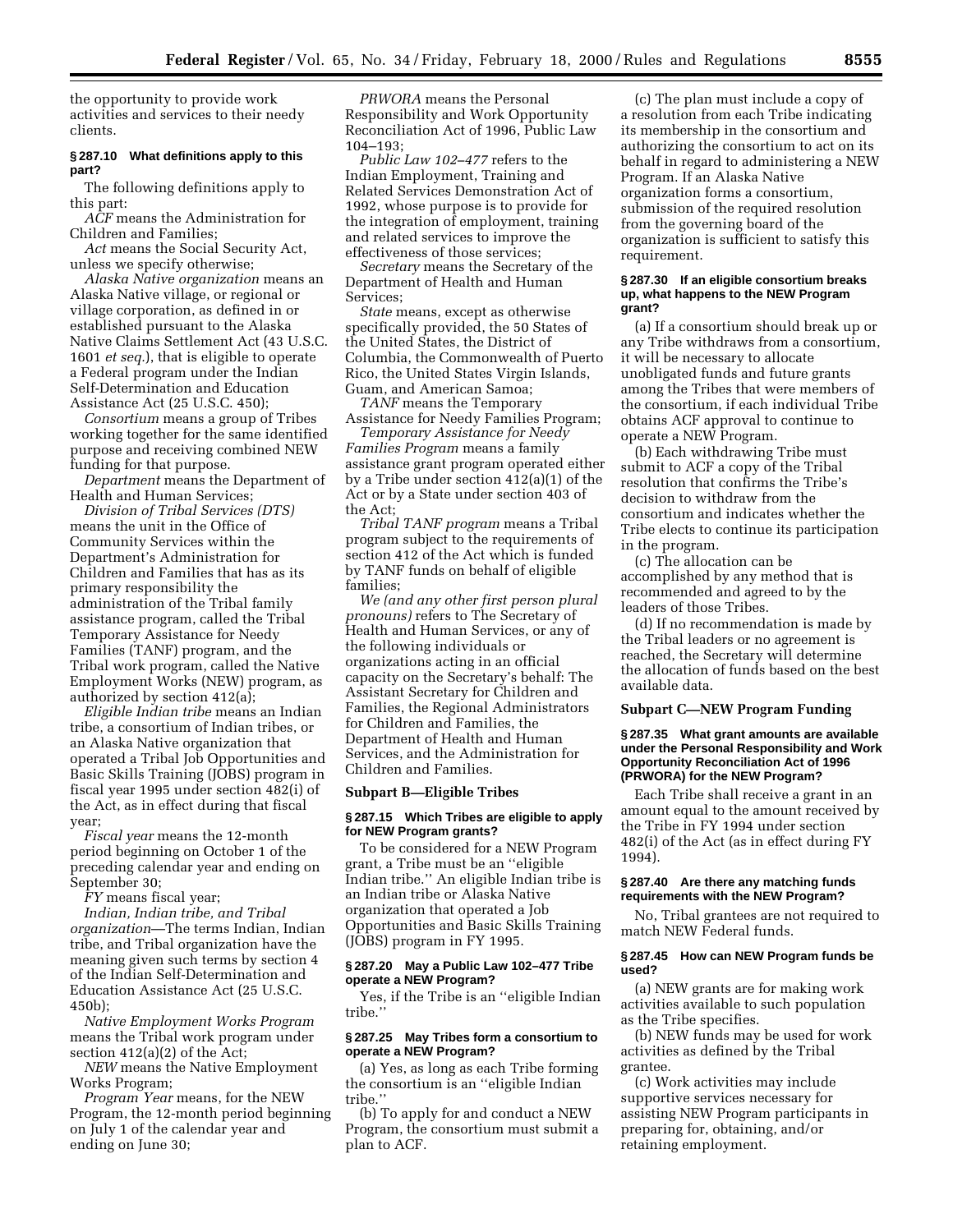the opportunity to provide work activities and services to their needy clients.

### **§ 287.10 What definitions apply to this part?**

The following definitions apply to this part:

*ACF* means the Administration for Children and Families;

*Act* means the Social Security Act, unless we specify otherwise;

*Alaska Native organization* means an Alaska Native village, or regional or village corporation, as defined in or established pursuant to the Alaska Native Claims Settlement Act (43 U.S.C. 1601 *et seq.*), that is eligible to operate a Federal program under the Indian Self-Determination and Education Assistance Act (25 U.S.C. 450);

*Consortium* means a group of Tribes working together for the same identified purpose and receiving combined NEW funding for that purpose.

*Department* means the Department of Health and Human Services;

*Division of Tribal Services (DTS)* means the unit in the Office of Community Services within the Department's Administration for Children and Families that has as its primary responsibility the administration of the Tribal family assistance program, called the Tribal Temporary Assistance for Needy Families (TANF) program, and the Tribal work program, called the Native Employment Works (NEW) program, as authorized by section 412(a);

*Eligible Indian tribe* means an Indian tribe, a consortium of Indian tribes, or an Alaska Native organization that operated a Tribal Job Opportunities and Basic Skills Training (JOBS) program in fiscal year 1995 under section 482(i) of the Act, as in effect during that fiscal year;

*Fiscal year* means the 12-month period beginning on October 1 of the preceding calendar year and ending on September 30;

*FY* means fiscal year;

*Indian, Indian tribe, and Tribal organization*—The terms Indian, Indian tribe, and Tribal organization have the meaning given such terms by section 4 of the Indian Self-Determination and Education Assistance Act (25 U.S.C. 450b);

*Native Employment Works Program* means the Tribal work program under section 412(a)(2) of the Act;

*NEW* means the Native Employment Works Program;

*Program Year* means, for the NEW Program, the 12-month period beginning on July 1 of the calendar year and ending on June 30;

*PRWORA* means the Personal Responsibility and Work Opportunity Reconciliation Act of 1996, Public Law 104–193;

*Public Law 102–477* refers to the Indian Employment, Training and Related Services Demonstration Act of 1992, whose purpose is to provide for the integration of employment, training and related services to improve the effectiveness of those services;

*Secretary* means the Secretary of the Department of Health and Human Services;

*State* means, except as otherwise specifically provided, the 50 States of the United States, the District of Columbia, the Commonwealth of Puerto Rico, the United States Virgin Islands, Guam, and American Samoa;

*TANF* means the Temporary Assistance for Needy Families Program;

*Temporary Assistance for Needy Families Program* means a family assistance grant program operated either by a Tribe under section 412(a)(1) of the Act or by a State under section 403 of the Act;

*Tribal TANF program* means a Tribal program subject to the requirements of section 412 of the Act which is funded by TANF funds on behalf of eligible families;

*We (and any other first person plural pronouns)* refers to The Secretary of Health and Human Services, or any of the following individuals or organizations acting in an official capacity on the Secretary's behalf: The Assistant Secretary for Children and Families, the Regional Administrators for Children and Families, the Department of Health and Human Services, and the Administration for Children and Families.

#### **Subpart B—Eligible Tribes**

# **§ 287.15 Which Tribes are eligible to apply for NEW Program grants?**

To be considered for a NEW Program grant, a Tribe must be an ''eligible Indian tribe.'' An eligible Indian tribe is an Indian tribe or Alaska Native organization that operated a Job Opportunities and Basic Skills Training (JOBS) program in FY 1995.

### **§ 287.20 May a Public Law 102–477 Tribe operate a NEW Program?**

Yes, if the Tribe is an ''eligible Indian tribe.''

#### **§ 287.25 May Tribes form a consortium to operate a NEW Program?**

(a) Yes, as long as each Tribe forming the consortium is an ''eligible Indian tribe.''

(b) To apply for and conduct a NEW Program, the consortium must submit a plan to ACF.

(c) The plan must include a copy of a resolution from each Tribe indicating its membership in the consortium and authorizing the consortium to act on its behalf in regard to administering a NEW Program. If an Alaska Native organization forms a consortium, submission of the required resolution from the governing board of the organization is sufficient to satisfy this requirement.

# **§ 287.30 If an eligible consortium breaks up, what happens to the NEW Program grant?**

(a) If a consortium should break up or any Tribe withdraws from a consortium, it will be necessary to allocate unobligated funds and future grants among the Tribes that were members of the consortium, if each individual Tribe obtains ACF approval to continue to operate a NEW Program.

(b) Each withdrawing Tribe must submit to ACF a copy of the Tribal resolution that confirms the Tribe's decision to withdraw from the consortium and indicates whether the Tribe elects to continue its participation in the program.

(c) The allocation can be accomplished by any method that is recommended and agreed to by the leaders of those Tribes.

(d) If no recommendation is made by the Tribal leaders or no agreement is reached, the Secretary will determine the allocation of funds based on the best available data.

# **Subpart C—NEW Program Funding**

### **§ 287.35 What grant amounts are available under the Personal Responsibility and Work Opportunity Reconciliation Act of 1996 (PRWORA) for the NEW Program?**

Each Tribe shall receive a grant in an amount equal to the amount received by the Tribe in FY 1994 under section 482(i) of the Act (as in effect during FY 1994).

# **§ 287.40 Are there any matching funds requirements with the NEW Program?**

No, Tribal grantees are not required to match NEW Federal funds.

#### **§ 287.45 How can NEW Program funds be used?**

(a) NEW grants are for making work activities available to such population as the Tribe specifies.

(b) NEW funds may be used for work activities as defined by the Tribal grantee.

(c) Work activities may include supportive services necessary for assisting NEW Program participants in preparing for, obtaining, and/or retaining employment.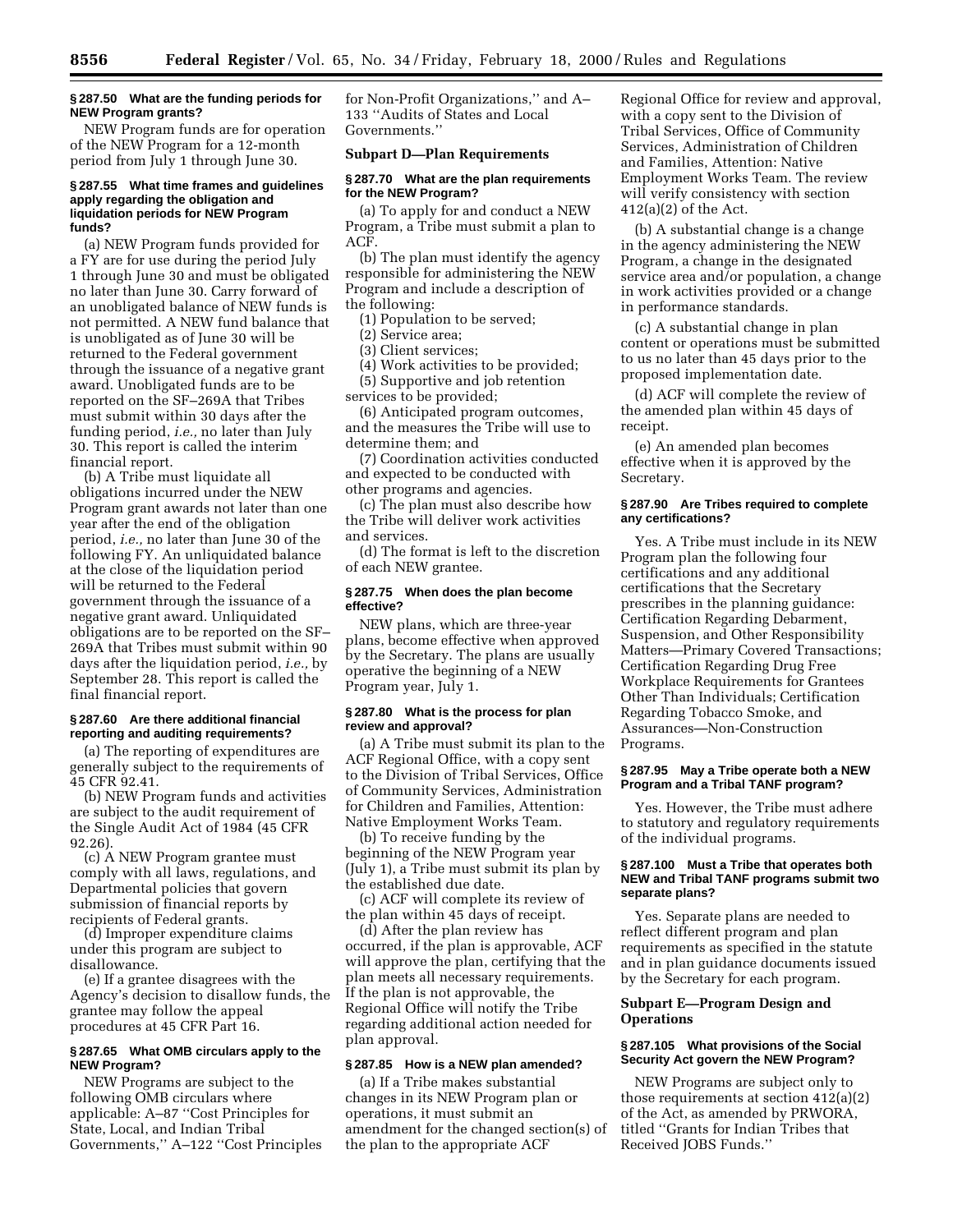# **§ 287.50 What are the funding periods for NEW Program grants?**

NEW Program funds are for operation of the NEW Program for a 12-month period from July 1 through June 30.

## **§ 287.55 What time frames and guidelines apply regarding the obligation and liquidation periods for NEW Program funds?**

(a) NEW Program funds provided for a FY are for use during the period July 1 through June 30 and must be obligated no later than June 30. Carry forward of an unobligated balance of NEW funds is not permitted. A NEW fund balance that is unobligated as of June 30 will be returned to the Federal government through the issuance of a negative grant award. Unobligated funds are to be reported on the SF–269A that Tribes must submit within 30 days after the funding period, *i.e.,* no later than July 30. This report is called the interim financial report.

(b) A Tribe must liquidate all obligations incurred under the NEW Program grant awards not later than one year after the end of the obligation period, *i.e.,* no later than June 30 of the following FY. An unliquidated balance at the close of the liquidation period will be returned to the Federal government through the issuance of a negative grant award. Unliquidated obligations are to be reported on the SF– 269A that Tribes must submit within 90 days after the liquidation period, *i.e.,* by September 28. This report is called the final financial report.

# **§ 287.60 Are there additional financial reporting and auditing requirements?**

(a) The reporting of expenditures are generally subject to the requirements of 45 CFR 92.41.

(b) NEW Program funds and activities are subject to the audit requirement of the Single Audit Act of 1984 (45 CFR 92.26).

(c) A NEW Program grantee must comply with all laws, regulations, and Departmental policies that govern submission of financial reports by recipients of Federal grants.

(d) Improper expenditure claims under this program are subject to disallowance.

(e) If a grantee disagrees with the Agency's decision to disallow funds, the grantee may follow the appeal procedures at 45 CFR Part 16.

# **§ 287.65 What OMB circulars apply to the NEW Program?**

NEW Programs are subject to the following OMB circulars where applicable: A–87 ''Cost Principles for State, Local, and Indian Tribal Governments,'' A–122 ''Cost Principles for Non-Profit Organizations,'' and A– 133 ''Audits of States and Local Governments.''

# **Subpart D—Plan Requirements**

### **§ 287.70 What are the plan requirements for the NEW Program?**

(a) To apply for and conduct a NEW Program, a Tribe must submit a plan to ACF.

(b) The plan must identify the agency responsible for administering the NEW Program and include a description of the following:

(1) Population to be served;

(2) Service area;

(3) Client services;

(4) Work activities to be provided;

(5) Supportive and job retention

services to be provided;

(6) Anticipated program outcomes, and the measures the Tribe will use to determine them; and

(7) Coordination activities conducted and expected to be conducted with other programs and agencies.

(c) The plan must also describe how the Tribe will deliver work activities and services.

(d) The format is left to the discretion of each NEW grantee.

# **§ 287.75 When does the plan become effective?**

NEW plans, which are three-year plans, become effective when approved by the Secretary. The plans are usually operative the beginning of a NEW Program year, July 1.

# **§ 287.80 What is the process for plan review and approval?**

(a) A Tribe must submit its plan to the ACF Regional Office, with a copy sent to the Division of Tribal Services, Office of Community Services, Administration for Children and Families, Attention: Native Employment Works Team.

(b) To receive funding by the beginning of the NEW Program year (July 1), a Tribe must submit its plan by the established due date.

(c) ACF will complete its review of the plan within 45 days of receipt.

(d) After the plan review has occurred, if the plan is approvable, ACF will approve the plan, certifying that the plan meets all necessary requirements. If the plan is not approvable, the Regional Office will notify the Tribe regarding additional action needed for plan approval.

# **§ 287.85 How is a NEW plan amended?**

(a) If a Tribe makes substantial changes in its NEW Program plan or operations, it must submit an amendment for the changed section(s) of the plan to the appropriate ACF

Regional Office for review and approval, with a copy sent to the Division of Tribal Services, Office of Community Services, Administration of Children and Families, Attention: Native Employment Works Team. The review will verify consistency with section 412(a)(2) of the Act.

(b) A substantial change is a change in the agency administering the NEW Program, a change in the designated service area and/or population, a change in work activities provided or a change in performance standards.

(c) A substantial change in plan content or operations must be submitted to us no later than 45 days prior to the proposed implementation date.

(d) ACF will complete the review of the amended plan within 45 days of receipt.

(e) An amended plan becomes effective when it is approved by the Secretary.

# **§ 287.90 Are Tribes required to complete any certifications?**

Yes. A Tribe must include in its NEW Program plan the following four certifications and any additional certifications that the Secretary prescribes in the planning guidance: Certification Regarding Debarment, Suspension, and Other Responsibility Matters—Primary Covered Transactions; Certification Regarding Drug Free Workplace Requirements for Grantees Other Than Individuals; Certification Regarding Tobacco Smoke, and Assurances—Non-Construction Programs.

# **§ 287.95 May a Tribe operate both a NEW Program and a Tribal TANF program?**

Yes. However, the Tribe must adhere to statutory and regulatory requirements of the individual programs.

# **§ 287.100 Must a Tribe that operates both NEW and Tribal TANF programs submit two separate plans?**

Yes. Separate plans are needed to reflect different program and plan requirements as specified in the statute and in plan guidance documents issued by the Secretary for each program.

# **Subpart E—Program Design and Operations**

# **§ 287.105 What provisions of the Social Security Act govern the NEW Program?**

NEW Programs are subject only to those requirements at section 412(a)(2) of the Act, as amended by PRWORA, titled ''Grants for Indian Tribes that Received JOBS Funds.''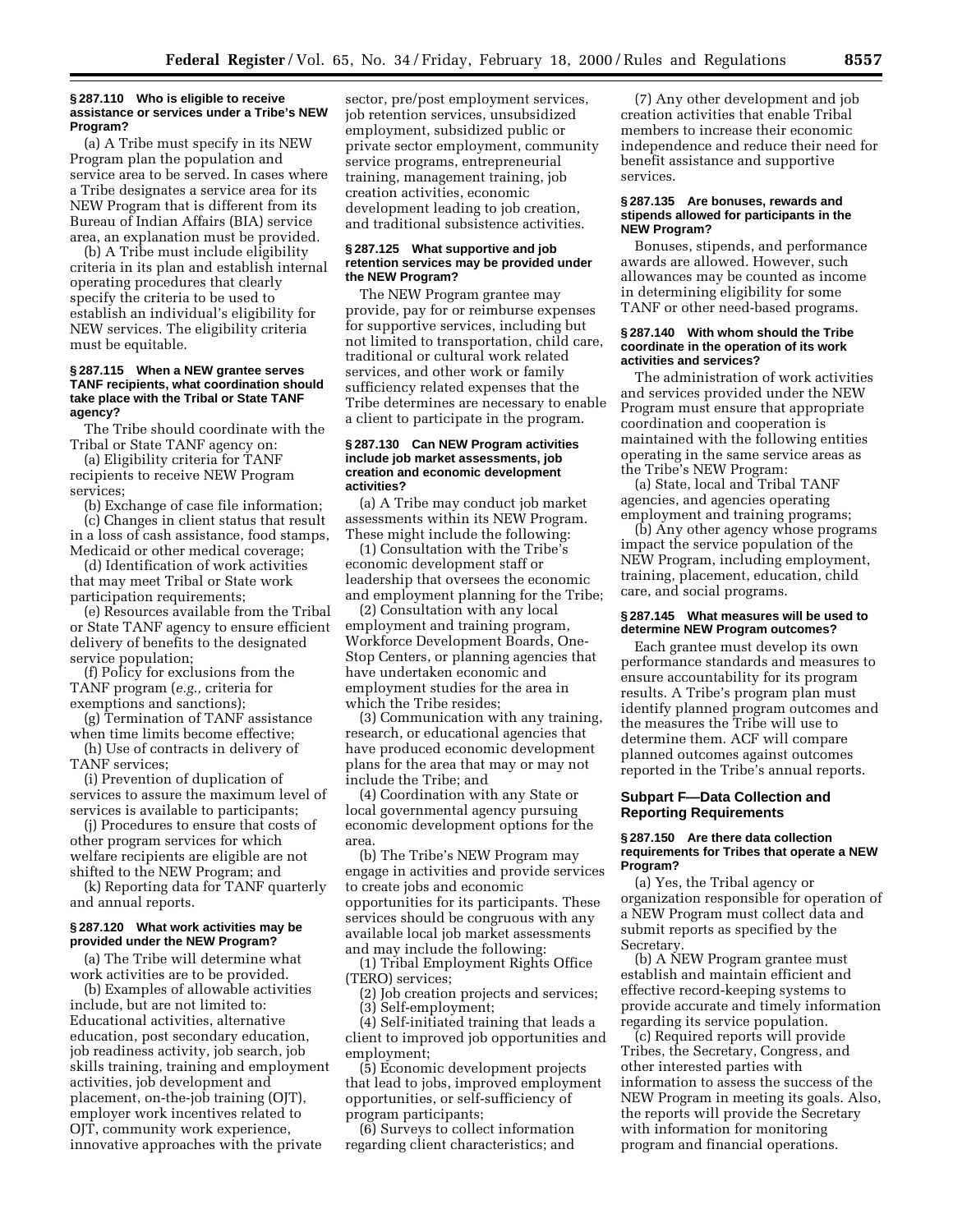#### **§ 287.110 Who is eligible to receive assistance or services under a Tribe's NEW Program?**

(a) A Tribe must specify in its NEW Program plan the population and service area to be served. In cases where a Tribe designates a service area for its NEW Program that is different from its Bureau of Indian Affairs (BIA) service area, an explanation must be provided.

(b) A Tribe must include eligibility criteria in its plan and establish internal operating procedures that clearly specify the criteria to be used to establish an individual's eligibility for NEW services. The eligibility criteria must be equitable.

# **§ 287.115 When a NEW grantee serves TANF recipients, what coordination should take place with the Tribal or State TANF agency?**

The Tribe should coordinate with the Tribal or State TANF agency on:

(a) Eligibility criteria for TANF recipients to receive NEW Program services;

(b) Exchange of case file information;

(c) Changes in client status that result in a loss of cash assistance, food stamps, Medicaid or other medical coverage;

(d) Identification of work activities that may meet Tribal or State work participation requirements;

(e) Resources available from the Tribal or State TANF agency to ensure efficient delivery of benefits to the designated service population;

(f) Policy for exclusions from the TANF program (*e.g.,* criteria for exemptions and sanctions);

(g) Termination of TANF assistance when time limits become effective;

(h) Use of contracts in delivery of TANF services;

(i) Prevention of duplication of services to assure the maximum level of services is available to participants;

(j) Procedures to ensure that costs of other program services for which welfare recipients are eligible are not shifted to the NEW Program; and

(k) Reporting data for TANF quarterly and annual reports.

# **§ 287.120 What work activities may be provided under the NEW Program?**

(a) The Tribe will determine what work activities are to be provided.

(b) Examples of allowable activities include, but are not limited to: Educational activities, alternative education, post secondary education, job readiness activity, job search, job skills training, training and employment activities, job development and placement, on-the-job training (OJT), employer work incentives related to OJT, community work experience, innovative approaches with the private

sector, pre/post employment services, job retention services, unsubsidized employment, subsidized public or private sector employment, community service programs, entrepreneurial training, management training, job creation activities, economic development leading to job creation, and traditional subsistence activities.

## **§ 287.125 What supportive and job retention services may be provided under the NEW Program?**

The NEW Program grantee may provide, pay for or reimburse expenses for supportive services, including but not limited to transportation, child care, traditional or cultural work related services, and other work or family sufficiency related expenses that the Tribe determines are necessary to enable a client to participate in the program.

# **§ 287.130 Can NEW Program activities include job market assessments, job creation and economic development activities?**

(a) A Tribe may conduct job market assessments within its NEW Program. These might include the following:

(1) Consultation with the Tribe's economic development staff or leadership that oversees the economic and employment planning for the Tribe;

(2) Consultation with any local employment and training program, Workforce Development Boards, One-Stop Centers, or planning agencies that have undertaken economic and employment studies for the area in which the Tribe resides;

(3) Communication with any training, research, or educational agencies that have produced economic development plans for the area that may or may not include the Tribe; and

(4) Coordination with any State or local governmental agency pursuing economic development options for the area.

(b) The Tribe's NEW Program may engage in activities and provide services to create jobs and economic opportunities for its participants. These services should be congruous with any available local job market assessments and may include the following:

(1) Tribal Employment Rights Office (TERO) services;

(2) Job creation projects and services;

(3) Self-employment;

(4) Self-initiated training that leads a client to improved job opportunities and employment;

(5) Economic development projects that lead to jobs, improved employment opportunities, or self-sufficiency of program participants;

(6) Surveys to collect information regarding client characteristics; and

(7) Any other development and job creation activities that enable Tribal members to increase their economic independence and reduce their need for benefit assistance and supportive services.

### **§ 287.135 Are bonuses, rewards and stipends allowed for participants in the NEW Program?**

Bonuses, stipends, and performance awards are allowed. However, such allowances may be counted as income in determining eligibility for some TANF or other need-based programs.

### **§ 287.140 With whom should the Tribe coordinate in the operation of its work activities and services?**

The administration of work activities and services provided under the NEW Program must ensure that appropriate coordination and cooperation is maintained with the following entities operating in the same service areas as the Tribe's NEW Program:

(a) State, local and Tribal TANF agencies, and agencies operating employment and training programs;

(b) Any other agency whose programs impact the service population of the NEW Program, including employment, training, placement, education, child care, and social programs.

# **§ 287.145 What measures will be used to determine NEW Program outcomes?**

Each grantee must develop its own performance standards and measures to ensure accountability for its program results. A Tribe's program plan must identify planned program outcomes and the measures the Tribe will use to determine them. ACF will compare planned outcomes against outcomes reported in the Tribe's annual reports.

# **Subpart F—Data Collection and Reporting Requirements**

# **§ 287.150 Are there data collection requirements for Tribes that operate a NEW Program?**

(a) Yes, the Tribal agency or organization responsible for operation of a NEW Program must collect data and submit reports as specified by the **Secretary** 

(b) A NEW Program grantee must establish and maintain efficient and effective record-keeping systems to provide accurate and timely information regarding its service population.

(c) Required reports will provide Tribes, the Secretary, Congress, and other interested parties with information to assess the success of the NEW Program in meeting its goals. Also, the reports will provide the Secretary with information for monitoring program and financial operations.